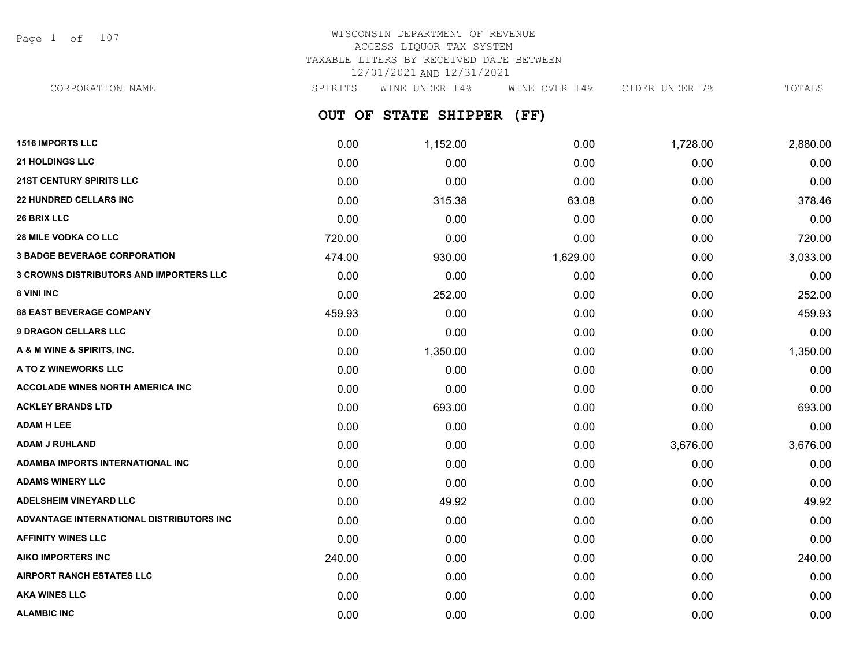Page 1 of 107

| CORPORATION NAME | SPIRITS | WINE UNDER 14%            | WINE OVER 14% | CIDER UNDER 7% | TOTALS |
|------------------|---------|---------------------------|---------------|----------------|--------|
|                  |         | OUT OF STATE SHIPPER (FF) |               |                |        |

| 0.00   | 1,152.00 | 0.00     | 1,728.00 | 2,880.00 |
|--------|----------|----------|----------|----------|
| 0.00   | 0.00     | 0.00     | 0.00     | 0.00     |
| 0.00   | 0.00     | 0.00     | 0.00     | 0.00     |
| 0.00   | 315.38   | 63.08    | 0.00     | 378.46   |
| 0.00   | 0.00     | 0.00     | 0.00     | 0.00     |
| 720.00 | 0.00     | 0.00     | 0.00     | 720.00   |
| 474.00 | 930.00   | 1,629.00 | 0.00     | 3,033.00 |
| 0.00   | 0.00     | 0.00     | 0.00     | 0.00     |
| 0.00   | 252.00   | 0.00     | 0.00     | 252.00   |
| 459.93 | 0.00     | 0.00     | 0.00     | 459.93   |
| 0.00   | 0.00     | 0.00     | 0.00     | 0.00     |
| 0.00   | 1,350.00 | 0.00     | 0.00     | 1,350.00 |
| 0.00   | 0.00     | 0.00     | 0.00     | 0.00     |
| 0.00   | 0.00     | 0.00     | 0.00     | 0.00     |
| 0.00   | 693.00   | 0.00     | 0.00     | 693.00   |
| 0.00   | 0.00     | 0.00     | 0.00     | 0.00     |
| 0.00   | 0.00     | 0.00     | 3,676.00 | 3,676.00 |
| 0.00   | 0.00     | 0.00     | 0.00     | 0.00     |
| 0.00   | 0.00     | 0.00     | 0.00     | 0.00     |
| 0.00   | 49.92    | 0.00     | 0.00     | 49.92    |
| 0.00   | 0.00     | 0.00     | 0.00     | 0.00     |
| 0.00   | 0.00     | 0.00     | 0.00     | 0.00     |
| 240.00 | 0.00     | 0.00     | 0.00     | 240.00   |
| 0.00   | 0.00     | 0.00     | 0.00     | 0.00     |
| 0.00   | 0.00     | 0.00     | 0.00     | 0.00     |
| 0.00   | 0.00     | 0.00     | 0.00     | 0.00     |
|        |          |          |          |          |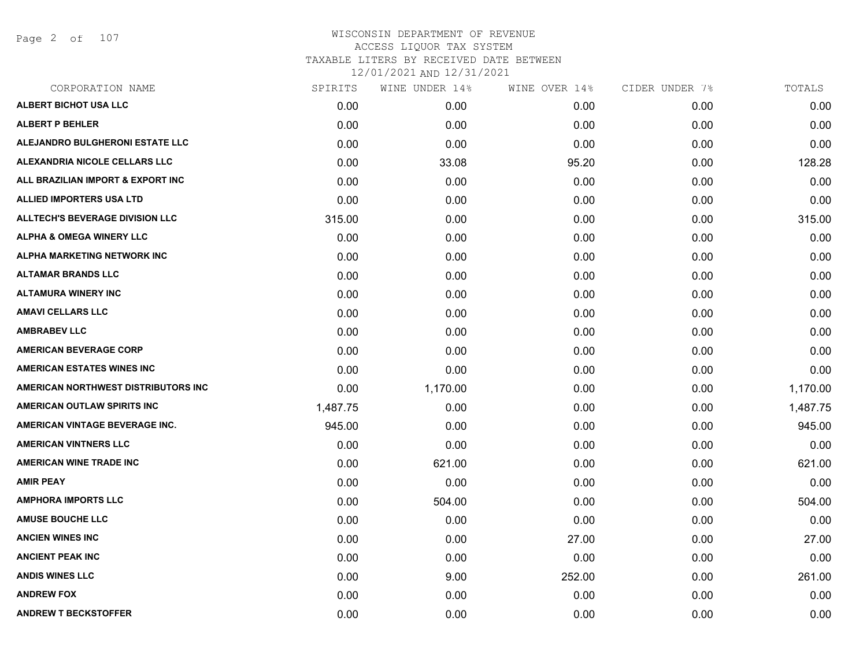Page 2 of 107

| CORPORATION NAME                       | SPIRITS  | WINE UNDER 14% | WINE OVER 14% | CIDER UNDER 7% | TOTALS   |
|----------------------------------------|----------|----------------|---------------|----------------|----------|
| ALBERT BICHOT USA LLC                  | 0.00     | 0.00           | 0.00          | 0.00           | 0.00     |
| <b>ALBERT P BEHLER</b>                 | 0.00     | 0.00           | 0.00          | 0.00           | 0.00     |
| ALEJANDRO BULGHERONI ESTATE LLC        | 0.00     | 0.00           | 0.00          | 0.00           | 0.00     |
| ALEXANDRIA NICOLE CELLARS LLC          | 0.00     | 33.08          | 95.20         | 0.00           | 128.28   |
| ALL BRAZILIAN IMPORT & EXPORT INC      | 0.00     | 0.00           | 0.00          | 0.00           | 0.00     |
| ALLIED IMPORTERS USA LTD               | 0.00     | 0.00           | 0.00          | 0.00           | 0.00     |
| <b>ALLTECH'S BEVERAGE DIVISION LLC</b> | 315.00   | 0.00           | 0.00          | 0.00           | 315.00   |
| <b>ALPHA &amp; OMEGA WINERY LLC</b>    | 0.00     | 0.00           | 0.00          | 0.00           | 0.00     |
| ALPHA MARKETING NETWORK INC            | 0.00     | 0.00           | 0.00          | 0.00           | 0.00     |
| <b>ALTAMAR BRANDS LLC</b>              | 0.00     | 0.00           | 0.00          | 0.00           | 0.00     |
| <b>ALTAMURA WINERY INC</b>             | 0.00     | 0.00           | 0.00          | 0.00           | 0.00     |
| <b>AMAVI CELLARS LLC</b>               | 0.00     | 0.00           | 0.00          | 0.00           | 0.00     |
| <b>AMBRABEV LLC</b>                    | 0.00     | 0.00           | 0.00          | 0.00           | 0.00     |
| <b>AMERICAN BEVERAGE CORP</b>          | 0.00     | 0.00           | 0.00          | 0.00           | 0.00     |
| <b>AMERICAN ESTATES WINES INC</b>      | 0.00     | 0.00           | 0.00          | 0.00           | 0.00     |
| AMERICAN NORTHWEST DISTRIBUTORS INC    | 0.00     | 1,170.00       | 0.00          | 0.00           | 1,170.00 |
| AMERICAN OUTLAW SPIRITS INC            | 1,487.75 | 0.00           | 0.00          | 0.00           | 1,487.75 |
| AMERICAN VINTAGE BEVERAGE INC.         | 945.00   | 0.00           | 0.00          | 0.00           | 945.00   |
| <b>AMERICAN VINTNERS LLC</b>           | 0.00     | 0.00           | 0.00          | 0.00           | 0.00     |
| <b>AMERICAN WINE TRADE INC</b>         | 0.00     | 621.00         | 0.00          | 0.00           | 621.00   |
| <b>AMIR PEAY</b>                       | 0.00     | 0.00           | 0.00          | 0.00           | 0.00     |
| <b>AMPHORA IMPORTS LLC</b>             | 0.00     | 504.00         | 0.00          | 0.00           | 504.00   |
| <b>AMUSE BOUCHE LLC</b>                | 0.00     | 0.00           | 0.00          | 0.00           | 0.00     |
| <b>ANCIEN WINES INC</b>                | 0.00     | 0.00           | 27.00         | 0.00           | 27.00    |
| <b>ANCIENT PEAK INC</b>                | 0.00     | 0.00           | 0.00          | 0.00           | 0.00     |
| <b>ANDIS WINES LLC</b>                 | 0.00     | 9.00           | 252.00        | 0.00           | 261.00   |
| <b>ANDREW FOX</b>                      | 0.00     | 0.00           | 0.00          | 0.00           | 0.00     |
| <b>ANDREW T BECKSTOFFER</b>            | 0.00     | 0.00           | 0.00          | 0.00           | 0.00     |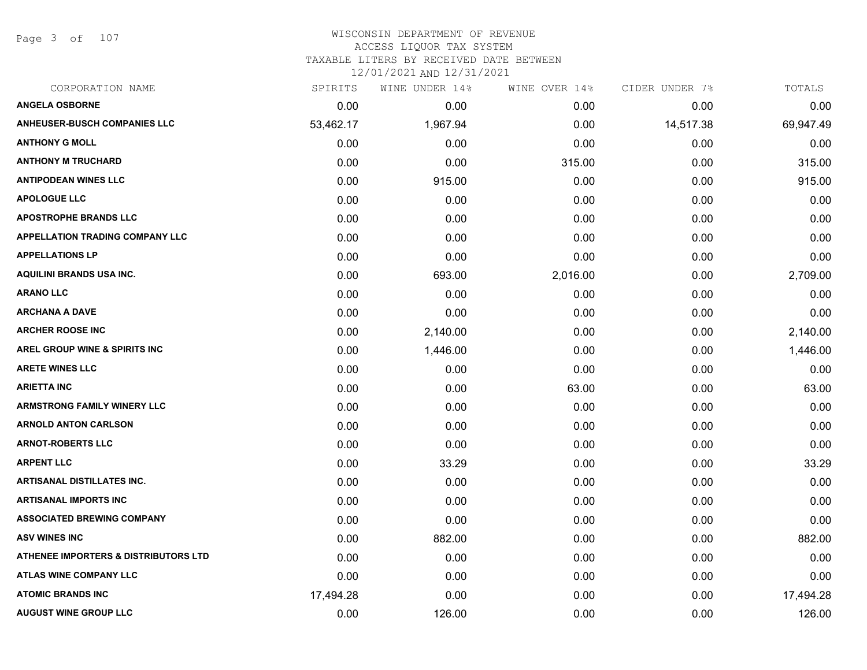Page 3 of 107

#### WISCONSIN DEPARTMENT OF REVENUE ACCESS LIQUOR TAX SYSTEM

TAXABLE LITERS BY RECEIVED DATE BETWEEN

| CORPORATION NAME                                | SPIRITS   | WINE UNDER 14% | WINE OVER 14% | CIDER UNDER 7% | TOTALS    |
|-------------------------------------------------|-----------|----------------|---------------|----------------|-----------|
| <b>ANGELA OSBORNE</b>                           | 0.00      | 0.00           | 0.00          | 0.00           | 0.00      |
| <b>ANHEUSER-BUSCH COMPANIES LLC</b>             | 53,462.17 | 1,967.94       | 0.00          | 14,517.38      | 69,947.49 |
| <b>ANTHONY G MOLL</b>                           | 0.00      | 0.00           | 0.00          | 0.00           | 0.00      |
| <b>ANTHONY M TRUCHARD</b>                       | 0.00      | 0.00           | 315.00        | 0.00           | 315.00    |
| <b>ANTIPODEAN WINES LLC</b>                     | 0.00      | 915.00         | 0.00          | 0.00           | 915.00    |
| <b>APOLOGUE LLC</b>                             | 0.00      | 0.00           | 0.00          | 0.00           | 0.00      |
| <b>APOSTROPHE BRANDS LLC</b>                    | 0.00      | 0.00           | 0.00          | 0.00           | 0.00      |
| <b>APPELLATION TRADING COMPANY LLC</b>          | 0.00      | 0.00           | 0.00          | 0.00           | 0.00      |
| <b>APPELLATIONS LP</b>                          | 0.00      | 0.00           | 0.00          | 0.00           | 0.00      |
| <b>AQUILINI BRANDS USA INC.</b>                 | 0.00      | 693.00         | 2,016.00      | 0.00           | 2,709.00  |
| <b>ARANO LLC</b>                                | 0.00      | 0.00           | 0.00          | 0.00           | 0.00      |
| <b>ARCHANA A DAVE</b>                           | 0.00      | 0.00           | 0.00          | 0.00           | 0.00      |
| <b>ARCHER ROOSE INC</b>                         | 0.00      | 2,140.00       | 0.00          | 0.00           | 2,140.00  |
| <b>AREL GROUP WINE &amp; SPIRITS INC</b>        | 0.00      | 1,446.00       | 0.00          | 0.00           | 1,446.00  |
| <b>ARETE WINES LLC</b>                          | 0.00      | 0.00           | 0.00          | 0.00           | 0.00      |
| <b>ARIETTA INC</b>                              | 0.00      | 0.00           | 63.00         | 0.00           | 63.00     |
| <b>ARMSTRONG FAMILY WINERY LLC</b>              | 0.00      | 0.00           | 0.00          | 0.00           | 0.00      |
| <b>ARNOLD ANTON CARLSON</b>                     | 0.00      | 0.00           | 0.00          | 0.00           | 0.00      |
| <b>ARNOT-ROBERTS LLC</b>                        | 0.00      | 0.00           | 0.00          | 0.00           | 0.00      |
| <b>ARPENT LLC</b>                               | 0.00      | 33.29          | 0.00          | 0.00           | 33.29     |
| <b>ARTISANAL DISTILLATES INC.</b>               | 0.00      | 0.00           | 0.00          | 0.00           | 0.00      |
| <b>ARTISANAL IMPORTS INC</b>                    | 0.00      | 0.00           | 0.00          | 0.00           | 0.00      |
| <b>ASSOCIATED BREWING COMPANY</b>               | 0.00      | 0.00           | 0.00          | 0.00           | 0.00      |
| <b>ASV WINES INC</b>                            | 0.00      | 882.00         | 0.00          | 0.00           | 882.00    |
| <b>ATHENEE IMPORTERS &amp; DISTRIBUTORS LTD</b> | 0.00      | 0.00           | 0.00          | 0.00           | 0.00      |
| <b>ATLAS WINE COMPANY LLC</b>                   | 0.00      | 0.00           | 0.00          | 0.00           | 0.00      |
| <b>ATOMIC BRANDS INC</b>                        | 17,494.28 | 0.00           | 0.00          | 0.00           | 17,494.28 |
| <b>AUGUST WINE GROUP LLC</b>                    | 0.00      | 126.00         | 0.00          | 0.00           | 126.00    |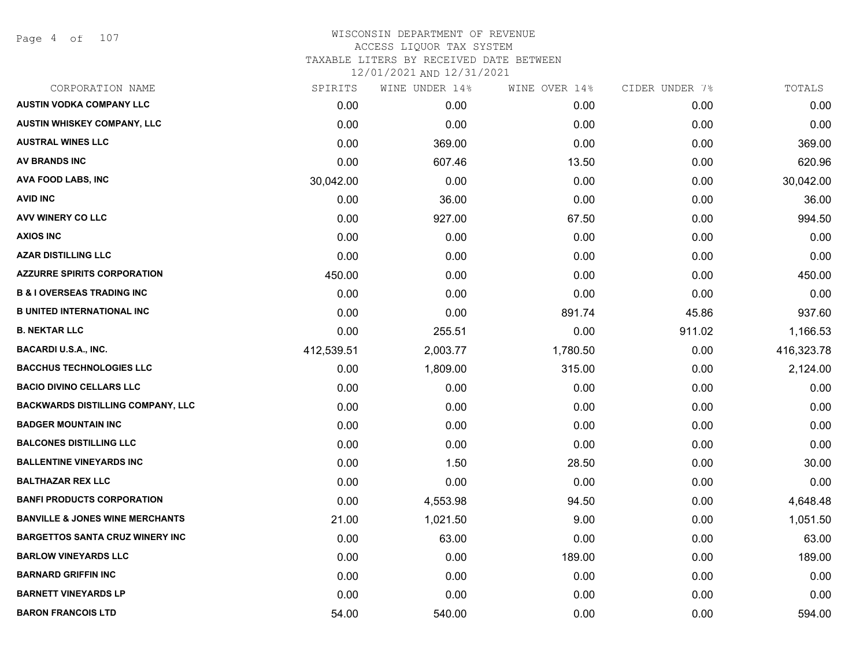#### WISCONSIN DEPARTMENT OF REVENUE ACCESS LIQUOR TAX SYSTEM TAXABLE LITERS BY RECEIVED DATE BETWEEN

| CORPORATION NAME                           | SPIRITS    | WINE UNDER 14% | WINE OVER 14% | CIDER UNDER 7% | TOTALS     |
|--------------------------------------------|------------|----------------|---------------|----------------|------------|
| <b>AUSTIN VODKA COMPANY LLC</b>            | 0.00       | 0.00           | 0.00          | 0.00           | 0.00       |
| AUSTIN WHISKEY COMPANY, LLC                | 0.00       | 0.00           | 0.00          | 0.00           | 0.00       |
| <b>AUSTRAL WINES LLC</b>                   | 0.00       | 369.00         | 0.00          | 0.00           | 369.00     |
| AV BRANDS INC                              | 0.00       | 607.46         | 13.50         | 0.00           | 620.96     |
| AVA FOOD LABS, INC                         | 30,042.00  | 0.00           | 0.00          | 0.00           | 30,042.00  |
| <b>AVID INC</b>                            | 0.00       | 36.00          | 0.00          | 0.00           | 36.00      |
| AVV WINERY CO LLC                          | 0.00       | 927.00         | 67.50         | 0.00           | 994.50     |
| <b>AXIOS INC</b>                           | 0.00       | 0.00           | 0.00          | 0.00           | 0.00       |
| <b>AZAR DISTILLING LLC</b>                 | 0.00       | 0.00           | 0.00          | 0.00           | 0.00       |
| <b>AZZURRE SPIRITS CORPORATION</b>         | 450.00     | 0.00           | 0.00          | 0.00           | 450.00     |
| <b>B &amp; I OVERSEAS TRADING INC</b>      | 0.00       | 0.00           | 0.00          | 0.00           | 0.00       |
| <b>B UNITED INTERNATIONAL INC</b>          | 0.00       | 0.00           | 891.74        | 45.86          | 937.60     |
| <b>B. NEKTAR LLC</b>                       | 0.00       | 255.51         | 0.00          | 911.02         | 1,166.53   |
| <b>BACARDI U.S.A., INC.</b>                | 412,539.51 | 2,003.77       | 1,780.50      | 0.00           | 416,323.78 |
| <b>BACCHUS TECHNOLOGIES LLC</b>            | 0.00       | 1,809.00       | 315.00        | 0.00           | 2,124.00   |
| <b>BACIO DIVINO CELLARS LLC</b>            | 0.00       | 0.00           | 0.00          | 0.00           | 0.00       |
| <b>BACKWARDS DISTILLING COMPANY, LLC</b>   | 0.00       | 0.00           | 0.00          | 0.00           | 0.00       |
| <b>BADGER MOUNTAIN INC</b>                 | 0.00       | 0.00           | 0.00          | 0.00           | 0.00       |
| <b>BALCONES DISTILLING LLC</b>             | 0.00       | 0.00           | 0.00          | 0.00           | 0.00       |
| <b>BALLENTINE VINEYARDS INC</b>            | 0.00       | 1.50           | 28.50         | 0.00           | 30.00      |
| <b>BALTHAZAR REX LLC</b>                   | 0.00       | 0.00           | 0.00          | 0.00           | 0.00       |
| <b>BANFI PRODUCTS CORPORATION</b>          | 0.00       | 4,553.98       | 94.50         | 0.00           | 4,648.48   |
| <b>BANVILLE &amp; JONES WINE MERCHANTS</b> | 21.00      | 1,021.50       | 9.00          | 0.00           | 1,051.50   |
| <b>BARGETTOS SANTA CRUZ WINERY INC</b>     | 0.00       | 63.00          | 0.00          | 0.00           | 63.00      |
| <b>BARLOW VINEYARDS LLC</b>                | 0.00       | 0.00           | 189.00        | 0.00           | 189.00     |
| <b>BARNARD GRIFFIN INC</b>                 | 0.00       | 0.00           | 0.00          | 0.00           | 0.00       |
| <b>BARNETT VINEYARDS LP</b>                | 0.00       | 0.00           | 0.00          | 0.00           | 0.00       |
| <b>BARON FRANCOIS LTD</b>                  | 54.00      | 540.00         | 0.00          | 0.00           | 594.00     |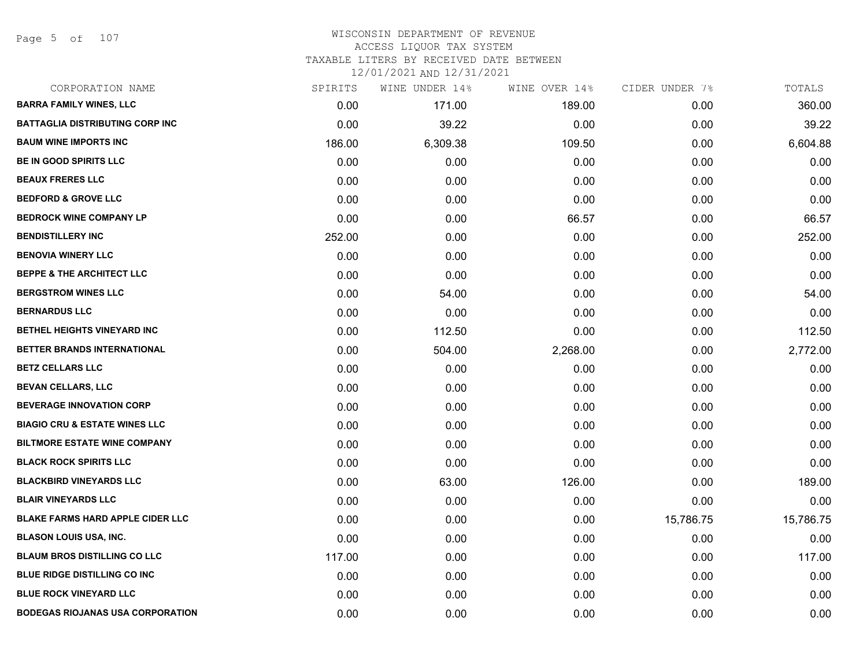Page 5 of 107

| CORPORATION NAME                         | SPIRITS | WINE UNDER 14% | WINE OVER 14% | CIDER UNDER 7% | TOTALS    |
|------------------------------------------|---------|----------------|---------------|----------------|-----------|
| <b>BARRA FAMILY WINES, LLC</b>           | 0.00    | 171.00         | 189.00        | 0.00           | 360.00    |
| <b>BATTAGLIA DISTRIBUTING CORP INC</b>   | 0.00    | 39.22          | 0.00          | 0.00           | 39.22     |
| <b>BAUM WINE IMPORTS INC</b>             | 186.00  | 6,309.38       | 109.50        | 0.00           | 6,604.88  |
| <b>BE IN GOOD SPIRITS LLC</b>            | 0.00    | 0.00           | 0.00          | 0.00           | 0.00      |
| <b>BEAUX FRERES LLC</b>                  | 0.00    | 0.00           | 0.00          | 0.00           | 0.00      |
| <b>BEDFORD &amp; GROVE LLC</b>           | 0.00    | 0.00           | 0.00          | 0.00           | 0.00      |
| <b>BEDROCK WINE COMPANY LP</b>           | 0.00    | 0.00           | 66.57         | 0.00           | 66.57     |
| <b>BENDISTILLERY INC</b>                 | 252.00  | 0.00           | 0.00          | 0.00           | 252.00    |
| <b>BENOVIA WINERY LLC</b>                | 0.00    | 0.00           | 0.00          | 0.00           | 0.00      |
| <b>BEPPE &amp; THE ARCHITECT LLC</b>     | 0.00    | 0.00           | 0.00          | 0.00           | 0.00      |
| <b>BERGSTROM WINES LLC</b>               | 0.00    | 54.00          | 0.00          | 0.00           | 54.00     |
| <b>BERNARDUS LLC</b>                     | 0.00    | 0.00           | 0.00          | 0.00           | 0.00      |
| BETHEL HEIGHTS VINEYARD INC              | 0.00    | 112.50         | 0.00          | 0.00           | 112.50    |
| BETTER BRANDS INTERNATIONAL              | 0.00    | 504.00         | 2,268.00      | 0.00           | 2,772.00  |
| <b>BETZ CELLARS LLC</b>                  | 0.00    | 0.00           | 0.00          | 0.00           | 0.00      |
| <b>BEVAN CELLARS, LLC</b>                | 0.00    | 0.00           | 0.00          | 0.00           | 0.00      |
| <b>BEVERAGE INNOVATION CORP</b>          | 0.00    | 0.00           | 0.00          | 0.00           | 0.00      |
| <b>BIAGIO CRU &amp; ESTATE WINES LLC</b> | 0.00    | 0.00           | 0.00          | 0.00           | 0.00      |
| <b>BILTMORE ESTATE WINE COMPANY</b>      | 0.00    | 0.00           | 0.00          | 0.00           | 0.00      |
| <b>BLACK ROCK SPIRITS LLC</b>            | 0.00    | 0.00           | 0.00          | 0.00           | 0.00      |
| <b>BLACKBIRD VINEYARDS LLC</b>           | 0.00    | 63.00          | 126.00        | 0.00           | 189.00    |
| <b>BLAIR VINEYARDS LLC</b>               | 0.00    | 0.00           | 0.00          | 0.00           | 0.00      |
| <b>BLAKE FARMS HARD APPLE CIDER LLC</b>  | 0.00    | 0.00           | 0.00          | 15,786.75      | 15,786.75 |
| <b>BLASON LOUIS USA, INC.</b>            | 0.00    | 0.00           | 0.00          | 0.00           | 0.00      |
| <b>BLAUM BROS DISTILLING CO LLC</b>      | 117.00  | 0.00           | 0.00          | 0.00           | 117.00    |
| <b>BLUE RIDGE DISTILLING CO INC</b>      | 0.00    | 0.00           | 0.00          | 0.00           | 0.00      |
| <b>BLUE ROCK VINEYARD LLC</b>            | 0.00    | 0.00           | 0.00          | 0.00           | 0.00      |
| <b>BODEGAS RIOJANAS USA CORPORATION</b>  | 0.00    | 0.00           | 0.00          | 0.00           | 0.00      |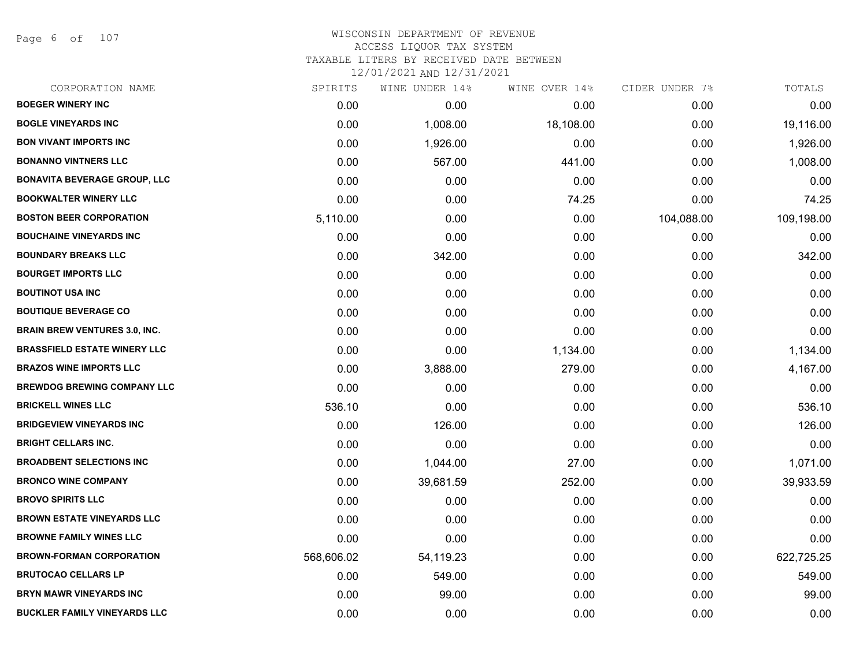Page 6 of 107

| CORPORATION NAME                     | SPIRITS    | WINE UNDER 14% | WINE OVER 14% | CIDER UNDER 7% | TOTALS     |
|--------------------------------------|------------|----------------|---------------|----------------|------------|
| <b>BOEGER WINERY INC</b>             | 0.00       | 0.00           | 0.00          | 0.00           | 0.00       |
| <b>BOGLE VINEYARDS INC</b>           | 0.00       | 1,008.00       | 18,108.00     | 0.00           | 19,116.00  |
| <b>BON VIVANT IMPORTS INC</b>        | 0.00       | 1,926.00       | 0.00          | 0.00           | 1,926.00   |
| <b>BONANNO VINTNERS LLC</b>          | 0.00       | 567.00         | 441.00        | 0.00           | 1,008.00   |
| <b>BONAVITA BEVERAGE GROUP, LLC</b>  | 0.00       | 0.00           | 0.00          | 0.00           | 0.00       |
| <b>BOOKWALTER WINERY LLC</b>         | 0.00       | 0.00           | 74.25         | 0.00           | 74.25      |
| <b>BOSTON BEER CORPORATION</b>       | 5,110.00   | 0.00           | 0.00          | 104,088.00     | 109,198.00 |
| <b>BOUCHAINE VINEYARDS INC</b>       | 0.00       | 0.00           | 0.00          | 0.00           | 0.00       |
| <b>BOUNDARY BREAKS LLC</b>           | 0.00       | 342.00         | 0.00          | 0.00           | 342.00     |
| <b>BOURGET IMPORTS LLC</b>           | 0.00       | 0.00           | 0.00          | 0.00           | 0.00       |
| <b>BOUTINOT USA INC</b>              | 0.00       | 0.00           | 0.00          | 0.00           | 0.00       |
| <b>BOUTIQUE BEVERAGE CO</b>          | 0.00       | 0.00           | 0.00          | 0.00           | 0.00       |
| <b>BRAIN BREW VENTURES 3.0, INC.</b> | 0.00       | 0.00           | 0.00          | 0.00           | 0.00       |
| <b>BRASSFIELD ESTATE WINERY LLC</b>  | 0.00       | 0.00           | 1,134.00      | 0.00           | 1,134.00   |
| <b>BRAZOS WINE IMPORTS LLC</b>       | 0.00       | 3,888.00       | 279.00        | 0.00           | 4,167.00   |
| <b>BREWDOG BREWING COMPANY LLC</b>   | 0.00       | 0.00           | 0.00          | 0.00           | 0.00       |
| <b>BRICKELL WINES LLC</b>            | 536.10     | 0.00           | 0.00          | 0.00           | 536.10     |
| <b>BRIDGEVIEW VINEYARDS INC</b>      | 0.00       | 126.00         | 0.00          | 0.00           | 126.00     |
| <b>BRIGHT CELLARS INC.</b>           | 0.00       | 0.00           | 0.00          | 0.00           | 0.00       |
| <b>BROADBENT SELECTIONS INC</b>      | 0.00       | 1,044.00       | 27.00         | 0.00           | 1,071.00   |
| <b>BRONCO WINE COMPANY</b>           | 0.00       | 39,681.59      | 252.00        | 0.00           | 39,933.59  |
| <b>BROVO SPIRITS LLC</b>             | 0.00       | 0.00           | 0.00          | 0.00           | 0.00       |
| <b>BROWN ESTATE VINEYARDS LLC</b>    | 0.00       | 0.00           | 0.00          | 0.00           | 0.00       |
| <b>BROWNE FAMILY WINES LLC</b>       | 0.00       | 0.00           | 0.00          | 0.00           | 0.00       |
| <b>BROWN-FORMAN CORPORATION</b>      | 568,606.02 | 54,119.23      | 0.00          | 0.00           | 622,725.25 |
| <b>BRUTOCAO CELLARS LP</b>           | 0.00       | 549.00         | 0.00          | 0.00           | 549.00     |
| <b>BRYN MAWR VINEYARDS INC</b>       | 0.00       | 99.00          | 0.00          | 0.00           | 99.00      |
| <b>BUCKLER FAMILY VINEYARDS LLC</b>  | 0.00       | 0.00           | 0.00          | 0.00           | 0.00       |
|                                      |            |                |               |                |            |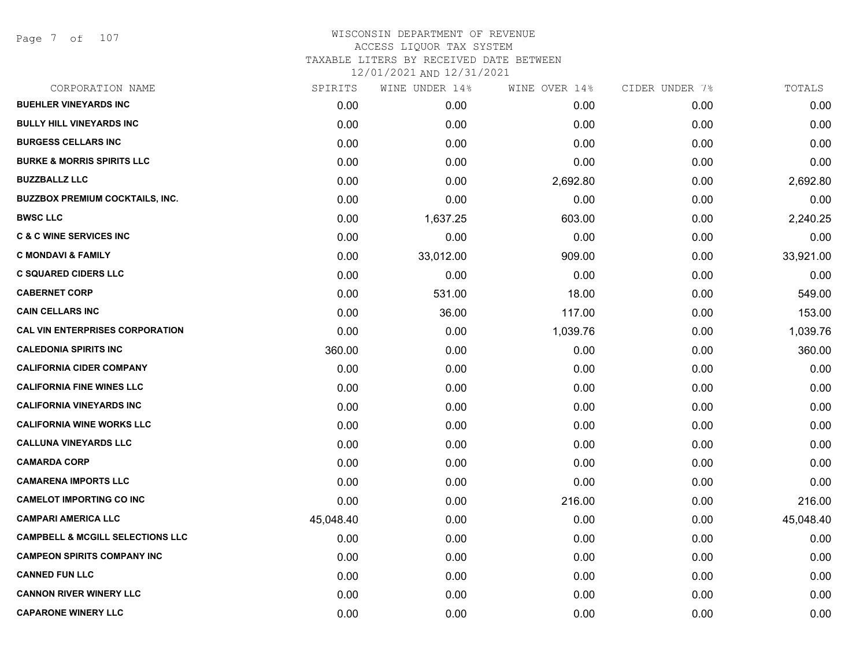# WISCONSIN DEPARTMENT OF REVENUE ACCESS LIQUOR TAX SYSTEM TAXABLE LITERS BY RECEIVED DATE BETWEEN

| CORPORATION NAME                            | SPIRITS   | WINE UNDER 14% | WINE OVER 14% | CIDER UNDER 7% | TOTALS    |
|---------------------------------------------|-----------|----------------|---------------|----------------|-----------|
| <b>BUEHLER VINEYARDS INC</b>                | 0.00      | 0.00           | 0.00          | 0.00           | 0.00      |
| <b>BULLY HILL VINEYARDS INC</b>             | 0.00      | 0.00           | 0.00          | 0.00           | 0.00      |
| <b>BURGESS CELLARS INC</b>                  | 0.00      | 0.00           | 0.00          | 0.00           | 0.00      |
| <b>BURKE &amp; MORRIS SPIRITS LLC</b>       | 0.00      | 0.00           | 0.00          | 0.00           | 0.00      |
| <b>BUZZBALLZ LLC</b>                        | 0.00      | 0.00           | 2,692.80      | 0.00           | 2,692.80  |
| <b>BUZZBOX PREMIUM COCKTAILS, INC.</b>      | 0.00      | 0.00           | 0.00          | 0.00           | 0.00      |
| <b>BWSC LLC</b>                             | 0.00      | 1,637.25       | 603.00        | 0.00           | 2,240.25  |
| <b>C &amp; C WINE SERVICES INC</b>          | 0.00      | 0.00           | 0.00          | 0.00           | 0.00      |
| <b>C MONDAVI &amp; FAMILY</b>               | 0.00      | 33,012.00      | 909.00        | 0.00           | 33,921.00 |
| <b>C SQUARED CIDERS LLC</b>                 | 0.00      | 0.00           | 0.00          | 0.00           | 0.00      |
| <b>CABERNET CORP</b>                        | 0.00      | 531.00         | 18.00         | 0.00           | 549.00    |
| <b>CAIN CELLARS INC</b>                     | 0.00      | 36.00          | 117.00        | 0.00           | 153.00    |
| <b>CAL VIN ENTERPRISES CORPORATION</b>      | 0.00      | 0.00           | 1,039.76      | 0.00           | 1,039.76  |
| <b>CALEDONIA SPIRITS INC</b>                | 360.00    | 0.00           | 0.00          | 0.00           | 360.00    |
| <b>CALIFORNIA CIDER COMPANY</b>             | 0.00      | 0.00           | 0.00          | 0.00           | 0.00      |
| <b>CALIFORNIA FINE WINES LLC</b>            | 0.00      | 0.00           | 0.00          | 0.00           | 0.00      |
| <b>CALIFORNIA VINEYARDS INC</b>             | 0.00      | 0.00           | 0.00          | 0.00           | 0.00      |
| <b>CALIFORNIA WINE WORKS LLC</b>            | 0.00      | 0.00           | 0.00          | 0.00           | 0.00      |
| <b>CALLUNA VINEYARDS LLC</b>                | 0.00      | 0.00           | 0.00          | 0.00           | 0.00      |
| <b>CAMARDA CORP</b>                         | 0.00      | 0.00           | 0.00          | 0.00           | 0.00      |
| <b>CAMARENA IMPORTS LLC</b>                 | 0.00      | 0.00           | 0.00          | 0.00           | 0.00      |
| <b>CAMELOT IMPORTING CO INC</b>             | 0.00      | 0.00           | 216.00        | 0.00           | 216.00    |
| <b>CAMPARI AMERICA LLC</b>                  | 45,048.40 | 0.00           | 0.00          | 0.00           | 45,048.40 |
| <b>CAMPBELL &amp; MCGILL SELECTIONS LLC</b> | 0.00      | 0.00           | 0.00          | 0.00           | 0.00      |
| <b>CAMPEON SPIRITS COMPANY INC</b>          | 0.00      | 0.00           | 0.00          | 0.00           | 0.00      |
| <b>CANNED FUN LLC</b>                       | 0.00      | 0.00           | 0.00          | 0.00           | 0.00      |
| <b>CANNON RIVER WINERY LLC</b>              | 0.00      | 0.00           | 0.00          | 0.00           | 0.00      |
| <b>CAPARONE WINERY LLC</b>                  | 0.00      | 0.00           | 0.00          | 0.00           | 0.00      |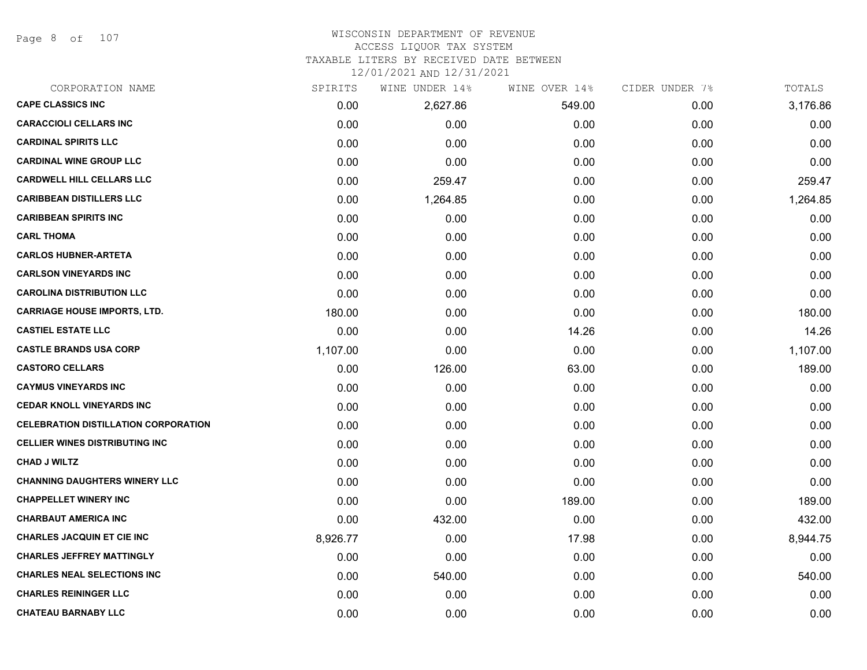Page 8 of 107

#### WISCONSIN DEPARTMENT OF REVENUE ACCESS LIQUOR TAX SYSTEM

# TAXABLE LITERS BY RECEIVED DATE BETWEEN

| CORPORATION NAME                            | SPIRITS  | WINE UNDER 14% | WINE OVER 14% | CIDER UNDER 7% | TOTALS   |
|---------------------------------------------|----------|----------------|---------------|----------------|----------|
| <b>CAPE CLASSICS INC</b>                    | 0.00     | 2,627.86       | 549.00        | 0.00           | 3,176.86 |
| <b>CARACCIOLI CELLARS INC</b>               | 0.00     | 0.00           | 0.00          | 0.00           | 0.00     |
| <b>CARDINAL SPIRITS LLC</b>                 | 0.00     | 0.00           | 0.00          | 0.00           | 0.00     |
| <b>CARDINAL WINE GROUP LLC</b>              | 0.00     | 0.00           | 0.00          | 0.00           | 0.00     |
| <b>CARDWELL HILL CELLARS LLC</b>            | 0.00     | 259.47         | 0.00          | 0.00           | 259.47   |
| <b>CARIBBEAN DISTILLERS LLC</b>             | 0.00     | 1,264.85       | 0.00          | 0.00           | 1,264.85 |
| <b>CARIBBEAN SPIRITS INC</b>                | 0.00     | 0.00           | 0.00          | 0.00           | 0.00     |
| <b>CARL THOMA</b>                           | 0.00     | 0.00           | 0.00          | 0.00           | 0.00     |
| <b>CARLOS HUBNER-ARTETA</b>                 | 0.00     | 0.00           | 0.00          | 0.00           | 0.00     |
| <b>CARLSON VINEYARDS INC</b>                | 0.00     | 0.00           | 0.00          | 0.00           | 0.00     |
| <b>CAROLINA DISTRIBUTION LLC</b>            | 0.00     | 0.00           | 0.00          | 0.00           | 0.00     |
| <b>CARRIAGE HOUSE IMPORTS, LTD.</b>         | 180.00   | 0.00           | 0.00          | 0.00           | 180.00   |
| <b>CASTIEL ESTATE LLC</b>                   | 0.00     | 0.00           | 14.26         | 0.00           | 14.26    |
| <b>CASTLE BRANDS USA CORP</b>               | 1,107.00 | 0.00           | 0.00          | 0.00           | 1,107.00 |
| <b>CASTORO CELLARS</b>                      | 0.00     | 126.00         | 63.00         | 0.00           | 189.00   |
| <b>CAYMUS VINEYARDS INC</b>                 | 0.00     | 0.00           | 0.00          | 0.00           | 0.00     |
| <b>CEDAR KNOLL VINEYARDS INC</b>            | 0.00     | 0.00           | 0.00          | 0.00           | 0.00     |
| <b>CELEBRATION DISTILLATION CORPORATION</b> | 0.00     | 0.00           | 0.00          | 0.00           | 0.00     |
| <b>CELLIER WINES DISTRIBUTING INC</b>       | 0.00     | 0.00           | 0.00          | 0.00           | 0.00     |
| <b>CHAD J WILTZ</b>                         | 0.00     | 0.00           | 0.00          | 0.00           | 0.00     |
| <b>CHANNING DAUGHTERS WINERY LLC</b>        | 0.00     | 0.00           | 0.00          | 0.00           | 0.00     |
| <b>CHAPPELLET WINERY INC</b>                | 0.00     | 0.00           | 189.00        | 0.00           | 189.00   |
| <b>CHARBAUT AMERICA INC</b>                 | 0.00     | 432.00         | 0.00          | 0.00           | 432.00   |
| <b>CHARLES JACQUIN ET CIE INC</b>           | 8,926.77 | 0.00           | 17.98         | 0.00           | 8,944.75 |
| <b>CHARLES JEFFREY MATTINGLY</b>            | 0.00     | 0.00           | 0.00          | 0.00           | 0.00     |
| <b>CHARLES NEAL SELECTIONS INC</b>          | 0.00     | 540.00         | 0.00          | 0.00           | 540.00   |
| <b>CHARLES REININGER LLC</b>                | 0.00     | 0.00           | 0.00          | 0.00           | 0.00     |
| <b>CHATEAU BARNABY LLC</b>                  | 0.00     | 0.00           | 0.00          | 0.00           | 0.00     |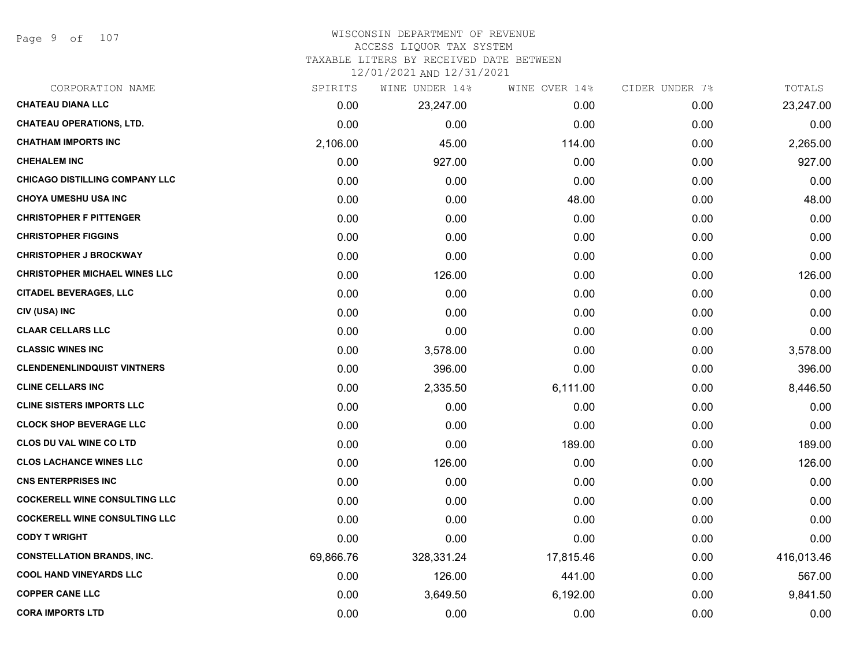Page 9 of 107

#### WISCONSIN DEPARTMENT OF REVENUE ACCESS LIQUOR TAX SYSTEM

TAXABLE LITERS BY RECEIVED DATE BETWEEN

| CORPORATION NAME                     | SPIRITS   | WINE UNDER 14% | WINE OVER 14% | CIDER UNDER 7% | TOTALS     |
|--------------------------------------|-----------|----------------|---------------|----------------|------------|
| <b>CHATEAU DIANA LLC</b>             | 0.00      | 23,247.00      | 0.00          | 0.00           | 23,247.00  |
| <b>CHATEAU OPERATIONS, LTD.</b>      | 0.00      | 0.00           | 0.00          | 0.00           | 0.00       |
| <b>CHATHAM IMPORTS INC</b>           | 2,106.00  | 45.00          | 114.00        | 0.00           | 2,265.00   |
| <b>CHEHALEM INC</b>                  | 0.00      | 927.00         | 0.00          | 0.00           | 927.00     |
| CHICAGO DISTILLING COMPANY LLC       | 0.00      | 0.00           | 0.00          | 0.00           | 0.00       |
| <b>CHOYA UMESHU USA INC</b>          | 0.00      | 0.00           | 48.00         | 0.00           | 48.00      |
| <b>CHRISTOPHER F PITTENGER</b>       | 0.00      | 0.00           | 0.00          | 0.00           | 0.00       |
| <b>CHRISTOPHER FIGGINS</b>           | 0.00      | 0.00           | 0.00          | 0.00           | 0.00       |
| <b>CHRISTOPHER J BROCKWAY</b>        | 0.00      | 0.00           | 0.00          | 0.00           | 0.00       |
| <b>CHRISTOPHER MICHAEL WINES LLC</b> | 0.00      | 126.00         | 0.00          | 0.00           | 126.00     |
| <b>CITADEL BEVERAGES, LLC</b>        | 0.00      | 0.00           | 0.00          | 0.00           | 0.00       |
| CIV (USA) INC                        | 0.00      | 0.00           | 0.00          | 0.00           | 0.00       |
| <b>CLAAR CELLARS LLC</b>             | 0.00      | 0.00           | 0.00          | 0.00           | 0.00       |
| <b>CLASSIC WINES INC</b>             | 0.00      | 3,578.00       | 0.00          | 0.00           | 3,578.00   |
| <b>CLENDENENLINDQUIST VINTNERS</b>   | 0.00      | 396.00         | 0.00          | 0.00           | 396.00     |
| <b>CLINE CELLARS INC</b>             | 0.00      | 2,335.50       | 6,111.00      | 0.00           | 8,446.50   |
| <b>CLINE SISTERS IMPORTS LLC</b>     | 0.00      | 0.00           | 0.00          | 0.00           | 0.00       |
| <b>CLOCK SHOP BEVERAGE LLC</b>       | 0.00      | 0.00           | 0.00          | 0.00           | 0.00       |
| <b>CLOS DU VAL WINE CO LTD</b>       | 0.00      | 0.00           | 189.00        | 0.00           | 189.00     |
| <b>CLOS LACHANCE WINES LLC</b>       | 0.00      | 126.00         | 0.00          | 0.00           | 126.00     |
| <b>CNS ENTERPRISES INC</b>           | 0.00      | 0.00           | 0.00          | 0.00           | 0.00       |
| <b>COCKERELL WINE CONSULTING LLC</b> | 0.00      | 0.00           | 0.00          | 0.00           | 0.00       |
| <b>COCKERELL WINE CONSULTING LLC</b> | 0.00      | 0.00           | 0.00          | 0.00           | 0.00       |
| <b>CODY T WRIGHT</b>                 | 0.00      | 0.00           | 0.00          | 0.00           | 0.00       |
| <b>CONSTELLATION BRANDS, INC.</b>    | 69,866.76 | 328,331.24     | 17,815.46     | 0.00           | 416,013.46 |
| <b>COOL HAND VINEYARDS LLC</b>       | 0.00      | 126.00         | 441.00        | 0.00           | 567.00     |
| <b>COPPER CANE LLC</b>               | 0.00      | 3,649.50       | 6,192.00      | 0.00           | 9,841.50   |
| <b>CORA IMPORTS LTD</b>              | 0.00      | 0.00           | 0.00          | 0.00           | 0.00       |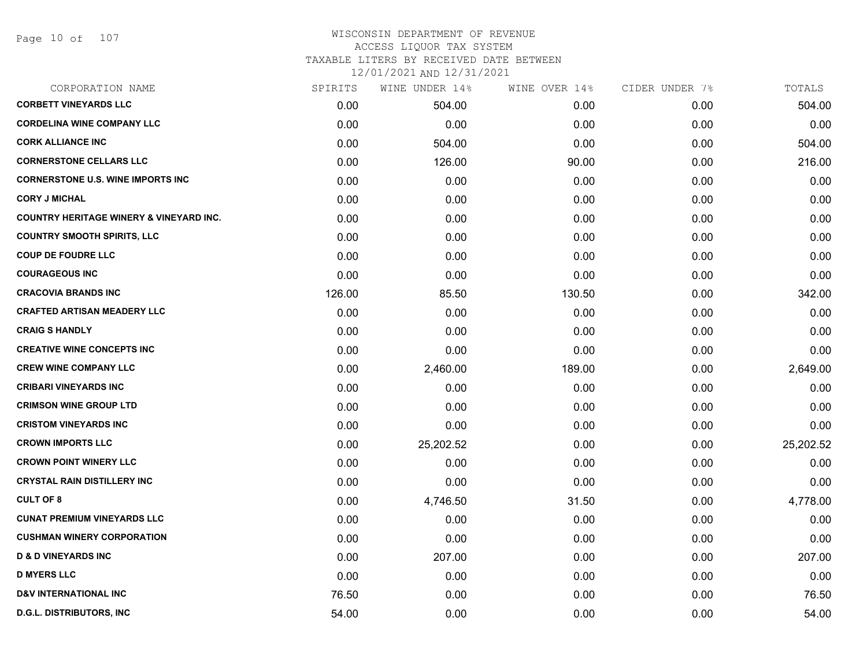## WISCONSIN DEPARTMENT OF REVENUE ACCESS LIQUOR TAX SYSTEM TAXABLE LITERS BY RECEIVED DATE BETWEEN

| CORPORATION NAME                                   | SPIRITS | WINE UNDER 14% | WINE OVER 14% | CIDER UNDER 7% | TOTALS    |
|----------------------------------------------------|---------|----------------|---------------|----------------|-----------|
| <b>CORBETT VINEYARDS LLC</b>                       | 0.00    | 504.00         | 0.00          | 0.00           | 504.00    |
| <b>CORDELINA WINE COMPANY LLC</b>                  | 0.00    | 0.00           | 0.00          | 0.00           | 0.00      |
| <b>CORK ALLIANCE INC</b>                           | 0.00    | 504.00         | 0.00          | 0.00           | 504.00    |
| <b>CORNERSTONE CELLARS LLC</b>                     | 0.00    | 126.00         | 90.00         | 0.00           | 216.00    |
| <b>CORNERSTONE U.S. WINE IMPORTS INC</b>           | 0.00    | 0.00           | 0.00          | 0.00           | 0.00      |
| <b>CORY J MICHAL</b>                               | 0.00    | 0.00           | 0.00          | 0.00           | 0.00      |
| <b>COUNTRY HERITAGE WINERY &amp; VINEYARD INC.</b> | 0.00    | 0.00           | 0.00          | 0.00           | 0.00      |
| <b>COUNTRY SMOOTH SPIRITS, LLC</b>                 | 0.00    | 0.00           | 0.00          | 0.00           | 0.00      |
| <b>COUP DE FOUDRE LLC</b>                          | 0.00    | 0.00           | 0.00          | 0.00           | 0.00      |
| <b>COURAGEOUS INC</b>                              | 0.00    | 0.00           | 0.00          | 0.00           | 0.00      |
| <b>CRACOVIA BRANDS INC</b>                         | 126.00  | 85.50          | 130.50        | 0.00           | 342.00    |
| <b>CRAFTED ARTISAN MEADERY LLC</b>                 | 0.00    | 0.00           | 0.00          | 0.00           | 0.00      |
| <b>CRAIG S HANDLY</b>                              | 0.00    | 0.00           | 0.00          | 0.00           | 0.00      |
| <b>CREATIVE WINE CONCEPTS INC</b>                  | 0.00    | 0.00           | 0.00          | 0.00           | 0.00      |
| <b>CREW WINE COMPANY LLC</b>                       | 0.00    | 2,460.00       | 189.00        | 0.00           | 2,649.00  |
| <b>CRIBARI VINEYARDS INC</b>                       | 0.00    | 0.00           | 0.00          | 0.00           | 0.00      |
| <b>CRIMSON WINE GROUP LTD</b>                      | 0.00    | 0.00           | 0.00          | 0.00           | 0.00      |
| <b>CRISTOM VINEYARDS INC</b>                       | 0.00    | 0.00           | 0.00          | 0.00           | 0.00      |
| <b>CROWN IMPORTS LLC</b>                           | 0.00    | 25,202.52      | 0.00          | 0.00           | 25,202.52 |
| <b>CROWN POINT WINERY LLC</b>                      | 0.00    | 0.00           | 0.00          | 0.00           | 0.00      |
| <b>CRYSTAL RAIN DISTILLERY INC</b>                 | 0.00    | 0.00           | 0.00          | 0.00           | 0.00      |
| <b>CULT OF 8</b>                                   | 0.00    | 4,746.50       | 31.50         | 0.00           | 4,778.00  |
| <b>CUNAT PREMIUM VINEYARDS LLC</b>                 | 0.00    | 0.00           | 0.00          | 0.00           | 0.00      |
| <b>CUSHMAN WINERY CORPORATION</b>                  | 0.00    | 0.00           | 0.00          | 0.00           | 0.00      |
| <b>D &amp; D VINEYARDS INC</b>                     | 0.00    | 207.00         | 0.00          | 0.00           | 207.00    |
| <b>D MYERS LLC</b>                                 | 0.00    | 0.00           | 0.00          | 0.00           | 0.00      |
| <b>D&amp;V INTERNATIONAL INC</b>                   | 76.50   | 0.00           | 0.00          | 0.00           | 76.50     |
| <b>D.G.L. DISTRIBUTORS, INC</b>                    | 54.00   | 0.00           | 0.00          | 0.00           | 54.00     |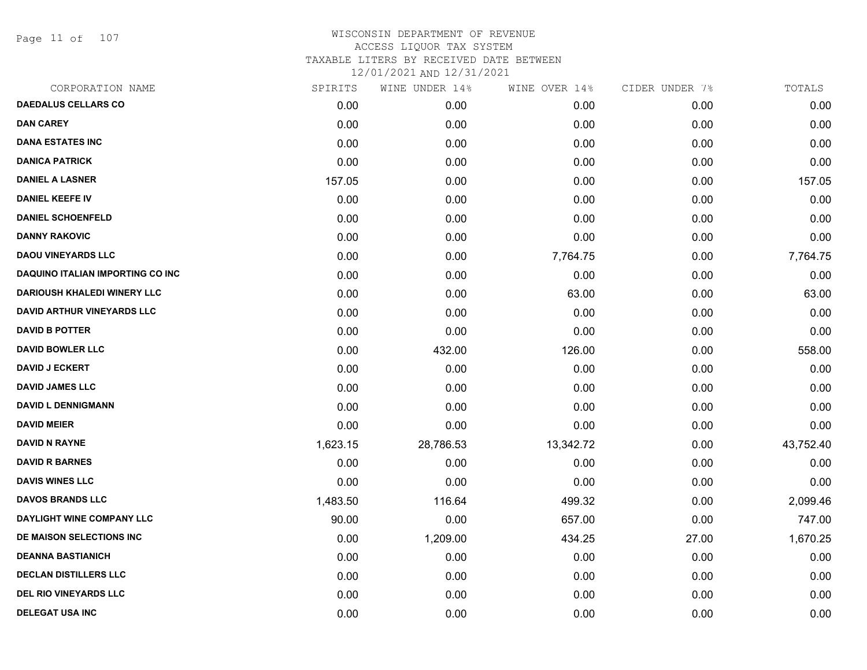Page 11 of 107

| CORPORATION NAME                        | SPIRITS  | WINE UNDER 14% | WINE OVER 14% | CIDER UNDER 7% | TOTALS    |
|-----------------------------------------|----------|----------------|---------------|----------------|-----------|
| <b>DAEDALUS CELLARS CO</b>              | 0.00     | 0.00           | 0.00          | 0.00           | 0.00      |
| <b>DAN CAREY</b>                        | 0.00     | 0.00           | 0.00          | 0.00           | 0.00      |
| <b>DANA ESTATES INC</b>                 | 0.00     | 0.00           | 0.00          | 0.00           | 0.00      |
| <b>DANICA PATRICK</b>                   | 0.00     | 0.00           | 0.00          | 0.00           | 0.00      |
| <b>DANIEL A LASNER</b>                  | 157.05   | 0.00           | 0.00          | 0.00           | 157.05    |
| <b>DANIEL KEEFE IV</b>                  | 0.00     | 0.00           | 0.00          | 0.00           | 0.00      |
| <b>DANIEL SCHOENFELD</b>                | 0.00     | 0.00           | 0.00          | 0.00           | 0.00      |
| <b>DANNY RAKOVIC</b>                    | 0.00     | 0.00           | 0.00          | 0.00           | 0.00      |
| <b>DAOU VINEYARDS LLC</b>               | 0.00     | 0.00           | 7,764.75      | 0.00           | 7,764.75  |
| <b>DAQUINO ITALIAN IMPORTING CO INC</b> | 0.00     | 0.00           | 0.00          | 0.00           | 0.00      |
| <b>DARIOUSH KHALEDI WINERY LLC</b>      | 0.00     | 0.00           | 63.00         | 0.00           | 63.00     |
| <b>DAVID ARTHUR VINEYARDS LLC</b>       | 0.00     | 0.00           | 0.00          | 0.00           | 0.00      |
| <b>DAVID B POTTER</b>                   | 0.00     | 0.00           | 0.00          | 0.00           | 0.00      |
| <b>DAVID BOWLER LLC</b>                 | 0.00     | 432.00         | 126.00        | 0.00           | 558.00    |
| <b>DAVID J ECKERT</b>                   | 0.00     | 0.00           | 0.00          | 0.00           | 0.00      |
| <b>DAVID JAMES LLC</b>                  | 0.00     | 0.00           | 0.00          | 0.00           | 0.00      |
| <b>DAVID L DENNIGMANN</b>               | 0.00     | 0.00           | 0.00          | 0.00           | 0.00      |
| <b>DAVID MEIER</b>                      | 0.00     | 0.00           | 0.00          | 0.00           | 0.00      |
| <b>DAVID N RAYNE</b>                    | 1,623.15 | 28,786.53      | 13,342.72     | 0.00           | 43,752.40 |
| <b>DAVID R BARNES</b>                   | 0.00     | 0.00           | 0.00          | 0.00           | 0.00      |
| <b>DAVIS WINES LLC</b>                  | 0.00     | 0.00           | 0.00          | 0.00           | 0.00      |
| <b>DAVOS BRANDS LLC</b>                 | 1,483.50 | 116.64         | 499.32        | 0.00           | 2,099.46  |
| DAYLIGHT WINE COMPANY LLC               | 90.00    | 0.00           | 657.00        | 0.00           | 747.00    |
| DE MAISON SELECTIONS INC                | 0.00     | 1,209.00       | 434.25        | 27.00          | 1,670.25  |
| <b>DEANNA BASTIANICH</b>                | 0.00     | 0.00           | 0.00          | 0.00           | 0.00      |
| <b>DECLAN DISTILLERS LLC</b>            | 0.00     | 0.00           | 0.00          | 0.00           | 0.00      |
| <b>DEL RIO VINEYARDS LLC</b>            | 0.00     | 0.00           | 0.00          | 0.00           | 0.00      |
| <b>DELEGAT USA INC</b>                  | 0.00     | 0.00           | 0.00          | 0.00           | 0.00      |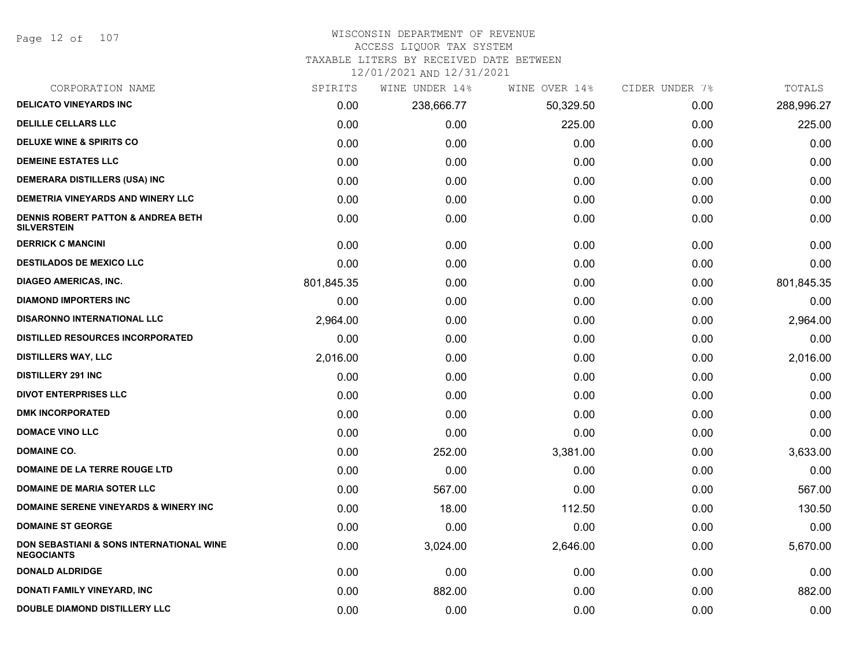Page 12 of 107

## WISCONSIN DEPARTMENT OF REVENUE

### ACCESS LIQUOR TAX SYSTEM

TAXABLE LITERS BY RECEIVED DATE BETWEEN

| CORPORATION NAME                                                         | SPIRITS    | WINE UNDER 14% | WINE OVER 14% | CIDER UNDER 7% | TOTALS     |
|--------------------------------------------------------------------------|------------|----------------|---------------|----------------|------------|
| <b>DELICATO VINEYARDS INC</b>                                            | 0.00       | 238,666.77     | 50,329.50     | 0.00           | 288,996.27 |
| <b>DELILLE CELLARS LLC</b>                                               | 0.00       | 0.00           | 225.00        | 0.00           | 225.00     |
| <b>DELUXE WINE &amp; SPIRITS CO</b>                                      | 0.00       | 0.00           | 0.00          | 0.00           | 0.00       |
| <b>DEMEINE ESTATES LLC</b>                                               | 0.00       | 0.00           | 0.00          | 0.00           | 0.00       |
| <b>DEMERARA DISTILLERS (USA) INC</b>                                     | 0.00       | 0.00           | 0.00          | 0.00           | 0.00       |
| DEMETRIA VINEYARDS AND WINERY LLC                                        | 0.00       | 0.00           | 0.00          | 0.00           | 0.00       |
| <b>DENNIS ROBERT PATTON &amp; ANDREA BETH</b><br><b>SILVERSTEIN</b>      | 0.00       | 0.00           | 0.00          | 0.00           | 0.00       |
| <b>DERRICK C MANCINI</b>                                                 | 0.00       | 0.00           | 0.00          | 0.00           | 0.00       |
| <b>DESTILADOS DE MEXICO LLC</b>                                          | 0.00       | 0.00           | 0.00          | 0.00           | 0.00       |
| <b>DIAGEO AMERICAS, INC.</b>                                             | 801,845.35 | 0.00           | 0.00          | 0.00           | 801,845.35 |
| <b>DIAMOND IMPORTERS INC</b>                                             | 0.00       | 0.00           | 0.00          | 0.00           | 0.00       |
| <b>DISARONNO INTERNATIONAL LLC</b>                                       | 2,964.00   | 0.00           | 0.00          | 0.00           | 2,964.00   |
| <b>DISTILLED RESOURCES INCORPORATED</b>                                  | 0.00       | 0.00           | 0.00          | 0.00           | 0.00       |
| <b>DISTILLERS WAY, LLC</b>                                               | 2,016.00   | 0.00           | 0.00          | 0.00           | 2,016.00   |
| <b>DISTILLERY 291 INC</b>                                                | 0.00       | 0.00           | 0.00          | 0.00           | 0.00       |
| <b>DIVOT ENTERPRISES LLC</b>                                             | 0.00       | 0.00           | 0.00          | 0.00           | 0.00       |
| <b>DMK INCORPORATED</b>                                                  | 0.00       | 0.00           | 0.00          | 0.00           | 0.00       |
| <b>DOMACE VINO LLC</b>                                                   | 0.00       | 0.00           | 0.00          | 0.00           | 0.00       |
| <b>DOMAINE CO.</b>                                                       | 0.00       | 252.00         | 3,381.00      | 0.00           | 3,633.00   |
| DOMAINE DE LA TERRE ROUGE LTD                                            | 0.00       | 0.00           | 0.00          | 0.00           | 0.00       |
| <b>DOMAINE DE MARIA SOTER LLC</b>                                        | 0.00       | 567.00         | 0.00          | 0.00           | 567.00     |
| <b>DOMAINE SERENE VINEYARDS &amp; WINERY INC</b>                         | 0.00       | 18.00          | 112.50        | 0.00           | 130.50     |
| <b>DOMAINE ST GEORGE</b>                                                 | 0.00       | 0.00           | 0.00          | 0.00           | 0.00       |
| <b>DON SEBASTIANI &amp; SONS INTERNATIONAL WINE</b><br><b>NEGOCIANTS</b> | 0.00       | 3,024.00       | 2,646.00      | 0.00           | 5,670.00   |
| <b>DONALD ALDRIDGE</b>                                                   | 0.00       | 0.00           | 0.00          | 0.00           | 0.00       |
| DONATI FAMILY VINEYARD, INC                                              | 0.00       | 882.00         | 0.00          | 0.00           | 882.00     |
| DOUBLE DIAMOND DISTILLERY LLC                                            | 0.00       | 0.00           | 0.00          | 0.00           | 0.00       |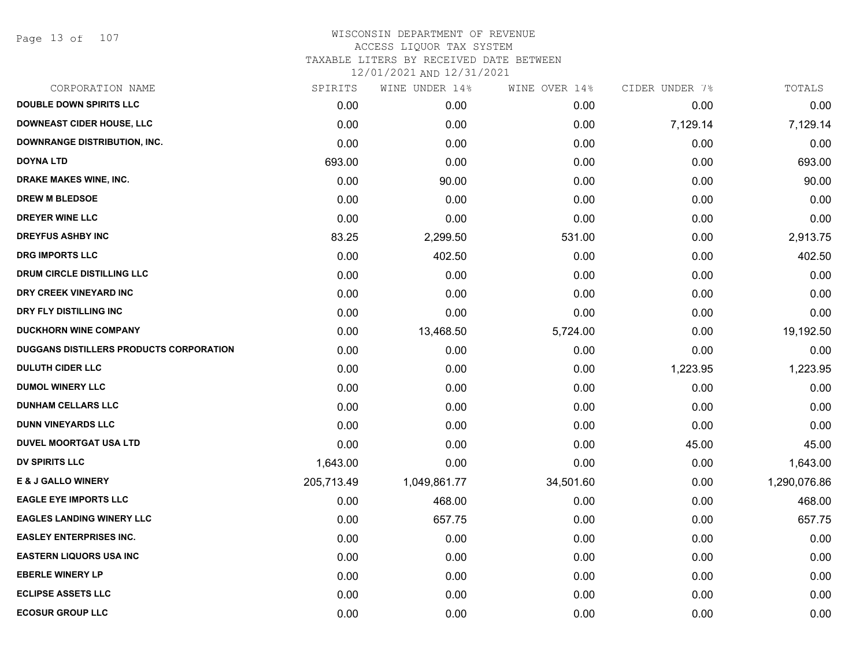Page 13 of 107

| CORPORATION NAME                        | SPIRITS    | WINE UNDER 14% | WINE OVER 14% | CIDER UNDER 7% | TOTALS       |
|-----------------------------------------|------------|----------------|---------------|----------------|--------------|
| <b>DOUBLE DOWN SPIRITS LLC</b>          | 0.00       | 0.00           | 0.00          | 0.00           | 0.00         |
| <b>DOWNEAST CIDER HOUSE, LLC</b>        | 0.00       | 0.00           | 0.00          | 7,129.14       | 7,129.14     |
| <b>DOWNRANGE DISTRIBUTION, INC.</b>     | 0.00       | 0.00           | 0.00          | 0.00           | 0.00         |
| <b>DOYNA LTD</b>                        | 693.00     | 0.00           | 0.00          | 0.00           | 693.00       |
| DRAKE MAKES WINE, INC.                  | 0.00       | 90.00          | 0.00          | 0.00           | 90.00        |
| <b>DREW M BLEDSOE</b>                   | 0.00       | 0.00           | 0.00          | 0.00           | 0.00         |
| <b>DREYER WINE LLC</b>                  | 0.00       | 0.00           | 0.00          | 0.00           | 0.00         |
| <b>DREYFUS ASHBY INC</b>                | 83.25      | 2,299.50       | 531.00        | 0.00           | 2,913.75     |
| <b>DRG IMPORTS LLC</b>                  | 0.00       | 402.50         | 0.00          | 0.00           | 402.50       |
| DRUM CIRCLE DISTILLING LLC              | 0.00       | 0.00           | 0.00          | 0.00           | 0.00         |
| DRY CREEK VINEYARD INC                  | 0.00       | 0.00           | 0.00          | 0.00           | 0.00         |
| DRY FLY DISTILLING INC                  | 0.00       | 0.00           | 0.00          | 0.00           | 0.00         |
| <b>DUCKHORN WINE COMPANY</b>            | 0.00       | 13,468.50      | 5,724.00      | 0.00           | 19,192.50    |
| DUGGANS DISTILLERS PRODUCTS CORPORATION | 0.00       | 0.00           | 0.00          | 0.00           | 0.00         |
| <b>DULUTH CIDER LLC</b>                 | 0.00       | 0.00           | 0.00          | 1,223.95       | 1,223.95     |
| <b>DUMOL WINERY LLC</b>                 | 0.00       | 0.00           | 0.00          | 0.00           | 0.00         |
| <b>DUNHAM CELLARS LLC</b>               | 0.00       | 0.00           | 0.00          | 0.00           | 0.00         |
| <b>DUNN VINEYARDS LLC</b>               | 0.00       | 0.00           | 0.00          | 0.00           | 0.00         |
| <b>DUVEL MOORTGAT USA LTD</b>           | 0.00       | 0.00           | 0.00          | 45.00          | 45.00        |
| <b>DV SPIRITS LLC</b>                   | 1,643.00   | 0.00           | 0.00          | 0.00           | 1,643.00     |
| <b>E &amp; J GALLO WINERY</b>           | 205,713.49 | 1,049,861.77   | 34,501.60     | 0.00           | 1,290,076.86 |
| <b>EAGLE EYE IMPORTS LLC</b>            | 0.00       | 468.00         | 0.00          | 0.00           | 468.00       |
| <b>EAGLES LANDING WINERY LLC</b>        | 0.00       | 657.75         | 0.00          | 0.00           | 657.75       |
| <b>EASLEY ENTERPRISES INC.</b>          | 0.00       | 0.00           | 0.00          | 0.00           | 0.00         |
| <b>EASTERN LIQUORS USA INC</b>          | 0.00       | 0.00           | 0.00          | 0.00           | 0.00         |
| <b>EBERLE WINERY LP</b>                 | 0.00       | 0.00           | 0.00          | 0.00           | 0.00         |
| <b>ECLIPSE ASSETS LLC</b>               | 0.00       | 0.00           | 0.00          | 0.00           | 0.00         |
| <b>ECOSUR GROUP LLC</b>                 | 0.00       | 0.00           | 0.00          | 0.00           | 0.00         |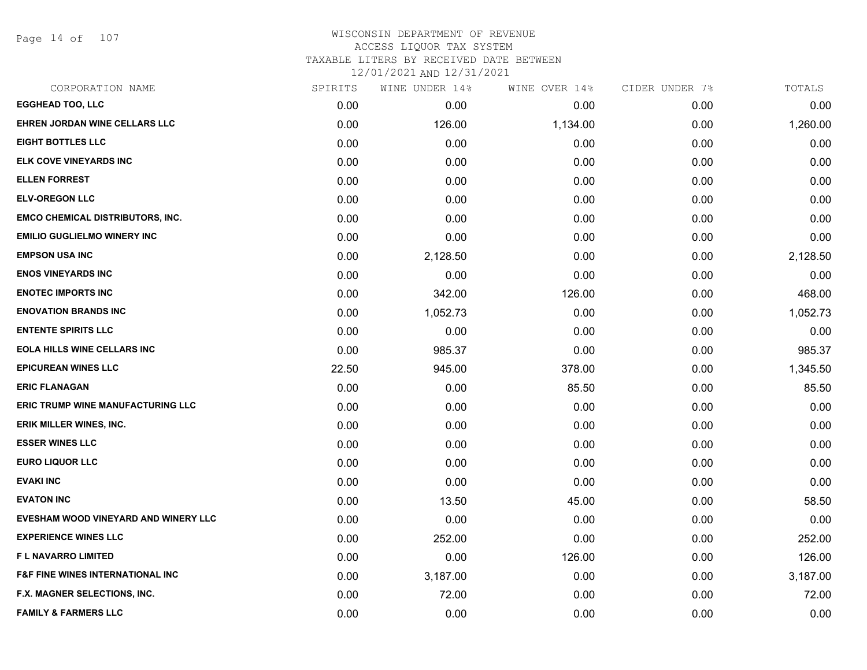Page 14 of 107

## WISCONSIN DEPARTMENT OF REVENUE ACCESS LIQUOR TAX SYSTEM TAXABLE LITERS BY RECEIVED DATE BETWEEN

| CORPORATION NAME                            | SPIRITS | WINE UNDER 14% | WINE OVER 14% | CIDER UNDER 7% | TOTALS   |
|---------------------------------------------|---------|----------------|---------------|----------------|----------|
| <b>EGGHEAD TOO, LLC</b>                     | 0.00    | 0.00           | 0.00          | 0.00           | 0.00     |
| EHREN JORDAN WINE CELLARS LLC               | 0.00    | 126.00         | 1,134.00      | 0.00           | 1,260.00 |
| <b>EIGHT BOTTLES LLC</b>                    | 0.00    | 0.00           | 0.00          | 0.00           | 0.00     |
| ELK COVE VINEYARDS INC                      | 0.00    | 0.00           | 0.00          | 0.00           | 0.00     |
| <b>ELLEN FORREST</b>                        | 0.00    | 0.00           | 0.00          | 0.00           | 0.00     |
| <b>ELV-OREGON LLC</b>                       | 0.00    | 0.00           | 0.00          | 0.00           | 0.00     |
| <b>EMCO CHEMICAL DISTRIBUTORS, INC.</b>     | 0.00    | 0.00           | 0.00          | 0.00           | 0.00     |
| <b>EMILIO GUGLIELMO WINERY INC</b>          | 0.00    | 0.00           | 0.00          | 0.00           | 0.00     |
| <b>EMPSON USA INC</b>                       | 0.00    | 2,128.50       | 0.00          | 0.00           | 2,128.50 |
| <b>ENOS VINEYARDS INC</b>                   | 0.00    | 0.00           | 0.00          | 0.00           | 0.00     |
| <b>ENOTEC IMPORTS INC</b>                   | 0.00    | 342.00         | 126.00        | 0.00           | 468.00   |
| <b>ENOVATION BRANDS INC</b>                 | 0.00    | 1,052.73       | 0.00          | 0.00           | 1,052.73 |
| <b>ENTENTE SPIRITS LLC</b>                  | 0.00    | 0.00           | 0.00          | 0.00           | 0.00     |
| <b>EOLA HILLS WINE CELLARS INC</b>          | 0.00    | 985.37         | 0.00          | 0.00           | 985.37   |
| <b>EPICUREAN WINES LLC</b>                  | 22.50   | 945.00         | 378.00        | 0.00           | 1,345.50 |
| <b>ERIC FLANAGAN</b>                        | 0.00    | 0.00           | 85.50         | 0.00           | 85.50    |
| <b>ERIC TRUMP WINE MANUFACTURING LLC</b>    | 0.00    | 0.00           | 0.00          | 0.00           | 0.00     |
| ERIK MILLER WINES, INC.                     | 0.00    | 0.00           | 0.00          | 0.00           | 0.00     |
| <b>ESSER WINES LLC</b>                      | 0.00    | 0.00           | 0.00          | 0.00           | 0.00     |
| <b>EURO LIQUOR LLC</b>                      | 0.00    | 0.00           | 0.00          | 0.00           | 0.00     |
| <b>EVAKI INC</b>                            | 0.00    | 0.00           | 0.00          | 0.00           | 0.00     |
| <b>EVATON INC</b>                           | 0.00    | 13.50          | 45.00         | 0.00           | 58.50    |
| EVESHAM WOOD VINEYARD AND WINERY LLC        | 0.00    | 0.00           | 0.00          | 0.00           | 0.00     |
| <b>EXPERIENCE WINES LLC</b>                 | 0.00    | 252.00         | 0.00          | 0.00           | 252.00   |
| <b>FL NAVARRO LIMITED</b>                   | 0.00    | 0.00           | 126.00        | 0.00           | 126.00   |
| <b>F&amp;F FINE WINES INTERNATIONAL INC</b> | 0.00    | 3,187.00       | 0.00          | 0.00           | 3,187.00 |
| F.X. MAGNER SELECTIONS, INC.                | 0.00    | 72.00          | 0.00          | 0.00           | 72.00    |
| <b>FAMILY &amp; FARMERS LLC</b>             | 0.00    | 0.00           | 0.00          | 0.00           | 0.00     |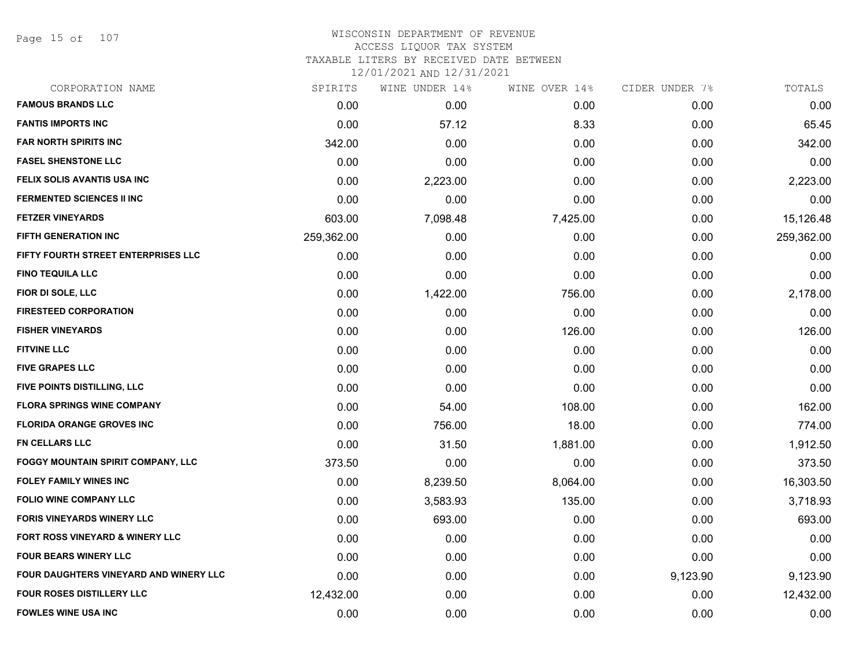Page 15 of 107

### WISCONSIN DEPARTMENT OF REVENUE ACCESS LIQUOR TAX SYSTEM TAXABLE LITERS BY RECEIVED DATE BETWEEN

| CORPORATION NAME                              | SPIRITS    | WINE UNDER 14% | WINE OVER 14% | CIDER UNDER 7% | TOTALS     |
|-----------------------------------------------|------------|----------------|---------------|----------------|------------|
| <b>FAMOUS BRANDS LLC</b>                      | 0.00       | 0.00           | 0.00          | 0.00           | 0.00       |
| <b>FANTIS IMPORTS INC</b>                     | 0.00       | 57.12          | 8.33          | 0.00           | 65.45      |
| <b>FAR NORTH SPIRITS INC</b>                  | 342.00     | 0.00           | 0.00          | 0.00           | 342.00     |
| <b>FASEL SHENSTONE LLC</b>                    | 0.00       | 0.00           | 0.00          | 0.00           | 0.00       |
| FELIX SOLIS AVANTIS USA INC                   | 0.00       | 2,223.00       | 0.00          | 0.00           | 2,223.00   |
| <b>FERMENTED SCIENCES II INC</b>              | 0.00       | 0.00           | 0.00          | 0.00           | 0.00       |
| <b>FETZER VINEYARDS</b>                       | 603.00     | 7,098.48       | 7,425.00      | 0.00           | 15,126.48  |
| FIFTH GENERATION INC                          | 259,362.00 | 0.00           | 0.00          | 0.00           | 259,362.00 |
| FIFTY FOURTH STREET ENTERPRISES LLC           | 0.00       | 0.00           | 0.00          | 0.00           | 0.00       |
| <b>FINO TEQUILA LLC</b>                       | 0.00       | 0.00           | 0.00          | 0.00           | 0.00       |
| FIOR DI SOLE, LLC                             | 0.00       | 1,422.00       | 756.00        | 0.00           | 2,178.00   |
| <b>FIRESTEED CORPORATION</b>                  | 0.00       | 0.00           | 0.00          | 0.00           | 0.00       |
| <b>FISHER VINEYARDS</b>                       | 0.00       | 0.00           | 126.00        | 0.00           | 126.00     |
| <b>FITVINE LLC</b>                            | 0.00       | 0.00           | 0.00          | 0.00           | 0.00       |
| <b>FIVE GRAPES LLC</b>                        | 0.00       | 0.00           | 0.00          | 0.00           | 0.00       |
| FIVE POINTS DISTILLING, LLC                   | 0.00       | 0.00           | 0.00          | 0.00           | 0.00       |
| <b>FLORA SPRINGS WINE COMPANY</b>             | 0.00       | 54.00          | 108.00        | 0.00           | 162.00     |
| <b>FLORIDA ORANGE GROVES INC</b>              | 0.00       | 756.00         | 18.00         | 0.00           | 774.00     |
| <b>FN CELLARS LLC</b>                         | 0.00       | 31.50          | 1,881.00      | 0.00           | 1,912.50   |
| FOGGY MOUNTAIN SPIRIT COMPANY, LLC            | 373.50     | 0.00           | 0.00          | 0.00           | 373.50     |
| <b>FOLEY FAMILY WINES INC</b>                 | 0.00       | 8,239.50       | 8,064.00      | 0.00           | 16,303.50  |
| <b>FOLIO WINE COMPANY LLC</b>                 | 0.00       | 3,583.93       | 135.00        | 0.00           | 3,718.93   |
| <b>FORIS VINEYARDS WINERY LLC</b>             | 0.00       | 693.00         | 0.00          | 0.00           | 693.00     |
| FORT ROSS VINEYARD & WINERY LLC               | 0.00       | 0.00           | 0.00          | 0.00           | 0.00       |
| <b>FOUR BEARS WINERY LLC</b>                  | 0.00       | 0.00           | 0.00          | 0.00           | 0.00       |
| <b>FOUR DAUGHTERS VINEYARD AND WINERY LLC</b> | 0.00       | 0.00           | 0.00          | 9,123.90       | 9,123.90   |
| FOUR ROSES DISTILLERY LLC                     | 12,432.00  | 0.00           | 0.00          | 0.00           | 12,432.00  |
| <b>FOWLES WINE USA INC</b>                    | 0.00       | 0.00           | 0.00          | 0.00           | 0.00       |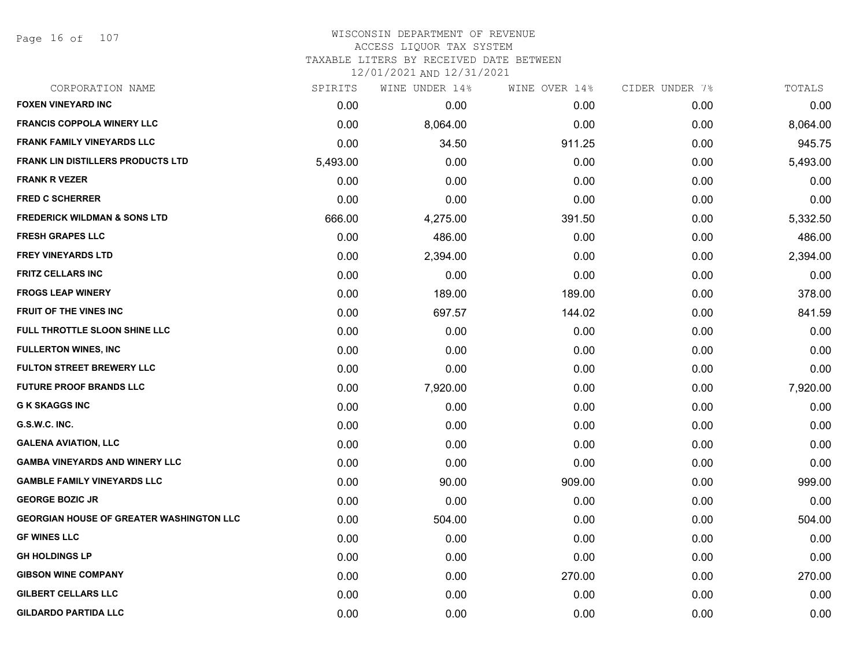Page 16 of 107

#### WISCONSIN DEPARTMENT OF REVENUE ACCESS LIQUOR TAX SYSTEM

TAXABLE LITERS BY RECEIVED DATE BETWEEN

| CORPORATION NAME                                | SPIRITS  | WINE UNDER 14% | WINE OVER 14% | CIDER UNDER 7% | TOTALS   |
|-------------------------------------------------|----------|----------------|---------------|----------------|----------|
| <b>FOXEN VINEYARD INC</b>                       | 0.00     | 0.00           | 0.00          | 0.00           | 0.00     |
| <b>FRANCIS COPPOLA WINERY LLC</b>               | 0.00     | 8,064.00       | 0.00          | 0.00           | 8,064.00 |
| <b>FRANK FAMILY VINEYARDS LLC</b>               | 0.00     | 34.50          | 911.25        | 0.00           | 945.75   |
| <b>FRANK LIN DISTILLERS PRODUCTS LTD</b>        | 5,493.00 | 0.00           | 0.00          | 0.00           | 5,493.00 |
| <b>FRANK R VEZER</b>                            | 0.00     | 0.00           | 0.00          | 0.00           | 0.00     |
| <b>FRED C SCHERRER</b>                          | 0.00     | 0.00           | 0.00          | 0.00           | 0.00     |
| <b>FREDERICK WILDMAN &amp; SONS LTD</b>         | 666.00   | 4,275.00       | 391.50        | 0.00           | 5,332.50 |
| <b>FRESH GRAPES LLC</b>                         | 0.00     | 486.00         | 0.00          | 0.00           | 486.00   |
| <b>FREY VINEYARDS LTD</b>                       | 0.00     | 2,394.00       | 0.00          | 0.00           | 2,394.00 |
| <b>FRITZ CELLARS INC</b>                        | 0.00     | 0.00           | 0.00          | 0.00           | 0.00     |
| <b>FROGS LEAP WINERY</b>                        | 0.00     | 189.00         | 189.00        | 0.00           | 378.00   |
| FRUIT OF THE VINES INC                          | 0.00     | 697.57         | 144.02        | 0.00           | 841.59   |
| FULL THROTTLE SLOON SHINE LLC                   | 0.00     | 0.00           | 0.00          | 0.00           | 0.00     |
| <b>FULLERTON WINES, INC</b>                     | 0.00     | 0.00           | 0.00          | 0.00           | 0.00     |
| <b>FULTON STREET BREWERY LLC</b>                | 0.00     | 0.00           | 0.00          | 0.00           | 0.00     |
| <b>FUTURE PROOF BRANDS LLC</b>                  | 0.00     | 7,920.00       | 0.00          | 0.00           | 7,920.00 |
| <b>G K SKAGGS INC</b>                           | 0.00     | 0.00           | 0.00          | 0.00           | 0.00     |
| G.S.W.C. INC.                                   | 0.00     | 0.00           | 0.00          | 0.00           | 0.00     |
| <b>GALENA AVIATION, LLC</b>                     | 0.00     | 0.00           | 0.00          | 0.00           | 0.00     |
| <b>GAMBA VINEYARDS AND WINERY LLC</b>           | 0.00     | 0.00           | 0.00          | 0.00           | 0.00     |
| <b>GAMBLE FAMILY VINEYARDS LLC</b>              | 0.00     | 90.00          | 909.00        | 0.00           | 999.00   |
| <b>GEORGE BOZIC JR</b>                          | 0.00     | 0.00           | 0.00          | 0.00           | 0.00     |
| <b>GEORGIAN HOUSE OF GREATER WASHINGTON LLC</b> | 0.00     | 504.00         | 0.00          | 0.00           | 504.00   |
| <b>GF WINES LLC</b>                             | 0.00     | 0.00           | 0.00          | 0.00           | 0.00     |
| <b>GH HOLDINGS LP</b>                           | 0.00     | 0.00           | 0.00          | 0.00           | 0.00     |
| <b>GIBSON WINE COMPANY</b>                      | 0.00     | 0.00           | 270.00        | 0.00           | 270.00   |
| <b>GILBERT CELLARS LLC</b>                      | 0.00     | 0.00           | 0.00          | 0.00           | 0.00     |
| <b>GILDARDO PARTIDA LLC</b>                     | 0.00     | 0.00           | 0.00          | 0.00           | 0.00     |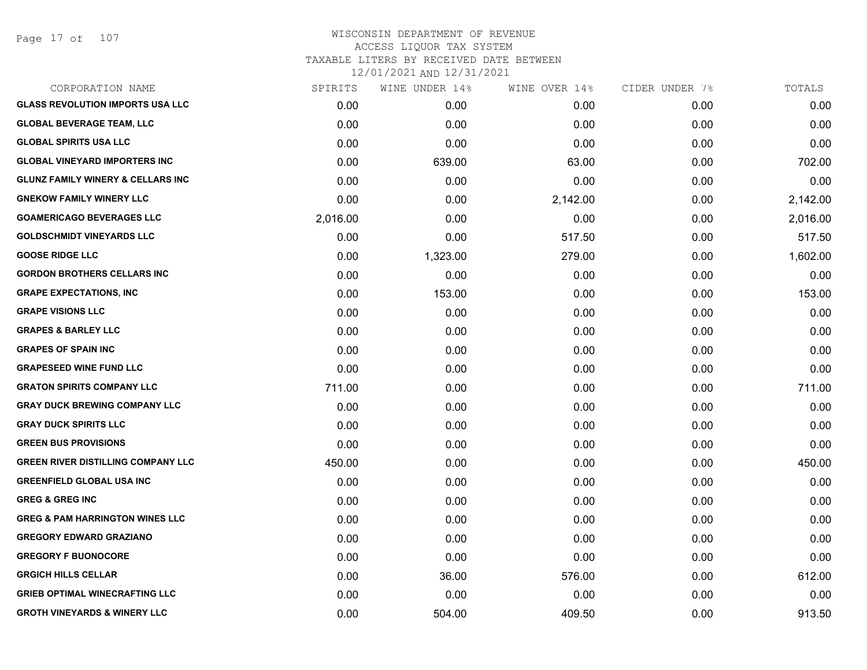Page 17 of 107

| CORPORATION NAME                             | SPIRITS  | WINE UNDER 14% | WINE OVER 14% | CIDER UNDER 7% | TOTALS   |
|----------------------------------------------|----------|----------------|---------------|----------------|----------|
| <b>GLASS REVOLUTION IMPORTS USA LLC</b>      | 0.00     | 0.00           | 0.00          | 0.00           | 0.00     |
| <b>GLOBAL BEVERAGE TEAM, LLC</b>             | 0.00     | 0.00           | 0.00          | 0.00           | 0.00     |
| <b>GLOBAL SPIRITS USA LLC</b>                | 0.00     | 0.00           | 0.00          | 0.00           | 0.00     |
| <b>GLOBAL VINEYARD IMPORTERS INC</b>         | 0.00     | 639.00         | 63.00         | 0.00           | 702.00   |
| <b>GLUNZ FAMILY WINERY &amp; CELLARS INC</b> | 0.00     | 0.00           | 0.00          | 0.00           | 0.00     |
| <b>GNEKOW FAMILY WINERY LLC</b>              | 0.00     | 0.00           | 2,142.00      | 0.00           | 2,142.00 |
| <b>GOAMERICAGO BEVERAGES LLC</b>             | 2,016.00 | 0.00           | 0.00          | 0.00           | 2,016.00 |
| <b>GOLDSCHMIDT VINEYARDS LLC</b>             | 0.00     | 0.00           | 517.50        | 0.00           | 517.50   |
| <b>GOOSE RIDGE LLC</b>                       | 0.00     | 1,323.00       | 279.00        | 0.00           | 1,602.00 |
| <b>GORDON BROTHERS CELLARS INC</b>           | 0.00     | 0.00           | 0.00          | 0.00           | 0.00     |
| <b>GRAPE EXPECTATIONS, INC</b>               | 0.00     | 153.00         | 0.00          | 0.00           | 153.00   |
| <b>GRAPE VISIONS LLC</b>                     | 0.00     | 0.00           | 0.00          | 0.00           | 0.00     |
| <b>GRAPES &amp; BARLEY LLC</b>               | 0.00     | 0.00           | 0.00          | 0.00           | 0.00     |
| <b>GRAPES OF SPAIN INC</b>                   | 0.00     | 0.00           | 0.00          | 0.00           | 0.00     |
| <b>GRAPESEED WINE FUND LLC</b>               | 0.00     | 0.00           | 0.00          | 0.00           | 0.00     |
| <b>GRATON SPIRITS COMPANY LLC</b>            | 711.00   | 0.00           | 0.00          | 0.00           | 711.00   |
| <b>GRAY DUCK BREWING COMPANY LLC</b>         | 0.00     | 0.00           | 0.00          | 0.00           | 0.00     |
| <b>GRAY DUCK SPIRITS LLC</b>                 | 0.00     | 0.00           | 0.00          | 0.00           | 0.00     |
| <b>GREEN BUS PROVISIONS</b>                  | 0.00     | 0.00           | 0.00          | 0.00           | 0.00     |
| <b>GREEN RIVER DISTILLING COMPANY LLC</b>    | 450.00   | 0.00           | 0.00          | 0.00           | 450.00   |
| <b>GREENFIELD GLOBAL USA INC</b>             | 0.00     | 0.00           | 0.00          | 0.00           | 0.00     |
| <b>GREG &amp; GREG INC</b>                   | 0.00     | 0.00           | 0.00          | 0.00           | 0.00     |
| <b>GREG &amp; PAM HARRINGTON WINES LLC</b>   | 0.00     | 0.00           | 0.00          | 0.00           | 0.00     |
| <b>GREGORY EDWARD GRAZIANO</b>               | 0.00     | 0.00           | 0.00          | 0.00           | 0.00     |
| <b>GREGORY F BUONOCORE</b>                   | 0.00     | 0.00           | 0.00          | 0.00           | 0.00     |
| <b>GRGICH HILLS CELLAR</b>                   | 0.00     | 36.00          | 576.00        | 0.00           | 612.00   |
| <b>GRIEB OPTIMAL WINECRAFTING LLC</b>        | 0.00     | 0.00           | 0.00          | 0.00           | 0.00     |
| <b>GROTH VINEYARDS &amp; WINERY LLC</b>      | 0.00     | 504.00         | 409.50        | 0.00           | 913.50   |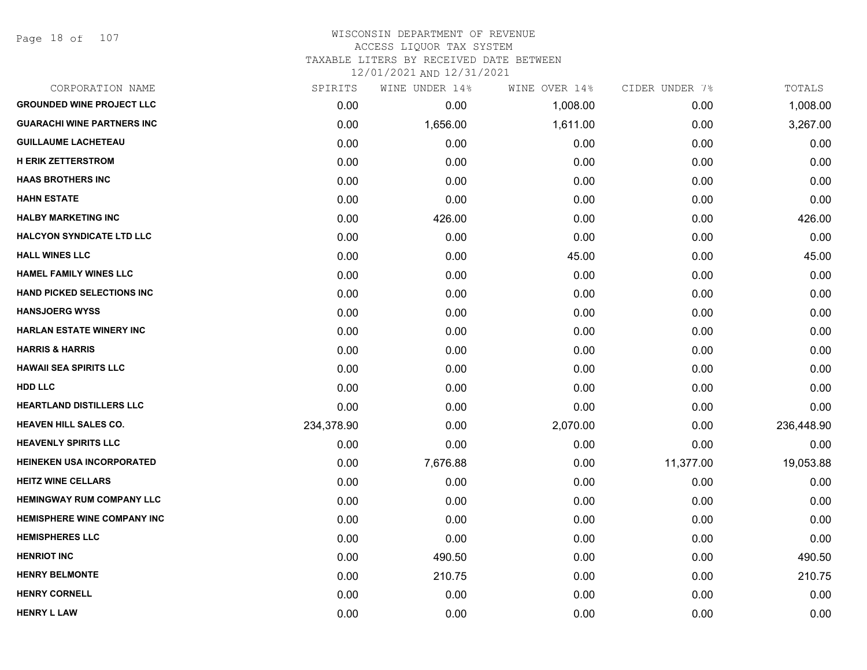Page 18 of 107

## WISCONSIN DEPARTMENT OF REVENUE ACCESS LIQUOR TAX SYSTEM TAXABLE LITERS BY RECEIVED DATE BETWEEN

| CORPORATION NAME                   | SPIRITS    | WINE UNDER 14% | WINE OVER 14% | CIDER UNDER 7% | TOTALS     |
|------------------------------------|------------|----------------|---------------|----------------|------------|
| <b>GROUNDED WINE PROJECT LLC</b>   | 0.00       | 0.00           | 1,008.00      | 0.00           | 1,008.00   |
| <b>GUARACHI WINE PARTNERS INC</b>  | 0.00       | 1,656.00       | 1,611.00      | 0.00           | 3,267.00   |
| <b>GUILLAUME LACHETEAU</b>         | 0.00       | 0.00           | 0.00          | 0.00           | 0.00       |
| <b>H ERIK ZETTERSTROM</b>          | 0.00       | 0.00           | 0.00          | 0.00           | 0.00       |
| <b>HAAS BROTHERS INC</b>           | 0.00       | 0.00           | 0.00          | 0.00           | 0.00       |
| <b>HAHN ESTATE</b>                 | 0.00       | 0.00           | 0.00          | 0.00           | 0.00       |
| <b>HALBY MARKETING INC</b>         | 0.00       | 426.00         | 0.00          | 0.00           | 426.00     |
| <b>HALCYON SYNDICATE LTD LLC</b>   | 0.00       | 0.00           | 0.00          | 0.00           | 0.00       |
| <b>HALL WINES LLC</b>              | 0.00       | 0.00           | 45.00         | 0.00           | 45.00      |
| <b>HAMEL FAMILY WINES LLC</b>      | 0.00       | 0.00           | 0.00          | 0.00           | 0.00       |
| <b>HAND PICKED SELECTIONS INC</b>  | 0.00       | 0.00           | 0.00          | 0.00           | 0.00       |
| <b>HANSJOERG WYSS</b>              | 0.00       | 0.00           | 0.00          | 0.00           | 0.00       |
| <b>HARLAN ESTATE WINERY INC</b>    | 0.00       | 0.00           | 0.00          | 0.00           | 0.00       |
| <b>HARRIS &amp; HARRIS</b>         | 0.00       | 0.00           | 0.00          | 0.00           | 0.00       |
| <b>HAWAII SEA SPIRITS LLC</b>      | 0.00       | 0.00           | 0.00          | 0.00           | 0.00       |
| <b>HDD LLC</b>                     | 0.00       | 0.00           | 0.00          | 0.00           | 0.00       |
| HEARTLAND DISTILLERS LLC           | 0.00       | 0.00           | 0.00          | 0.00           | 0.00       |
| <b>HEAVEN HILL SALES CO.</b>       | 234,378.90 | 0.00           | 2,070.00      | 0.00           | 236,448.90 |
| <b>HEAVENLY SPIRITS LLC</b>        | 0.00       | 0.00           | 0.00          | 0.00           | 0.00       |
| <b>HEINEKEN USA INCORPORATED</b>   | 0.00       | 7,676.88       | 0.00          | 11,377.00      | 19,053.88  |
| <b>HEITZ WINE CELLARS</b>          | 0.00       | 0.00           | 0.00          | 0.00           | 0.00       |
| <b>HEMINGWAY RUM COMPANY LLC</b>   | 0.00       | 0.00           | 0.00          | 0.00           | 0.00       |
| <b>HEMISPHERE WINE COMPANY INC</b> | 0.00       | 0.00           | 0.00          | 0.00           | 0.00       |
| <b>HEMISPHERES LLC</b>             | 0.00       | 0.00           | 0.00          | 0.00           | 0.00       |
| <b>HENRIOT INC</b>                 | 0.00       | 490.50         | 0.00          | 0.00           | 490.50     |
| <b>HENRY BELMONTE</b>              | 0.00       | 210.75         | 0.00          | 0.00           | 210.75     |
| <b>HENRY CORNELL</b>               | 0.00       | 0.00           | 0.00          | 0.00           | 0.00       |
| <b>HENRY L LAW</b>                 | 0.00       | 0.00           | 0.00          | 0.00           | 0.00       |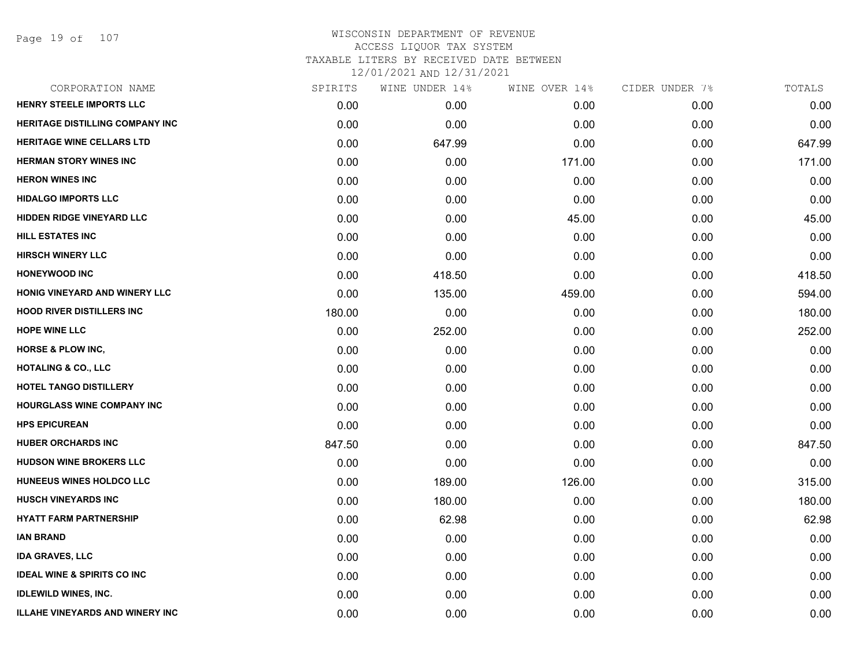Page 19 of 107

| CORPORATION NAME                       | SPIRITS | WINE UNDER 14% | WINE OVER 14% | CIDER UNDER 7% | TOTALS |
|----------------------------------------|---------|----------------|---------------|----------------|--------|
| HENRY STEELE IMPORTS LLC               | 0.00    | 0.00           | 0.00          | 0.00           | 0.00   |
| <b>HERITAGE DISTILLING COMPANY INC</b> | 0.00    | 0.00           | 0.00          | 0.00           | 0.00   |
| <b>HERITAGE WINE CELLARS LTD</b>       | 0.00    | 647.99         | 0.00          | 0.00           | 647.99 |
| <b>HERMAN STORY WINES INC</b>          | 0.00    | 0.00           | 171.00        | 0.00           | 171.00 |
| <b>HERON WINES INC</b>                 | 0.00    | 0.00           | 0.00          | 0.00           | 0.00   |
| <b>HIDALGO IMPORTS LLC</b>             | 0.00    | 0.00           | 0.00          | 0.00           | 0.00   |
| <b>HIDDEN RIDGE VINEYARD LLC</b>       | 0.00    | 0.00           | 45.00         | 0.00           | 45.00  |
| <b>HILL ESTATES INC</b>                | 0.00    | 0.00           | 0.00          | 0.00           | 0.00   |
| <b>HIRSCH WINERY LLC</b>               | 0.00    | 0.00           | 0.00          | 0.00           | 0.00   |
| <b>HONEYWOOD INC</b>                   | 0.00    | 418.50         | 0.00          | 0.00           | 418.50 |
| <b>HONIG VINEYARD AND WINERY LLC</b>   | 0.00    | 135.00         | 459.00        | 0.00           | 594.00 |
| <b>HOOD RIVER DISTILLERS INC</b>       | 180.00  | 0.00           | 0.00          | 0.00           | 180.00 |
| <b>HOPE WINE LLC</b>                   | 0.00    | 252.00         | 0.00          | 0.00           | 252.00 |
| <b>HORSE &amp; PLOW INC,</b>           | 0.00    | 0.00           | 0.00          | 0.00           | 0.00   |
| <b>HOTALING &amp; CO., LLC</b>         | 0.00    | 0.00           | 0.00          | 0.00           | 0.00   |
| HOTEL TANGO DISTILLERY                 | 0.00    | 0.00           | 0.00          | 0.00           | 0.00   |
| <b>HOURGLASS WINE COMPANY INC</b>      | 0.00    | 0.00           | 0.00          | 0.00           | 0.00   |
| <b>HPS EPICUREAN</b>                   | 0.00    | 0.00           | 0.00          | 0.00           | 0.00   |
| <b>HUBER ORCHARDS INC</b>              | 847.50  | 0.00           | 0.00          | 0.00           | 847.50 |
| <b>HUDSON WINE BROKERS LLC</b>         | 0.00    | 0.00           | 0.00          | 0.00           | 0.00   |
| HUNEEUS WINES HOLDCO LLC               | 0.00    | 189.00         | 126.00        | 0.00           | 315.00 |
| <b>HUSCH VINEYARDS INC</b>             | 0.00    | 180.00         | 0.00          | 0.00           | 180.00 |
| <b>HYATT FARM PARTNERSHIP</b>          | 0.00    | 62.98          | 0.00          | 0.00           | 62.98  |
| <b>IAN BRAND</b>                       | 0.00    | 0.00           | 0.00          | 0.00           | 0.00   |
| <b>IDA GRAVES, LLC</b>                 | 0.00    | 0.00           | 0.00          | 0.00           | 0.00   |
| <b>IDEAL WINE &amp; SPIRITS CO INC</b> | 0.00    | 0.00           | 0.00          | 0.00           | 0.00   |
| <b>IDLEWILD WINES, INC.</b>            | 0.00    | 0.00           | 0.00          | 0.00           | 0.00   |
| <b>ILLAHE VINEYARDS AND WINERY INC</b> | 0.00    | 0.00           | 0.00          | 0.00           | 0.00   |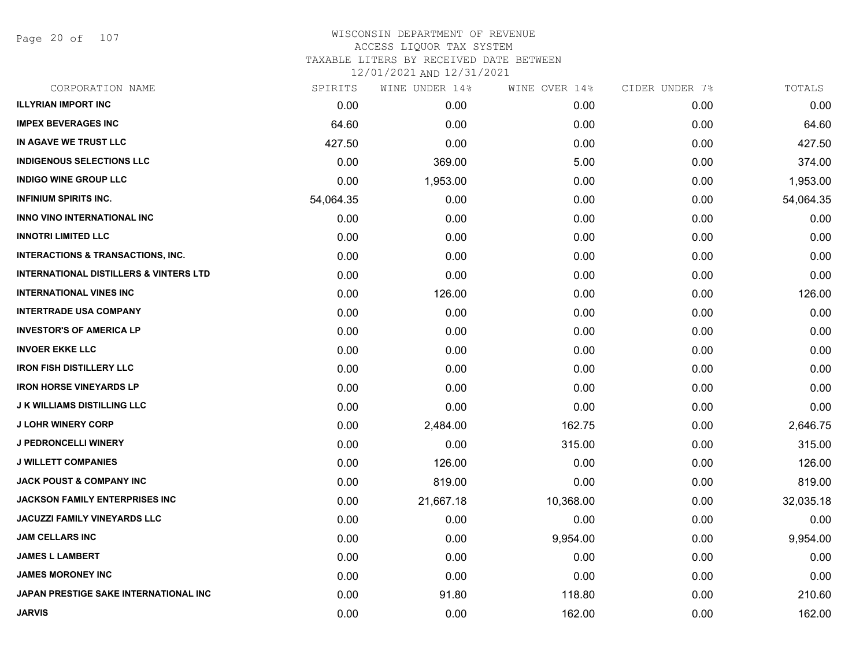Page 20 of 107

| CORPORATION NAME                                  | SPIRITS   | WINE UNDER 14% | WINE OVER 14% | CIDER UNDER 7% | TOTALS    |
|---------------------------------------------------|-----------|----------------|---------------|----------------|-----------|
| <b>ILLYRIAN IMPORT INC</b>                        | 0.00      | 0.00           | 0.00          | 0.00           | 0.00      |
| <b>IMPEX BEVERAGES INC</b>                        | 64.60     | 0.00           | 0.00          | 0.00           | 64.60     |
| IN AGAVE WE TRUST LLC                             | 427.50    | 0.00           | 0.00          | 0.00           | 427.50    |
| <b>INDIGENOUS SELECTIONS LLC</b>                  | 0.00      | 369.00         | 5.00          | 0.00           | 374.00    |
| <b>INDIGO WINE GROUP LLC</b>                      | 0.00      | 1,953.00       | 0.00          | 0.00           | 1,953.00  |
| <b>INFINIUM SPIRITS INC.</b>                      | 54,064.35 | 0.00           | 0.00          | 0.00           | 54,064.35 |
| <b>INNO VINO INTERNATIONAL INC</b>                | 0.00      | 0.00           | 0.00          | 0.00           | 0.00      |
| <b>INNOTRI LIMITED LLC</b>                        | 0.00      | 0.00           | 0.00          | 0.00           | 0.00      |
| <b>INTERACTIONS &amp; TRANSACTIONS, INC.</b>      | 0.00      | 0.00           | 0.00          | 0.00           | 0.00      |
| <b>INTERNATIONAL DISTILLERS &amp; VINTERS LTD</b> | 0.00      | 0.00           | 0.00          | 0.00           | 0.00      |
| <b>INTERNATIONAL VINES INC</b>                    | 0.00      | 126.00         | 0.00          | 0.00           | 126.00    |
| <b>INTERTRADE USA COMPANY</b>                     | 0.00      | 0.00           | 0.00          | 0.00           | 0.00      |
| <b>INVESTOR'S OF AMERICA LP</b>                   | 0.00      | 0.00           | 0.00          | 0.00           | 0.00      |
| <b>INVOER EKKE LLC</b>                            | 0.00      | 0.00           | 0.00          | 0.00           | 0.00      |
| <b>IRON FISH DISTILLERY LLC</b>                   | 0.00      | 0.00           | 0.00          | 0.00           | 0.00      |
| <b>IRON HORSE VINEYARDS LP</b>                    | 0.00      | 0.00           | 0.00          | 0.00           | 0.00      |
| <b>J K WILLIAMS DISTILLING LLC</b>                | 0.00      | 0.00           | 0.00          | 0.00           | 0.00      |
| <b>J LOHR WINERY CORP</b>                         | 0.00      | 2,484.00       | 162.75        | 0.00           | 2,646.75  |
| <b>J PEDRONCELLI WINERY</b>                       | 0.00      | 0.00           | 315.00        | 0.00           | 315.00    |
| <b>J WILLETT COMPANIES</b>                        | 0.00      | 126.00         | 0.00          | 0.00           | 126.00    |
| <b>JACK POUST &amp; COMPANY INC</b>               | 0.00      | 819.00         | 0.00          | 0.00           | 819.00    |
| <b>JACKSON FAMILY ENTERPRISES INC</b>             | 0.00      | 21,667.18      | 10,368.00     | 0.00           | 32,035.18 |
| <b>JACUZZI FAMILY VINEYARDS LLC</b>               | 0.00      | 0.00           | 0.00          | 0.00           | 0.00      |
| <b>JAM CELLARS INC</b>                            | 0.00      | 0.00           | 9,954.00      | 0.00           | 9,954.00  |
| <b>JAMES L LAMBERT</b>                            | 0.00      | 0.00           | 0.00          | 0.00           | 0.00      |
| <b>JAMES MORONEY INC</b>                          | 0.00      | 0.00           | 0.00          | 0.00           | 0.00      |
| JAPAN PRESTIGE SAKE INTERNATIONAL INC             | 0.00      | 91.80          | 118.80        | 0.00           | 210.60    |
| <b>JARVIS</b>                                     | 0.00      | 0.00           | 162.00        | 0.00           | 162.00    |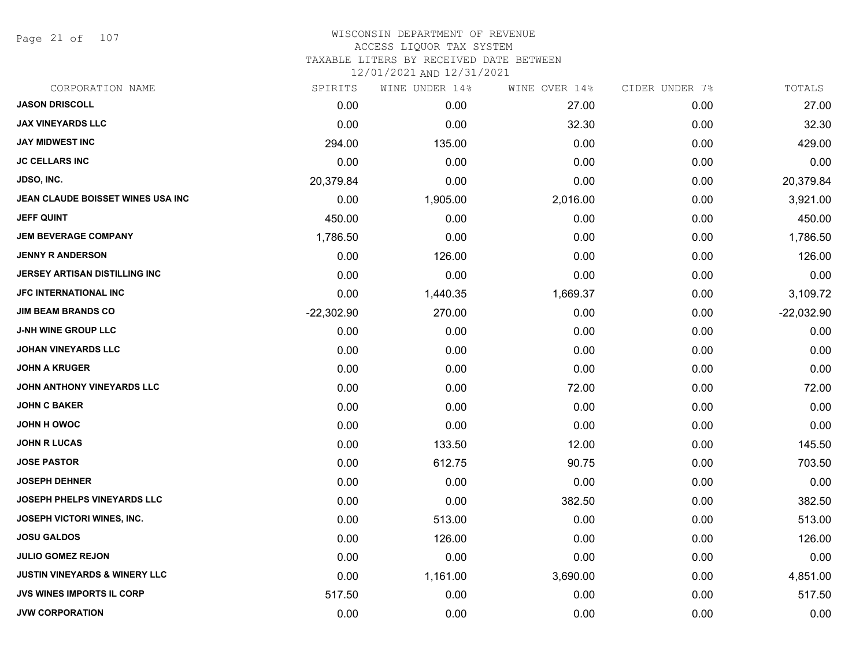Page 21 of 107

#### WISCONSIN DEPARTMENT OF REVENUE ACCESS LIQUOR TAX SYSTEM TAXABLE LITERS BY RECEIVED DATE BETWEEN

| CORPORATION NAME                         | SPIRITS      | WINE UNDER 14% | WINE OVER 14% | CIDER UNDER 7% | TOTALS       |
|------------------------------------------|--------------|----------------|---------------|----------------|--------------|
| <b>JASON DRISCOLL</b>                    | 0.00         | 0.00           | 27.00         | 0.00           | 27.00        |
| <b>JAX VINEYARDS LLC</b>                 | 0.00         | 0.00           | 32.30         | 0.00           | 32.30        |
| <b>JAY MIDWEST INC</b>                   | 294.00       | 135.00         | 0.00          | 0.00           | 429.00       |
| <b>JC CELLARS INC</b>                    | 0.00         | 0.00           | 0.00          | 0.00           | 0.00         |
| JDSO, INC.                               | 20,379.84    | 0.00           | 0.00          | 0.00           | 20,379.84    |
| JEAN CLAUDE BOISSET WINES USA INC        | 0.00         | 1,905.00       | 2,016.00      | 0.00           | 3,921.00     |
| <b>JEFF QUINT</b>                        | 450.00       | 0.00           | 0.00          | 0.00           | 450.00       |
| <b>JEM BEVERAGE COMPANY</b>              | 1,786.50     | 0.00           | 0.00          | 0.00           | 1,786.50     |
| <b>JENNY R ANDERSON</b>                  | 0.00         | 126.00         | 0.00          | 0.00           | 126.00       |
| JERSEY ARTISAN DISTILLING INC            | 0.00         | 0.00           | 0.00          | 0.00           | 0.00         |
| <b>JFC INTERNATIONAL INC</b>             | 0.00         | 1,440.35       | 1,669.37      | 0.00           | 3,109.72     |
| <b>JIM BEAM BRANDS CO</b>                | $-22,302.90$ | 270.00         | 0.00          | 0.00           | $-22,032.90$ |
| <b>J-NH WINE GROUP LLC</b>               | 0.00         | 0.00           | 0.00          | 0.00           | 0.00         |
| <b>JOHAN VINEYARDS LLC</b>               | 0.00         | 0.00           | 0.00          | 0.00           | 0.00         |
| <b>JOHN A KRUGER</b>                     | 0.00         | 0.00           | 0.00          | 0.00           | 0.00         |
| JOHN ANTHONY VINEYARDS LLC               | 0.00         | 0.00           | 72.00         | 0.00           | 72.00        |
| <b>JOHN C BAKER</b>                      | 0.00         | 0.00           | 0.00          | 0.00           | 0.00         |
| JOHN H OWOC                              | 0.00         | 0.00           | 0.00          | 0.00           | 0.00         |
| <b>JOHN R LUCAS</b>                      | 0.00         | 133.50         | 12.00         | 0.00           | 145.50       |
| <b>JOSE PASTOR</b>                       | 0.00         | 612.75         | 90.75         | 0.00           | 703.50       |
| <b>JOSEPH DEHNER</b>                     | 0.00         | 0.00           | 0.00          | 0.00           | 0.00         |
| JOSEPH PHELPS VINEYARDS LLC              | 0.00         | 0.00           | 382.50        | 0.00           | 382.50       |
| <b>JOSEPH VICTORI WINES, INC.</b>        | 0.00         | 513.00         | 0.00          | 0.00           | 513.00       |
| <b>JOSU GALDOS</b>                       | 0.00         | 126.00         | 0.00          | 0.00           | 126.00       |
| <b>JULIO GOMEZ REJON</b>                 | 0.00         | 0.00           | 0.00          | 0.00           | 0.00         |
| <b>JUSTIN VINEYARDS &amp; WINERY LLC</b> | 0.00         | 1,161.00       | 3,690.00      | 0.00           | 4,851.00     |
| <b>JVS WINES IMPORTS IL CORP</b>         | 517.50       | 0.00           | 0.00          | 0.00           | 517.50       |
| <b>JVW CORPORATION</b>                   | 0.00         | 0.00           | 0.00          | 0.00           | 0.00         |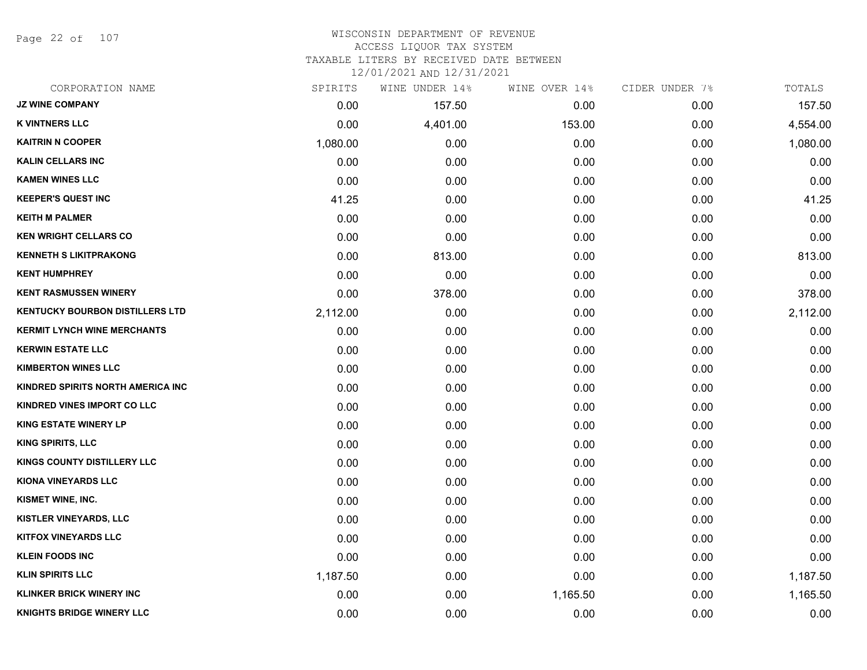Page 22 of 107

#### WISCONSIN DEPARTMENT OF REVENUE ACCESS LIQUOR TAX SYSTEM TAXABLE LITERS BY RECEIVED DATE BETWEEN

| CORPORATION NAME                       | SPIRITS  | WINE UNDER 14% | WINE OVER 14% | CIDER UNDER 7% | TOTALS   |
|----------------------------------------|----------|----------------|---------------|----------------|----------|
| <b>JZ WINE COMPANY</b>                 | 0.00     | 157.50         | 0.00          | 0.00           | 157.50   |
| <b>K VINTNERS LLC</b>                  | 0.00     | 4,401.00       | 153.00        | 0.00           | 4,554.00 |
| <b>KAITRIN N COOPER</b>                | 1,080.00 | 0.00           | 0.00          | 0.00           | 1,080.00 |
| <b>KALIN CELLARS INC</b>               | 0.00     | 0.00           | 0.00          | 0.00           | 0.00     |
| <b>KAMEN WINES LLC</b>                 | 0.00     | 0.00           | 0.00          | 0.00           | 0.00     |
| <b>KEEPER'S QUEST INC</b>              | 41.25    | 0.00           | 0.00          | 0.00           | 41.25    |
| <b>KEITH M PALMER</b>                  | 0.00     | 0.00           | 0.00          | 0.00           | 0.00     |
| <b>KEN WRIGHT CELLARS CO</b>           | 0.00     | 0.00           | 0.00          | 0.00           | 0.00     |
| <b>KENNETH S LIKITPRAKONG</b>          | 0.00     | 813.00         | 0.00          | 0.00           | 813.00   |
| <b>KENT HUMPHREY</b>                   | 0.00     | 0.00           | 0.00          | 0.00           | 0.00     |
| <b>KENT RASMUSSEN WINERY</b>           | 0.00     | 378.00         | 0.00          | 0.00           | 378.00   |
| <b>KENTUCKY BOURBON DISTILLERS LTD</b> | 2,112.00 | 0.00           | 0.00          | 0.00           | 2,112.00 |
| <b>KERMIT LYNCH WINE MERCHANTS</b>     | 0.00     | 0.00           | 0.00          | 0.00           | 0.00     |
| <b>KERWIN ESTATE LLC</b>               | 0.00     | 0.00           | 0.00          | 0.00           | 0.00     |
| <b>KIMBERTON WINES LLC</b>             | 0.00     | 0.00           | 0.00          | 0.00           | 0.00     |
| KINDRED SPIRITS NORTH AMERICA INC      | 0.00     | 0.00           | 0.00          | 0.00           | 0.00     |
| <b>KINDRED VINES IMPORT CO LLC</b>     | 0.00     | 0.00           | 0.00          | 0.00           | 0.00     |
| <b>KING ESTATE WINERY LP</b>           | 0.00     | 0.00           | 0.00          | 0.00           | 0.00     |
| <b>KING SPIRITS, LLC</b>               | 0.00     | 0.00           | 0.00          | 0.00           | 0.00     |
| <b>KINGS COUNTY DISTILLERY LLC</b>     | 0.00     | 0.00           | 0.00          | 0.00           | 0.00     |
| <b>KIONA VINEYARDS LLC</b>             | 0.00     | 0.00           | 0.00          | 0.00           | 0.00     |
| KISMET WINE, INC.                      | 0.00     | 0.00           | 0.00          | 0.00           | 0.00     |
| KISTLER VINEYARDS, LLC                 | 0.00     | 0.00           | 0.00          | 0.00           | 0.00     |
| <b>KITFOX VINEYARDS LLC</b>            | 0.00     | 0.00           | 0.00          | 0.00           | 0.00     |
| <b>KLEIN FOODS INC</b>                 | 0.00     | 0.00           | 0.00          | 0.00           | 0.00     |
| <b>KLIN SPIRITS LLC</b>                | 1,187.50 | 0.00           | 0.00          | 0.00           | 1,187.50 |
| <b>KLINKER BRICK WINERY INC</b>        | 0.00     | 0.00           | 1,165.50      | 0.00           | 1,165.50 |
| <b>KNIGHTS BRIDGE WINERY LLC</b>       | 0.00     | 0.00           | 0.00          | 0.00           | 0.00     |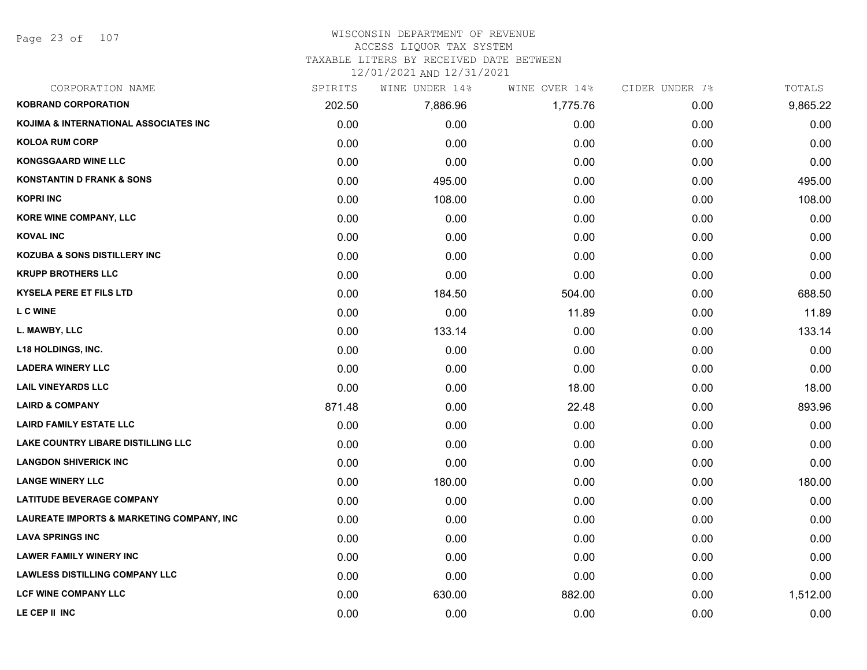Page 23 of 107

#### WISCONSIN DEPARTMENT OF REVENUE ACCESS LIQUOR TAX SYSTEM

TAXABLE LITERS BY RECEIVED DATE BETWEEN

| CORPORATION NAME                                     | SPIRITS | WINE UNDER 14% | WINE OVER 14% | CIDER UNDER 7% | TOTALS   |
|------------------------------------------------------|---------|----------------|---------------|----------------|----------|
| <b>KOBRAND CORPORATION</b>                           | 202.50  | 7,886.96       | 1,775.76      | 0.00           | 9,865.22 |
| <b>KOJIMA &amp; INTERNATIONAL ASSOCIATES INC</b>     | 0.00    | 0.00           | 0.00          | 0.00           | 0.00     |
| <b>KOLOA RUM CORP</b>                                | 0.00    | 0.00           | 0.00          | 0.00           | 0.00     |
| <b>KONGSGAARD WINE LLC</b>                           | 0.00    | 0.00           | 0.00          | 0.00           | 0.00     |
| <b>KONSTANTIN D FRANK &amp; SONS</b>                 | 0.00    | 495.00         | 0.00          | 0.00           | 495.00   |
| <b>KOPRI INC</b>                                     | 0.00    | 108.00         | 0.00          | 0.00           | 108.00   |
| <b>KORE WINE COMPANY, LLC</b>                        | 0.00    | 0.00           | 0.00          | 0.00           | 0.00     |
| <b>KOVAL INC</b>                                     | 0.00    | 0.00           | 0.00          | 0.00           | 0.00     |
| <b>KOZUBA &amp; SONS DISTILLERY INC</b>              | 0.00    | 0.00           | 0.00          | 0.00           | 0.00     |
| <b>KRUPP BROTHERS LLC</b>                            | 0.00    | 0.00           | 0.00          | 0.00           | 0.00     |
| <b>KYSELA PERE ET FILS LTD</b>                       | 0.00    | 184.50         | 504.00        | 0.00           | 688.50   |
| <b>L C WINE</b>                                      | 0.00    | 0.00           | 11.89         | 0.00           | 11.89    |
| L. MAWBY, LLC                                        | 0.00    | 133.14         | 0.00          | 0.00           | 133.14   |
| <b>L18 HOLDINGS, INC.</b>                            | 0.00    | 0.00           | 0.00          | 0.00           | 0.00     |
| <b>LADERA WINERY LLC</b>                             | 0.00    | 0.00           | 0.00          | 0.00           | 0.00     |
| <b>LAIL VINEYARDS LLC</b>                            | 0.00    | 0.00           | 18.00         | 0.00           | 18.00    |
| <b>LAIRD &amp; COMPANY</b>                           | 871.48  | 0.00           | 22.48         | 0.00           | 893.96   |
| <b>LAIRD FAMILY ESTATE LLC</b>                       | 0.00    | 0.00           | 0.00          | 0.00           | 0.00     |
| <b>LAKE COUNTRY LIBARE DISTILLING LLC</b>            | 0.00    | 0.00           | 0.00          | 0.00           | 0.00     |
| <b>LANGDON SHIVERICK INC</b>                         | 0.00    | 0.00           | 0.00          | 0.00           | 0.00     |
| <b>LANGE WINERY LLC</b>                              | 0.00    | 180.00         | 0.00          | 0.00           | 180.00   |
| <b>LATITUDE BEVERAGE COMPANY</b>                     | 0.00    | 0.00           | 0.00          | 0.00           | 0.00     |
| <b>LAUREATE IMPORTS &amp; MARKETING COMPANY, INC</b> | 0.00    | 0.00           | 0.00          | 0.00           | 0.00     |
| <b>LAVA SPRINGS INC</b>                              | 0.00    | 0.00           | 0.00          | 0.00           | 0.00     |
| <b>LAWER FAMILY WINERY INC</b>                       | 0.00    | 0.00           | 0.00          | 0.00           | 0.00     |
| <b>LAWLESS DISTILLING COMPANY LLC</b>                | 0.00    | 0.00           | 0.00          | 0.00           | 0.00     |
| <b>LCF WINE COMPANY LLC</b>                          | 0.00    | 630.00         | 882.00        | 0.00           | 1,512.00 |
| LE CEP II INC                                        | 0.00    | 0.00           | 0.00          | 0.00           | 0.00     |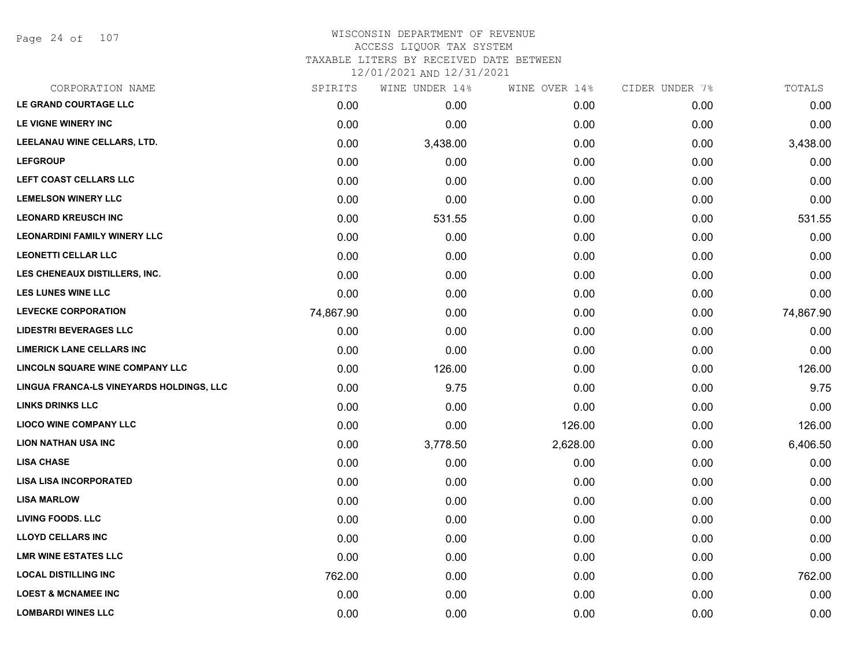Page 24 of 107

#### WISCONSIN DEPARTMENT OF REVENUE ACCESS LIQUOR TAX SYSTEM TAXABLE LITERS BY RECEIVED DATE BETWEEN

| CORPORATION NAME                         | SPIRITS   | WINE UNDER 14% | WINE OVER 14% | CIDER UNDER 7% | TOTALS    |
|------------------------------------------|-----------|----------------|---------------|----------------|-----------|
| LE GRAND COURTAGE LLC                    | 0.00      | 0.00           | 0.00          | 0.00           | 0.00      |
| LE VIGNE WINERY INC                      | 0.00      | 0.00           | 0.00          | 0.00           | 0.00      |
| LEELANAU WINE CELLARS, LTD.              | 0.00      | 3,438.00       | 0.00          | 0.00           | 3,438.00  |
| <b>LEFGROUP</b>                          | 0.00      | 0.00           | 0.00          | 0.00           | 0.00      |
| LEFT COAST CELLARS LLC                   | 0.00      | 0.00           | 0.00          | 0.00           | 0.00      |
| <b>LEMELSON WINERY LLC</b>               | 0.00      | 0.00           | 0.00          | 0.00           | 0.00      |
| <b>LEONARD KREUSCH INC</b>               | 0.00      | 531.55         | 0.00          | 0.00           | 531.55    |
| <b>LEONARDINI FAMILY WINERY LLC</b>      | 0.00      | 0.00           | 0.00          | 0.00           | 0.00      |
| <b>LEONETTI CELLAR LLC</b>               | 0.00      | 0.00           | 0.00          | 0.00           | 0.00      |
| LES CHENEAUX DISTILLERS, INC.            | 0.00      | 0.00           | 0.00          | 0.00           | 0.00      |
| <b>LES LUNES WINE LLC</b>                | 0.00      | 0.00           | 0.00          | 0.00           | 0.00      |
| <b>LEVECKE CORPORATION</b>               | 74,867.90 | 0.00           | 0.00          | 0.00           | 74,867.90 |
| <b>LIDESTRI BEVERAGES LLC</b>            | 0.00      | 0.00           | 0.00          | 0.00           | 0.00      |
| <b>LIMERICK LANE CELLARS INC</b>         | 0.00      | 0.00           | 0.00          | 0.00           | 0.00      |
| LINCOLN SQUARE WINE COMPANY LLC          | 0.00      | 126.00         | 0.00          | 0.00           | 126.00    |
| LINGUA FRANCA-LS VINEYARDS HOLDINGS, LLC | 0.00      | 9.75           | 0.00          | 0.00           | 9.75      |
| <b>LINKS DRINKS LLC</b>                  | 0.00      | 0.00           | 0.00          | 0.00           | 0.00      |
| <b>LIOCO WINE COMPANY LLC</b>            | 0.00      | 0.00           | 126.00        | 0.00           | 126.00    |
| <b>LION NATHAN USA INC</b>               | 0.00      | 3,778.50       | 2,628.00      | 0.00           | 6,406.50  |
| <b>LISA CHASE</b>                        | 0.00      | 0.00           | 0.00          | 0.00           | 0.00      |
| <b>LISA LISA INCORPORATED</b>            | 0.00      | 0.00           | 0.00          | 0.00           | 0.00      |
| <b>LISA MARLOW</b>                       | 0.00      | 0.00           | 0.00          | 0.00           | 0.00      |
| <b>LIVING FOODS. LLC</b>                 | 0.00      | 0.00           | 0.00          | 0.00           | 0.00      |
| <b>LLOYD CELLARS INC</b>                 | 0.00      | 0.00           | 0.00          | 0.00           | 0.00      |
| <b>LMR WINE ESTATES LLC</b>              | 0.00      | 0.00           | 0.00          | 0.00           | 0.00      |
| <b>LOCAL DISTILLING INC</b>              | 762.00    | 0.00           | 0.00          | 0.00           | 762.00    |
| <b>LOEST &amp; MCNAMEE INC</b>           | 0.00      | 0.00           | 0.00          | 0.00           | 0.00      |
| <b>LOMBARDI WINES LLC</b>                | 0.00      | 0.00           | 0.00          | 0.00           | 0.00      |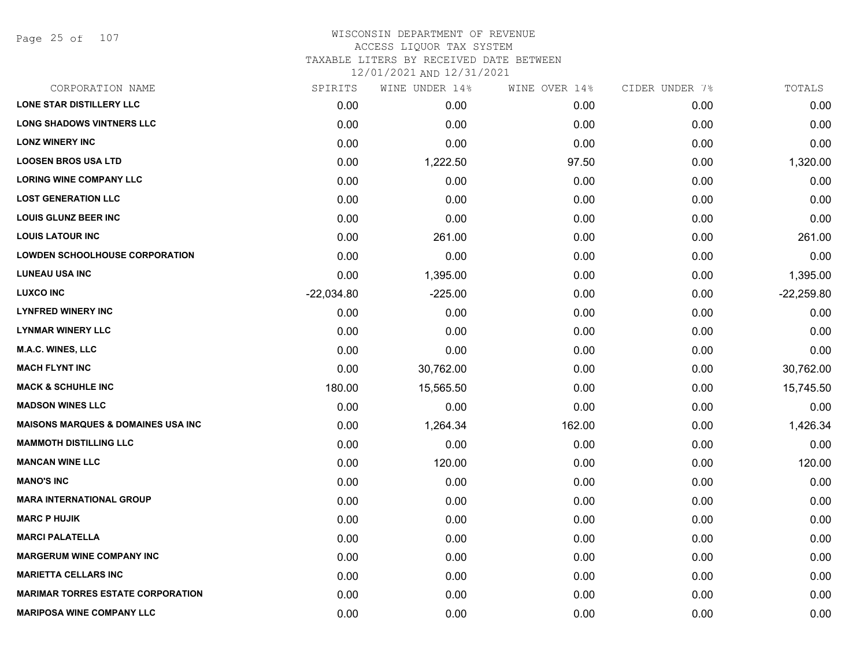Page 25 of 107

#### WISCONSIN DEPARTMENT OF REVENUE ACCESS LIQUOR TAX SYSTEM TAXABLE LITERS BY RECEIVED DATE BETWEEN

| CORPORATION NAME                               | SPIRITS      | WINE UNDER 14% | WINE OVER 14% | CIDER UNDER 7% | TOTALS       |
|------------------------------------------------|--------------|----------------|---------------|----------------|--------------|
| <b>LONE STAR DISTILLERY LLC</b>                | 0.00         | 0.00           | 0.00          | 0.00           | 0.00         |
| <b>LONG SHADOWS VINTNERS LLC</b>               | 0.00         | 0.00           | 0.00          | 0.00           | 0.00         |
| <b>LONZ WINERY INC</b>                         | 0.00         | 0.00           | 0.00          | 0.00           | 0.00         |
| <b>LOOSEN BROS USA LTD</b>                     | 0.00         | 1,222.50       | 97.50         | 0.00           | 1,320.00     |
| <b>LORING WINE COMPANY LLC</b>                 | 0.00         | 0.00           | 0.00          | 0.00           | 0.00         |
| <b>LOST GENERATION LLC</b>                     | 0.00         | 0.00           | 0.00          | 0.00           | 0.00         |
| <b>LOUIS GLUNZ BEER INC</b>                    | 0.00         | 0.00           | 0.00          | 0.00           | 0.00         |
| <b>LOUIS LATOUR INC</b>                        | 0.00         | 261.00         | 0.00          | 0.00           | 261.00       |
| <b>LOWDEN SCHOOLHOUSE CORPORATION</b>          | 0.00         | 0.00           | 0.00          | 0.00           | 0.00         |
| <b>LUNEAU USA INC</b>                          | 0.00         | 1,395.00       | 0.00          | 0.00           | 1,395.00     |
| <b>LUXCO INC</b>                               | $-22,034.80$ | $-225.00$      | 0.00          | 0.00           | $-22,259.80$ |
| <b>LYNFRED WINERY INC</b>                      | 0.00         | 0.00           | 0.00          | 0.00           | 0.00         |
| <b>LYNMAR WINERY LLC</b>                       | 0.00         | 0.00           | 0.00          | 0.00           | 0.00         |
| <b>M.A.C. WINES, LLC</b>                       | 0.00         | 0.00           | 0.00          | 0.00           | 0.00         |
| <b>MACH FLYNT INC</b>                          | 0.00         | 30,762.00      | 0.00          | 0.00           | 30,762.00    |
| <b>MACK &amp; SCHUHLE INC</b>                  | 180.00       | 15,565.50      | 0.00          | 0.00           | 15,745.50    |
| <b>MADSON WINES LLC</b>                        | 0.00         | 0.00           | 0.00          | 0.00           | 0.00         |
| <b>MAISONS MARQUES &amp; DOMAINES USA INC.</b> | 0.00         | 1,264.34       | 162.00        | 0.00           | 1,426.34     |
| <b>MAMMOTH DISTILLING LLC</b>                  | 0.00         | 0.00           | 0.00          | 0.00           | 0.00         |
| <b>MANCAN WINE LLC</b>                         | 0.00         | 120.00         | 0.00          | 0.00           | 120.00       |
| <b>MANO'S INC</b>                              | 0.00         | 0.00           | 0.00          | 0.00           | 0.00         |
| <b>MARA INTERNATIONAL GROUP</b>                | 0.00         | 0.00           | 0.00          | 0.00           | 0.00         |
| <b>MARC P HUJIK</b>                            | 0.00         | 0.00           | 0.00          | 0.00           | 0.00         |
| <b>MARCI PALATELLA</b>                         | 0.00         | 0.00           | 0.00          | 0.00           | 0.00         |
| <b>MARGERUM WINE COMPANY INC</b>               | 0.00         | 0.00           | 0.00          | 0.00           | 0.00         |
| <b>MARIETTA CELLARS INC</b>                    | 0.00         | 0.00           | 0.00          | 0.00           | 0.00         |
| <b>MARIMAR TORRES ESTATE CORPORATION</b>       | 0.00         | 0.00           | 0.00          | 0.00           | 0.00         |
| <b>MARIPOSA WINE COMPANY LLC</b>               | 0.00         | 0.00           | 0.00          | 0.00           | 0.00         |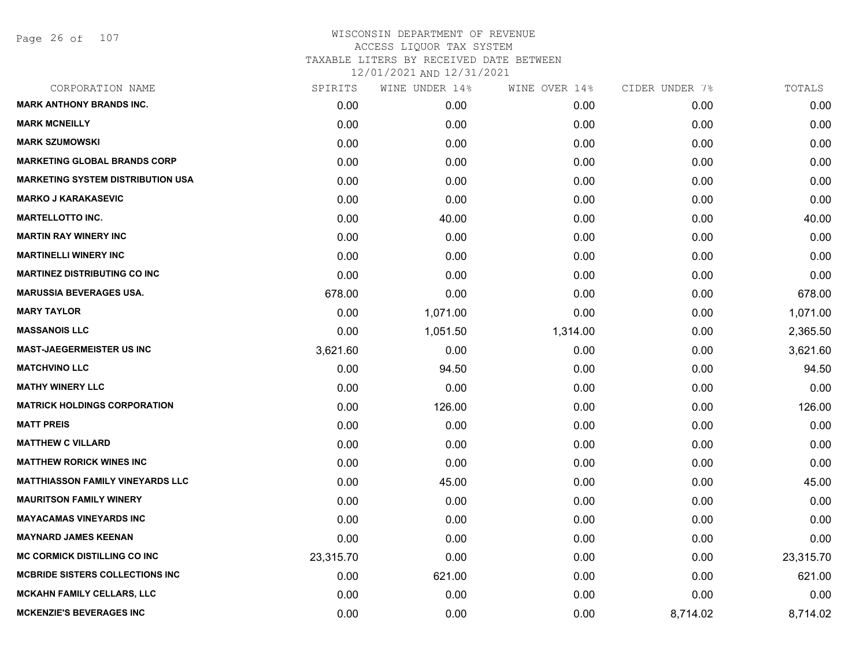| CORPORATION NAME                         | SPIRITS   | WINE UNDER 14% | WINE OVER 14% | CIDER UNDER 7% | TOTALS    |
|------------------------------------------|-----------|----------------|---------------|----------------|-----------|
| <b>MARK ANTHONY BRANDS INC.</b>          | 0.00      | 0.00           | 0.00          | 0.00           | 0.00      |
| <b>MARK MCNEILLY</b>                     | 0.00      | 0.00           | 0.00          | 0.00           | 0.00      |
| <b>MARK SZUMOWSKI</b>                    | 0.00      | 0.00           | 0.00          | 0.00           | 0.00      |
| <b>MARKETING GLOBAL BRANDS CORP</b>      | 0.00      | 0.00           | 0.00          | 0.00           | 0.00      |
| <b>MARKETING SYSTEM DISTRIBUTION USA</b> | 0.00      | 0.00           | 0.00          | 0.00           | 0.00      |
| <b>MARKO J KARAKASEVIC</b>               | 0.00      | 0.00           | 0.00          | 0.00           | 0.00      |
| <b>MARTELLOTTO INC.</b>                  | 0.00      | 40.00          | 0.00          | 0.00           | 40.00     |
| <b>MARTIN RAY WINERY INC</b>             | 0.00      | 0.00           | 0.00          | 0.00           | 0.00      |
| <b>MARTINELLI WINERY INC</b>             | 0.00      | 0.00           | 0.00          | 0.00           | 0.00      |
| <b>MARTINEZ DISTRIBUTING CO INC</b>      | 0.00      | 0.00           | 0.00          | 0.00           | 0.00      |
| <b>MARUSSIA BEVERAGES USA.</b>           | 678.00    | 0.00           | 0.00          | 0.00           | 678.00    |
| <b>MARY TAYLOR</b>                       | 0.00      | 1,071.00       | 0.00          | 0.00           | 1,071.00  |
| <b>MASSANOIS LLC</b>                     | 0.00      | 1,051.50       | 1,314.00      | 0.00           | 2,365.50  |
| <b>MAST-JAEGERMEISTER US INC</b>         | 3,621.60  | 0.00           | 0.00          | 0.00           | 3,621.60  |
| <b>MATCHVINO LLC</b>                     | 0.00      | 94.50          | 0.00          | 0.00           | 94.50     |
| <b>MATHY WINERY LLC</b>                  | 0.00      | 0.00           | 0.00          | 0.00           | 0.00      |
| <b>MATRICK HOLDINGS CORPORATION</b>      | 0.00      | 126.00         | 0.00          | 0.00           | 126.00    |
| <b>MATT PREIS</b>                        | 0.00      | 0.00           | 0.00          | 0.00           | 0.00      |
| <b>MATTHEW C VILLARD</b>                 | 0.00      | 0.00           | 0.00          | 0.00           | 0.00      |
| <b>MATTHEW RORICK WINES INC</b>          | 0.00      | 0.00           | 0.00          | 0.00           | 0.00      |
| <b>MATTHIASSON FAMILY VINEYARDS LLC</b>  | 0.00      | 45.00          | 0.00          | 0.00           | 45.00     |
| <b>MAURITSON FAMILY WINERY</b>           | 0.00      | 0.00           | 0.00          | 0.00           | 0.00      |
| <b>MAYACAMAS VINEYARDS INC</b>           | 0.00      | 0.00           | 0.00          | 0.00           | 0.00      |
| <b>MAYNARD JAMES KEENAN</b>              | 0.00      | 0.00           | 0.00          | 0.00           | 0.00      |
| <b>MC CORMICK DISTILLING CO INC</b>      | 23,315.70 | 0.00           | 0.00          | 0.00           | 23,315.70 |
| <b>MCBRIDE SISTERS COLLECTIONS INC.</b>  | 0.00      | 621.00         | 0.00          | 0.00           | 621.00    |
| <b>MCKAHN FAMILY CELLARS, LLC</b>        | 0.00      | 0.00           | 0.00          | 0.00           | 0.00      |
| <b>MCKENZIE'S BEVERAGES INC</b>          | 0.00      | 0.00           | 0.00          | 8,714.02       | 8,714.02  |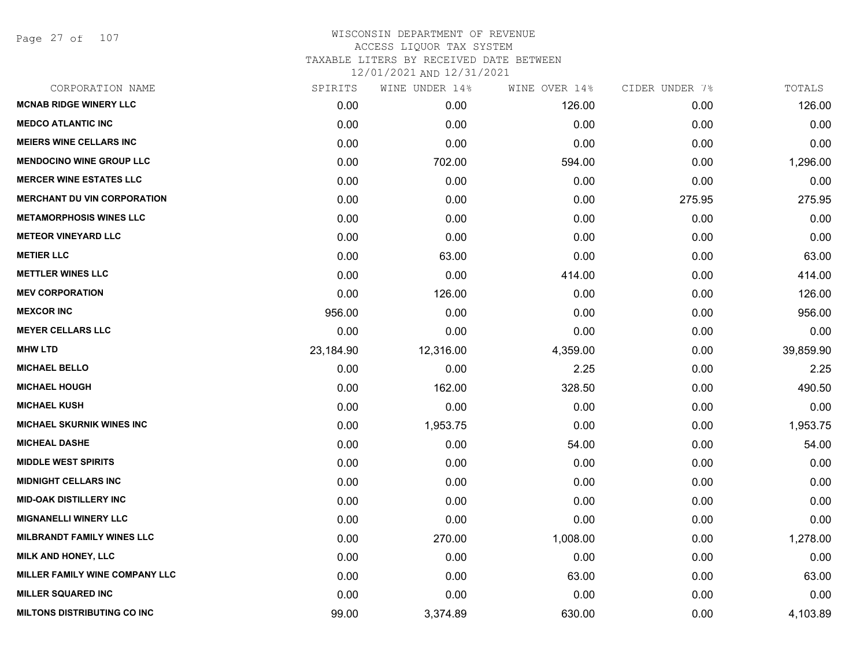Page 27 of 107

| CORPORATION NAME                   | SPIRITS   | WINE UNDER 14% | WINE OVER 14% | CIDER UNDER 7% | TOTALS    |
|------------------------------------|-----------|----------------|---------------|----------------|-----------|
| <b>MCNAB RIDGE WINERY LLC</b>      | 0.00      | 0.00           | 126.00        | 0.00           | 126.00    |
| <b>MEDCO ATLANTIC INC</b>          | 0.00      | 0.00           | 0.00          | 0.00           | 0.00      |
| <b>MEIERS WINE CELLARS INC</b>     | 0.00      | 0.00           | 0.00          | 0.00           | 0.00      |
| <b>MENDOCINO WINE GROUP LLC</b>    | 0.00      | 702.00         | 594.00        | 0.00           | 1,296.00  |
| <b>MERCER WINE ESTATES LLC</b>     | 0.00      | 0.00           | 0.00          | 0.00           | 0.00      |
| <b>MERCHANT DU VIN CORPORATION</b> | 0.00      | 0.00           | 0.00          | 275.95         | 275.95    |
| <b>METAMORPHOSIS WINES LLC</b>     | 0.00      | 0.00           | 0.00          | 0.00           | 0.00      |
| <b>METEOR VINEYARD LLC</b>         | 0.00      | 0.00           | 0.00          | 0.00           | 0.00      |
| <b>METIER LLC</b>                  | 0.00      | 63.00          | 0.00          | 0.00           | 63.00     |
| <b>METTLER WINES LLC</b>           | 0.00      | 0.00           | 414.00        | 0.00           | 414.00    |
| <b>MEV CORPORATION</b>             | 0.00      | 126.00         | 0.00          | 0.00           | 126.00    |
| <b>MEXCOR INC</b>                  | 956.00    | 0.00           | 0.00          | 0.00           | 956.00    |
| <b>MEYER CELLARS LLC</b>           | 0.00      | 0.00           | 0.00          | 0.00           | 0.00      |
| <b>MHW LTD</b>                     | 23,184.90 | 12,316.00      | 4,359.00      | 0.00           | 39,859.90 |
| <b>MICHAEL BELLO</b>               | 0.00      | 0.00           | 2.25          | 0.00           | 2.25      |
| <b>MICHAEL HOUGH</b>               | 0.00      | 162.00         | 328.50        | 0.00           | 490.50    |
| <b>MICHAEL KUSH</b>                | 0.00      | 0.00           | 0.00          | 0.00           | 0.00      |
| <b>MICHAEL SKURNIK WINES INC</b>   | 0.00      | 1,953.75       | 0.00          | 0.00           | 1,953.75  |
| <b>MICHEAL DASHE</b>               | 0.00      | 0.00           | 54.00         | 0.00           | 54.00     |
| <b>MIDDLE WEST SPIRITS</b>         | 0.00      | 0.00           | 0.00          | 0.00           | 0.00      |
| <b>MIDNIGHT CELLARS INC</b>        | 0.00      | 0.00           | 0.00          | 0.00           | 0.00      |
| <b>MID-OAK DISTILLERY INC</b>      | 0.00      | 0.00           | 0.00          | 0.00           | 0.00      |
| <b>MIGNANELLI WINERY LLC</b>       | 0.00      | 0.00           | 0.00          | 0.00           | 0.00      |
| <b>MILBRANDT FAMILY WINES LLC</b>  | 0.00      | 270.00         | 1,008.00      | 0.00           | 1,278.00  |
| MILK AND HONEY, LLC                | 0.00      | 0.00           | 0.00          | 0.00           | 0.00      |
| MILLER FAMILY WINE COMPANY LLC     | 0.00      | 0.00           | 63.00         | 0.00           | 63.00     |
| <b>MILLER SQUARED INC</b>          | 0.00      | 0.00           | 0.00          | 0.00           | 0.00      |
| <b>MILTONS DISTRIBUTING CO INC</b> | 99.00     | 3,374.89       | 630.00        | 0.00           | 4,103.89  |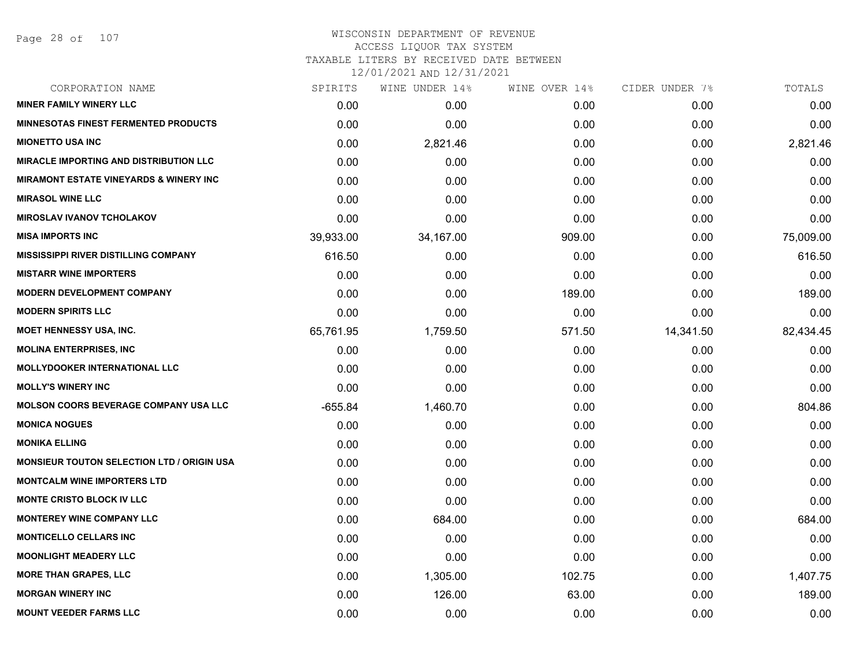## WISCONSIN DEPARTMENT OF REVENUE ACCESS LIQUOR TAX SYSTEM

TAXABLE LITERS BY RECEIVED DATE BETWEEN

| CORPORATION NAME                                  | SPIRITS   | WINE UNDER 14% | WINE OVER 14% | CIDER UNDER 7% | TOTALS    |
|---------------------------------------------------|-----------|----------------|---------------|----------------|-----------|
| <b>MINER FAMILY WINERY LLC</b>                    | 0.00      | 0.00           | 0.00          | 0.00           | 0.00      |
| <b>MINNESOTAS FINEST FERMENTED PRODUCTS</b>       | 0.00      | 0.00           | 0.00          | 0.00           | 0.00      |
| <b>MIONETTO USA INC</b>                           | 0.00      | 2,821.46       | 0.00          | 0.00           | 2,821.46  |
| <b>MIRACLE IMPORTING AND DISTRIBUTION LLC</b>     | 0.00      | 0.00           | 0.00          | 0.00           | 0.00      |
| <b>MIRAMONT ESTATE VINEYARDS &amp; WINERY INC</b> | 0.00      | 0.00           | 0.00          | 0.00           | 0.00      |
| <b>MIRASOL WINE LLC</b>                           | 0.00      | 0.00           | 0.00          | 0.00           | 0.00      |
| <b>MIROSLAV IVANOV TCHOLAKOV</b>                  | 0.00      | 0.00           | 0.00          | 0.00           | 0.00      |
| <b>MISA IMPORTS INC</b>                           | 39,933.00 | 34,167.00      | 909.00        | 0.00           | 75,009.00 |
| <b>MISSISSIPPI RIVER DISTILLING COMPANY</b>       | 616.50    | 0.00           | 0.00          | 0.00           | 616.50    |
| <b>MISTARR WINE IMPORTERS</b>                     | 0.00      | 0.00           | 0.00          | 0.00           | 0.00      |
| <b>MODERN DEVELOPMENT COMPANY</b>                 | 0.00      | 0.00           | 189.00        | 0.00           | 189.00    |
| <b>MODERN SPIRITS LLC</b>                         | 0.00      | 0.00           | 0.00          | 0.00           | 0.00      |
| <b>MOET HENNESSY USA, INC.</b>                    | 65,761.95 | 1,759.50       | 571.50        | 14,341.50      | 82,434.45 |
| <b>MOLINA ENTERPRISES, INC.</b>                   | 0.00      | 0.00           | 0.00          | 0.00           | 0.00      |
| <b>MOLLYDOOKER INTERNATIONAL LLC</b>              | 0.00      | 0.00           | 0.00          | 0.00           | 0.00      |
| <b>MOLLY'S WINERY INC</b>                         | 0.00      | 0.00           | 0.00          | 0.00           | 0.00      |
| <b>MOLSON COORS BEVERAGE COMPANY USA LLC</b>      | $-655.84$ | 1,460.70       | 0.00          | 0.00           | 804.86    |
| <b>MONICA NOGUES</b>                              | 0.00      | 0.00           | 0.00          | 0.00           | 0.00      |
| <b>MONIKA ELLING</b>                              | 0.00      | 0.00           | 0.00          | 0.00           | 0.00      |
| <b>MONSIEUR TOUTON SELECTION LTD / ORIGIN USA</b> | 0.00      | 0.00           | 0.00          | 0.00           | 0.00      |
| <b>MONTCALM WINE IMPORTERS LTD</b>                | 0.00      | 0.00           | 0.00          | 0.00           | 0.00      |
| <b>MONTE CRISTO BLOCK IV LLC</b>                  | 0.00      | 0.00           | 0.00          | 0.00           | 0.00      |
| <b>MONTEREY WINE COMPANY LLC</b>                  | 0.00      | 684.00         | 0.00          | 0.00           | 684.00    |
| <b>MONTICELLO CELLARS INC</b>                     | 0.00      | 0.00           | 0.00          | 0.00           | 0.00      |
| <b>MOONLIGHT MEADERY LLC</b>                      | 0.00      | 0.00           | 0.00          | 0.00           | 0.00      |
| <b>MORE THAN GRAPES, LLC</b>                      | 0.00      | 1,305.00       | 102.75        | 0.00           | 1,407.75  |
| <b>MORGAN WINERY INC</b>                          | 0.00      | 126.00         | 63.00         | 0.00           | 189.00    |
| <b>MOUNT VEEDER FARMS LLC</b>                     | 0.00      | 0.00           | 0.00          | 0.00           | 0.00      |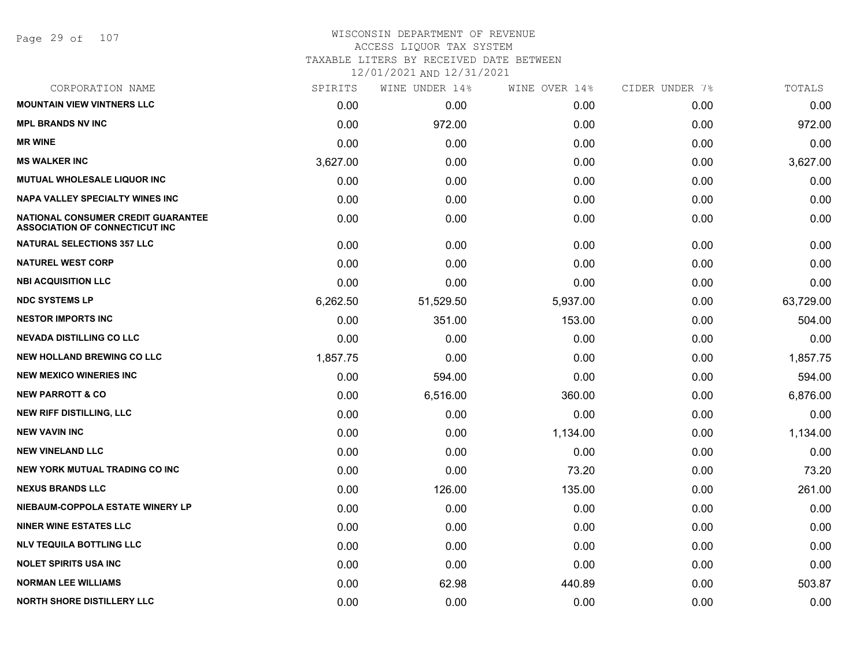## WISCONSIN DEPARTMENT OF REVENUE ACCESS LIQUOR TAX SYSTEM

TAXABLE LITERS BY RECEIVED DATE BETWEEN

| CORPORATION NAME                                                                   | SPIRITS  | WINE UNDER 14% | WINE OVER 14% | CIDER UNDER 7% | TOTALS    |
|------------------------------------------------------------------------------------|----------|----------------|---------------|----------------|-----------|
| <b>MOUNTAIN VIEW VINTNERS LLC</b>                                                  | 0.00     | 0.00           | 0.00          | 0.00           | 0.00      |
| <b>MPL BRANDS NV INC</b>                                                           | 0.00     | 972.00         | 0.00          | 0.00           | 972.00    |
| <b>MR WINE</b>                                                                     | 0.00     | 0.00           | 0.00          | 0.00           | 0.00      |
| <b>MS WALKER INC</b>                                                               | 3,627.00 | 0.00           | 0.00          | 0.00           | 3,627.00  |
| <b>MUTUAL WHOLESALE LIQUOR INC</b>                                                 | 0.00     | 0.00           | 0.00          | 0.00           | 0.00      |
| <b>NAPA VALLEY SPECIALTY WINES INC</b>                                             | 0.00     | 0.00           | 0.00          | 0.00           | 0.00      |
| <b>NATIONAL CONSUMER CREDIT GUARANTEE</b><br><b>ASSOCIATION OF CONNECTICUT INC</b> | 0.00     | 0.00           | 0.00          | 0.00           | 0.00      |
| <b>NATURAL SELECTIONS 357 LLC</b>                                                  | 0.00     | 0.00           | 0.00          | 0.00           | 0.00      |
| <b>NATUREL WEST CORP</b>                                                           | 0.00     | 0.00           | 0.00          | 0.00           | 0.00      |
| <b>NBI ACQUISITION LLC</b>                                                         | 0.00     | 0.00           | 0.00          | 0.00           | 0.00      |
| <b>NDC SYSTEMS LP</b>                                                              | 6,262.50 | 51,529.50      | 5,937.00      | 0.00           | 63,729.00 |
| <b>NESTOR IMPORTS INC</b>                                                          | 0.00     | 351.00         | 153.00        | 0.00           | 504.00    |
| <b>NEVADA DISTILLING CO LLC</b>                                                    | 0.00     | 0.00           | 0.00          | 0.00           | 0.00      |
| <b>NEW HOLLAND BREWING CO LLC</b>                                                  | 1,857.75 | 0.00           | 0.00          | 0.00           | 1,857.75  |
| <b>NEW MEXICO WINERIES INC.</b>                                                    | 0.00     | 594.00         | 0.00          | 0.00           | 594.00    |
| <b>NEW PARROTT &amp; CO</b>                                                        | 0.00     | 6,516.00       | 360.00        | 0.00           | 6,876.00  |
| <b>NEW RIFF DISTILLING, LLC</b>                                                    | 0.00     | 0.00           | 0.00          | 0.00           | 0.00      |
| <b>NEW VAVIN INC</b>                                                               | 0.00     | 0.00           | 1,134.00      | 0.00           | 1,134.00  |
| <b>NEW VINELAND LLC</b>                                                            | 0.00     | 0.00           | 0.00          | 0.00           | 0.00      |
| <b>NEW YORK MUTUAL TRADING CO INC</b>                                              | 0.00     | 0.00           | 73.20         | 0.00           | 73.20     |
| <b>NEXUS BRANDS LLC</b>                                                            | 0.00     | 126.00         | 135.00        | 0.00           | 261.00    |
| NIEBAUM-COPPOLA ESTATE WINERY LP                                                   | 0.00     | 0.00           | 0.00          | 0.00           | 0.00      |
| <b>NINER WINE ESTATES LLC</b>                                                      | 0.00     | 0.00           | 0.00          | 0.00           | 0.00      |
| <b>NLV TEQUILA BOTTLING LLC</b>                                                    | 0.00     | 0.00           | 0.00          | 0.00           | 0.00      |
| <b>NOLET SPIRITS USA INC</b>                                                       | 0.00     | 0.00           | 0.00          | 0.00           | 0.00      |
| <b>NORMAN LEE WILLIAMS</b>                                                         | 0.00     | 62.98          | 440.89        | 0.00           | 503.87    |
| <b>NORTH SHORE DISTILLERY LLC</b>                                                  | 0.00     | 0.00           | 0.00          | 0.00           | 0.00      |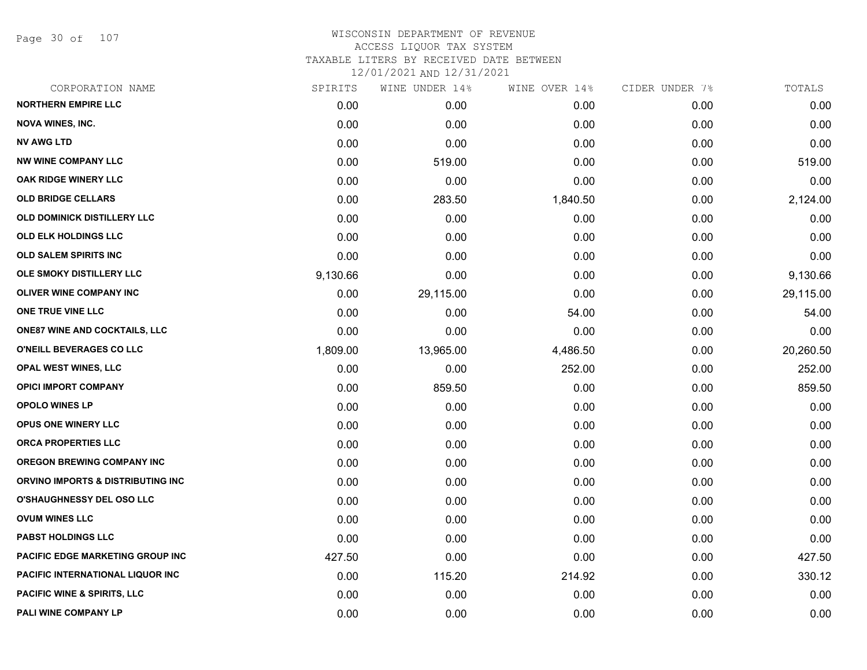Page 30 of 107

# WISCONSIN DEPARTMENT OF REVENUE ACCESS LIQUOR TAX SYSTEM TAXABLE LITERS BY RECEIVED DATE BETWEEN

| CORPORATION NAME                       | SPIRITS  | WINE UNDER 14% | WINE OVER 14% | CIDER UNDER 7% | TOTALS    |
|----------------------------------------|----------|----------------|---------------|----------------|-----------|
| <b>NORTHERN EMPIRE LLC</b>             | 0.00     | 0.00           | 0.00          | 0.00           | 0.00      |
| <b>NOVA WINES, INC.</b>                | 0.00     | 0.00           | 0.00          | 0.00           | 0.00      |
| <b>NV AWG LTD</b>                      | 0.00     | 0.00           | 0.00          | 0.00           | 0.00      |
| <b>NW WINE COMPANY LLC</b>             | 0.00     | 519.00         | 0.00          | 0.00           | 519.00    |
| OAK RIDGE WINERY LLC                   | 0.00     | 0.00           | 0.00          | 0.00           | 0.00      |
| <b>OLD BRIDGE CELLARS</b>              | 0.00     | 283.50         | 1,840.50      | 0.00           | 2,124.00  |
| OLD DOMINICK DISTILLERY LLC            | 0.00     | 0.00           | 0.00          | 0.00           | 0.00      |
| <b>OLD ELK HOLDINGS LLC</b>            | 0.00     | 0.00           | 0.00          | 0.00           | 0.00      |
| <b>OLD SALEM SPIRITS INC</b>           | 0.00     | 0.00           | 0.00          | 0.00           | 0.00      |
| OLE SMOKY DISTILLERY LLC               | 9,130.66 | 0.00           | 0.00          | 0.00           | 9,130.66  |
| <b>OLIVER WINE COMPANY INC</b>         | 0.00     | 29,115.00      | 0.00          | 0.00           | 29,115.00 |
| ONE TRUE VINE LLC                      | 0.00     | 0.00           | 54.00         | 0.00           | 54.00     |
| <b>ONE87 WINE AND COCKTAILS, LLC</b>   | 0.00     | 0.00           | 0.00          | 0.00           | 0.00      |
| O'NEILL BEVERAGES CO LLC               | 1,809.00 | 13,965.00      | 4,486.50      | 0.00           | 20,260.50 |
| OPAL WEST WINES, LLC                   | 0.00     | 0.00           | 252.00        | 0.00           | 252.00    |
| <b>OPICI IMPORT COMPANY</b>            | 0.00     | 859.50         | 0.00          | 0.00           | 859.50    |
| <b>OPOLO WINES LP</b>                  | 0.00     | 0.00           | 0.00          | 0.00           | 0.00      |
| OPUS ONE WINERY LLC                    | 0.00     | 0.00           | 0.00          | 0.00           | 0.00      |
| ORCA PROPERTIES LLC                    | 0.00     | 0.00           | 0.00          | 0.00           | 0.00      |
| <b>OREGON BREWING COMPANY INC</b>      | 0.00     | 0.00           | 0.00          | 0.00           | 0.00      |
| ORVINO IMPORTS & DISTRIBUTING INC      | 0.00     | 0.00           | 0.00          | 0.00           | 0.00      |
| <b>O'SHAUGHNESSY DEL OSO LLC</b>       | 0.00     | 0.00           | 0.00          | 0.00           | 0.00      |
| <b>OVUM WINES LLC</b>                  | 0.00     | 0.00           | 0.00          | 0.00           | 0.00      |
| <b>PABST HOLDINGS LLC</b>              | 0.00     | 0.00           | 0.00          | 0.00           | 0.00      |
| PACIFIC EDGE MARKETING GROUP INC       | 427.50   | 0.00           | 0.00          | 0.00           | 427.50    |
| PACIFIC INTERNATIONAL LIQUOR INC       | 0.00     | 115.20         | 214.92        | 0.00           | 330.12    |
| <b>PACIFIC WINE &amp; SPIRITS, LLC</b> | 0.00     | 0.00           | 0.00          | 0.00           | 0.00      |
| PALI WINE COMPANY LP                   | 0.00     | 0.00           | 0.00          | 0.00           | 0.00      |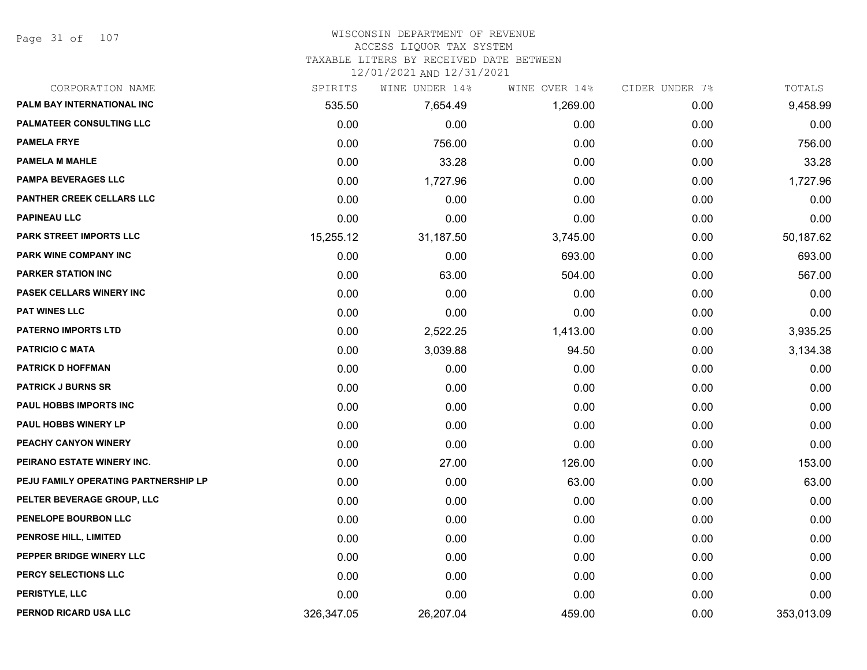Page 31 of 107

#### WISCONSIN DEPARTMENT OF REVENUE

#### ACCESS LIQUOR TAX SYSTEM

TAXABLE LITERS BY RECEIVED DATE BETWEEN

| CORPORATION NAME                     | SPIRITS    | WINE UNDER 14% | WINE OVER 14% | CIDER UNDER 7% | TOTALS     |
|--------------------------------------|------------|----------------|---------------|----------------|------------|
| PALM BAY INTERNATIONAL INC           | 535.50     | 7,654.49       | 1,269.00      | 0.00           | 9,458.99   |
| <b>PALMATEER CONSULTING LLC</b>      | 0.00       | 0.00           | 0.00          | 0.00           | 0.00       |
| <b>PAMELA FRYE</b>                   | 0.00       | 756.00         | 0.00          | 0.00           | 756.00     |
| <b>PAMELA M MAHLE</b>                | 0.00       | 33.28          | 0.00          | 0.00           | 33.28      |
| <b>PAMPA BEVERAGES LLC</b>           | 0.00       | 1,727.96       | 0.00          | 0.00           | 1,727.96   |
| PANTHER CREEK CELLARS LLC            | 0.00       | 0.00           | 0.00          | 0.00           | 0.00       |
| <b>PAPINEAU LLC</b>                  | 0.00       | 0.00           | 0.00          | 0.00           | 0.00       |
| PARK STREET IMPORTS LLC              | 15,255.12  | 31,187.50      | 3,745.00      | 0.00           | 50,187.62  |
| PARK WINE COMPANY INC                | 0.00       | 0.00           | 693.00        | 0.00           | 693.00     |
| <b>PARKER STATION INC</b>            | 0.00       | 63.00          | 504.00        | 0.00           | 567.00     |
| PASEK CELLARS WINERY INC             | 0.00       | 0.00           | 0.00          | 0.00           | 0.00       |
| PAT WINES LLC                        | 0.00       | 0.00           | 0.00          | 0.00           | 0.00       |
| <b>PATERNO IMPORTS LTD</b>           | 0.00       | 2,522.25       | 1,413.00      | 0.00           | 3,935.25   |
| <b>PATRICIO C MATA</b>               | 0.00       | 3,039.88       | 94.50         | 0.00           | 3,134.38   |
| <b>PATRICK D HOFFMAN</b>             | 0.00       | 0.00           | 0.00          | 0.00           | 0.00       |
| <b>PATRICK J BURNS SR</b>            | 0.00       | 0.00           | 0.00          | 0.00           | 0.00       |
| PAUL HOBBS IMPORTS INC               | 0.00       | 0.00           | 0.00          | 0.00           | 0.00       |
| PAUL HOBBS WINERY LP                 | 0.00       | 0.00           | 0.00          | 0.00           | 0.00       |
| PEACHY CANYON WINERY                 | 0.00       | 0.00           | 0.00          | 0.00           | 0.00       |
| PEIRANO ESTATE WINERY INC.           | 0.00       | 27.00          | 126.00        | 0.00           | 153.00     |
| PEJU FAMILY OPERATING PARTNERSHIP LP | 0.00       | 0.00           | 63.00         | 0.00           | 63.00      |
| PELTER BEVERAGE GROUP, LLC           | 0.00       | 0.00           | 0.00          | 0.00           | 0.00       |
| PENELOPE BOURBON LLC                 | 0.00       | 0.00           | 0.00          | 0.00           | 0.00       |
| <b>PENROSE HILL, LIMITED</b>         | 0.00       | 0.00           | 0.00          | 0.00           | 0.00       |
| PEPPER BRIDGE WINERY LLC             | 0.00       | 0.00           | 0.00          | 0.00           | 0.00       |
| PERCY SELECTIONS LLC                 | 0.00       | 0.00           | 0.00          | 0.00           | 0.00       |
| PERISTYLE, LLC                       | 0.00       | 0.00           | 0.00          | 0.00           | 0.00       |
| PERNOD RICARD USA LLC                | 326,347.05 | 26,207.04      | 459.00        | 0.00           | 353,013.09 |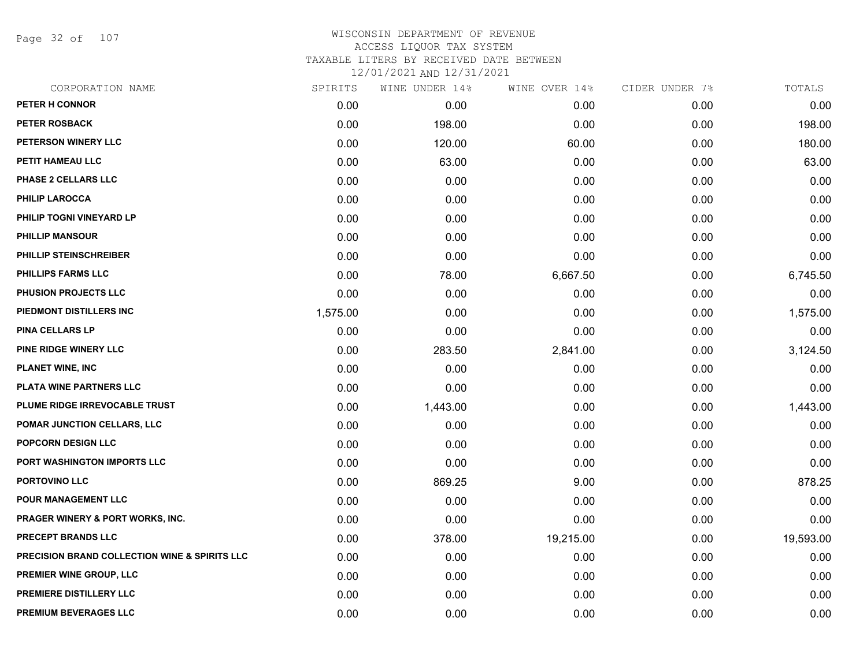Page 32 of 107

| CORPORATION NAME                                         | SPIRITS  | WINE UNDER 14% | WINE OVER 14% | CIDER UNDER 7% | TOTALS    |
|----------------------------------------------------------|----------|----------------|---------------|----------------|-----------|
| <b>PETER H CONNOR</b>                                    | 0.00     | 0.00           | 0.00          | 0.00           | 0.00      |
| <b>PETER ROSBACK</b>                                     | 0.00     | 198.00         | 0.00          | 0.00           | 198.00    |
| PETERSON WINERY LLC                                      | 0.00     | 120.00         | 60.00         | 0.00           | 180.00    |
| PETIT HAMEAU LLC                                         | 0.00     | 63.00          | 0.00          | 0.00           | 63.00     |
| <b>PHASE 2 CELLARS LLC</b>                               | 0.00     | 0.00           | 0.00          | 0.00           | 0.00      |
| <b>PHILIP LAROCCA</b>                                    | 0.00     | 0.00           | 0.00          | 0.00           | 0.00      |
| PHILIP TOGNI VINEYARD LP                                 | 0.00     | 0.00           | 0.00          | 0.00           | 0.00      |
| <b>PHILLIP MANSOUR</b>                                   | 0.00     | 0.00           | 0.00          | 0.00           | 0.00      |
| PHILLIP STEINSCHREIBER                                   | 0.00     | 0.00           | 0.00          | 0.00           | 0.00      |
| <b>PHILLIPS FARMS LLC</b>                                | 0.00     | 78.00          | 6,667.50      | 0.00           | 6,745.50  |
| PHUSION PROJECTS LLC                                     | 0.00     | 0.00           | 0.00          | 0.00           | 0.00      |
| PIEDMONT DISTILLERS INC                                  | 1,575.00 | 0.00           | 0.00          | 0.00           | 1,575.00  |
| PINA CELLARS LP                                          | 0.00     | 0.00           | 0.00          | 0.00           | 0.00      |
| PINE RIDGE WINERY LLC                                    | 0.00     | 283.50         | 2,841.00      | 0.00           | 3,124.50  |
| <b>PLANET WINE, INC</b>                                  | 0.00     | 0.00           | 0.00          | 0.00           | 0.00      |
| PLATA WINE PARTNERS LLC                                  | 0.00     | 0.00           | 0.00          | 0.00           | 0.00      |
| PLUME RIDGE IRREVOCABLE TRUST                            | 0.00     | 1,443.00       | 0.00          | 0.00           | 1,443.00  |
| POMAR JUNCTION CELLARS, LLC                              | 0.00     | 0.00           | 0.00          | 0.00           | 0.00      |
| POPCORN DESIGN LLC                                       | 0.00     | 0.00           | 0.00          | 0.00           | 0.00      |
| PORT WASHINGTON IMPORTS LLC                              | 0.00     | 0.00           | 0.00          | 0.00           | 0.00      |
| PORTOVINO LLC                                            | 0.00     | 869.25         | 9.00          | 0.00           | 878.25    |
| POUR MANAGEMENT LLC                                      | 0.00     | 0.00           | 0.00          | 0.00           | 0.00      |
| PRAGER WINERY & PORT WORKS, INC.                         | 0.00     | 0.00           | 0.00          | 0.00           | 0.00      |
| <b>PRECEPT BRANDS LLC</b>                                | 0.00     | 378.00         | 19,215.00     | 0.00           | 19,593.00 |
| <b>PRECISION BRAND COLLECTION WINE &amp; SPIRITS LLC</b> | 0.00     | 0.00           | 0.00          | 0.00           | 0.00      |
| PREMIER WINE GROUP, LLC                                  | 0.00     | 0.00           | 0.00          | 0.00           | 0.00      |
| PREMIERE DISTILLERY LLC                                  | 0.00     | 0.00           | 0.00          | 0.00           | 0.00      |
| PREMIUM BEVERAGES LLC                                    | 0.00     | 0.00           | 0.00          | 0.00           | 0.00      |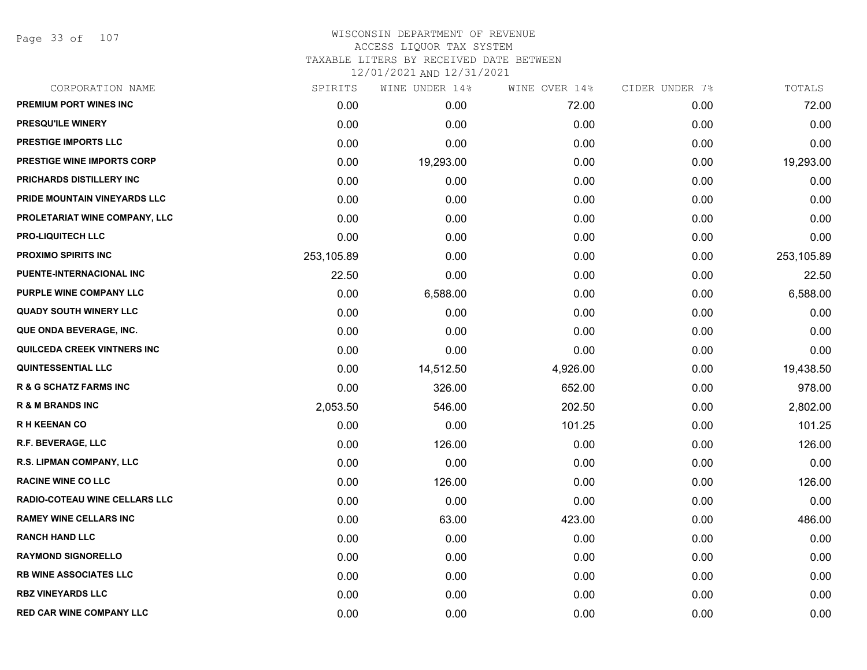Page 33 of 107

| CORPORATION NAME                  | SPIRITS    | WINE UNDER 14% | WINE OVER 14% | CIDER UNDER 7% | TOTALS     |
|-----------------------------------|------------|----------------|---------------|----------------|------------|
| <b>PREMIUM PORT WINES INC</b>     | 0.00       | 0.00           | 72.00         | 0.00           | 72.00      |
| <b>PRESQU'ILE WINERY</b>          | 0.00       | 0.00           | 0.00          | 0.00           | 0.00       |
| <b>PRESTIGE IMPORTS LLC</b>       | 0.00       | 0.00           | 0.00          | 0.00           | 0.00       |
| <b>PRESTIGE WINE IMPORTS CORP</b> | 0.00       | 19,293.00      | 0.00          | 0.00           | 19,293.00  |
| PRICHARDS DISTILLERY INC          | 0.00       | 0.00           | 0.00          | 0.00           | 0.00       |
| PRIDE MOUNTAIN VINEYARDS LLC      | 0.00       | 0.00           | 0.00          | 0.00           | 0.00       |
| PROLETARIAT WINE COMPANY, LLC     | 0.00       | 0.00           | 0.00          | 0.00           | 0.00       |
| <b>PRO-LIQUITECH LLC</b>          | 0.00       | 0.00           | 0.00          | 0.00           | 0.00       |
| <b>PROXIMO SPIRITS INC</b>        | 253,105.89 | 0.00           | 0.00          | 0.00           | 253,105.89 |
| PUENTE-INTERNACIONAL INC          | 22.50      | 0.00           | 0.00          | 0.00           | 22.50      |
| PURPLE WINE COMPANY LLC           | 0.00       | 6,588.00       | 0.00          | 0.00           | 6,588.00   |
| <b>QUADY SOUTH WINERY LLC</b>     | 0.00       | 0.00           | 0.00          | 0.00           | 0.00       |
| QUE ONDA BEVERAGE, INC.           | 0.00       | 0.00           | 0.00          | 0.00           | 0.00       |
| QUILCEDA CREEK VINTNERS INC       | 0.00       | 0.00           | 0.00          | 0.00           | 0.00       |
| <b>QUINTESSENTIAL LLC</b>         | 0.00       | 14,512.50      | 4,926.00      | 0.00           | 19,438.50  |
| <b>R &amp; G SCHATZ FARMS INC</b> | 0.00       | 326.00         | 652.00        | 0.00           | 978.00     |
| <b>R &amp; M BRANDS INC</b>       | 2,053.50   | 546.00         | 202.50        | 0.00           | 2,802.00   |
| <b>RH KEENAN CO</b>               | 0.00       | 0.00           | 101.25        | 0.00           | 101.25     |
| R.F. BEVERAGE, LLC                | 0.00       | 126.00         | 0.00          | 0.00           | 126.00     |
| R.S. LIPMAN COMPANY, LLC          | 0.00       | 0.00           | 0.00          | 0.00           | 0.00       |
| <b>RACINE WINE CO LLC</b>         | 0.00       | 126.00         | 0.00          | 0.00           | 126.00     |
| RADIO-COTEAU WINE CELLARS LLC     | 0.00       | 0.00           | 0.00          | 0.00           | 0.00       |
| <b>RAMEY WINE CELLARS INC</b>     | 0.00       | 63.00          | 423.00        | 0.00           | 486.00     |
| <b>RANCH HAND LLC</b>             | 0.00       | 0.00           | 0.00          | 0.00           | 0.00       |
| <b>RAYMOND SIGNORELLO</b>         | 0.00       | 0.00           | 0.00          | 0.00           | 0.00       |
| <b>RB WINE ASSOCIATES LLC</b>     | 0.00       | 0.00           | 0.00          | 0.00           | 0.00       |
| <b>RBZ VINEYARDS LLC</b>          | 0.00       | 0.00           | 0.00          | 0.00           | 0.00       |
| <b>RED CAR WINE COMPANY LLC</b>   | 0.00       | 0.00           | 0.00          | 0.00           | 0.00       |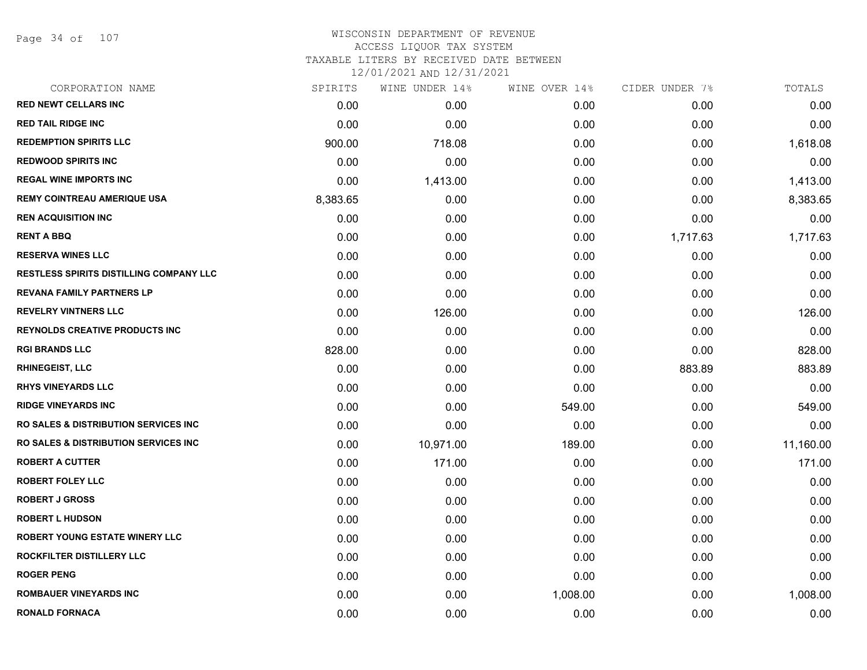Page 34 of 107

| SPIRITS  | WINE UNDER 14% | WINE OVER 14% | CIDER UNDER 7% | TOTALS    |
|----------|----------------|---------------|----------------|-----------|
| 0.00     | 0.00           | 0.00          | 0.00           | 0.00      |
| 0.00     | 0.00           | 0.00          | 0.00           | 0.00      |
| 900.00   | 718.08         | 0.00          | 0.00           | 1,618.08  |
| 0.00     | 0.00           | 0.00          | 0.00           | 0.00      |
| 0.00     | 1,413.00       | 0.00          | 0.00           | 1,413.00  |
| 8,383.65 | 0.00           | 0.00          | 0.00           | 8,383.65  |
| 0.00     | 0.00           | 0.00          | 0.00           | 0.00      |
| 0.00     | 0.00           | 0.00          | 1,717.63       | 1,717.63  |
| 0.00     | 0.00           | 0.00          | 0.00           | 0.00      |
| 0.00     | 0.00           | 0.00          | 0.00           | 0.00      |
| 0.00     | 0.00           | 0.00          | 0.00           | 0.00      |
| 0.00     | 126.00         | 0.00          | 0.00           | 126.00    |
| 0.00     | 0.00           | 0.00          | 0.00           | 0.00      |
| 828.00   | 0.00           | 0.00          | 0.00           | 828.00    |
| 0.00     | 0.00           | 0.00          | 883.89         | 883.89    |
| 0.00     | 0.00           | 0.00          | 0.00           | 0.00      |
| 0.00     | 0.00           | 549.00        | 0.00           | 549.00    |
| 0.00     | 0.00           | 0.00          | 0.00           | 0.00      |
| 0.00     | 10,971.00      | 189.00        | 0.00           | 11,160.00 |
| 0.00     | 171.00         | 0.00          | 0.00           | 171.00    |
| 0.00     | 0.00           | 0.00          | 0.00           | 0.00      |
| 0.00     | 0.00           | 0.00          | 0.00           | 0.00      |
| 0.00     | 0.00           | 0.00          | 0.00           | 0.00      |
| 0.00     | 0.00           | 0.00          | 0.00           | 0.00      |
| 0.00     | 0.00           | 0.00          | 0.00           | 0.00      |
| 0.00     | 0.00           | 0.00          | 0.00           | 0.00      |
| 0.00     | 0.00           | 1,008.00      | 0.00           | 1,008.00  |
| 0.00     | 0.00           | 0.00          | 0.00           | 0.00      |
|          |                |               |                |           |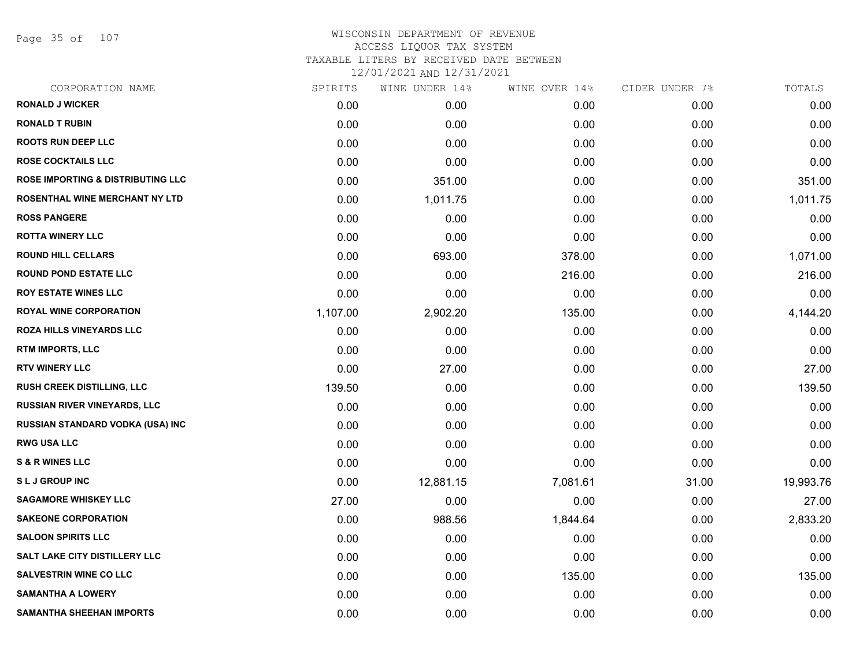Page 35 of 107

| CORPORATION NAME                             | SPIRITS  | WINE UNDER 14% | WINE OVER 14% | CIDER UNDER 7% | TOTALS    |
|----------------------------------------------|----------|----------------|---------------|----------------|-----------|
| <b>RONALD J WICKER</b>                       | 0.00     | 0.00           | 0.00          | 0.00           | 0.00      |
| <b>RONALD T RUBIN</b>                        | 0.00     | 0.00           | 0.00          | 0.00           | 0.00      |
| <b>ROOTS RUN DEEP LLC</b>                    | 0.00     | 0.00           | 0.00          | 0.00           | 0.00      |
| <b>ROSE COCKTAILS LLC</b>                    | 0.00     | 0.00           | 0.00          | 0.00           | 0.00      |
| <b>ROSE IMPORTING &amp; DISTRIBUTING LLC</b> | 0.00     | 351.00         | 0.00          | 0.00           | 351.00    |
| <b>ROSENTHAL WINE MERCHANT NY LTD</b>        | 0.00     | 1,011.75       | 0.00          | 0.00           | 1,011.75  |
| <b>ROSS PANGERE</b>                          | 0.00     | 0.00           | 0.00          | 0.00           | 0.00      |
| <b>ROTTA WINERY LLC</b>                      | 0.00     | 0.00           | 0.00          | 0.00           | 0.00      |
| <b>ROUND HILL CELLARS</b>                    | 0.00     | 693.00         | 378.00        | 0.00           | 1,071.00  |
| <b>ROUND POND ESTATE LLC</b>                 | 0.00     | 0.00           | 216.00        | 0.00           | 216.00    |
| <b>ROY ESTATE WINES LLC</b>                  | 0.00     | 0.00           | 0.00          | 0.00           | 0.00      |
| <b>ROYAL WINE CORPORATION</b>                | 1,107.00 | 2,902.20       | 135.00        | 0.00           | 4,144.20  |
| ROZA HILLS VINEYARDS LLC                     | 0.00     | 0.00           | 0.00          | 0.00           | 0.00      |
| RTM IMPORTS, LLC                             | 0.00     | 0.00           | 0.00          | 0.00           | 0.00      |
| <b>RTV WINERY LLC</b>                        | 0.00     | 27.00          | 0.00          | 0.00           | 27.00     |
| RUSH CREEK DISTILLING, LLC                   | 139.50   | 0.00           | 0.00          | 0.00           | 139.50    |
| <b>RUSSIAN RIVER VINEYARDS, LLC</b>          | 0.00     | 0.00           | 0.00          | 0.00           | 0.00      |
| RUSSIAN STANDARD VODKA (USA) INC             | 0.00     | 0.00           | 0.00          | 0.00           | 0.00      |
| <b>RWG USA LLC</b>                           | 0.00     | 0.00           | 0.00          | 0.00           | 0.00      |
| <b>S &amp; R WINES LLC</b>                   | 0.00     | 0.00           | 0.00          | 0.00           | 0.00      |
| <b>SLJ GROUP INC</b>                         | 0.00     | 12,881.15      | 7,081.61      | 31.00          | 19,993.76 |
| <b>SAGAMORE WHISKEY LLC</b>                  | 27.00    | 0.00           | 0.00          | 0.00           | 27.00     |
| <b>SAKEONE CORPORATION</b>                   | 0.00     | 988.56         | 1,844.64      | 0.00           | 2,833.20  |
| <b>SALOON SPIRITS LLC</b>                    | 0.00     | 0.00           | 0.00          | 0.00           | 0.00      |
| <b>SALT LAKE CITY DISTILLERY LLC</b>         | 0.00     | 0.00           | 0.00          | 0.00           | 0.00      |
| <b>SALVESTRIN WINE CO LLC</b>                | 0.00     | 0.00           | 135.00        | 0.00           | 135.00    |
| <b>SAMANTHA A LOWERY</b>                     | 0.00     | 0.00           | 0.00          | 0.00           | 0.00      |
| <b>SAMANTHA SHEEHAN IMPORTS</b>              | 0.00     | 0.00           | 0.00          | 0.00           | 0.00      |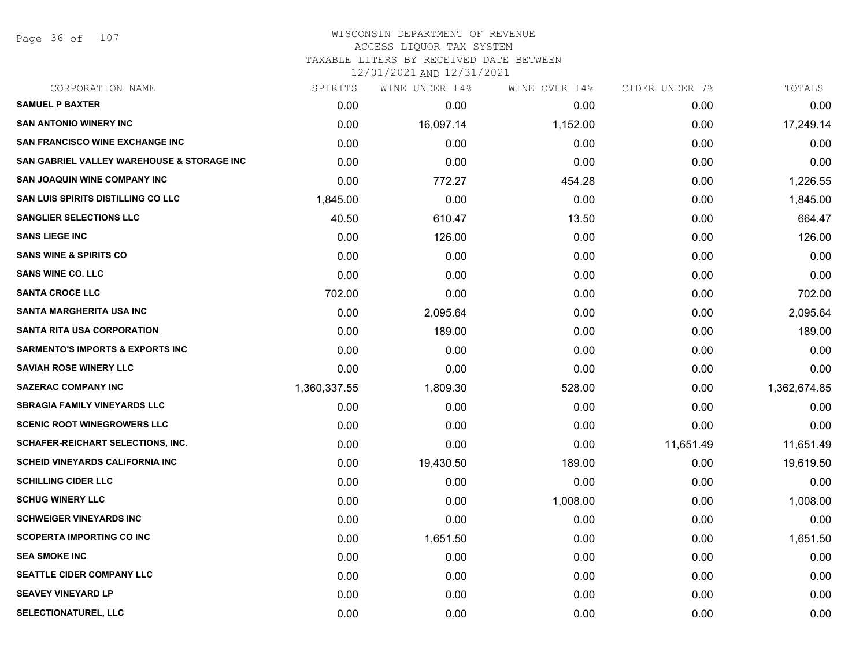Page 36 of 107

### WISCONSIN DEPARTMENT OF REVENUE ACCESS LIQUOR TAX SYSTEM

TAXABLE LITERS BY RECEIVED DATE BETWEEN

| CORPORATION NAME                                      | SPIRITS      | WINE UNDER 14% | WINE OVER 14% | CIDER UNDER 7% | TOTALS       |
|-------------------------------------------------------|--------------|----------------|---------------|----------------|--------------|
| <b>SAMUEL P BAXTER</b>                                | 0.00         | 0.00           | 0.00          | 0.00           | 0.00         |
| <b>SAN ANTONIO WINERY INC</b>                         | 0.00         | 16,097.14      | 1,152.00      | 0.00           | 17,249.14    |
| <b>SAN FRANCISCO WINE EXCHANGE INC</b>                | 0.00         | 0.00           | 0.00          | 0.00           | 0.00         |
| <b>SAN GABRIEL VALLEY WAREHOUSE &amp; STORAGE INC</b> | 0.00         | 0.00           | 0.00          | 0.00           | 0.00         |
| <b>SAN JOAQUIN WINE COMPANY INC</b>                   | 0.00         | 772.27         | 454.28        | 0.00           | 1,226.55     |
| SAN LUIS SPIRITS DISTILLING CO LLC                    | 1,845.00     | 0.00           | 0.00          | 0.00           | 1,845.00     |
| <b>SANGLIER SELECTIONS LLC</b>                        | 40.50        | 610.47         | 13.50         | 0.00           | 664.47       |
| <b>SANS LIEGE INC</b>                                 | 0.00         | 126.00         | 0.00          | 0.00           | 126.00       |
| <b>SANS WINE &amp; SPIRITS CO</b>                     | 0.00         | 0.00           | 0.00          | 0.00           | 0.00         |
| <b>SANS WINE CO. LLC</b>                              | 0.00         | 0.00           | 0.00          | 0.00           | 0.00         |
| <b>SANTA CROCE LLC</b>                                | 702.00       | 0.00           | 0.00          | 0.00           | 702.00       |
| <b>SANTA MARGHERITA USA INC</b>                       | 0.00         | 2,095.64       | 0.00          | 0.00           | 2,095.64     |
| <b>SANTA RITA USA CORPORATION</b>                     | 0.00         | 189.00         | 0.00          | 0.00           | 189.00       |
| <b>SARMENTO'S IMPORTS &amp; EXPORTS INC</b>           | 0.00         | 0.00           | 0.00          | 0.00           | 0.00         |
| <b>SAVIAH ROSE WINERY LLC</b>                         | 0.00         | 0.00           | 0.00          | 0.00           | 0.00         |
| <b>SAZERAC COMPANY INC</b>                            | 1,360,337.55 | 1,809.30       | 528.00        | 0.00           | 1,362,674.85 |
| <b>SBRAGIA FAMILY VINEYARDS LLC</b>                   | 0.00         | 0.00           | 0.00          | 0.00           | 0.00         |
| <b>SCENIC ROOT WINEGROWERS LLC</b>                    | 0.00         | 0.00           | 0.00          | 0.00           | 0.00         |
| SCHAFER-REICHART SELECTIONS, INC.                     | 0.00         | 0.00           | 0.00          | 11,651.49      | 11,651.49    |
| <b>SCHEID VINEYARDS CALIFORNIA INC</b>                | 0.00         | 19,430.50      | 189.00        | 0.00           | 19,619.50    |
| <b>SCHILLING CIDER LLC</b>                            | 0.00         | 0.00           | 0.00          | 0.00           | 0.00         |
| <b>SCHUG WINERY LLC</b>                               | 0.00         | 0.00           | 1,008.00      | 0.00           | 1,008.00     |
| <b>SCHWEIGER VINEYARDS INC</b>                        | 0.00         | 0.00           | 0.00          | 0.00           | 0.00         |
| <b>SCOPERTA IMPORTING CO INC</b>                      | 0.00         | 1,651.50       | 0.00          | 0.00           | 1,651.50     |
| <b>SEA SMOKE INC</b>                                  | 0.00         | 0.00           | 0.00          | 0.00           | 0.00         |
| <b>SEATTLE CIDER COMPANY LLC</b>                      | 0.00         | 0.00           | 0.00          | 0.00           | 0.00         |
| <b>SEAVEY VINEYARD LP</b>                             | 0.00         | 0.00           | 0.00          | 0.00           | 0.00         |
| SELECTIONATUREL, LLC                                  | 0.00         | 0.00           | 0.00          | 0.00           | 0.00         |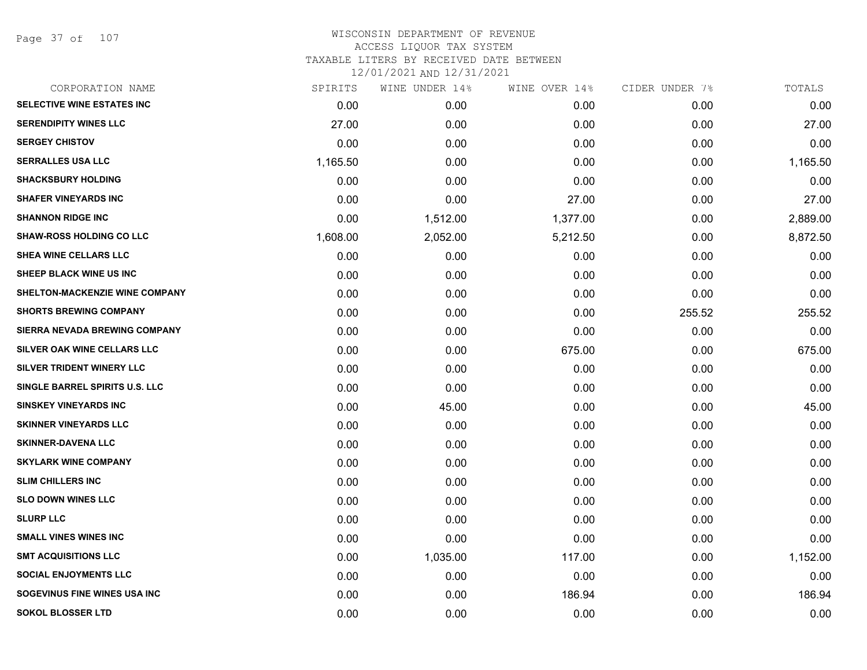Page 37 of 107

## WISCONSIN DEPARTMENT OF REVENUE ACCESS LIQUOR TAX SYSTEM TAXABLE LITERS BY RECEIVED DATE BETWEEN

| CORPORATION NAME                | SPIRITS  | WINE UNDER 14% | WINE OVER 14% | CIDER UNDER 7% | TOTALS   |
|---------------------------------|----------|----------------|---------------|----------------|----------|
| SELECTIVE WINE ESTATES INC      | 0.00     | 0.00           | 0.00          | 0.00           | 0.00     |
| <b>SERENDIPITY WINES LLC</b>    | 27.00    | 0.00           | 0.00          | 0.00           | 27.00    |
| <b>SERGEY CHISTOV</b>           | 0.00     | 0.00           | 0.00          | 0.00           | 0.00     |
| <b>SERRALLES USA LLC</b>        | 1,165.50 | 0.00           | 0.00          | 0.00           | 1,165.50 |
| <b>SHACKSBURY HOLDING</b>       | 0.00     | 0.00           | 0.00          | 0.00           | 0.00     |
| <b>SHAFER VINEYARDS INC</b>     | 0.00     | 0.00           | 27.00         | 0.00           | 27.00    |
| <b>SHANNON RIDGE INC</b>        | 0.00     | 1,512.00       | 1,377.00      | 0.00           | 2,889.00 |
| <b>SHAW-ROSS HOLDING CO LLC</b> | 1,608.00 | 2,052.00       | 5,212.50      | 0.00           | 8,872.50 |
| SHEA WINE CELLARS LLC           | 0.00     | 0.00           | 0.00          | 0.00           | 0.00     |
| SHEEP BLACK WINE US INC         | 0.00     | 0.00           | 0.00          | 0.00           | 0.00     |
| SHELTON-MACKENZIE WINE COMPANY  | 0.00     | 0.00           | 0.00          | 0.00           | 0.00     |
| <b>SHORTS BREWING COMPANY</b>   | 0.00     | 0.00           | 0.00          | 255.52         | 255.52   |
| SIERRA NEVADA BREWING COMPANY   | 0.00     | 0.00           | 0.00          | 0.00           | 0.00     |
| SILVER OAK WINE CELLARS LLC     | 0.00     | 0.00           | 675.00        | 0.00           | 675.00   |
| SILVER TRIDENT WINERY LLC       | 0.00     | 0.00           | 0.00          | 0.00           | 0.00     |
| SINGLE BARREL SPIRITS U.S. LLC  | 0.00     | 0.00           | 0.00          | 0.00           | 0.00     |
| <b>SINSKEY VINEYARDS INC</b>    | 0.00     | 45.00          | 0.00          | 0.00           | 45.00    |
| <b>SKINNER VINEYARDS LLC</b>    | 0.00     | 0.00           | 0.00          | 0.00           | 0.00     |
| <b>SKINNER-DAVENA LLC</b>       | 0.00     | 0.00           | 0.00          | 0.00           | 0.00     |
| <b>SKYLARK WINE COMPANY</b>     | 0.00     | 0.00           | 0.00          | 0.00           | 0.00     |
| <b>SLIM CHILLERS INC</b>        | 0.00     | 0.00           | 0.00          | 0.00           | 0.00     |
| <b>SLO DOWN WINES LLC</b>       | 0.00     | 0.00           | 0.00          | 0.00           | 0.00     |
| <b>SLURP LLC</b>                | 0.00     | 0.00           | 0.00          | 0.00           | 0.00     |
| <b>SMALL VINES WINES INC</b>    | 0.00     | 0.00           | 0.00          | 0.00           | 0.00     |
| <b>SMT ACQUISITIONS LLC</b>     | 0.00     | 1,035.00       | 117.00        | 0.00           | 1,152.00 |
| <b>SOCIAL ENJOYMENTS LLC</b>    | 0.00     | 0.00           | 0.00          | 0.00           | 0.00     |
| SOGEVINUS FINE WINES USA INC    | 0.00     | 0.00           | 186.94        | 0.00           | 186.94   |
| <b>SOKOL BLOSSER LTD</b>        | 0.00     | 0.00           | 0.00          | 0.00           | 0.00     |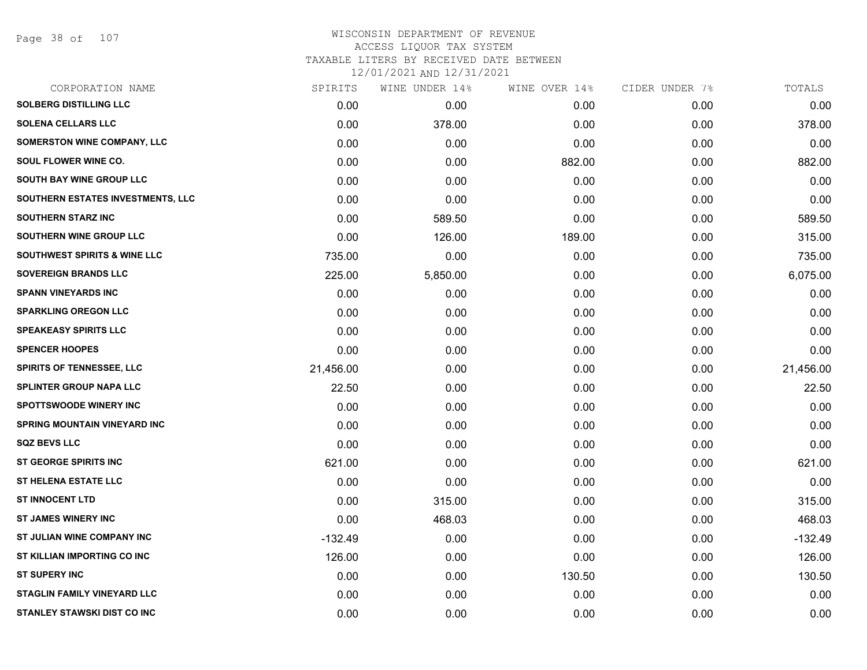Page 38 of 107

## WISCONSIN DEPARTMENT OF REVENUE ACCESS LIQUOR TAX SYSTEM TAXABLE LITERS BY RECEIVED DATE BETWEEN

| CORPORATION NAME                        | SPIRITS   | WINE UNDER 14% | WINE OVER 14% | CIDER UNDER 7% | TOTALS    |
|-----------------------------------------|-----------|----------------|---------------|----------------|-----------|
| <b>SOLBERG DISTILLING LLC</b>           | 0.00      | 0.00           | 0.00          | 0.00           | 0.00      |
| <b>SOLENA CELLARS LLC</b>               | 0.00      | 378.00         | 0.00          | 0.00           | 378.00    |
| SOMERSTON WINE COMPANY, LLC             | 0.00      | 0.00           | 0.00          | 0.00           | 0.00      |
| SOUL FLOWER WINE CO.                    | 0.00      | 0.00           | 882.00        | 0.00           | 882.00    |
| SOUTH BAY WINE GROUP LLC                | 0.00      | 0.00           | 0.00          | 0.00           | 0.00      |
| SOUTHERN ESTATES INVESTMENTS, LLC       | 0.00      | 0.00           | 0.00          | 0.00           | 0.00      |
| <b>SOUTHERN STARZ INC</b>               | 0.00      | 589.50         | 0.00          | 0.00           | 589.50    |
| SOUTHERN WINE GROUP LLC                 | 0.00      | 126.00         | 189.00        | 0.00           | 315.00    |
| <b>SOUTHWEST SPIRITS &amp; WINE LLC</b> | 735.00    | 0.00           | 0.00          | 0.00           | 735.00    |
| <b>SOVEREIGN BRANDS LLC</b>             | 225.00    | 5,850.00       | 0.00          | 0.00           | 6,075.00  |
| <b>SPANN VINEYARDS INC</b>              | 0.00      | 0.00           | 0.00          | 0.00           | 0.00      |
| <b>SPARKLING OREGON LLC</b>             | 0.00      | 0.00           | 0.00          | 0.00           | 0.00      |
| <b>SPEAKEASY SPIRITS LLC</b>            | 0.00      | 0.00           | 0.00          | 0.00           | 0.00      |
| <b>SPENCER HOOPES</b>                   | 0.00      | 0.00           | 0.00          | 0.00           | 0.00      |
| <b>SPIRITS OF TENNESSEE, LLC</b>        | 21,456.00 | 0.00           | 0.00          | 0.00           | 21,456.00 |
| SPLINTER GROUP NAPA LLC                 | 22.50     | 0.00           | 0.00          | 0.00           | 22.50     |
| <b>SPOTTSWOODE WINERY INC</b>           | 0.00      | 0.00           | 0.00          | 0.00           | 0.00      |
| <b>SPRING MOUNTAIN VINEYARD INC</b>     | 0.00      | 0.00           | 0.00          | 0.00           | 0.00      |
| <b>SQZ BEVS LLC</b>                     | 0.00      | 0.00           | 0.00          | 0.00           | 0.00      |
| <b>ST GEORGE SPIRITS INC</b>            | 621.00    | 0.00           | 0.00          | 0.00           | 621.00    |
| <b>ST HELENA ESTATE LLC</b>             | 0.00      | 0.00           | 0.00          | 0.00           | 0.00      |
| <b>ST INNOCENT LTD</b>                  | 0.00      | 315.00         | 0.00          | 0.00           | 315.00    |
| <b>ST JAMES WINERY INC</b>              | 0.00      | 468.03         | 0.00          | 0.00           | 468.03    |
| ST JULIAN WINE COMPANY INC              | $-132.49$ | 0.00           | 0.00          | 0.00           | $-132.49$ |
| ST KILLIAN IMPORTING CO INC             | 126.00    | 0.00           | 0.00          | 0.00           | 126.00    |
| <b>ST SUPERY INC</b>                    | 0.00      | 0.00           | 130.50        | 0.00           | 130.50    |
| <b>STAGLIN FAMILY VINEYARD LLC</b>      | 0.00      | 0.00           | 0.00          | 0.00           | 0.00      |
| <b>STANLEY STAWSKI DIST CO INC</b>      | 0.00      | 0.00           | 0.00          | 0.00           | 0.00      |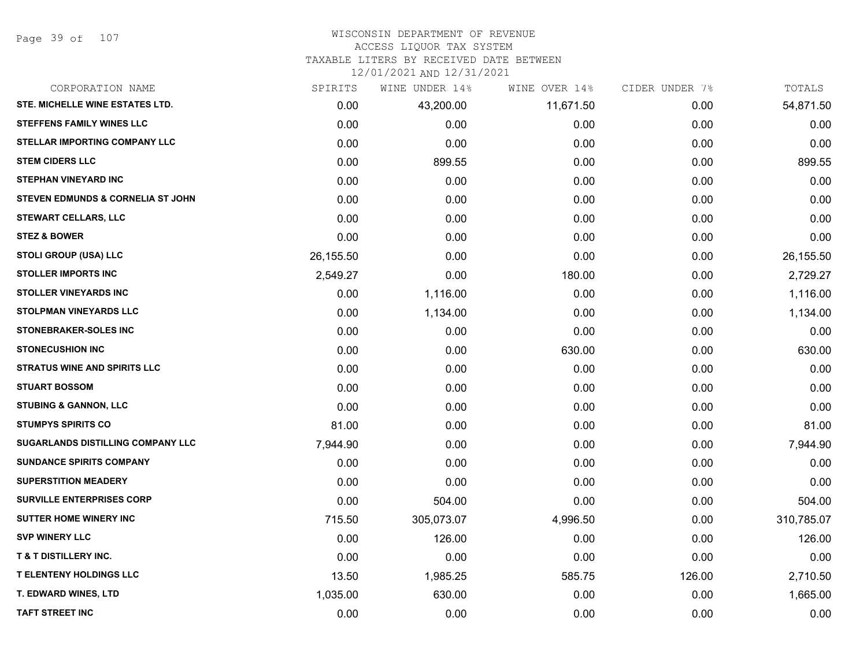Page 39 of 107

## WISCONSIN DEPARTMENT OF REVENUE

#### ACCESS LIQUOR TAX SYSTEM

TAXABLE LITERS BY RECEIVED DATE BETWEEN

| CORPORATION NAME                    | SPIRITS   | WINE UNDER 14% | WINE OVER 14% | CIDER UNDER 7% | TOTALS     |
|-------------------------------------|-----------|----------------|---------------|----------------|------------|
| STE. MICHELLE WINE ESTATES LTD.     | 0.00      | 43,200.00      | 11,671.50     | 0.00           | 54,871.50  |
| STEFFENS FAMILY WINES LLC           | 0.00      | 0.00           | 0.00          | 0.00           | 0.00       |
| STELLAR IMPORTING COMPANY LLC       | 0.00      | 0.00           | 0.00          | 0.00           | 0.00       |
| <b>STEM CIDERS LLC</b>              | 0.00      | 899.55         | 0.00          | 0.00           | 899.55     |
| <b>STEPHAN VINEYARD INC</b>         | 0.00      | 0.00           | 0.00          | 0.00           | 0.00       |
| STEVEN EDMUNDS & CORNELIA ST JOHN   | 0.00      | 0.00           | 0.00          | 0.00           | 0.00       |
| <b>STEWART CELLARS, LLC</b>         | 0.00      | 0.00           | 0.00          | 0.00           | 0.00       |
| <b>STEZ &amp; BOWER</b>             | 0.00      | 0.00           | 0.00          | 0.00           | 0.00       |
| <b>STOLI GROUP (USA) LLC</b>        | 26,155.50 | 0.00           | 0.00          | 0.00           | 26,155.50  |
| <b>STOLLER IMPORTS INC</b>          | 2,549.27  | 0.00           | 180.00        | 0.00           | 2,729.27   |
| <b>STOLLER VINEYARDS INC</b>        | 0.00      | 1,116.00       | 0.00          | 0.00           | 1,116.00   |
| <b>STOLPMAN VINEYARDS LLC</b>       | 0.00      | 1,134.00       | 0.00          | 0.00           | 1,134.00   |
| STONEBRAKER-SOLES INC               | 0.00      | 0.00           | 0.00          | 0.00           | 0.00       |
| <b>STONECUSHION INC</b>             | 0.00      | 0.00           | 630.00        | 0.00           | 630.00     |
| <b>STRATUS WINE AND SPIRITS LLC</b> | 0.00      | 0.00           | 0.00          | 0.00           | 0.00       |
| <b>STUART BOSSOM</b>                | 0.00      | 0.00           | 0.00          | 0.00           | 0.00       |
| <b>STUBING &amp; GANNON, LLC</b>    | 0.00      | 0.00           | 0.00          | 0.00           | 0.00       |
| <b>STUMPYS SPIRITS CO</b>           | 81.00     | 0.00           | 0.00          | 0.00           | 81.00      |
| SUGARLANDS DISTILLING COMPANY LLC   | 7,944.90  | 0.00           | 0.00          | 0.00           | 7,944.90   |
| <b>SUNDANCE SPIRITS COMPANY</b>     | 0.00      | 0.00           | 0.00          | 0.00           | 0.00       |
| <b>SUPERSTITION MEADERY</b>         | 0.00      | 0.00           | 0.00          | 0.00           | 0.00       |
| <b>SURVILLE ENTERPRISES CORP</b>    | 0.00      | 504.00         | 0.00          | 0.00           | 504.00     |
| <b>SUTTER HOME WINERY INC</b>       | 715.50    | 305,073.07     | 4,996.50      | 0.00           | 310,785.07 |
| <b>SVP WINERY LLC</b>               | 0.00      | 126.00         | 0.00          | 0.00           | 126.00     |
| <b>T &amp; T DISTILLERY INC.</b>    | 0.00      | 0.00           | 0.00          | 0.00           | 0.00       |
| <b>T ELENTENY HOLDINGS LLC</b>      | 13.50     | 1,985.25       | 585.75        | 126.00         | 2,710.50   |
| T. EDWARD WINES, LTD                | 1,035.00  | 630.00         | 0.00          | 0.00           | 1,665.00   |
| <b>TAFT STREET INC</b>              | 0.00      | 0.00           | 0.00          | 0.00           | 0.00       |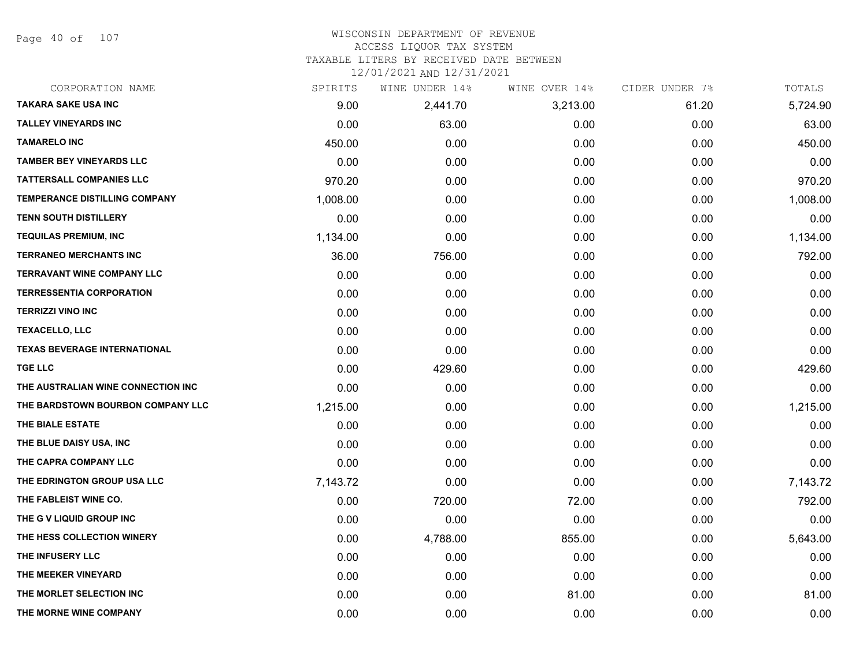Page 40 of 107

## WISCONSIN DEPARTMENT OF REVENUE ACCESS LIQUOR TAX SYSTEM TAXABLE LITERS BY RECEIVED DATE BETWEEN

| CORPORATION NAME                    | SPIRITS  | WINE UNDER 14% | WINE OVER 14% | CIDER UNDER 7% | TOTALS   |
|-------------------------------------|----------|----------------|---------------|----------------|----------|
| <b>TAKARA SAKE USA INC</b>          | 9.00     | 2,441.70       | 3,213.00      | 61.20          | 5,724.90 |
| <b>TALLEY VINEYARDS INC</b>         | 0.00     | 63.00          | 0.00          | 0.00           | 63.00    |
| <b>TAMARELO INC</b>                 | 450.00   | 0.00           | 0.00          | 0.00           | 450.00   |
| <b>TAMBER BEY VINEYARDS LLC</b>     | 0.00     | 0.00           | 0.00          | 0.00           | 0.00     |
| <b>TATTERSALL COMPANIES LLC</b>     | 970.20   | 0.00           | 0.00          | 0.00           | 970.20   |
| TEMPERANCE DISTILLING COMPANY       | 1,008.00 | 0.00           | 0.00          | 0.00           | 1,008.00 |
| <b>TENN SOUTH DISTILLERY</b>        | 0.00     | 0.00           | 0.00          | 0.00           | 0.00     |
| <b>TEQUILAS PREMIUM, INC</b>        | 1,134.00 | 0.00           | 0.00          | 0.00           | 1,134.00 |
| <b>TERRANEO MERCHANTS INC</b>       | 36.00    | 756.00         | 0.00          | 0.00           | 792.00   |
| <b>TERRAVANT WINE COMPANY LLC</b>   | 0.00     | 0.00           | 0.00          | 0.00           | 0.00     |
| <b>TERRESSENTIA CORPORATION</b>     | 0.00     | 0.00           | 0.00          | 0.00           | 0.00     |
| <b>TERRIZZI VINO INC</b>            | 0.00     | 0.00           | 0.00          | 0.00           | 0.00     |
| <b>TEXACELLO, LLC</b>               | 0.00     | 0.00           | 0.00          | 0.00           | 0.00     |
| <b>TEXAS BEVERAGE INTERNATIONAL</b> | 0.00     | 0.00           | 0.00          | 0.00           | 0.00     |
| <b>TGE LLC</b>                      | 0.00     | 429.60         | 0.00          | 0.00           | 429.60   |
| THE AUSTRALIAN WINE CONNECTION INC  | 0.00     | 0.00           | 0.00          | 0.00           | 0.00     |
| THE BARDSTOWN BOURBON COMPANY LLC   | 1,215.00 | 0.00           | 0.00          | 0.00           | 1,215.00 |
| THE BIALE ESTATE                    | 0.00     | 0.00           | 0.00          | 0.00           | 0.00     |
| THE BLUE DAISY USA, INC             | 0.00     | 0.00           | 0.00          | 0.00           | 0.00     |
| THE CAPRA COMPANY LLC               | 0.00     | 0.00           | 0.00          | 0.00           | 0.00     |
| THE EDRINGTON GROUP USA LLC         | 7,143.72 | 0.00           | 0.00          | 0.00           | 7,143.72 |
| THE FABLEIST WINE CO.               | 0.00     | 720.00         | 72.00         | 0.00           | 792.00   |
| THE G V LIQUID GROUP INC            | 0.00     | 0.00           | 0.00          | 0.00           | 0.00     |
| THE HESS COLLECTION WINERY          | 0.00     | 4,788.00       | 855.00        | 0.00           | 5,643.00 |
| THE INFUSERY LLC                    | 0.00     | 0.00           | 0.00          | 0.00           | 0.00     |
| THE MEEKER VINEYARD                 | 0.00     | 0.00           | 0.00          | 0.00           | 0.00     |
| THE MORLET SELECTION INC            | 0.00     | 0.00           | 81.00         | 0.00           | 81.00    |
| THE MORNE WINE COMPANY              | 0.00     | 0.00           | 0.00          | 0.00           | 0.00     |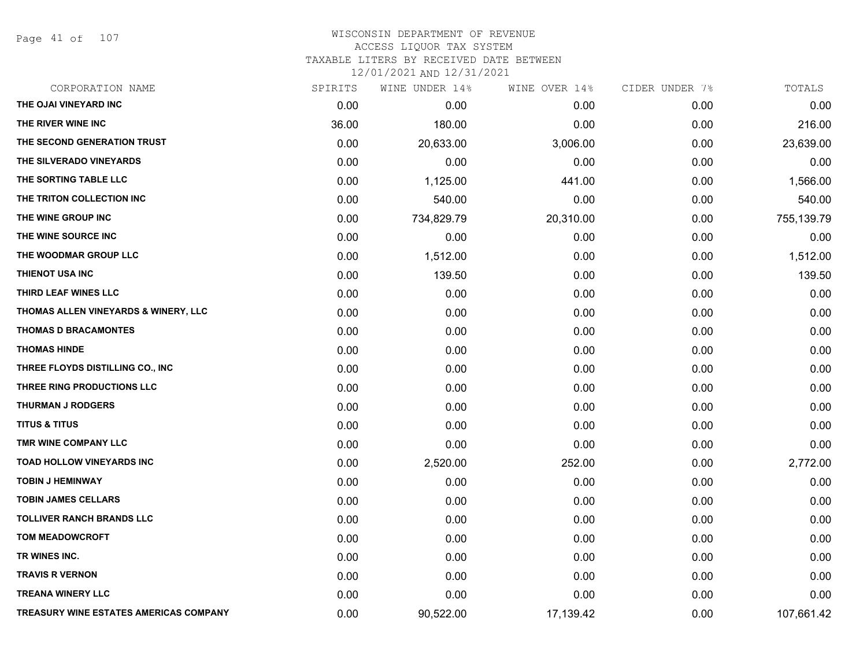Page 41 of 107

| CORPORATION NAME                              | SPIRITS | WINE UNDER 14% | WINE OVER 14% | CIDER UNDER 7% | TOTALS     |
|-----------------------------------------------|---------|----------------|---------------|----------------|------------|
| THE OJAI VINEYARD INC                         | 0.00    | 0.00           | 0.00          | 0.00           | 0.00       |
| THE RIVER WINE INC                            | 36.00   | 180.00         | 0.00          | 0.00           | 216.00     |
| THE SECOND GENERATION TRUST                   | 0.00    | 20,633.00      | 3,006.00      | 0.00           | 23,639.00  |
| THE SILVERADO VINEYARDS                       | 0.00    | 0.00           | 0.00          | 0.00           | 0.00       |
| THE SORTING TABLE LLC                         | 0.00    | 1,125.00       | 441.00        | 0.00           | 1,566.00   |
| THE TRITON COLLECTION INC                     | 0.00    | 540.00         | 0.00          | 0.00           | 540.00     |
| THE WINE GROUP INC                            | 0.00    | 734,829.79     | 20,310.00     | 0.00           | 755,139.79 |
| THE WINE SOURCE INC                           | 0.00    | 0.00           | 0.00          | 0.00           | 0.00       |
| THE WOODMAR GROUP LLC                         | 0.00    | 1,512.00       | 0.00          | 0.00           | 1,512.00   |
| THIENOT USA INC                               | 0.00    | 139.50         | 0.00          | 0.00           | 139.50     |
| THIRD LEAF WINES LLC                          | 0.00    | 0.00           | 0.00          | 0.00           | 0.00       |
| THOMAS ALLEN VINEYARDS & WINERY, LLC          | 0.00    | 0.00           | 0.00          | 0.00           | 0.00       |
| <b>THOMAS D BRACAMONTES</b>                   | 0.00    | 0.00           | 0.00          | 0.00           | 0.00       |
| <b>THOMAS HINDE</b>                           | 0.00    | 0.00           | 0.00          | 0.00           | 0.00       |
| THREE FLOYDS DISTILLING CO., INC              | 0.00    | 0.00           | 0.00          | 0.00           | 0.00       |
| THREE RING PRODUCTIONS LLC                    | 0.00    | 0.00           | 0.00          | 0.00           | 0.00       |
| <b>THURMAN J RODGERS</b>                      | 0.00    | 0.00           | 0.00          | 0.00           | 0.00       |
| <b>TITUS &amp; TITUS</b>                      | 0.00    | 0.00           | 0.00          | 0.00           | 0.00       |
| TMR WINE COMPANY LLC                          | 0.00    | 0.00           | 0.00          | 0.00           | 0.00       |
| <b>TOAD HOLLOW VINEYARDS INC</b>              | 0.00    | 2,520.00       | 252.00        | 0.00           | 2,772.00   |
| <b>TOBIN J HEMINWAY</b>                       | 0.00    | 0.00           | 0.00          | 0.00           | 0.00       |
| <b>TOBIN JAMES CELLARS</b>                    | 0.00    | 0.00           | 0.00          | 0.00           | 0.00       |
| <b>TOLLIVER RANCH BRANDS LLC</b>              | 0.00    | 0.00           | 0.00          | 0.00           | 0.00       |
| <b>TOM MEADOWCROFT</b>                        | 0.00    | 0.00           | 0.00          | 0.00           | 0.00       |
| TR WINES INC.                                 | 0.00    | 0.00           | 0.00          | 0.00           | 0.00       |
| <b>TRAVIS R VERNON</b>                        | 0.00    | 0.00           | 0.00          | 0.00           | 0.00       |
| <b>TREANA WINERY LLC</b>                      | 0.00    | 0.00           | 0.00          | 0.00           | 0.00       |
| <b>TREASURY WINE ESTATES AMERICAS COMPANY</b> | 0.00    | 90,522.00      | 17,139.42     | 0.00           | 107,661.42 |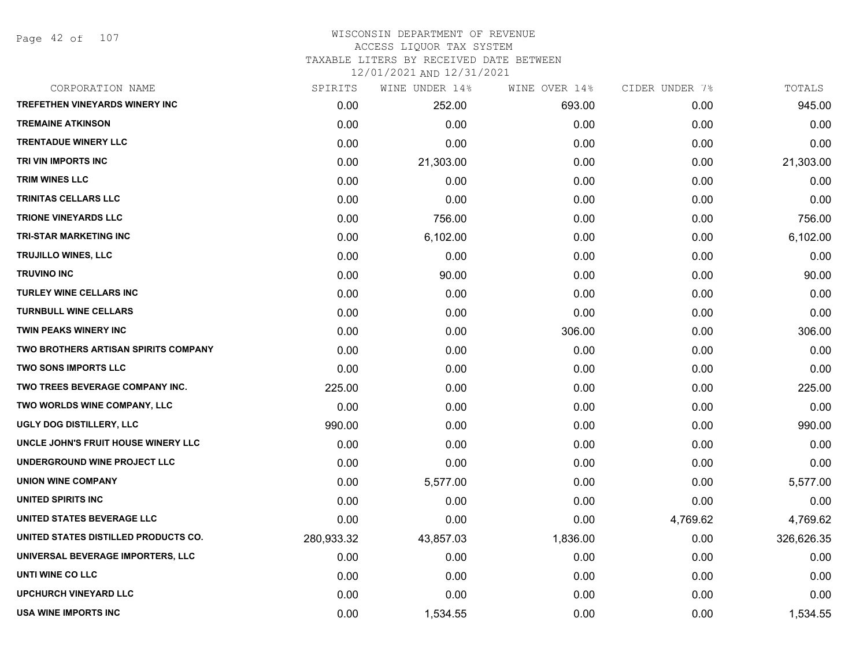Page 42 of 107

#### WISCONSIN DEPARTMENT OF REVENUE ACCESS LIQUOR TAX SYSTEM TAXABLE LITERS BY RECEIVED DATE BETWEEN

| CORPORATION NAME                      | SPIRITS    | WINE UNDER 14% | WINE OVER 14% | CIDER UNDER 7% | TOTALS     |
|---------------------------------------|------------|----------------|---------------|----------------|------------|
| <b>TREFETHEN VINEYARDS WINERY INC</b> | 0.00       | 252.00         | 693.00        | 0.00           | 945.00     |
| <b>TREMAINE ATKINSON</b>              | 0.00       | 0.00           | 0.00          | 0.00           | 0.00       |
| <b>TRENTADUE WINERY LLC</b>           | 0.00       | 0.00           | 0.00          | 0.00           | 0.00       |
| TRI VIN IMPORTS INC                   | 0.00       | 21,303.00      | 0.00          | 0.00           | 21,303.00  |
| <b>TRIM WINES LLC</b>                 | 0.00       | 0.00           | 0.00          | 0.00           | 0.00       |
| TRINITAS CELLARS LLC                  | 0.00       | 0.00           | 0.00          | 0.00           | 0.00       |
| <b>TRIONE VINEYARDS LLC</b>           | 0.00       | 756.00         | 0.00          | 0.00           | 756.00     |
| <b>TRI-STAR MARKETING INC</b>         | 0.00       | 6,102.00       | 0.00          | 0.00           | 6,102.00   |
| TRUJILLO WINES, LLC                   | 0.00       | 0.00           | 0.00          | 0.00           | 0.00       |
| <b>TRUVINO INC</b>                    | 0.00       | 90.00          | 0.00          | 0.00           | 90.00      |
| <b>TURLEY WINE CELLARS INC</b>        | 0.00       | 0.00           | 0.00          | 0.00           | 0.00       |
| <b>TURNBULL WINE CELLARS</b>          | 0.00       | 0.00           | 0.00          | 0.00           | 0.00       |
| <b>TWIN PEAKS WINERY INC</b>          | 0.00       | 0.00           | 306.00        | 0.00           | 306.00     |
| TWO BROTHERS ARTISAN SPIRITS COMPANY  | 0.00       | 0.00           | 0.00          | 0.00           | 0.00       |
| <b>TWO SONS IMPORTS LLC</b>           | 0.00       | 0.00           | 0.00          | 0.00           | 0.00       |
| TWO TREES BEVERAGE COMPANY INC.       | 225.00     | 0.00           | 0.00          | 0.00           | 225.00     |
| TWO WORLDS WINE COMPANY, LLC          | 0.00       | 0.00           | 0.00          | 0.00           | 0.00       |
| UGLY DOG DISTILLERY, LLC              | 990.00     | 0.00           | 0.00          | 0.00           | 990.00     |
| UNCLE JOHN'S FRUIT HOUSE WINERY LLC   | 0.00       | 0.00           | 0.00          | 0.00           | 0.00       |
| UNDERGROUND WINE PROJECT LLC          | 0.00       | 0.00           | 0.00          | 0.00           | 0.00       |
| <b>UNION WINE COMPANY</b>             | 0.00       | 5,577.00       | 0.00          | 0.00           | 5,577.00   |
| UNITED SPIRITS INC                    | 0.00       | 0.00           | 0.00          | 0.00           | 0.00       |
| UNITED STATES BEVERAGE LLC            | 0.00       | 0.00           | 0.00          | 4,769.62       | 4,769.62   |
| UNITED STATES DISTILLED PRODUCTS CO.  | 280,933.32 | 43,857.03      | 1,836.00      | 0.00           | 326,626.35 |
| UNIVERSAL BEVERAGE IMPORTERS, LLC     | 0.00       | 0.00           | 0.00          | 0.00           | 0.00       |
| UNTI WINE CO LLC                      | 0.00       | 0.00           | 0.00          | 0.00           | 0.00       |
| <b>UPCHURCH VINEYARD LLC</b>          | 0.00       | 0.00           | 0.00          | 0.00           | 0.00       |
| USA WINE IMPORTS INC                  | 0.00       | 1,534.55       | 0.00          | 0.00           | 1,534.55   |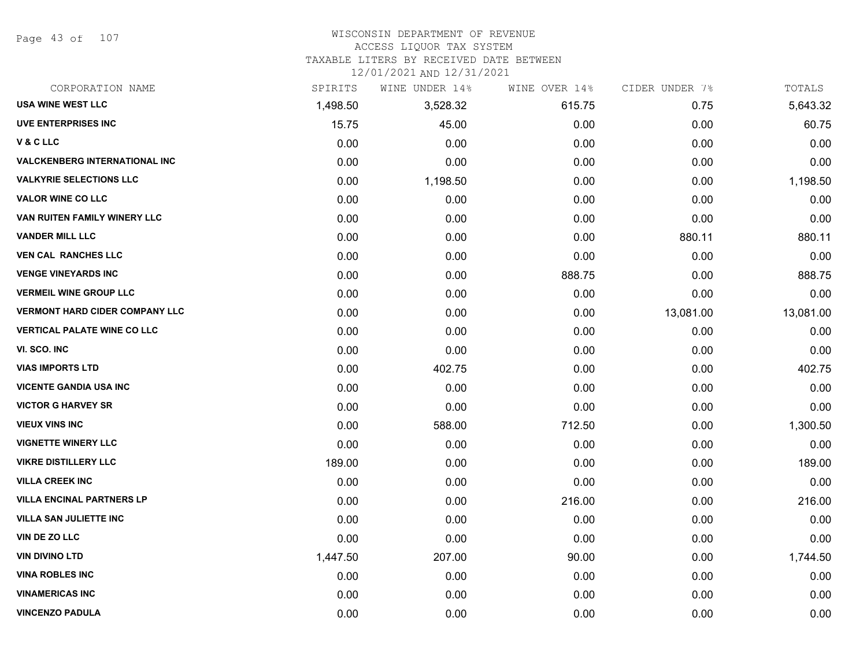Page 43 of 107

## WISCONSIN DEPARTMENT OF REVENUE

#### ACCESS LIQUOR TAX SYSTEM

TAXABLE LITERS BY RECEIVED DATE BETWEEN

| CORPORATION NAME                      | SPIRITS  | WINE UNDER 14% | WINE OVER 14% | CIDER UNDER 7% | TOTALS    |
|---------------------------------------|----------|----------------|---------------|----------------|-----------|
| <b>USA WINE WEST LLC</b>              | 1,498.50 | 3,528.32       | 615.75        | 0.75           | 5,643.32  |
| <b>UVE ENTERPRISES INC</b>            | 15.75    | 45.00          | 0.00          | 0.00           | 60.75     |
| V&CLLC                                | 0.00     | 0.00           | 0.00          | 0.00           | 0.00      |
| <b>VALCKENBERG INTERNATIONAL INC</b>  | 0.00     | 0.00           | 0.00          | 0.00           | 0.00      |
| <b>VALKYRIE SELECTIONS LLC</b>        | 0.00     | 1,198.50       | 0.00          | 0.00           | 1,198.50  |
| <b>VALOR WINE CO LLC</b>              | 0.00     | 0.00           | 0.00          | 0.00           | 0.00      |
| VAN RUITEN FAMILY WINERY LLC          | 0.00     | 0.00           | 0.00          | 0.00           | 0.00      |
| <b>VANDER MILL LLC</b>                | 0.00     | 0.00           | 0.00          | 880.11         | 880.11    |
| <b>VEN CAL RANCHES LLC</b>            | 0.00     | 0.00           | 0.00          | 0.00           | 0.00      |
| <b>VENGE VINEYARDS INC</b>            | 0.00     | 0.00           | 888.75        | 0.00           | 888.75    |
| <b>VERMEIL WINE GROUP LLC</b>         | 0.00     | 0.00           | 0.00          | 0.00           | 0.00      |
| <b>VERMONT HARD CIDER COMPANY LLC</b> | 0.00     | 0.00           | 0.00          | 13,081.00      | 13,081.00 |
| <b>VERTICAL PALATE WINE CO LLC</b>    | 0.00     | 0.00           | 0.00          | 0.00           | 0.00      |
| VI. SCO. INC                          | 0.00     | 0.00           | 0.00          | 0.00           | 0.00      |
| <b>VIAS IMPORTS LTD</b>               | 0.00     | 402.75         | 0.00          | 0.00           | 402.75    |
| <b>VICENTE GANDIA USA INC</b>         | 0.00     | 0.00           | 0.00          | 0.00           | 0.00      |
| <b>VICTOR G HARVEY SR</b>             | 0.00     | 0.00           | 0.00          | 0.00           | 0.00      |
| <b>VIEUX VINS INC</b>                 | 0.00     | 588.00         | 712.50        | 0.00           | 1,300.50  |
| <b>VIGNETTE WINERY LLC</b>            | 0.00     | 0.00           | 0.00          | 0.00           | 0.00      |
| <b>VIKRE DISTILLERY LLC</b>           | 189.00   | 0.00           | 0.00          | 0.00           | 189.00    |
| <b>VILLA CREEK INC</b>                | 0.00     | 0.00           | 0.00          | 0.00           | 0.00      |
| <b>VILLA ENCINAL PARTNERS LP</b>      | 0.00     | 0.00           | 216.00        | 0.00           | 216.00    |
| <b>VILLA SAN JULIETTE INC</b>         | 0.00     | 0.00           | 0.00          | 0.00           | 0.00      |
| VIN DE ZO LLC                         | 0.00     | 0.00           | 0.00          | 0.00           | 0.00      |
| <b>VIN DIVINO LTD</b>                 | 1,447.50 | 207.00         | 90.00         | 0.00           | 1,744.50  |
| <b>VINA ROBLES INC</b>                | 0.00     | 0.00           | 0.00          | 0.00           | 0.00      |
| <b>VINAMERICAS INC</b>                | 0.00     | 0.00           | 0.00          | 0.00           | 0.00      |
| <b>VINCENZO PADULA</b>                | 0.00     | 0.00           | 0.00          | 0.00           | 0.00      |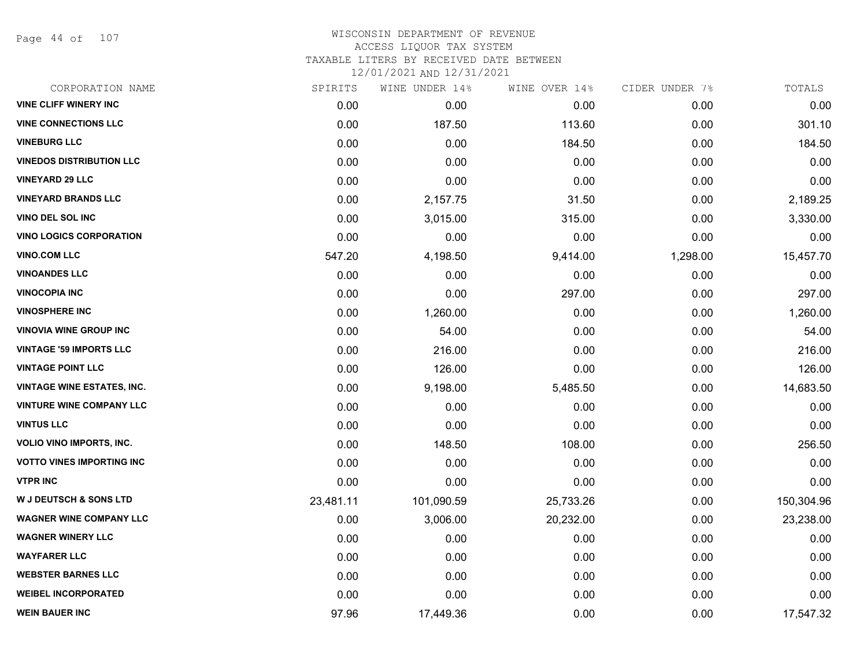Page 44 of 107

#### WISCONSIN DEPARTMENT OF REVENUE ACCESS LIQUOR TAX SYSTEM TAXABLE LITERS BY RECEIVED DATE BETWEEN

| CORPORATION NAME                  | SPIRITS   | WINE UNDER 14% | WINE OVER 14% | CIDER UNDER 7% | TOTALS     |
|-----------------------------------|-----------|----------------|---------------|----------------|------------|
| <b>VINE CLIFF WINERY INC</b>      | 0.00      | 0.00           | 0.00          | 0.00           | 0.00       |
| <b>VINE CONNECTIONS LLC</b>       | 0.00      | 187.50         | 113.60        | 0.00           | 301.10     |
| <b>VINEBURG LLC</b>               | 0.00      | 0.00           | 184.50        | 0.00           | 184.50     |
| <b>VINEDOS DISTRIBUTION LLC</b>   | 0.00      | 0.00           | 0.00          | 0.00           | 0.00       |
| <b>VINEYARD 29 LLC</b>            | 0.00      | 0.00           | 0.00          | 0.00           | 0.00       |
| <b>VINEYARD BRANDS LLC</b>        | 0.00      | 2,157.75       | 31.50         | 0.00           | 2,189.25   |
| VINO DEL SOL INC                  | 0.00      | 3,015.00       | 315.00        | 0.00           | 3,330.00   |
| <b>VINO LOGICS CORPORATION</b>    | 0.00      | 0.00           | 0.00          | 0.00           | 0.00       |
| <b>VINO.COM LLC</b>               | 547.20    | 4,198.50       | 9,414.00      | 1,298.00       | 15,457.70  |
| <b>VINOANDES LLC</b>              | 0.00      | 0.00           | 0.00          | 0.00           | 0.00       |
| <b>VINOCOPIA INC</b>              | 0.00      | 0.00           | 297.00        | 0.00           | 297.00     |
| <b>VINOSPHERE INC</b>             | 0.00      | 1,260.00       | 0.00          | 0.00           | 1,260.00   |
| <b>VINOVIA WINE GROUP INC</b>     | 0.00      | 54.00          | 0.00          | 0.00           | 54.00      |
| <b>VINTAGE '59 IMPORTS LLC</b>    | 0.00      | 216.00         | 0.00          | 0.00           | 216.00     |
| <b>VINTAGE POINT LLC</b>          | 0.00      | 126.00         | 0.00          | 0.00           | 126.00     |
| <b>VINTAGE WINE ESTATES, INC.</b> | 0.00      | 9,198.00       | 5,485.50      | 0.00           | 14,683.50  |
| <b>VINTURE WINE COMPANY LLC</b>   | 0.00      | 0.00           | 0.00          | 0.00           | 0.00       |
| <b>VINTUS LLC</b>                 | 0.00      | 0.00           | 0.00          | 0.00           | 0.00       |
| VOLIO VINO IMPORTS, INC.          | 0.00      | 148.50         | 108.00        | 0.00           | 256.50     |
| <b>VOTTO VINES IMPORTING INC</b>  | 0.00      | 0.00           | 0.00          | 0.00           | 0.00       |
| <b>VTPR INC</b>                   | 0.00      | 0.00           | 0.00          | 0.00           | 0.00       |
| <b>W J DEUTSCH &amp; SONS LTD</b> | 23,481.11 | 101,090.59     | 25,733.26     | 0.00           | 150,304.96 |
| <b>WAGNER WINE COMPANY LLC</b>    | 0.00      | 3,006.00       | 20,232.00     | 0.00           | 23,238.00  |
| <b>WAGNER WINERY LLC</b>          | 0.00      | 0.00           | 0.00          | 0.00           | 0.00       |
| <b>WAYFARER LLC</b>               | 0.00      | 0.00           | 0.00          | 0.00           | 0.00       |
| <b>WEBSTER BARNES LLC</b>         | 0.00      | 0.00           | 0.00          | 0.00           | 0.00       |
| <b>WEIBEL INCORPORATED</b>        | 0.00      | 0.00           | 0.00          | 0.00           | 0.00       |
| <b>WEIN BAUER INC</b>             | 97.96     | 17,449.36      | 0.00          | 0.00           | 17,547.32  |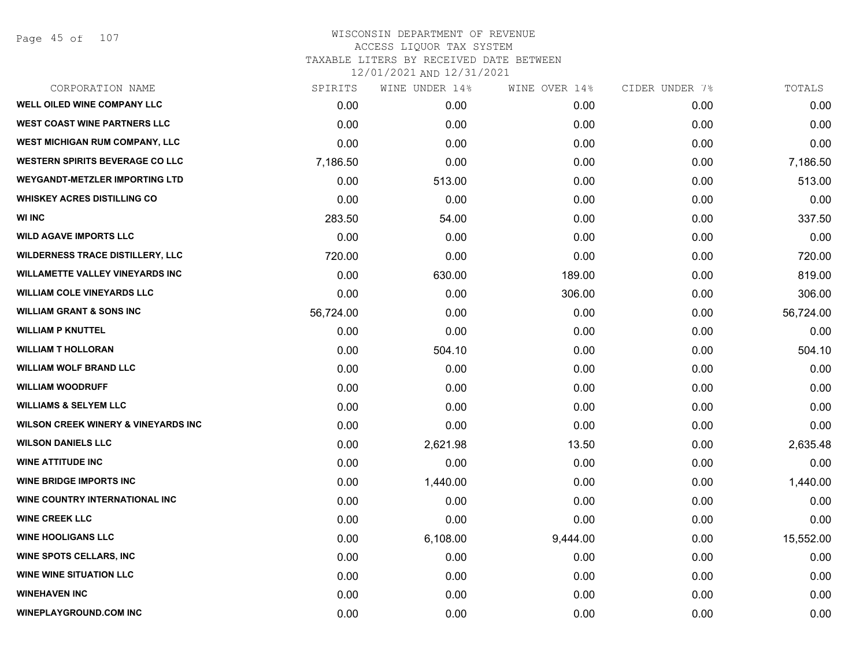Page 45 of 107

| CORPORATION NAME                               | SPIRITS   | WINE UNDER 14% | WINE OVER 14% | CIDER UNDER 7% | TOTALS    |
|------------------------------------------------|-----------|----------------|---------------|----------------|-----------|
| WELL OILED WINE COMPANY LLC                    | 0.00      | 0.00           | 0.00          | 0.00           | 0.00      |
| <b>WEST COAST WINE PARTNERS LLC</b>            | 0.00      | 0.00           | 0.00          | 0.00           | 0.00      |
| WEST MICHIGAN RUM COMPANY, LLC                 | 0.00      | 0.00           | 0.00          | 0.00           | 0.00      |
| <b>WESTERN SPIRITS BEVERAGE CO LLC</b>         | 7,186.50  | 0.00           | 0.00          | 0.00           | 7,186.50  |
| <b>WEYGANDT-METZLER IMPORTING LTD</b>          | 0.00      | 513.00         | 0.00          | 0.00           | 513.00    |
| <b>WHISKEY ACRES DISTILLING CO</b>             | 0.00      | 0.00           | 0.00          | 0.00           | 0.00      |
| <b>WI INC</b>                                  | 283.50    | 54.00          | 0.00          | 0.00           | 337.50    |
| <b>WILD AGAVE IMPORTS LLC</b>                  | 0.00      | 0.00           | 0.00          | 0.00           | 0.00      |
| WILDERNESS TRACE DISTILLERY, LLC               | 720.00    | 0.00           | 0.00          | 0.00           | 720.00    |
| <b>WILLAMETTE VALLEY VINEYARDS INC</b>         | 0.00      | 630.00         | 189.00        | 0.00           | 819.00    |
| <b>WILLIAM COLE VINEYARDS LLC</b>              | 0.00      | 0.00           | 306.00        | 0.00           | 306.00    |
| <b>WILLIAM GRANT &amp; SONS INC</b>            | 56,724.00 | 0.00           | 0.00          | 0.00           | 56,724.00 |
| <b>WILLIAM P KNUTTEL</b>                       | 0.00      | 0.00           | 0.00          | 0.00           | 0.00      |
| <b>WILLIAM T HOLLORAN</b>                      | 0.00      | 504.10         | 0.00          | 0.00           | 504.10    |
| <b>WILLIAM WOLF BRAND LLC</b>                  | 0.00      | 0.00           | 0.00          | 0.00           | 0.00      |
| <b>WILLIAM WOODRUFF</b>                        | 0.00      | 0.00           | 0.00          | 0.00           | 0.00      |
| <b>WILLIAMS &amp; SELYEM LLC</b>               | 0.00      | 0.00           | 0.00          | 0.00           | 0.00      |
| <b>WILSON CREEK WINERY &amp; VINEYARDS INC</b> | 0.00      | 0.00           | 0.00          | 0.00           | 0.00      |
| <b>WILSON DANIELS LLC</b>                      | 0.00      | 2,621.98       | 13.50         | 0.00           | 2,635.48  |
| <b>WINE ATTITUDE INC</b>                       | 0.00      | 0.00           | 0.00          | 0.00           | 0.00      |
| <b>WINE BRIDGE IMPORTS INC</b>                 | 0.00      | 1,440.00       | 0.00          | 0.00           | 1,440.00  |
| WINE COUNTRY INTERNATIONAL INC                 | 0.00      | 0.00           | 0.00          | 0.00           | 0.00      |
| <b>WINE CREEK LLC</b>                          | 0.00      | 0.00           | 0.00          | 0.00           | 0.00      |
| <b>WINE HOOLIGANS LLC</b>                      | 0.00      | 6,108.00       | 9,444.00      | 0.00           | 15,552.00 |
| <b>WINE SPOTS CELLARS, INC</b>                 | 0.00      | 0.00           | 0.00          | 0.00           | 0.00      |
| <b>WINE WINE SITUATION LLC</b>                 | 0.00      | 0.00           | 0.00          | 0.00           | 0.00      |
| <b>WINEHAVEN INC</b>                           | 0.00      | 0.00           | 0.00          | 0.00           | 0.00      |
| <b>WINEPLAYGROUND.COM INC</b>                  | 0.00      | 0.00           | 0.00          | 0.00           | 0.00      |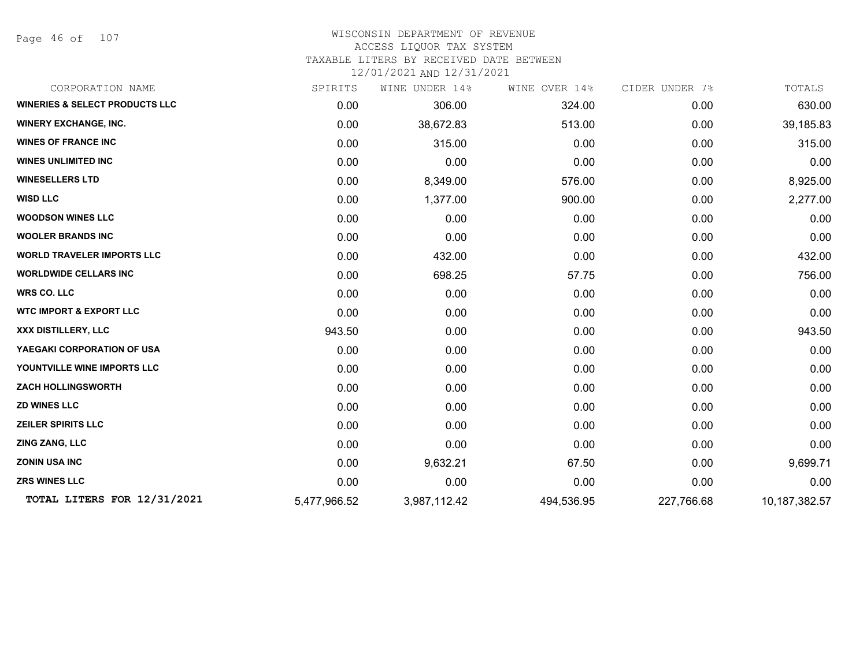Page 46 of 107

#### WISCONSIN DEPARTMENT OF REVENUE ACCESS LIQUOR TAX SYSTEM

TAXABLE LITERS BY RECEIVED DATE BETWEEN

| SPIRITS      |              | WINE OVER 14%  | CIDER UNDER 7% | TOTALS          |
|--------------|--------------|----------------|----------------|-----------------|
| 0.00         | 306.00       | 324.00         | 0.00           | 630.00          |
| 0.00         | 38,672.83    | 513.00         | 0.00           | 39,185.83       |
| 0.00         | 315.00       | 0.00           | 0.00           | 315.00          |
| 0.00         | 0.00         | 0.00           | 0.00           | 0.00            |
| 0.00         | 8,349.00     | 576.00         | 0.00           | 8,925.00        |
| 0.00         | 1,377.00     | 900.00         | 0.00           | 2,277.00        |
| 0.00         | 0.00         | 0.00           | 0.00           | 0.00            |
| 0.00         | 0.00         | 0.00           | 0.00           | 0.00            |
| 0.00         | 432.00       | 0.00           | 0.00           | 432.00          |
| 0.00         | 698.25       | 57.75          | 0.00           | 756.00          |
| 0.00         | 0.00         | 0.00           | 0.00           | 0.00            |
| 0.00         | 0.00         | 0.00           | 0.00           | 0.00            |
| 943.50       | 0.00         | 0.00           | 0.00           | 943.50          |
| 0.00         | 0.00         | 0.00           | 0.00           | 0.00            |
| 0.00         | 0.00         | 0.00           | 0.00           | 0.00            |
| 0.00         | 0.00         | 0.00           | 0.00           | 0.00            |
| 0.00         | 0.00         | 0.00           | 0.00           | 0.00            |
| 0.00         | 0.00         | 0.00           | 0.00           | 0.00            |
| 0.00         | 0.00         | 0.00           | 0.00           | 0.00            |
| 0.00         | 9,632.21     | 67.50          | 0.00           | 9,699.71        |
| 0.00         | 0.00         | 0.00           | 0.00           | 0.00            |
| 5,477,966.52 | 3,987,112.42 | 494,536.95     | 227,766.68     | 10, 187, 382.57 |
|              |              | WINE UNDER 14% |                |                 |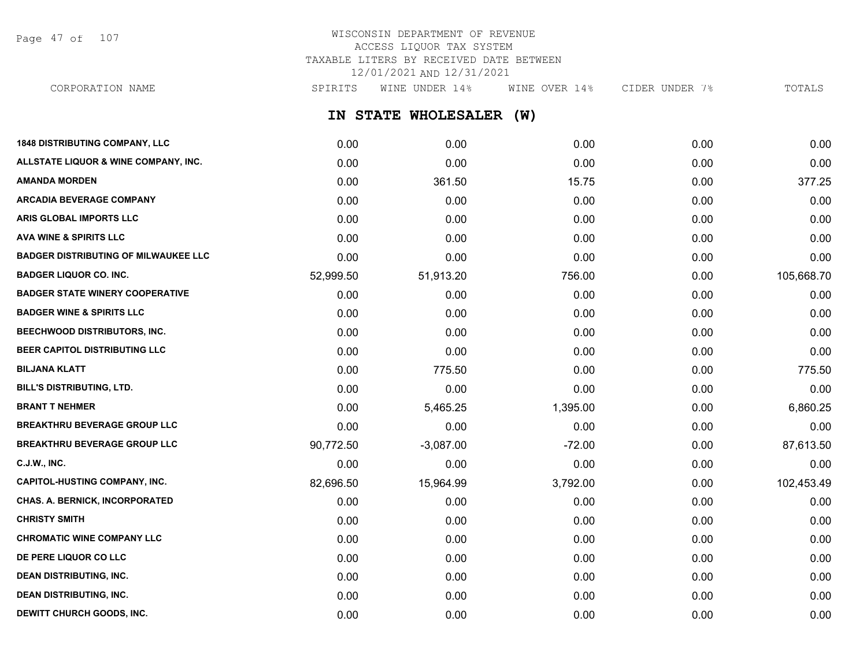Page 47 of 107

## WISCONSIN DEPARTMENT OF REVENUE ACCESS LIQUOR TAX SYSTEM TAXABLE LITERS BY RECEIVED DATE BETWEEN 12/01/2021 AND 12/31/2021

**IN STATE WHOLESALER (W) 1848 DISTRIBUTING COMPANY, LLC** 0.00 0.00 0.00 0.00 0.00 **ALLSTATE LIQUOR & WINE COMPANY, INC.** 0.00 0.00 0.00 0.00 0.00 **AMANDA MORDEN** 277.25 **ARCADIA BEVERAGE COMPANY**  $0.00$   $0.00$   $0.00$   $0.00$   $0.00$   $0.00$   $0.00$   $0.00$   $0.00$   $0.00$   $0.00$   $0.00$   $0.00$   $0.00$   $0.00$   $0.00$   $0.00$   $0.00$   $0.00$   $0.00$   $0.00$   $0.00$   $0.00$   $0.00$   $0.00$   $0.00$   $0.00$   $0.00$ **ARIS GLOBAL IMPORTS LLC** 0.00 0.00 0.00 0.00 0.00 **AVA WINE & SPIRITS LLC** 0.00 0.00 0.00 0.00 0.00 **BADGER DISTRIBUTING OF MILWAUKEE LLC** 0.00 0.00 0.00 0.00 0.00 **BADGER LIQUOR CO. INC.** 105,668.70 52,999.50 51,913.20 551,913.20 551,913.20 51,913.20 51,913.20 5756.00 51,913.20 **BADGER STATE WINERY COOPERATIVE** 0.00 0.00 0.00 0.00 0.00 **BADGER WINE & SPIRITS LLC** 0.00 0.00 0.00 0.00 0.00 **BEECHWOOD DISTRIBUTORS, INC.** 0.00 0.00 0.00 0.00 0.00 **BEER CAPITOL DISTRIBUTING LLC** 0.00 0.00 0.00 0.00 0.00 **BILJANA KLATT** 0.00 775.50 0.00 0.00 775.50 **BILL'S DISTRIBUTING, LTD.** 0.00 0.00 0.00 0.00 0.00 **BRANT T NEHMER** 0.00 5,465.25 1,395.00 0.00 6,860.25 **BREAKTHRU BEVERAGE GROUP LLC**  $0.00$   $0.00$   $0.00$   $0.00$   $0.00$   $0.00$   $0.00$   $0.00$   $0.00$   $0.00$   $0.00$   $0.00$   $0.00$   $0.00$   $0.00$   $0.00$   $0.00$   $0.00$   $0.00$   $0.00$   $0.00$   $0.00$   $0.00$   $0.00$   $0.00$   $0.00$   $0.00$   $0$ **BREAKTHRU BEVERAGE GROUP LLC**  $90,772.50$   $-3,087.00$   $-72.00$   $-72.00$  0.00 87,613.50 **C.J.W., INC.** 6.00 **0.00 0.00 0.00 0.00 0.00 0.00 0.00 0.00 0.00 0.00 0.00 0.00 0.00 CAPITOL-HUSTING COMPANY, INC.** 82,696.50 15,964.99 3,792.00 0.00 102,453.49 **CHAS. A. BERNICK, INCORPORATED** 0.00 0.00 0.00 0.00 0.00 **CHRISTY SMITH** 0.00 0.00 0.00 0.00 0.00 **CHROMATIC WINE COMPANY LLC** 0.00 0.00 0.00 0.00 0.00 **DE PERE LIQUOR CO LLC** 0.00 0.00 0.00 0.00 0.00 **DEAN DISTRIBUTING, INC.** 0.00 0.00 0.00 0.00 0.00 CORPORATION NAME SPIRITS WINE UNDER 14% WINE OVER 14% CIDER UNDER 7% TOTALS

**DEAN DISTRIBUTING, INC.** 0.00 0.00 0.00 0.00 0.00 **DEWITT CHURCH GOODS, INC.** 0.00 0.00 0.00 0.00 0.00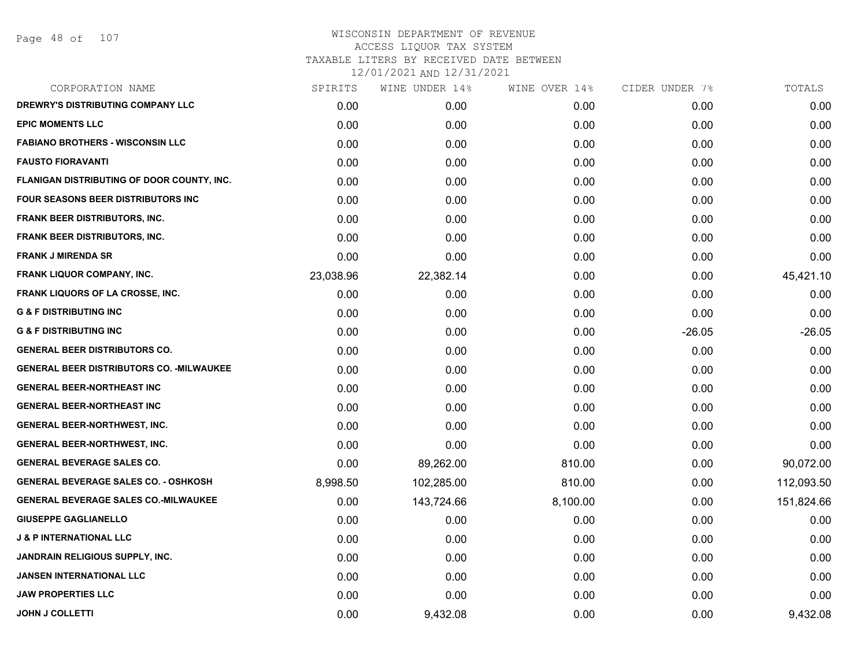Page 48 of 107

| CORPORATION NAME                                | SPIRITS   | WINE UNDER 14% | WINE OVER 14% | CIDER UNDER 7% | TOTALS     |
|-------------------------------------------------|-----------|----------------|---------------|----------------|------------|
| <b>DREWRY'S DISTRIBUTING COMPANY LLC</b>        | 0.00      | 0.00           | 0.00          | 0.00           | 0.00       |
| <b>EPIC MOMENTS LLC</b>                         | 0.00      | 0.00           | 0.00          | 0.00           | 0.00       |
| <b>FABIANO BROTHERS - WISCONSIN LLC</b>         | 0.00      | 0.00           | 0.00          | 0.00           | 0.00       |
| <b>FAUSTO FIORAVANTI</b>                        | 0.00      | 0.00           | 0.00          | 0.00           | 0.00       |
| FLANIGAN DISTRIBUTING OF DOOR COUNTY, INC.      | 0.00      | 0.00           | 0.00          | 0.00           | 0.00       |
| <b>FOUR SEASONS BEER DISTRIBUTORS INC</b>       | 0.00      | 0.00           | 0.00          | 0.00           | 0.00       |
| <b>FRANK BEER DISTRIBUTORS, INC.</b>            | 0.00      | 0.00           | 0.00          | 0.00           | 0.00       |
| <b>FRANK BEER DISTRIBUTORS, INC.</b>            | 0.00      | 0.00           | 0.00          | 0.00           | 0.00       |
| <b>FRANK J MIRENDA SR</b>                       | 0.00      | 0.00           | 0.00          | 0.00           | 0.00       |
| <b>FRANK LIQUOR COMPANY, INC.</b>               | 23,038.96 | 22,382.14      | 0.00          | 0.00           | 45,421.10  |
| <b>FRANK LIQUORS OF LA CROSSE, INC.</b>         | 0.00      | 0.00           | 0.00          | 0.00           | 0.00       |
| <b>G &amp; F DISTRIBUTING INC</b>               | 0.00      | 0.00           | 0.00          | 0.00           | 0.00       |
| <b>G &amp; F DISTRIBUTING INC</b>               | 0.00      | 0.00           | 0.00          | $-26.05$       | $-26.05$   |
| <b>GENERAL BEER DISTRIBUTORS CO.</b>            | 0.00      | 0.00           | 0.00          | 0.00           | 0.00       |
| <b>GENERAL BEER DISTRIBUTORS CO. -MILWAUKEE</b> | 0.00      | 0.00           | 0.00          | 0.00           | 0.00       |
| <b>GENERAL BEER-NORTHEAST INC</b>               | 0.00      | 0.00           | 0.00          | 0.00           | 0.00       |
| <b>GENERAL BEER-NORTHEAST INC</b>               | 0.00      | 0.00           | 0.00          | 0.00           | 0.00       |
| <b>GENERAL BEER-NORTHWEST, INC.</b>             | 0.00      | 0.00           | 0.00          | 0.00           | 0.00       |
| <b>GENERAL BEER-NORTHWEST, INC.</b>             | 0.00      | 0.00           | 0.00          | 0.00           | 0.00       |
| <b>GENERAL BEVERAGE SALES CO.</b>               | 0.00      | 89,262.00      | 810.00        | 0.00           | 90,072.00  |
| <b>GENERAL BEVERAGE SALES CO. - OSHKOSH</b>     | 8,998.50  | 102,285.00     | 810.00        | 0.00           | 112,093.50 |
| <b>GENERAL BEVERAGE SALES CO.-MILWAUKEE</b>     | 0.00      | 143,724.66     | 8,100.00      | 0.00           | 151,824.66 |
| <b>GIUSEPPE GAGLIANELLO</b>                     | 0.00      | 0.00           | 0.00          | 0.00           | 0.00       |
| <b>J &amp; P INTERNATIONAL LLC</b>              | 0.00      | 0.00           | 0.00          | 0.00           | 0.00       |
| <b>JANDRAIN RELIGIOUS SUPPLY, INC.</b>          | 0.00      | 0.00           | 0.00          | 0.00           | 0.00       |
| JANSEN INTERNATIONAL LLC                        | 0.00      | 0.00           | 0.00          | 0.00           | 0.00       |
| <b>JAW PROPERTIES LLC</b>                       | 0.00      | 0.00           | 0.00          | 0.00           | 0.00       |
| <b>JOHN J COLLETTI</b>                          | 0.00      | 9,432.08       | 0.00          | 0.00           | 9,432.08   |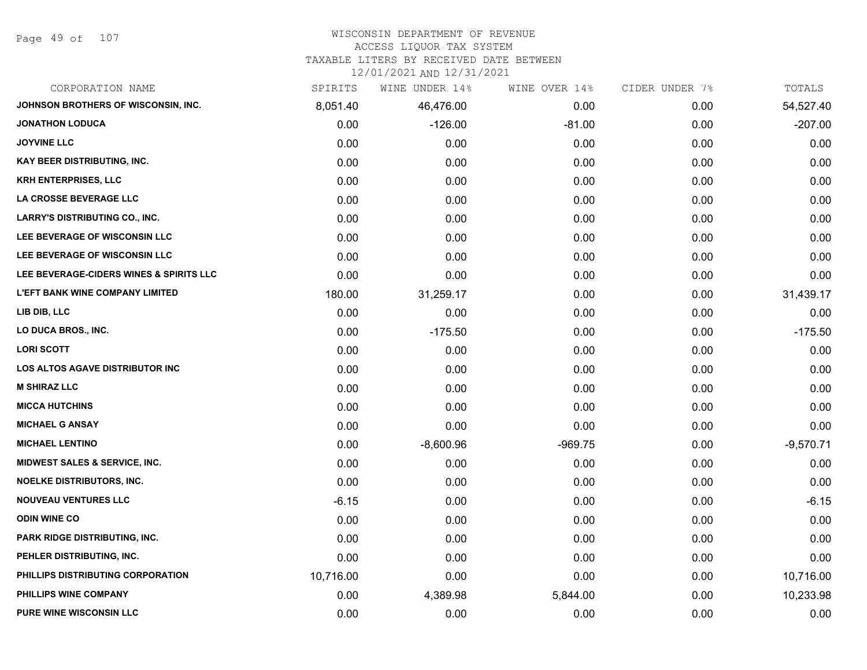Page 49 of 107

## WISCONSIN DEPARTMENT OF REVENUE

#### ACCESS LIQUOR TAX SYSTEM

TAXABLE LITERS BY RECEIVED DATE BETWEEN

| CORPORATION NAME                         | SPIRITS   | WINE UNDER 14% | WINE OVER 14% | CIDER UNDER 7% | TOTALS      |
|------------------------------------------|-----------|----------------|---------------|----------------|-------------|
| JOHNSON BROTHERS OF WISCONSIN, INC.      | 8,051.40  | 46,476.00      | 0.00          | 0.00           | 54,527.40   |
| <b>JONATHON LODUCA</b>                   | 0.00      | $-126.00$      | $-81.00$      | 0.00           | $-207.00$   |
| <b>JOYVINE LLC</b>                       | 0.00      | 0.00           | 0.00          | 0.00           | 0.00        |
| <b>KAY BEER DISTRIBUTING, INC.</b>       | 0.00      | 0.00           | 0.00          | 0.00           | 0.00        |
| <b>KRH ENTERPRISES, LLC</b>              | 0.00      | 0.00           | 0.00          | 0.00           | 0.00        |
| LA CROSSE BEVERAGE LLC                   | 0.00      | 0.00           | 0.00          | 0.00           | 0.00        |
| <b>LARRY'S DISTRIBUTING CO., INC.</b>    | 0.00      | 0.00           | 0.00          | 0.00           | 0.00        |
| LEE BEVERAGE OF WISCONSIN LLC            | 0.00      | 0.00           | 0.00          | 0.00           | 0.00        |
| LEE BEVERAGE OF WISCONSIN LLC            | 0.00      | 0.00           | 0.00          | 0.00           | 0.00        |
| LEE BEVERAGE-CIDERS WINES & SPIRITS LLC  | 0.00      | 0.00           | 0.00          | 0.00           | 0.00        |
| <b>L'EFT BANK WINE COMPANY LIMITED</b>   | 180.00    | 31,259.17      | 0.00          | 0.00           | 31,439.17   |
| LIB DIB, LLC                             | 0.00      | 0.00           | 0.00          | 0.00           | 0.00        |
| LO DUCA BROS., INC.                      | 0.00      | $-175.50$      | 0.00          | 0.00           | $-175.50$   |
| <b>LORI SCOTT</b>                        | 0.00      | 0.00           | 0.00          | 0.00           | 0.00        |
| <b>LOS ALTOS AGAVE DISTRIBUTOR INC</b>   | 0.00      | 0.00           | 0.00          | 0.00           | 0.00        |
| <b>M SHIRAZ LLC</b>                      | 0.00      | 0.00           | 0.00          | 0.00           | 0.00        |
| <b>MICCA HUTCHINS</b>                    | 0.00      | 0.00           | 0.00          | 0.00           | 0.00        |
| <b>MICHAEL G ANSAY</b>                   | 0.00      | 0.00           | 0.00          | 0.00           | 0.00        |
| <b>MICHAEL LENTINO</b>                   | 0.00      | $-8,600.96$    | $-969.75$     | 0.00           | $-9,570.71$ |
| <b>MIDWEST SALES &amp; SERVICE, INC.</b> | 0.00      | 0.00           | 0.00          | 0.00           | 0.00        |
| NOELKE DISTRIBUTORS, INC.                | 0.00      | 0.00           | 0.00          | 0.00           | 0.00        |
| <b>NOUVEAU VENTURES LLC</b>              | $-6.15$   | 0.00           | 0.00          | 0.00           | $-6.15$     |
| <b>ODIN WINE CO</b>                      | 0.00      | 0.00           | 0.00          | 0.00           | 0.00        |
| PARK RIDGE DISTRIBUTING, INC.            | 0.00      | 0.00           | 0.00          | 0.00           | 0.00        |
| PEHLER DISTRIBUTING, INC.                | 0.00      | 0.00           | 0.00          | 0.00           | 0.00        |
| PHILLIPS DISTRIBUTING CORPORATION        | 10,716.00 | 0.00           | 0.00          | 0.00           | 10,716.00   |
| PHILLIPS WINE COMPANY                    | 0.00      | 4,389.98       | 5,844.00      | 0.00           | 10,233.98   |
| PURE WINE WISCONSIN LLC                  | 0.00      | 0.00           | 0.00          | 0.00           | 0.00        |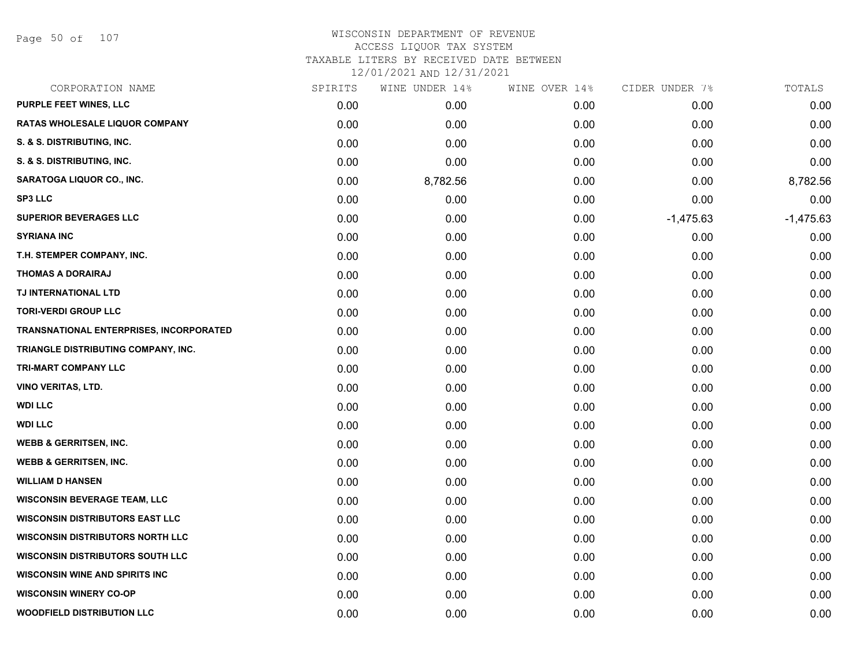Page 50 of 107

## WISCONSIN DEPARTMENT OF REVENUE ACCESS LIQUOR TAX SYSTEM TAXABLE LITERS BY RECEIVED DATE BETWEEN

| CORPORATION NAME                        | SPIRITS | WINE UNDER 14% | WINE OVER 14% | CIDER UNDER 7% | TOTALS      |
|-----------------------------------------|---------|----------------|---------------|----------------|-------------|
| PURPLE FEET WINES, LLC                  | 0.00    | 0.00           | 0.00          | 0.00           | 0.00        |
| <b>RATAS WHOLESALE LIQUOR COMPANY</b>   | 0.00    | 0.00           | 0.00          | 0.00           | 0.00        |
| S. & S. DISTRIBUTING, INC.              | 0.00    | 0.00           | 0.00          | 0.00           | 0.00        |
| S. & S. DISTRIBUTING, INC.              | 0.00    | 0.00           | 0.00          | 0.00           | 0.00        |
| SARATOGA LIQUOR CO., INC.               | 0.00    | 8,782.56       | 0.00          | 0.00           | 8,782.56    |
| <b>SP3 LLC</b>                          | 0.00    | 0.00           | 0.00          | 0.00           | 0.00        |
| <b>SUPERIOR BEVERAGES LLC</b>           | 0.00    | 0.00           | 0.00          | $-1,475.63$    | $-1,475.63$ |
| <b>SYRIANA INC</b>                      | 0.00    | 0.00           | 0.00          | 0.00           | 0.00        |
| T.H. STEMPER COMPANY, INC.              | 0.00    | 0.00           | 0.00          | 0.00           | 0.00        |
| <b>THOMAS A DORAIRAJ</b>                | 0.00    | 0.00           | 0.00          | 0.00           | 0.00        |
| TJ INTERNATIONAL LTD                    | 0.00    | 0.00           | 0.00          | 0.00           | 0.00        |
| <b>TORI-VERDI GROUP LLC</b>             | 0.00    | 0.00           | 0.00          | 0.00           | 0.00        |
| TRANSNATIONAL ENTERPRISES, INCORPORATED | 0.00    | 0.00           | 0.00          | 0.00           | 0.00        |
| TRIANGLE DISTRIBUTING COMPANY, INC.     | 0.00    | 0.00           | 0.00          | 0.00           | 0.00        |
| TRI-MART COMPANY LLC                    | 0.00    | 0.00           | 0.00          | 0.00           | 0.00        |
| <b>VINO VERITAS, LTD.</b>               | 0.00    | 0.00           | 0.00          | 0.00           | 0.00        |
| <b>WDI LLC</b>                          | 0.00    | 0.00           | 0.00          | 0.00           | 0.00        |
| <b>WDI LLC</b>                          | 0.00    | 0.00           | 0.00          | 0.00           | 0.00        |
| <b>WEBB &amp; GERRITSEN, INC.</b>       | 0.00    | 0.00           | 0.00          | 0.00           | 0.00        |
| <b>WEBB &amp; GERRITSEN, INC.</b>       | 0.00    | 0.00           | 0.00          | 0.00           | 0.00        |
| <b>WILLIAM D HANSEN</b>                 | 0.00    | 0.00           | 0.00          | 0.00           | 0.00        |
| <b>WISCONSIN BEVERAGE TEAM, LLC</b>     | 0.00    | 0.00           | 0.00          | 0.00           | 0.00        |
| <b>WISCONSIN DISTRIBUTORS EAST LLC</b>  | 0.00    | 0.00           | 0.00          | 0.00           | 0.00        |
| <b>WISCONSIN DISTRIBUTORS NORTH LLC</b> | 0.00    | 0.00           | 0.00          | 0.00           | 0.00        |
| <b>WISCONSIN DISTRIBUTORS SOUTH LLC</b> | 0.00    | 0.00           | 0.00          | 0.00           | 0.00        |
| <b>WISCONSIN WINE AND SPIRITS INC</b>   | 0.00    | 0.00           | 0.00          | 0.00           | 0.00        |
| <b>WISCONSIN WINERY CO-OP</b>           | 0.00    | 0.00           | 0.00          | 0.00           | 0.00        |
| <b>WOODFIELD DISTRIBUTION LLC</b>       | 0.00    | 0.00           | 0.00          | 0.00           | 0.00        |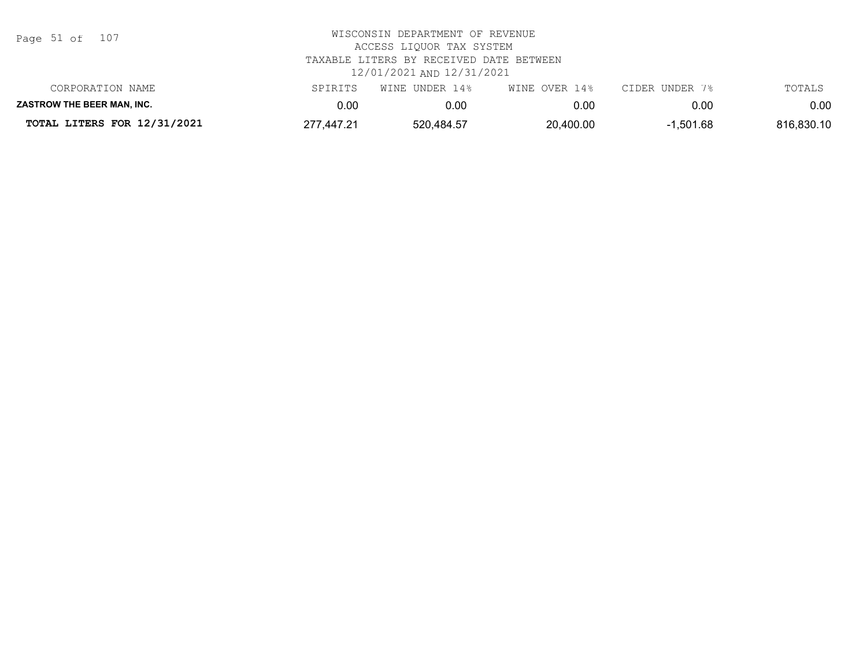| Page 51 of |  |  | 107 |
|------------|--|--|-----|
|------------|--|--|-----|

| CORPORATION NAME                  | SPIRITS    | WINE UNDER 14% | WINE OVER 14% | CIDER UNDER 7% | TOTALS     |
|-----------------------------------|------------|----------------|---------------|----------------|------------|
| <b>ZASTROW THE BEER MAN. INC.</b> | ).OC       | 0.001          | 0.00          | 0.00           | $0.00\,$   |
| TOTAL LITERS FOR 12/31/2021       | 277,447.21 | 520.484.57     | 20,400.00     | $-1,501.68$    | 816,830.10 |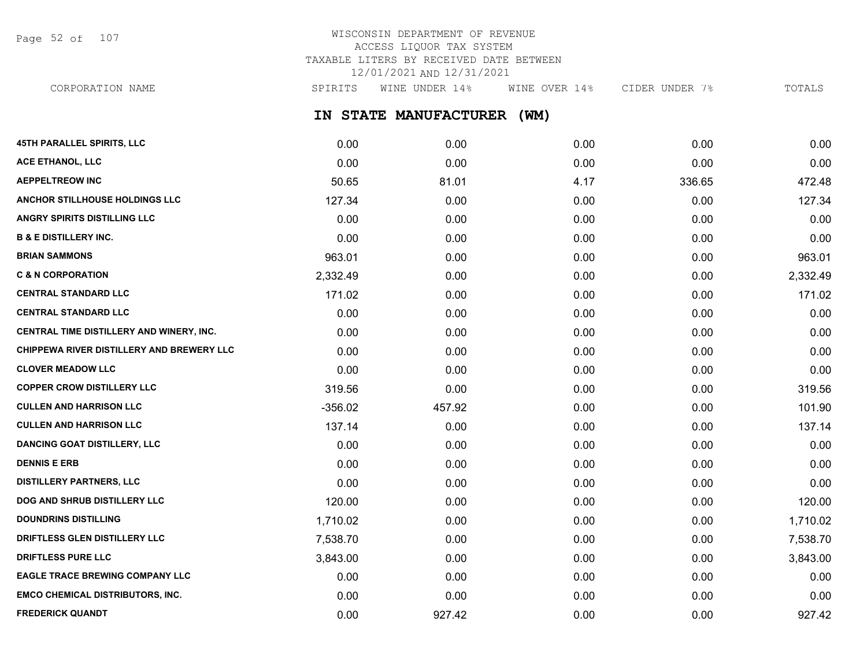Page 52 of 107

## WISCONSIN DEPARTMENT OF REVENUE ACCESS LIQUOR TAX SYSTEM TAXABLE LITERS BY RECEIVED DATE BETWEEN 12/01/2021 AND 12/31/2021

**IN STATE MANUFACTURER (WM) 45TH PARALLEL SPIRITS, LLC** 0.00 0.00 0.00 0.00 0.00 **ACE ETHANOL, LLC** 0.00 0.00 0.00 0.00 0.00 **AEPPELTREOW INC** 81.01 4.17 336.65 472.48 **ANCHOR STILLHOUSE HOLDINGS LLC** 127.34 0.00 0.00 0.00 127.34 **ANGRY SPIRITS DISTILLING LLC** 0.00 0.00 0.00 0.00 0.00 **B & E DISTILLERY INC.** 0.00 0.00 0.00 0.00 0.00 **BRIAN SAMMONS** 963.01 0.00 0.00 0.00 963.01 **C & N CORPORATION** 2,332.49 0.00 0.00 0.00 2,332.49 **CENTRAL STANDARD LLC** 171.02 0.00 0.00 0.00 171.02 **CENTRAL STANDARD LLC** 0.00 0.00 0.00 0.00 0.00 **CENTRAL TIME DISTILLERY AND WINERY, INC.** 0.00 0.00 0.00 0.00 0.00 **CHIPPEWA RIVER DISTILLERY AND BREWERY LLC** 0.00 0.00 0.00 0.00 0.00 CORPORATION NAME SPIRITS WINE UNDER 14% WINE OVER 14% CIDER UNDER 7% TOTALS

| CENTRAL TIME DISTILLERY AND WINERY, INC.  | 0.00      | 0.00   | 0.00 | 0.00 | 0.00     |
|-------------------------------------------|-----------|--------|------|------|----------|
| CHIPPEWA RIVER DISTILLERY AND BREWERY LLC | 0.00      | 0.00   | 0.00 | 0.00 | 0.00     |
| <b>CLOVER MEADOW LLC</b>                  | 0.00      | 0.00   | 0.00 | 0.00 | 0.00     |
| <b>COPPER CROW DISTILLERY LLC</b>         | 319.56    | 0.00   | 0.00 | 0.00 | 319.56   |
| <b>CULLEN AND HARRISON LLC</b>            | $-356.02$ | 457.92 | 0.00 | 0.00 | 101.90   |
| CULLEN AND HARRISON LLC                   | 137.14    | 0.00   | 0.00 | 0.00 | 137.14   |
| <b>DANCING GOAT DISTILLERY, LLC</b>       | 0.00      | 0.00   | 0.00 | 0.00 | 0.00     |
| <b>DENNIS E ERB</b>                       | 0.00      | 0.00   | 0.00 | 0.00 | 0.00     |
| DISTILLERY PARTNERS, LLC                  | 0.00      | 0.00   | 0.00 | 0.00 | 0.00     |
| DOG AND SHRUB DISTILLERY LLC              | 120.00    | 0.00   | 0.00 | 0.00 | 120.00   |
| <b>DOUNDRINS DISTILLING</b>               | 1,710.02  | 0.00   | 0.00 | 0.00 | 1,710.02 |
| <b>DRIFTLESS GLEN DISTILLERY LLC</b>      | 7,538.70  | 0.00   | 0.00 | 0.00 | 7,538.70 |
| <b>DRIFTLESS PURE LLC</b>                 | 3,843.00  | 0.00   | 0.00 | 0.00 | 3,843.00 |
| <b>EAGLE TRACE BREWING COMPANY LLC</b>    | 0.00      | 0.00   | 0.00 | 0.00 | 0.00     |
|                                           |           |        |      |      |          |

**EMCO CHEMICAL DISTRIBUTORS, INC.** 0.00 0.00 0.00 0.00 0.00 **FREDERICK QUANDT** 0.00 927.42 0.00 0.00 927.42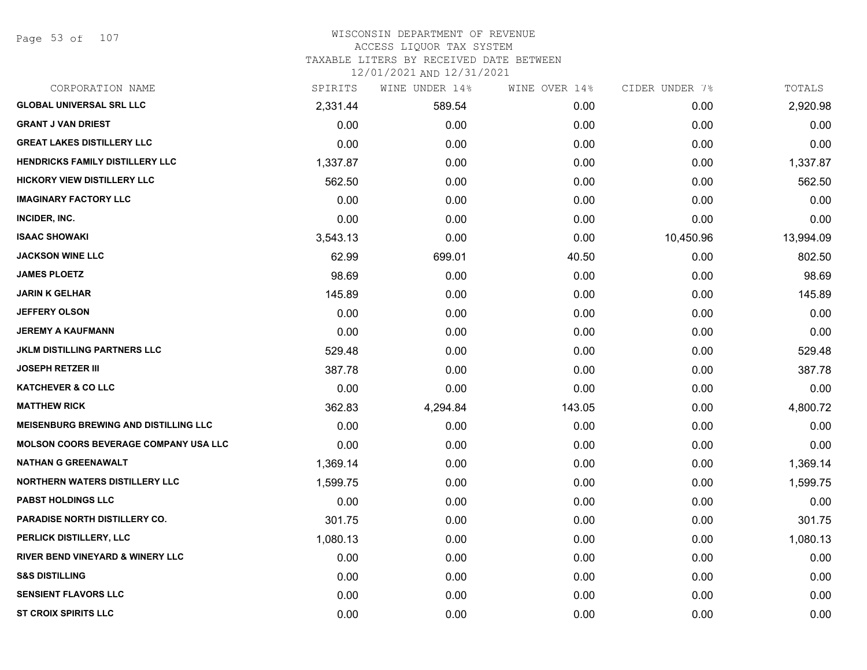Page 53 of 107

#### WISCONSIN DEPARTMENT OF REVENUE ACCESS LIQUOR TAX SYSTEM TAXABLE LITERS BY RECEIVED DATE BETWEEN

| CORPORATION NAME                             | SPIRITS  | WINE UNDER 14% | WINE OVER 14% | CIDER UNDER 7% | TOTALS    |
|----------------------------------------------|----------|----------------|---------------|----------------|-----------|
| <b>GLOBAL UNIVERSAL SRL LLC</b>              | 2,331.44 | 589.54         | 0.00          | 0.00           | 2,920.98  |
| <b>GRANT J VAN DRIEST</b>                    | 0.00     | 0.00           | 0.00          | 0.00           | 0.00      |
| <b>GREAT LAKES DISTILLERY LLC</b>            | 0.00     | 0.00           | 0.00          | 0.00           | 0.00      |
| <b>HENDRICKS FAMILY DISTILLERY LLC</b>       | 1,337.87 | 0.00           | 0.00          | 0.00           | 1,337.87  |
| <b>HICKORY VIEW DISTILLERY LLC</b>           | 562.50   | 0.00           | 0.00          | 0.00           | 562.50    |
| <b>IMAGINARY FACTORY LLC</b>                 | 0.00     | 0.00           | 0.00          | 0.00           | 0.00      |
| INCIDER, INC.                                | 0.00     | 0.00           | 0.00          | 0.00           | 0.00      |
| <b>ISAAC SHOWAKI</b>                         | 3,543.13 | 0.00           | 0.00          | 10,450.96      | 13,994.09 |
| <b>JACKSON WINE LLC</b>                      | 62.99    | 699.01         | 40.50         | 0.00           | 802.50    |
| <b>JAMES PLOETZ</b>                          | 98.69    | 0.00           | 0.00          | 0.00           | 98.69     |
| <b>JARIN K GELHAR</b>                        | 145.89   | 0.00           | 0.00          | 0.00           | 145.89    |
| <b>JEFFERY OLSON</b>                         | 0.00     | 0.00           | 0.00          | 0.00           | 0.00      |
| <b>JEREMY A KAUFMANN</b>                     | 0.00     | 0.00           | 0.00          | 0.00           | 0.00      |
| <b>JKLM DISTILLING PARTNERS LLC</b>          | 529.48   | 0.00           | 0.00          | 0.00           | 529.48    |
| <b>JOSEPH RETZER III</b>                     | 387.78   | 0.00           | 0.00          | 0.00           | 387.78    |
| <b>KATCHEVER &amp; CO LLC</b>                | 0.00     | 0.00           | 0.00          | 0.00           | 0.00      |
| <b>MATTHEW RICK</b>                          | 362.83   | 4,294.84       | 143.05        | 0.00           | 4,800.72  |
| <b>MEISENBURG BREWING AND DISTILLING LLC</b> | 0.00     | 0.00           | 0.00          | 0.00           | 0.00      |
| <b>MOLSON COORS BEVERAGE COMPANY USA LLC</b> | 0.00     | 0.00           | 0.00          | 0.00           | 0.00      |
| <b>NATHAN G GREENAWALT</b>                   | 1,369.14 | 0.00           | 0.00          | 0.00           | 1,369.14  |
| <b>NORTHERN WATERS DISTILLERY LLC</b>        | 1,599.75 | 0.00           | 0.00          | 0.00           | 1,599.75  |
| <b>PABST HOLDINGS LLC</b>                    | 0.00     | 0.00           | 0.00          | 0.00           | 0.00      |
| PARADISE NORTH DISTILLERY CO.                | 301.75   | 0.00           | 0.00          | 0.00           | 301.75    |
| PERLICK DISTILLERY, LLC                      | 1,080.13 | 0.00           | 0.00          | 0.00           | 1,080.13  |
| RIVER BEND VINEYARD & WINERY LLC             | 0.00     | 0.00           | 0.00          | 0.00           | 0.00      |
| <b>S&amp;S DISTILLING</b>                    | 0.00     | 0.00           | 0.00          | 0.00           | 0.00      |
| <b>SENSIENT FLAVORS LLC</b>                  | 0.00     | 0.00           | 0.00          | 0.00           | 0.00      |
| <b>ST CROIX SPIRITS LLC</b>                  | 0.00     | 0.00           | 0.00          | 0.00           | 0.00      |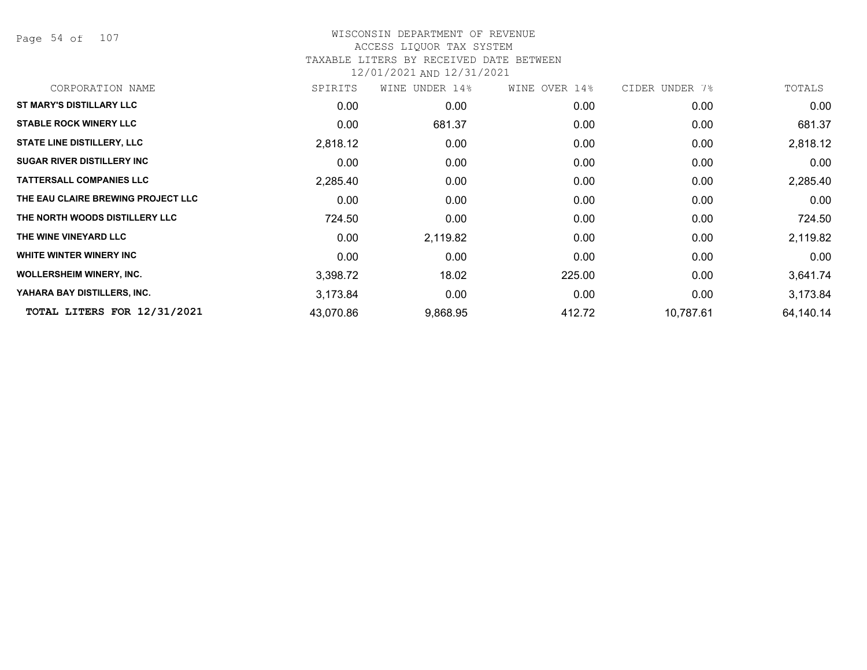Page 54 of 107

# WISCONSIN DEPARTMENT OF REVENUE ACCESS LIQUOR TAX SYSTEM

# TAXABLE LITERS BY RECEIVED DATE BETWEEN

| CORPORATION NAME                   | SPIRITS   | WINE UNDER 14% | WINE OVER 14% | CIDER UNDER 7% | TOTALS    |
|------------------------------------|-----------|----------------|---------------|----------------|-----------|
| <b>ST MARY'S DISTILLARY LLC</b>    | 0.00      | 0.00           | 0.00          | 0.00           | 0.00      |
| <b>STABLE ROCK WINERY LLC</b>      | 0.00      | 681.37         | 0.00          | 0.00           | 681.37    |
| <b>STATE LINE DISTILLERY, LLC</b>  | 2,818.12  | 0.00           | 0.00          | 0.00           | 2,818.12  |
| <b>SUGAR RIVER DISTILLERY INC</b>  | 0.00      | 0.00           | 0.00          | 0.00           | 0.00      |
| <b>TATTERSALL COMPANIES LLC</b>    | 2,285.40  | 0.00           | 0.00          | 0.00           | 2,285.40  |
| THE EAU CLAIRE BREWING PROJECT LLC | 0.00      | 0.00           | 0.00          | 0.00           | 0.00      |
| THE NORTH WOODS DISTILLERY LLC     | 724.50    | 0.00           | 0.00          | 0.00           | 724.50    |
| THE WINE VINEYARD LLC              | 0.00      | 2,119.82       | 0.00          | 0.00           | 2,119.82  |
| WHITE WINTER WINERY INC            | 0.00      | 0.00           | 0.00          | 0.00           | 0.00      |
| <b>WOLLERSHEIM WINERY, INC.</b>    | 3,398.72  | 18.02          | 225.00        | 0.00           | 3,641.74  |
| YAHARA BAY DISTILLERS, INC.        | 3,173.84  | 0.00           | 0.00          | 0.00           | 3,173.84  |
| TOTAL LITERS FOR 12/31/2021        | 43,070.86 | 9,868.95       | 412.72        | 10,787.61      | 64,140.14 |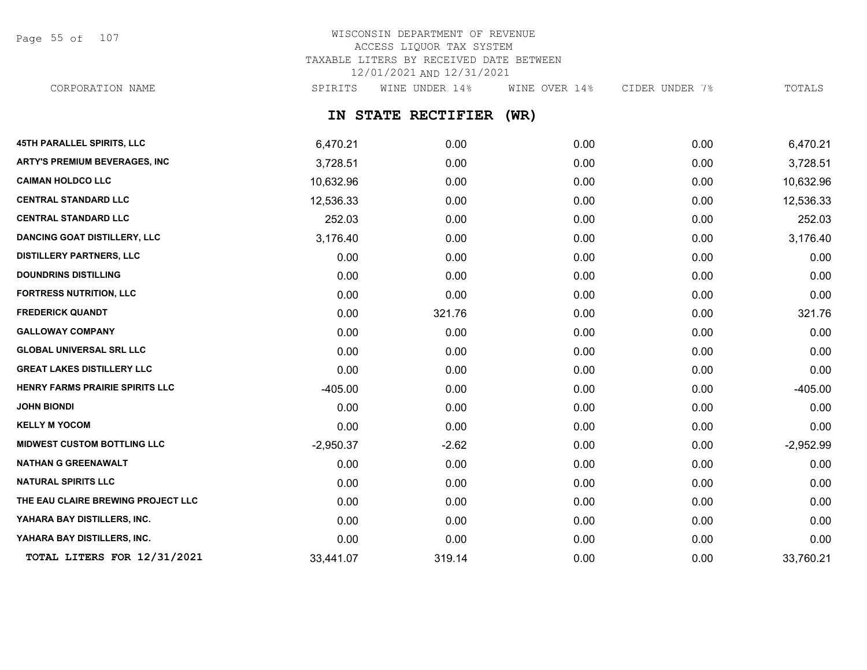Page 55 of 107

## WISCONSIN DEPARTMENT OF REVENUE ACCESS LIQUOR TAX SYSTEM TAXABLE LITERS BY RECEIVED DATE BETWEEN 12/01/2021 AND 12/31/2021

CORPORATION NAME SPIRITS WINE UNDER 14% WINE OVER 14% CIDER UNDER 7% TOTALS

## **IN STATE RECTIFIER (WR)**

| 45TH PARALLEL SPIRITS, LLC           | 6,470.21    | 0.00    | 0.00 | 0.00 | 6,470.21    |
|--------------------------------------|-------------|---------|------|------|-------------|
| <b>ARTY'S PREMIUM BEVERAGES, INC</b> | 3,728.51    | 0.00    | 0.00 | 0.00 | 3,728.51    |
| <b>CAIMAN HOLDCO LLC</b>             | 10,632.96   | 0.00    | 0.00 | 0.00 | 10,632.96   |
| <b>CENTRAL STANDARD LLC</b>          | 12,536.33   | 0.00    | 0.00 | 0.00 | 12,536.33   |
| <b>CENTRAL STANDARD LLC</b>          | 252.03      | 0.00    | 0.00 | 0.00 | 252.03      |
| <b>DANCING GOAT DISTILLERY, LLC</b>  | 3,176.40    | 0.00    | 0.00 | 0.00 | 3,176.40    |
| <b>DISTILLERY PARTNERS, LLC</b>      | 0.00        | 0.00    | 0.00 | 0.00 | 0.00        |
| <b>DOUNDRINS DISTILLING</b>          | 0.00        | 0.00    | 0.00 | 0.00 | 0.00        |
| <b>FORTRESS NUTRITION, LLC</b>       | 0.00        | 0.00    | 0.00 | 0.00 | 0.00        |
| <b>FREDERICK QUANDT</b>              | 0.00        | 321.76  | 0.00 | 0.00 | 321.76      |
| <b>GALLOWAY COMPANY</b>              | 0.00        | 0.00    | 0.00 | 0.00 | 0.00        |
| <b>GLOBAL UNIVERSAL SRL LLC</b>      | 0.00        | 0.00    | 0.00 | 0.00 | 0.00        |
| <b>GREAT LAKES DISTILLERY LLC</b>    | 0.00        | 0.00    | 0.00 | 0.00 | 0.00        |
| HENRY FARMS PRAIRIE SPIRITS LLC      | $-405.00$   | 0.00    | 0.00 | 0.00 | $-405.00$   |
| <b>JOHN BIONDI</b>                   | 0.00        | 0.00    | 0.00 | 0.00 | 0.00        |
| <b>KELLY M YOCOM</b>                 | 0.00        | 0.00    | 0.00 | 0.00 | 0.00        |
| <b>MIDWEST CUSTOM BOTTLING LLC</b>   | $-2,950.37$ | $-2.62$ | 0.00 | 0.00 | $-2,952.99$ |
| <b>NATHAN G GREENAWALT</b>           | 0.00        | 0.00    | 0.00 | 0.00 | 0.00        |
| <b>NATURAL SPIRITS LLC</b>           | 0.00        | 0.00    | 0.00 | 0.00 | 0.00        |
| THE EAU CLAIRE BREWING PROJECT LLC   | 0.00        | 0.00    | 0.00 | 0.00 | 0.00        |
| YAHARA BAY DISTILLERS, INC.          | 0.00        | 0.00    | 0.00 | 0.00 | 0.00        |
| YAHARA BAY DISTILLERS, INC.          | 0.00        | 0.00    | 0.00 | 0.00 | 0.00        |
| TOTAL LITERS FOR 12/31/2021          | 33,441.07   | 319.14  | 0.00 | 0.00 | 33,760.21   |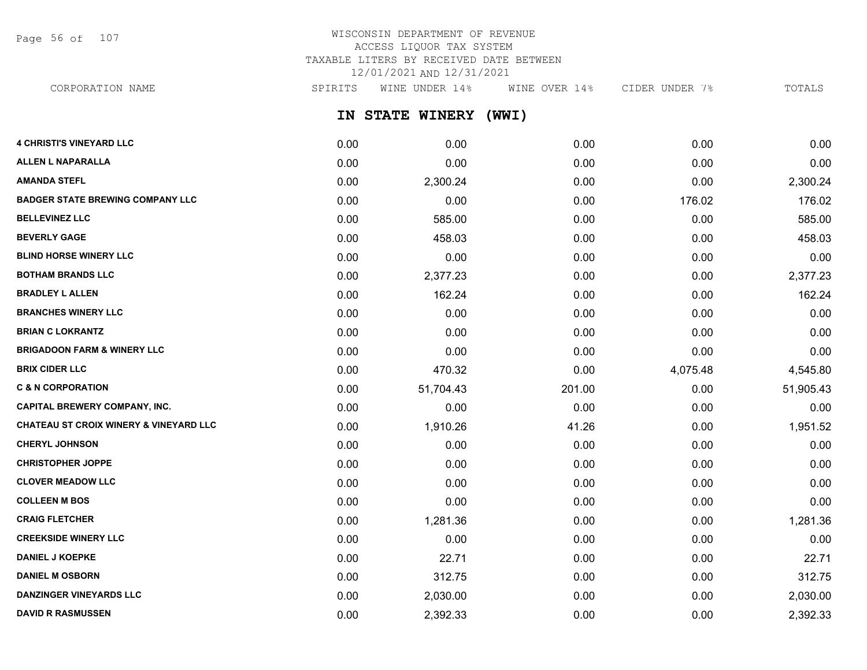Page 56 of 107

## WISCONSIN DEPARTMENT OF REVENUE ACCESS LIQUOR TAX SYSTEM TAXABLE LITERS BY RECEIVED DATE BETWEEN 12/01/2021 AND 12/31/2021

CORPORATION NAME SPIRITS WINE UNDER 14% WINE OVER 14% CIDER UNDER 7% TOTALS

**IN STATE WINERY (WWI)**

| <b>4 CHRISTI'S VINEYARD LLC</b>                   | 0.00 | 0.00      | 0.00   | 0.00     | 0.00      |
|---------------------------------------------------|------|-----------|--------|----------|-----------|
| <b>ALLEN L NAPARALLA</b>                          | 0.00 | 0.00      | 0.00   | 0.00     | 0.00      |
| <b>AMANDA STEFL</b>                               | 0.00 | 2,300.24  | 0.00   | 0.00     | 2,300.24  |
| <b>BADGER STATE BREWING COMPANY LLC</b>           | 0.00 | 0.00      | 0.00   | 176.02   | 176.02    |
| <b>BELLEVINEZ LLC</b>                             | 0.00 | 585.00    | 0.00   | 0.00     | 585.00    |
| <b>BEVERLY GAGE</b>                               | 0.00 | 458.03    | 0.00   | 0.00     | 458.03    |
| <b>BLIND HORSE WINERY LLC</b>                     | 0.00 | 0.00      | 0.00   | 0.00     | 0.00      |
| <b>BOTHAM BRANDS LLC</b>                          | 0.00 | 2,377.23  | 0.00   | 0.00     | 2,377.23  |
| <b>BRADLEY L ALLEN</b>                            | 0.00 | 162.24    | 0.00   | 0.00     | 162.24    |
| <b>BRANCHES WINERY LLC</b>                        | 0.00 | 0.00      | 0.00   | 0.00     | 0.00      |
| <b>BRIAN C LOKRANTZ</b>                           | 0.00 | 0.00      | 0.00   | 0.00     | 0.00      |
| <b>BRIGADOON FARM &amp; WINERY LLC</b>            | 0.00 | 0.00      | 0.00   | 0.00     | 0.00      |
| <b>BRIX CIDER LLC</b>                             | 0.00 | 470.32    | 0.00   | 4,075.48 | 4,545.80  |
| <b>C &amp; N CORPORATION</b>                      | 0.00 | 51,704.43 | 201.00 | 0.00     | 51,905.43 |
| <b>CAPITAL BREWERY COMPANY, INC.</b>              | 0.00 | 0.00      | 0.00   | 0.00     | 0.00      |
| <b>CHATEAU ST CROIX WINERY &amp; VINEYARD LLC</b> | 0.00 | 1,910.26  | 41.26  | 0.00     | 1,951.52  |
| <b>CHERYL JOHNSON</b>                             | 0.00 | 0.00      | 0.00   | 0.00     | 0.00      |
| <b>CHRISTOPHER JOPPE</b>                          | 0.00 | 0.00      | 0.00   | 0.00     | 0.00      |
| <b>CLOVER MEADOW LLC</b>                          | 0.00 | 0.00      | 0.00   | 0.00     | 0.00      |
| <b>COLLEEN M BOS</b>                              | 0.00 | 0.00      | 0.00   | 0.00     | 0.00      |
| <b>CRAIG FLETCHER</b>                             | 0.00 | 1,281.36  | 0.00   | 0.00     | 1,281.36  |
| <b>CREEKSIDE WINERY LLC</b>                       | 0.00 | 0.00      | 0.00   | 0.00     | 0.00      |
| <b>DANIEL J KOEPKE</b>                            | 0.00 | 22.71     | 0.00   | 0.00     | 22.71     |
| <b>DANIEL M OSBORN</b>                            | 0.00 | 312.75    | 0.00   | 0.00     | 312.75    |
| <b>DANZINGER VINEYARDS LLC</b>                    | 0.00 | 2,030.00  | 0.00   | 0.00     | 2,030.00  |
| <b>DAVID R RASMUSSEN</b>                          | 0.00 | 2,392.33  | 0.00   | 0.00     | 2,392.33  |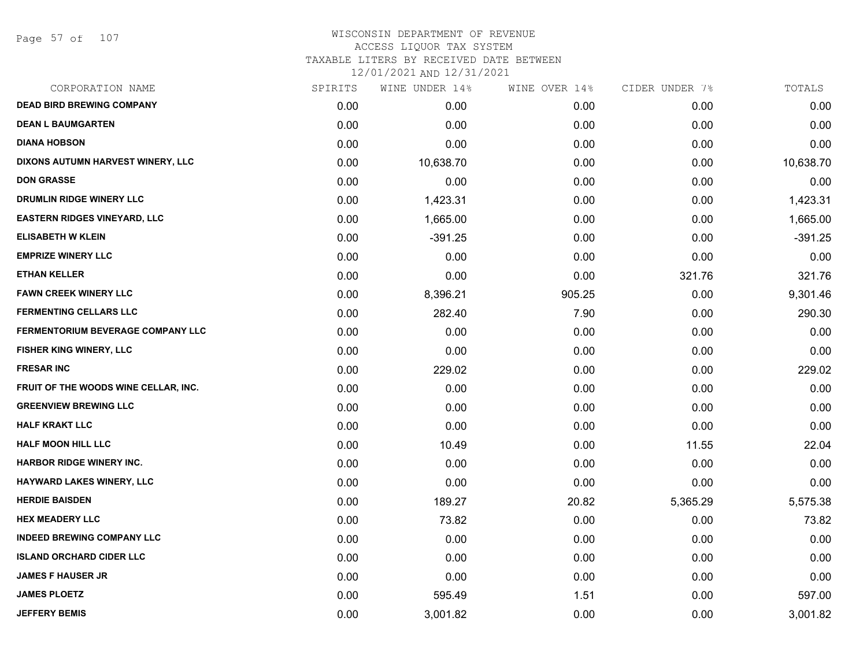#### WISCONSIN DEPARTMENT OF REVENUE ACCESS LIQUOR TAX SYSTEM TAXABLE LITERS BY RECEIVED DATE BETWEEN

| CORPORATION NAME                         | SPIRITS | WINE UNDER 14% | WINE OVER 14% | CIDER UNDER 7% | TOTALS    |
|------------------------------------------|---------|----------------|---------------|----------------|-----------|
| <b>DEAD BIRD BREWING COMPANY</b>         | 0.00    | 0.00           | 0.00          | 0.00           | 0.00      |
| <b>DEAN L BAUMGARTEN</b>                 | 0.00    | 0.00           | 0.00          | 0.00           | 0.00      |
| <b>DIANA HOBSON</b>                      | 0.00    | 0.00           | 0.00          | 0.00           | 0.00      |
| DIXONS AUTUMN HARVEST WINERY, LLC        | 0.00    | 10,638.70      | 0.00          | 0.00           | 10,638.70 |
| <b>DON GRASSE</b>                        | 0.00    | 0.00           | 0.00          | 0.00           | 0.00      |
| DRUMLIN RIDGE WINERY LLC                 | 0.00    | 1,423.31       | 0.00          | 0.00           | 1,423.31  |
| <b>EASTERN RIDGES VINEYARD, LLC</b>      | 0.00    | 1,665.00       | 0.00          | 0.00           | 1,665.00  |
| <b>ELISABETH W KLEIN</b>                 | 0.00    | $-391.25$      | 0.00          | 0.00           | $-391.25$ |
| <b>EMPRIZE WINERY LLC</b>                | 0.00    | 0.00           | 0.00          | 0.00           | 0.00      |
| <b>ETHAN KELLER</b>                      | 0.00    | 0.00           | 0.00          | 321.76         | 321.76    |
| <b>FAWN CREEK WINERY LLC</b>             | 0.00    | 8,396.21       | 905.25        | 0.00           | 9,301.46  |
| <b>FERMENTING CELLARS LLC</b>            | 0.00    | 282.40         | 7.90          | 0.00           | 290.30    |
| <b>FERMENTORIUM BEVERAGE COMPANY LLC</b> | 0.00    | 0.00           | 0.00          | 0.00           | 0.00      |
| <b>FISHER KING WINERY, LLC</b>           | 0.00    | 0.00           | 0.00          | 0.00           | 0.00      |
| <b>FRESAR INC</b>                        | 0.00    | 229.02         | 0.00          | 0.00           | 229.02    |
| FRUIT OF THE WOODS WINE CELLAR, INC.     | 0.00    | 0.00           | 0.00          | 0.00           | 0.00      |
| <b>GREENVIEW BREWING LLC</b>             | 0.00    | 0.00           | 0.00          | 0.00           | 0.00      |
| <b>HALF KRAKT LLC</b>                    | 0.00    | 0.00           | 0.00          | 0.00           | 0.00      |
| <b>HALF MOON HILL LLC</b>                | 0.00    | 10.49          | 0.00          | 11.55          | 22.04     |
| <b>HARBOR RIDGE WINERY INC.</b>          | 0.00    | 0.00           | 0.00          | 0.00           | 0.00      |
| HAYWARD LAKES WINERY, LLC                | 0.00    | 0.00           | 0.00          | 0.00           | 0.00      |
| <b>HERDIE BAISDEN</b>                    | 0.00    | 189.27         | 20.82         | 5,365.29       | 5,575.38  |
| <b>HEX MEADERY LLC</b>                   | 0.00    | 73.82          | 0.00          | 0.00           | 73.82     |
| <b>INDEED BREWING COMPANY LLC</b>        | 0.00    | 0.00           | 0.00          | 0.00           | 0.00      |
| <b>ISLAND ORCHARD CIDER LLC</b>          | 0.00    | 0.00           | 0.00          | 0.00           | 0.00      |
| <b>JAMES F HAUSER JR</b>                 | 0.00    | 0.00           | 0.00          | 0.00           | 0.00      |
| <b>JAMES PLOETZ</b>                      | 0.00    | 595.49         | 1.51          | 0.00           | 597.00    |
| <b>JEFFERY BEMIS</b>                     | 0.00    | 3,001.82       | 0.00          | 0.00           | 3,001.82  |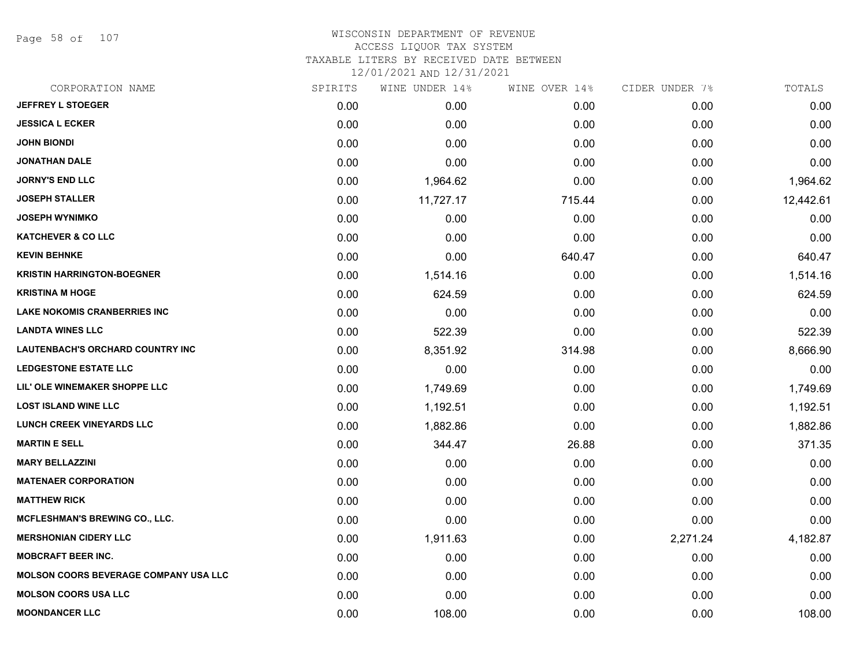Page 58 of 107

## WISCONSIN DEPARTMENT OF REVENUE ACCESS LIQUOR TAX SYSTEM

TAXABLE LITERS BY RECEIVED DATE BETWEEN

| CORPORATION NAME                             | SPIRITS | WINE UNDER 14% | WINE OVER 14% | CIDER UNDER 7% | TOTALS    |
|----------------------------------------------|---------|----------------|---------------|----------------|-----------|
| <b>JEFFREY L STOEGER</b>                     | 0.00    | 0.00           | 0.00          | 0.00           | 0.00      |
| <b>JESSICA L ECKER</b>                       | 0.00    | 0.00           | 0.00          | 0.00           | 0.00      |
| <b>JOHN BIONDI</b>                           | 0.00    | 0.00           | 0.00          | 0.00           | 0.00      |
| <b>JONATHAN DALE</b>                         | 0.00    | 0.00           | 0.00          | 0.00           | 0.00      |
| <b>JORNY'S END LLC</b>                       | 0.00    | 1,964.62       | 0.00          | 0.00           | 1,964.62  |
| <b>JOSEPH STALLER</b>                        | 0.00    | 11,727.17      | 715.44        | 0.00           | 12,442.61 |
| <b>JOSEPH WYNIMKO</b>                        | 0.00    | 0.00           | 0.00          | 0.00           | 0.00      |
| <b>KATCHEVER &amp; CO LLC</b>                | 0.00    | 0.00           | 0.00          | 0.00           | 0.00      |
| <b>KEVIN BEHNKE</b>                          | 0.00    | 0.00           | 640.47        | 0.00           | 640.47    |
| <b>KRISTIN HARRINGTON-BOEGNER</b>            | 0.00    | 1,514.16       | 0.00          | 0.00           | 1,514.16  |
| <b>KRISTINA M HOGE</b>                       | 0.00    | 624.59         | 0.00          | 0.00           | 624.59    |
| <b>LAKE NOKOMIS CRANBERRIES INC</b>          | 0.00    | 0.00           | 0.00          | 0.00           | 0.00      |
| <b>LANDTA WINES LLC</b>                      | 0.00    | 522.39         | 0.00          | 0.00           | 522.39    |
| <b>LAUTENBACH'S ORCHARD COUNTRY INC</b>      | 0.00    | 8,351.92       | 314.98        | 0.00           | 8,666.90  |
| <b>LEDGESTONE ESTATE LLC</b>                 | 0.00    | 0.00           | 0.00          | 0.00           | 0.00      |
| LIL' OLE WINEMAKER SHOPPE LLC                | 0.00    | 1,749.69       | 0.00          | 0.00           | 1,749.69  |
| <b>LOST ISLAND WINE LLC</b>                  | 0.00    | 1,192.51       | 0.00          | 0.00           | 1,192.51  |
| <b>LUNCH CREEK VINEYARDS LLC</b>             | 0.00    | 1,882.86       | 0.00          | 0.00           | 1,882.86  |
| <b>MARTIN E SELL</b>                         | 0.00    | 344.47         | 26.88         | 0.00           | 371.35    |
| <b>MARY BELLAZZINI</b>                       | 0.00    | 0.00           | 0.00          | 0.00           | 0.00      |
| <b>MATENAER CORPORATION</b>                  | 0.00    | 0.00           | 0.00          | 0.00           | 0.00      |
| <b>MATTHEW RICK</b>                          | 0.00    | 0.00           | 0.00          | 0.00           | 0.00      |
| <b>MCFLESHMAN'S BREWING CO., LLC.</b>        | 0.00    | 0.00           | 0.00          | 0.00           | 0.00      |
| <b>MERSHONIAN CIDERY LLC</b>                 | 0.00    | 1,911.63       | 0.00          | 2,271.24       | 4,182.87  |
| <b>MOBCRAFT BEER INC.</b>                    | 0.00    | 0.00           | 0.00          | 0.00           | 0.00      |
| <b>MOLSON COORS BEVERAGE COMPANY USA LLC</b> | 0.00    | 0.00           | 0.00          | 0.00           | 0.00      |
| <b>MOLSON COORS USA LLC</b>                  | 0.00    | 0.00           | 0.00          | 0.00           | 0.00      |
| <b>MOONDANCER LLC</b>                        | 0.00    | 108.00         | 0.00          | 0.00           | 108.00    |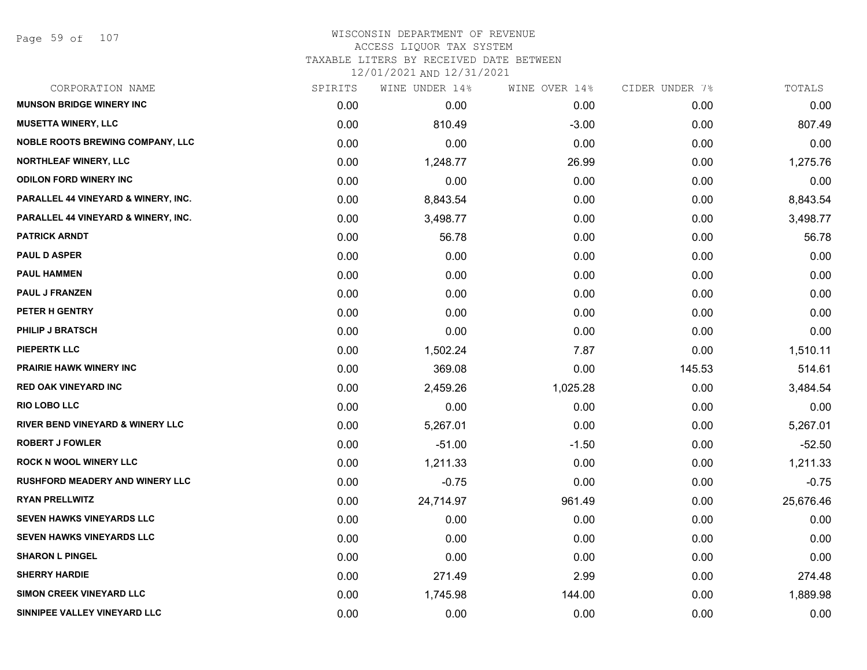## WISCONSIN DEPARTMENT OF REVENUE ACCESS LIQUOR TAX SYSTEM

TAXABLE LITERS BY RECEIVED DATE BETWEEN

| CORPORATION NAME                            | SPIRITS | WINE UNDER 14% | WINE OVER 14% | CIDER UNDER 7% | TOTALS    |
|---------------------------------------------|---------|----------------|---------------|----------------|-----------|
| <b>MUNSON BRIDGE WINERY INC</b>             | 0.00    | 0.00           | 0.00          | 0.00           | 0.00      |
| <b>MUSETTA WINERY, LLC</b>                  | 0.00    | 810.49         | $-3.00$       | 0.00           | 807.49    |
| <b>NOBLE ROOTS BREWING COMPANY, LLC</b>     | 0.00    | 0.00           | 0.00          | 0.00           | 0.00      |
| <b>NORTHLEAF WINERY, LLC</b>                | 0.00    | 1,248.77       | 26.99         | 0.00           | 1,275.76  |
| <b>ODILON FORD WINERY INC</b>               | 0.00    | 0.00           | 0.00          | 0.00           | 0.00      |
| PARALLEL 44 VINEYARD & WINERY, INC.         | 0.00    | 8,843.54       | 0.00          | 0.00           | 8,843.54  |
| PARALLEL 44 VINEYARD & WINERY, INC.         | 0.00    | 3,498.77       | 0.00          | 0.00           | 3,498.77  |
| <b>PATRICK ARNDT</b>                        | 0.00    | 56.78          | 0.00          | 0.00           | 56.78     |
| <b>PAUL D ASPER</b>                         | 0.00    | 0.00           | 0.00          | 0.00           | 0.00      |
| <b>PAUL HAMMEN</b>                          | 0.00    | 0.00           | 0.00          | 0.00           | 0.00      |
| <b>PAUL J FRANZEN</b>                       | 0.00    | 0.00           | 0.00          | 0.00           | 0.00      |
| PETER H GENTRY                              | 0.00    | 0.00           | 0.00          | 0.00           | 0.00      |
| <b>PHILIP J BRATSCH</b>                     | 0.00    | 0.00           | 0.00          | 0.00           | 0.00      |
| <b>PIEPERTK LLC</b>                         | 0.00    | 1,502.24       | 7.87          | 0.00           | 1,510.11  |
| <b>PRAIRIE HAWK WINERY INC</b>              | 0.00    | 369.08         | 0.00          | 145.53         | 514.61    |
| <b>RED OAK VINEYARD INC</b>                 | 0.00    | 2,459.26       | 1,025.28      | 0.00           | 3,484.54  |
| <b>RIO LOBO LLC</b>                         | 0.00    | 0.00           | 0.00          | 0.00           | 0.00      |
| <b>RIVER BEND VINEYARD &amp; WINERY LLC</b> | 0.00    | 5,267.01       | 0.00          | 0.00           | 5,267.01  |
| <b>ROBERT J FOWLER</b>                      | 0.00    | $-51.00$       | $-1.50$       | 0.00           | $-52.50$  |
| <b>ROCK N WOOL WINERY LLC</b>               | 0.00    | 1,211.33       | 0.00          | 0.00           | 1,211.33  |
| <b>RUSHFORD MEADERY AND WINERY LLC</b>      | 0.00    | $-0.75$        | 0.00          | 0.00           | $-0.75$   |
| <b>RYAN PRELLWITZ</b>                       | 0.00    | 24,714.97      | 961.49        | 0.00           | 25,676.46 |
| SEVEN HAWKS VINEYARDS LLC                   | 0.00    | 0.00           | 0.00          | 0.00           | 0.00      |
| SEVEN HAWKS VINEYARDS LLC                   | 0.00    | 0.00           | 0.00          | 0.00           | 0.00      |
| <b>SHARON L PINGEL</b>                      | 0.00    | 0.00           | 0.00          | 0.00           | 0.00      |
| <b>SHERRY HARDIE</b>                        | 0.00    | 271.49         | 2.99          | 0.00           | 274.48    |
| SIMON CREEK VINEYARD LLC                    | 0.00    | 1,745.98       | 144.00        | 0.00           | 1,889.98  |
| SINNIPEE VALLEY VINEYARD LLC                | 0.00    | 0.00           | 0.00          | 0.00           | 0.00      |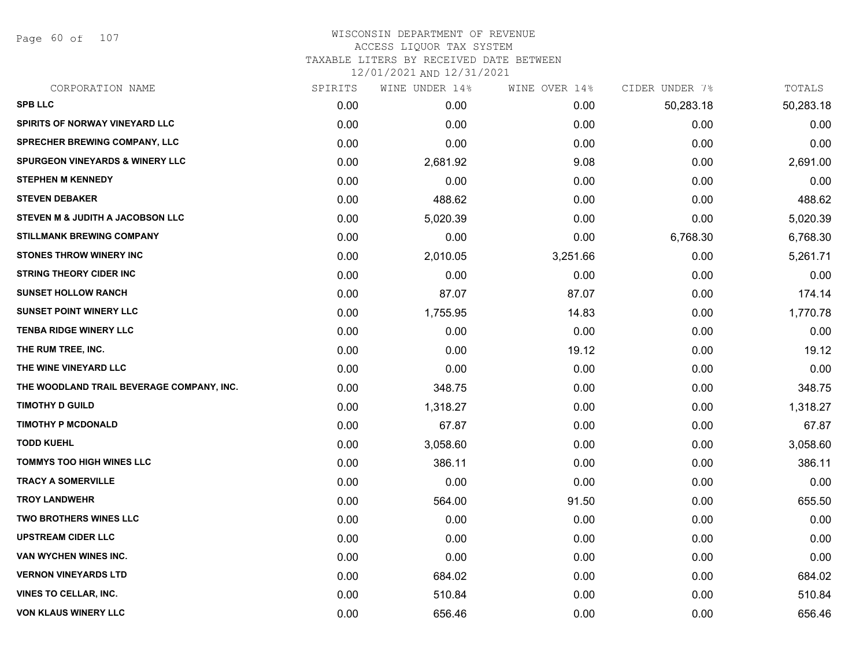Page 60 of 107

#### WISCONSIN DEPARTMENT OF REVENUE ACCESS LIQUOR TAX SYSTEM TAXABLE LITERS BY RECEIVED DATE BETWEEN

| CORPORATION NAME                           | SPIRITS | WINE UNDER 14% | WINE OVER 14% | CIDER UNDER 7% | TOTALS    |
|--------------------------------------------|---------|----------------|---------------|----------------|-----------|
| <b>SPB LLC</b>                             | 0.00    | 0.00           | 0.00          | 50,283.18      | 50,283.18 |
| <b>SPIRITS OF NORWAY VINEYARD LLC</b>      | 0.00    | 0.00           | 0.00          | 0.00           | 0.00      |
| SPRECHER BREWING COMPANY, LLC              | 0.00    | 0.00           | 0.00          | 0.00           | 0.00      |
| <b>SPURGEON VINEYARDS &amp; WINERY LLC</b> | 0.00    | 2,681.92       | 9.08          | 0.00           | 2,691.00  |
| <b>STEPHEN M KENNEDY</b>                   | 0.00    | 0.00           | 0.00          | 0.00           | 0.00      |
| <b>STEVEN DEBAKER</b>                      | 0.00    | 488.62         | 0.00          | 0.00           | 488.62    |
| STEVEN M & JUDITH A JACOBSON LLC           | 0.00    | 5,020.39       | 0.00          | 0.00           | 5,020.39  |
| <b>STILLMANK BREWING COMPANY</b>           | 0.00    | 0.00           | 0.00          | 6,768.30       | 6,768.30  |
| <b>STONES THROW WINERY INC</b>             | 0.00    | 2,010.05       | 3,251.66      | 0.00           | 5,261.71  |
| <b>STRING THEORY CIDER INC</b>             | 0.00    | 0.00           | 0.00          | 0.00           | 0.00      |
| <b>SUNSET HOLLOW RANCH</b>                 | 0.00    | 87.07          | 87.07         | 0.00           | 174.14    |
| <b>SUNSET POINT WINERY LLC</b>             | 0.00    | 1,755.95       | 14.83         | 0.00           | 1,770.78  |
| TENBA RIDGE WINERY LLC                     | 0.00    | 0.00           | 0.00          | 0.00           | 0.00      |
| THE RUM TREE, INC.                         | 0.00    | 0.00           | 19.12         | 0.00           | 19.12     |
| THE WINE VINEYARD LLC                      | 0.00    | 0.00           | 0.00          | 0.00           | 0.00      |
| THE WOODLAND TRAIL BEVERAGE COMPANY, INC.  | 0.00    | 348.75         | 0.00          | 0.00           | 348.75    |
| <b>TIMOTHY D GUILD</b>                     | 0.00    | 1,318.27       | 0.00          | 0.00           | 1,318.27  |
| <b>TIMOTHY P MCDONALD</b>                  | 0.00    | 67.87          | 0.00          | 0.00           | 67.87     |
| <b>TODD KUEHL</b>                          | 0.00    | 3,058.60       | 0.00          | 0.00           | 3,058.60  |
| <b>TOMMYS TOO HIGH WINES LLC</b>           | 0.00    | 386.11         | 0.00          | 0.00           | 386.11    |
| <b>TRACY A SOMERVILLE</b>                  | 0.00    | 0.00           | 0.00          | 0.00           | 0.00      |
| <b>TROY LANDWEHR</b>                       | 0.00    | 564.00         | 91.50         | 0.00           | 655.50    |
| <b>TWO BROTHERS WINES LLC</b>              | 0.00    | 0.00           | 0.00          | 0.00           | 0.00      |
| <b>UPSTREAM CIDER LLC</b>                  | 0.00    | 0.00           | 0.00          | 0.00           | 0.00      |
| VAN WYCHEN WINES INC.                      | 0.00    | 0.00           | 0.00          | 0.00           | 0.00      |
| <b>VERNON VINEYARDS LTD</b>                | 0.00    | 684.02         | 0.00          | 0.00           | 684.02    |
| <b>VINES TO CELLAR, INC.</b>               | 0.00    | 510.84         | 0.00          | 0.00           | 510.84    |
| <b>VON KLAUS WINERY LLC</b>                | 0.00    | 656.46         | 0.00          | 0.00           | 656.46    |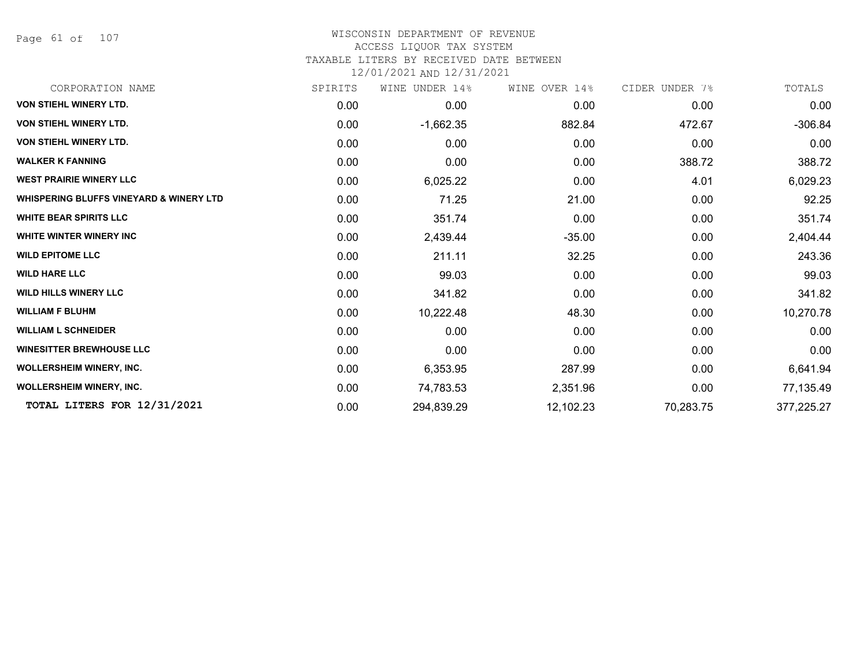Page 61 of 107

## WISCONSIN DEPARTMENT OF REVENUE

## ACCESS LIQUOR TAX SYSTEM

TAXABLE LITERS BY RECEIVED DATE BETWEEN

| CORPORATION NAME                                   | SPIRITS | UNDER 14%<br>WINE | WINE OVER 14% | CIDER UNDER 7% | TOTALS     |
|----------------------------------------------------|---------|-------------------|---------------|----------------|------------|
| <b>VON STIEHL WINERY LTD.</b>                      | 0.00    | 0.00              | 0.00          | 0.00           | 0.00       |
| <b>VON STIEHL WINERY LTD.</b>                      | 0.00    | $-1,662.35$       | 882.84        | 472.67         | $-306.84$  |
| <b>VON STIEHL WINERY LTD.</b>                      | 0.00    | 0.00              | 0.00          | 0.00           | 0.00       |
| <b>WALKER K FANNING</b>                            | 0.00    | 0.00              | 0.00          | 388.72         | 388.72     |
| <b>WEST PRAIRIE WINERY LLC</b>                     | 0.00    | 6,025.22          | 0.00          | 4.01           | 6,029.23   |
| <b>WHISPERING BLUFFS VINEYARD &amp; WINERY LTD</b> | 0.00    | 71.25             | 21.00         | 0.00           | 92.25      |
| <b>WHITE BEAR SPIRITS LLC</b>                      | 0.00    | 351.74            | 0.00          | 0.00           | 351.74     |
| <b>WHITE WINTER WINERY INC</b>                     | 0.00    | 2,439.44          | $-35.00$      | 0.00           | 2,404.44   |
| <b>WILD EPITOME LLC</b>                            | 0.00    | 211.11            | 32.25         | 0.00           | 243.36     |
| <b>WILD HARE LLC</b>                               | 0.00    | 99.03             | 0.00          | 0.00           | 99.03      |
| <b>WILD HILLS WINERY LLC</b>                       | 0.00    | 341.82            | 0.00          | 0.00           | 341.82     |
| <b>WILLIAM F BLUHM</b>                             | 0.00    | 10,222.48         | 48.30         | 0.00           | 10,270.78  |
| <b>WILLIAM L SCHNEIDER</b>                         | 0.00    | 0.00              | 0.00          | 0.00           | 0.00       |
| <b>WINESITTER BREWHOUSE LLC</b>                    | 0.00    | 0.00              | 0.00          | 0.00           | 0.00       |
| <b>WOLLERSHEIM WINERY, INC.</b>                    | 0.00    | 6,353.95          | 287.99        | 0.00           | 6,641.94   |
| <b>WOLLERSHEIM WINERY, INC.</b>                    | 0.00    | 74,783.53         | 2,351.96      | 0.00           | 77,135.49  |
| TOTAL LITERS FOR 12/31/2021                        | 0.00    | 294,839.29        | 12,102.23     | 70,283.75      | 377,225.27 |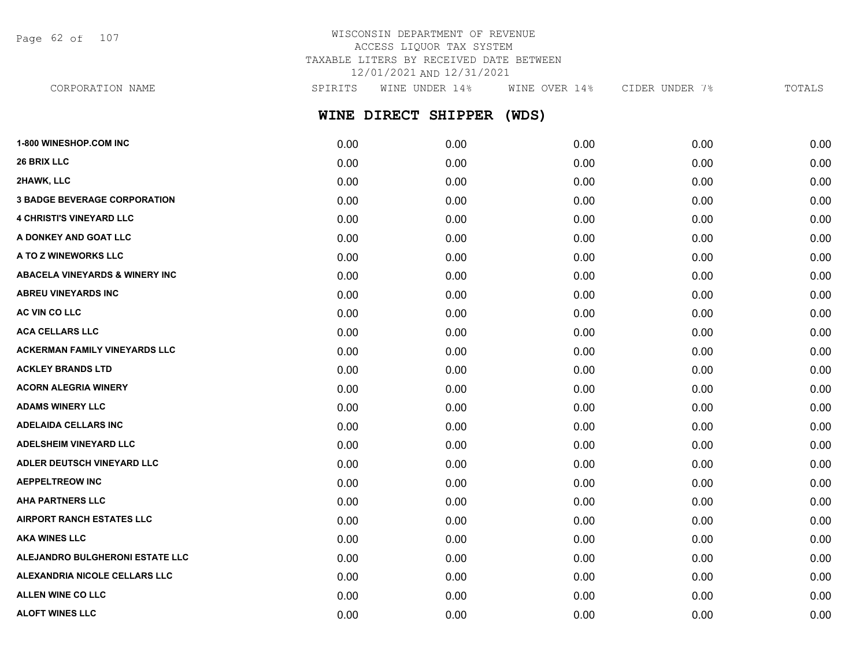Page 62 of 107

## WISCONSIN DEPARTMENT OF REVENUE ACCESS LIQUOR TAX SYSTEM TAXABLE LITERS BY RECEIVED DATE BETWEEN 12/01/2021 AND 12/31/2021

**WINE DIRECT SHIPPER (WDS)** CORPORATION NAME SPIRITS WINE UNDER 14% WINE OVER 14% CIDER UNDER 7% TOTALS

| 1-800 WINESHOP.COM INC                    | 0.00 | 0.00 | 0.00 | 0.00 | 0.00 |
|-------------------------------------------|------|------|------|------|------|
| 26 BRIX LLC                               | 0.00 | 0.00 | 0.00 | 0.00 | 0.00 |
| 2HAWK, LLC                                | 0.00 | 0.00 | 0.00 | 0.00 | 0.00 |
| <b>3 BADGE BEVERAGE CORPORATION</b>       | 0.00 | 0.00 | 0.00 | 0.00 | 0.00 |
| <b>4 CHRISTI'S VINEYARD LLC</b>           | 0.00 | 0.00 | 0.00 | 0.00 | 0.00 |
| A DONKEY AND GOAT LLC                     | 0.00 | 0.00 | 0.00 | 0.00 | 0.00 |
| A TO Z WINEWORKS LLC                      | 0.00 | 0.00 | 0.00 | 0.00 | 0.00 |
| <b>ABACELA VINEYARDS &amp; WINERY INC</b> | 0.00 | 0.00 | 0.00 | 0.00 | 0.00 |
| <b>ABREU VINEYARDS INC</b>                | 0.00 | 0.00 | 0.00 | 0.00 | 0.00 |
| AC VIN CO LLC                             | 0.00 | 0.00 | 0.00 | 0.00 | 0.00 |
| <b>ACA CELLARS LLC</b>                    | 0.00 | 0.00 | 0.00 | 0.00 | 0.00 |
| <b>ACKERMAN FAMILY VINEYARDS LLC</b>      | 0.00 | 0.00 | 0.00 | 0.00 | 0.00 |
| <b>ACKLEY BRANDS LTD</b>                  | 0.00 | 0.00 | 0.00 | 0.00 | 0.00 |
| <b>ACORN ALEGRIA WINERY</b>               | 0.00 | 0.00 | 0.00 | 0.00 | 0.00 |
| <b>ADAMS WINERY LLC</b>                   | 0.00 | 0.00 | 0.00 | 0.00 | 0.00 |
| <b>ADELAIDA CELLARS INC</b>               | 0.00 | 0.00 | 0.00 | 0.00 | 0.00 |
| <b>ADELSHEIM VINEYARD LLC</b>             | 0.00 | 0.00 | 0.00 | 0.00 | 0.00 |
| ADLER DEUTSCH VINEYARD LLC                | 0.00 | 0.00 | 0.00 | 0.00 | 0.00 |
| <b>AEPPELTREOW INC</b>                    | 0.00 | 0.00 | 0.00 | 0.00 | 0.00 |
| <b>AHA PARTNERS LLC</b>                   | 0.00 | 0.00 | 0.00 | 0.00 | 0.00 |
| <b>AIRPORT RANCH ESTATES LLC</b>          | 0.00 | 0.00 | 0.00 | 0.00 | 0.00 |
| <b>AKA WINES LLC</b>                      | 0.00 | 0.00 | 0.00 | 0.00 | 0.00 |
| ALEJANDRO BULGHERONI ESTATE LLC           | 0.00 | 0.00 | 0.00 | 0.00 | 0.00 |
| <b>ALEXANDRIA NICOLE CELLARS LLC</b>      | 0.00 | 0.00 | 0.00 | 0.00 | 0.00 |
| <b>ALLEN WINE CO LLC</b>                  | 0.00 | 0.00 | 0.00 | 0.00 | 0.00 |
| <b>ALOFT WINES LLC</b>                    | 0.00 | 0.00 | 0.00 | 0.00 | 0.00 |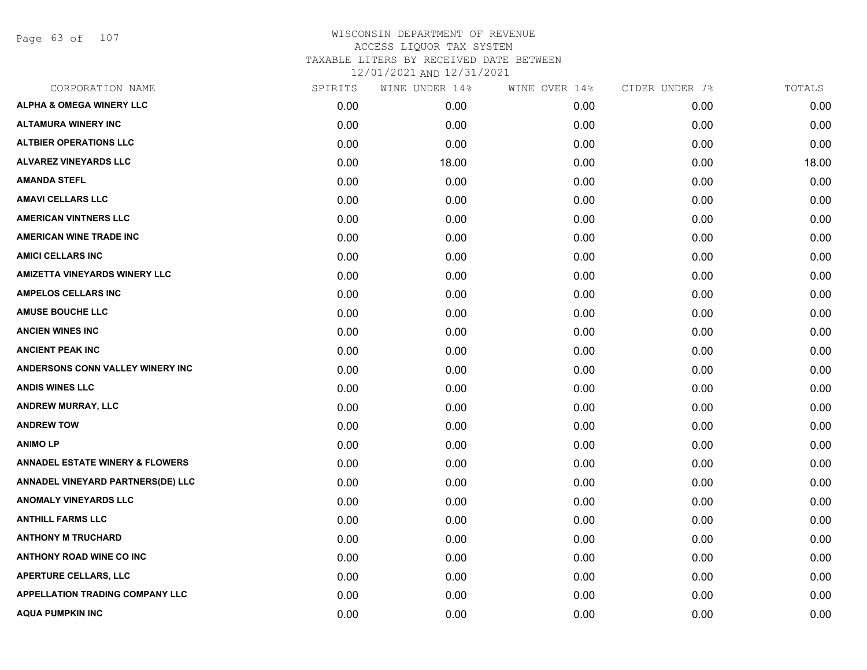Page 63 of 107

| CORPORATION NAME                           | SPIRITS | WINE UNDER 14% | WINE OVER 14% | CIDER UNDER 7% | TOTALS |
|--------------------------------------------|---------|----------------|---------------|----------------|--------|
| <b>ALPHA &amp; OMEGA WINERY LLC</b>        | 0.00    | 0.00           | 0.00          | 0.00           | 0.00   |
| <b>ALTAMURA WINERY INC</b>                 | 0.00    | 0.00           | 0.00          | 0.00           | 0.00   |
| <b>ALTBIER OPERATIONS LLC</b>              | 0.00    | 0.00           | 0.00          | 0.00           | 0.00   |
| <b>ALVAREZ VINEYARDS LLC</b>               | 0.00    | 18.00          | 0.00          | 0.00           | 18.00  |
| <b>AMANDA STEFL</b>                        | 0.00    | 0.00           | 0.00          | 0.00           | 0.00   |
| <b>AMAVI CELLARS LLC</b>                   | 0.00    | 0.00           | 0.00          | 0.00           | 0.00   |
| <b>AMERICAN VINTNERS LLC</b>               | 0.00    | 0.00           | 0.00          | 0.00           | 0.00   |
| <b>AMERICAN WINE TRADE INC</b>             | 0.00    | 0.00           | 0.00          | 0.00           | 0.00   |
| <b>AMICI CELLARS INC</b>                   | 0.00    | 0.00           | 0.00          | 0.00           | 0.00   |
| <b>AMIZETTA VINEYARDS WINERY LLC</b>       | 0.00    | 0.00           | 0.00          | 0.00           | 0.00   |
| <b>AMPELOS CELLARS INC</b>                 | 0.00    | 0.00           | 0.00          | 0.00           | 0.00   |
| <b>AMUSE BOUCHE LLC</b>                    | 0.00    | 0.00           | 0.00          | 0.00           | 0.00   |
| <b>ANCIEN WINES INC</b>                    | 0.00    | 0.00           | 0.00          | 0.00           | 0.00   |
| <b>ANCIENT PEAK INC</b>                    | 0.00    | 0.00           | 0.00          | 0.00           | 0.00   |
| ANDERSONS CONN VALLEY WINERY INC           | 0.00    | 0.00           | 0.00          | 0.00           | 0.00   |
| <b>ANDIS WINES LLC</b>                     | 0.00    | 0.00           | 0.00          | 0.00           | 0.00   |
| ANDREW MURRAY, LLC                         | 0.00    | 0.00           | 0.00          | 0.00           | 0.00   |
| <b>ANDREW TOW</b>                          | 0.00    | 0.00           | 0.00          | 0.00           | 0.00   |
| <b>ANIMOLP</b>                             | 0.00    | 0.00           | 0.00          | 0.00           | 0.00   |
| <b>ANNADEL ESTATE WINERY &amp; FLOWERS</b> | 0.00    | 0.00           | 0.00          | 0.00           | 0.00   |
| ANNADEL VINEYARD PARTNERS(DE) LLC          | 0.00    | 0.00           | 0.00          | 0.00           | 0.00   |
| <b>ANOMALY VINEYARDS LLC</b>               | 0.00    | 0.00           | 0.00          | 0.00           | 0.00   |
| <b>ANTHILL FARMS LLC</b>                   | 0.00    | 0.00           | 0.00          | 0.00           | 0.00   |
| <b>ANTHONY M TRUCHARD</b>                  | 0.00    | 0.00           | 0.00          | 0.00           | 0.00   |
| <b>ANTHONY ROAD WINE CO INC</b>            | 0.00    | 0.00           | 0.00          | 0.00           | 0.00   |
| <b>APERTURE CELLARS, LLC</b>               | 0.00    | 0.00           | 0.00          | 0.00           | 0.00   |
| <b>APPELLATION TRADING COMPANY LLC</b>     | 0.00    | 0.00           | 0.00          | 0.00           | 0.00   |
| <b>AQUA PUMPKIN INC</b>                    | 0.00    | 0.00           | 0.00          | 0.00           | 0.00   |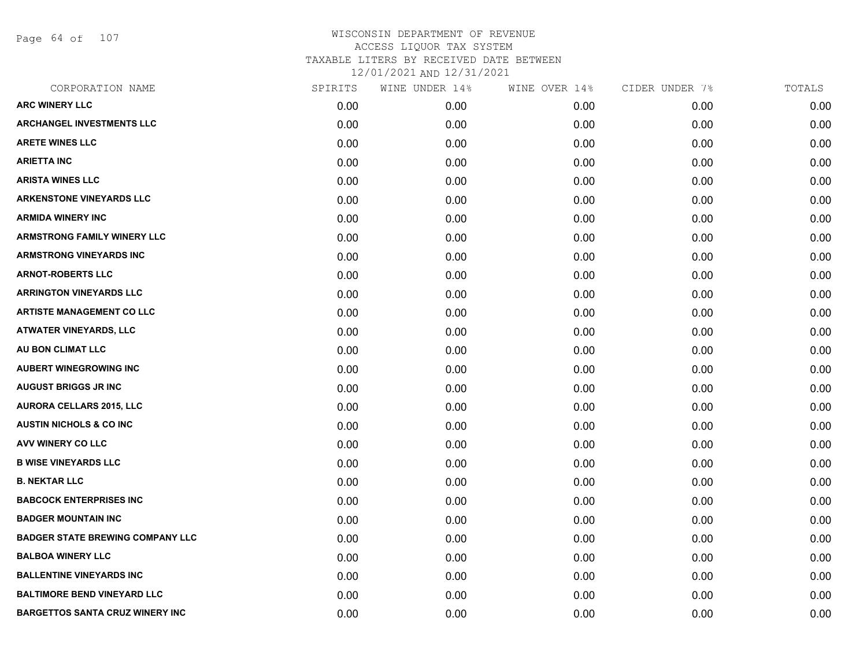Page 64 of 107

| CORPORATION NAME                        | SPIRITS | WINE UNDER 14% | WINE OVER 14% | CIDER UNDER 7% | TOTALS |
|-----------------------------------------|---------|----------------|---------------|----------------|--------|
| <b>ARC WINERY LLC</b>                   | 0.00    | 0.00           | 0.00          | 0.00           | 0.00   |
| <b>ARCHANGEL INVESTMENTS LLC</b>        | 0.00    | 0.00           | 0.00          | 0.00           | 0.00   |
| <b>ARETE WINES LLC</b>                  | 0.00    | 0.00           | 0.00          | 0.00           | 0.00   |
| <b>ARIETTA INC</b>                      | 0.00    | 0.00           | 0.00          | 0.00           | 0.00   |
| <b>ARISTA WINES LLC</b>                 | 0.00    | 0.00           | 0.00          | 0.00           | 0.00   |
| <b>ARKENSTONE VINEYARDS LLC</b>         | 0.00    | 0.00           | 0.00          | 0.00           | 0.00   |
| <b>ARMIDA WINERY INC</b>                | 0.00    | 0.00           | 0.00          | 0.00           | 0.00   |
| <b>ARMSTRONG FAMILY WINERY LLC</b>      | 0.00    | 0.00           | 0.00          | 0.00           | 0.00   |
| <b>ARMSTRONG VINEYARDS INC</b>          | 0.00    | 0.00           | 0.00          | 0.00           | 0.00   |
| <b>ARNOT-ROBERTS LLC</b>                | 0.00    | 0.00           | 0.00          | 0.00           | 0.00   |
| <b>ARRINGTON VINEYARDS LLC</b>          | 0.00    | 0.00           | 0.00          | 0.00           | 0.00   |
| <b>ARTISTE MANAGEMENT CO LLC</b>        | 0.00    | 0.00           | 0.00          | 0.00           | 0.00   |
| <b>ATWATER VINEYARDS, LLC</b>           | 0.00    | 0.00           | 0.00          | 0.00           | 0.00   |
| AU BON CLIMAT LLC                       | 0.00    | 0.00           | 0.00          | 0.00           | 0.00   |
| <b>AUBERT WINEGROWING INC</b>           | 0.00    | 0.00           | 0.00          | 0.00           | 0.00   |
| <b>AUGUST BRIGGS JR INC</b>             | 0.00    | 0.00           | 0.00          | 0.00           | 0.00   |
| <b>AURORA CELLARS 2015, LLC</b>         | 0.00    | 0.00           | 0.00          | 0.00           | 0.00   |
| <b>AUSTIN NICHOLS &amp; CO INC</b>      | 0.00    | 0.00           | 0.00          | 0.00           | 0.00   |
| AVV WINERY CO LLC                       | 0.00    | 0.00           | 0.00          | 0.00           | 0.00   |
| <b>B WISE VINEYARDS LLC</b>             | 0.00    | 0.00           | 0.00          | 0.00           | 0.00   |
| <b>B. NEKTAR LLC</b>                    | 0.00    | 0.00           | 0.00          | 0.00           | 0.00   |
| <b>BABCOCK ENTERPRISES INC</b>          | 0.00    | 0.00           | 0.00          | 0.00           | 0.00   |
| <b>BADGER MOUNTAIN INC</b>              | 0.00    | 0.00           | 0.00          | 0.00           | 0.00   |
| <b>BADGER STATE BREWING COMPANY LLC</b> | 0.00    | 0.00           | 0.00          | 0.00           | 0.00   |
| <b>BALBOA WINERY LLC</b>                | 0.00    | 0.00           | 0.00          | 0.00           | 0.00   |
| <b>BALLENTINE VINEYARDS INC</b>         | 0.00    | 0.00           | 0.00          | 0.00           | 0.00   |
| <b>BALTIMORE BEND VINEYARD LLC</b>      | 0.00    | 0.00           | 0.00          | 0.00           | 0.00   |
| <b>BARGETTOS SANTA CRUZ WINERY INC</b>  | 0.00    | 0.00           | 0.00          | 0.00           | 0.00   |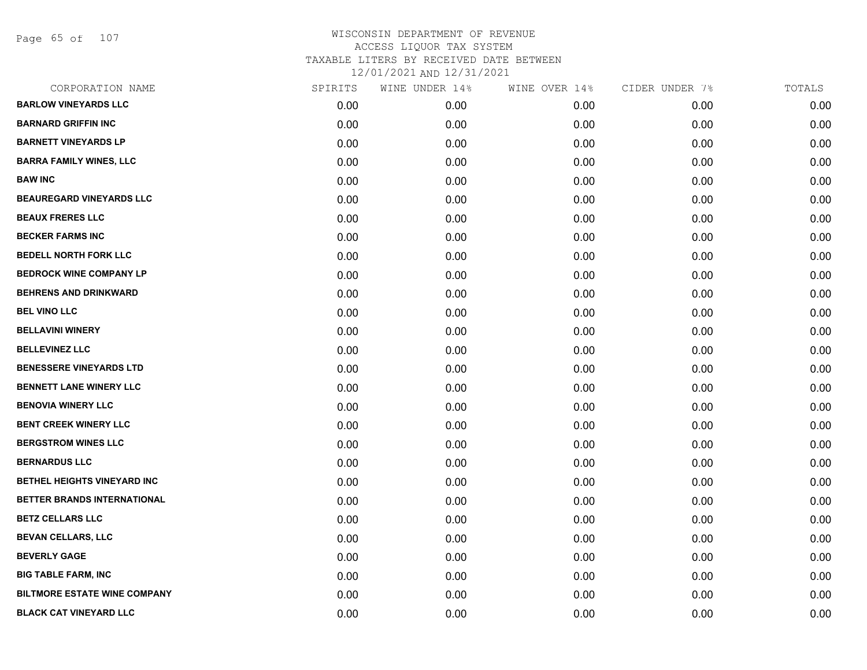Page 65 of 107

| CORPORATION NAME                    | SPIRITS | WINE UNDER 14% | WINE OVER 14% | CIDER UNDER 7% | TOTALS |
|-------------------------------------|---------|----------------|---------------|----------------|--------|
| <b>BARLOW VINEYARDS LLC</b>         | 0.00    | 0.00           | 0.00          | 0.00           | 0.00   |
| <b>BARNARD GRIFFIN INC</b>          | 0.00    | 0.00           | 0.00          | 0.00           | 0.00   |
| <b>BARNETT VINEYARDS LP</b>         | 0.00    | 0.00           | 0.00          | 0.00           | 0.00   |
| <b>BARRA FAMILY WINES, LLC</b>      | 0.00    | 0.00           | 0.00          | 0.00           | 0.00   |
| <b>BAW INC</b>                      | 0.00    | 0.00           | 0.00          | 0.00           | 0.00   |
| <b>BEAUREGARD VINEYARDS LLC</b>     | 0.00    | 0.00           | 0.00          | 0.00           | 0.00   |
| <b>BEAUX FRERES LLC</b>             | 0.00    | 0.00           | 0.00          | 0.00           | 0.00   |
| <b>BECKER FARMS INC</b>             | 0.00    | 0.00           | 0.00          | 0.00           | 0.00   |
| <b>BEDELL NORTH FORK LLC</b>        | 0.00    | 0.00           | 0.00          | 0.00           | 0.00   |
| <b>BEDROCK WINE COMPANY LP</b>      | 0.00    | 0.00           | 0.00          | 0.00           | 0.00   |
| <b>BEHRENS AND DRINKWARD</b>        | 0.00    | 0.00           | 0.00          | 0.00           | 0.00   |
| <b>BEL VINO LLC</b>                 | 0.00    | 0.00           | 0.00          | 0.00           | 0.00   |
| <b>BELLAVINI WINERY</b>             | 0.00    | 0.00           | 0.00          | 0.00           | 0.00   |
| <b>BELLEVINEZ LLC</b>               | 0.00    | 0.00           | 0.00          | 0.00           | 0.00   |
| <b>BENESSERE VINEYARDS LTD</b>      | 0.00    | 0.00           | 0.00          | 0.00           | 0.00   |
| BENNETT LANE WINERY LLC             | 0.00    | 0.00           | 0.00          | 0.00           | 0.00   |
| <b>BENOVIA WINERY LLC</b>           | 0.00    | 0.00           | 0.00          | 0.00           | 0.00   |
| <b>BENT CREEK WINERY LLC</b>        | 0.00    | 0.00           | 0.00          | 0.00           | 0.00   |
| <b>BERGSTROM WINES LLC</b>          | 0.00    | 0.00           | 0.00          | 0.00           | 0.00   |
| <b>BERNARDUS LLC</b>                | 0.00    | 0.00           | 0.00          | 0.00           | 0.00   |
| BETHEL HEIGHTS VINEYARD INC         | 0.00    | 0.00           | 0.00          | 0.00           | 0.00   |
| BETTER BRANDS INTERNATIONAL         | 0.00    | 0.00           | 0.00          | 0.00           | 0.00   |
| <b>BETZ CELLARS LLC</b>             | 0.00    | 0.00           | 0.00          | 0.00           | 0.00   |
| <b>BEVAN CELLARS, LLC</b>           | 0.00    | 0.00           | 0.00          | 0.00           | 0.00   |
| <b>BEVERLY GAGE</b>                 | 0.00    | 0.00           | 0.00          | 0.00           | 0.00   |
| <b>BIG TABLE FARM, INC</b>          | 0.00    | 0.00           | 0.00          | 0.00           | 0.00   |
| <b>BILTMORE ESTATE WINE COMPANY</b> | 0.00    | 0.00           | 0.00          | 0.00           | 0.00   |
| <b>BLACK CAT VINEYARD LLC</b>       | 0.00    | 0.00           | 0.00          | 0.00           | 0.00   |
|                                     |         |                |               |                |        |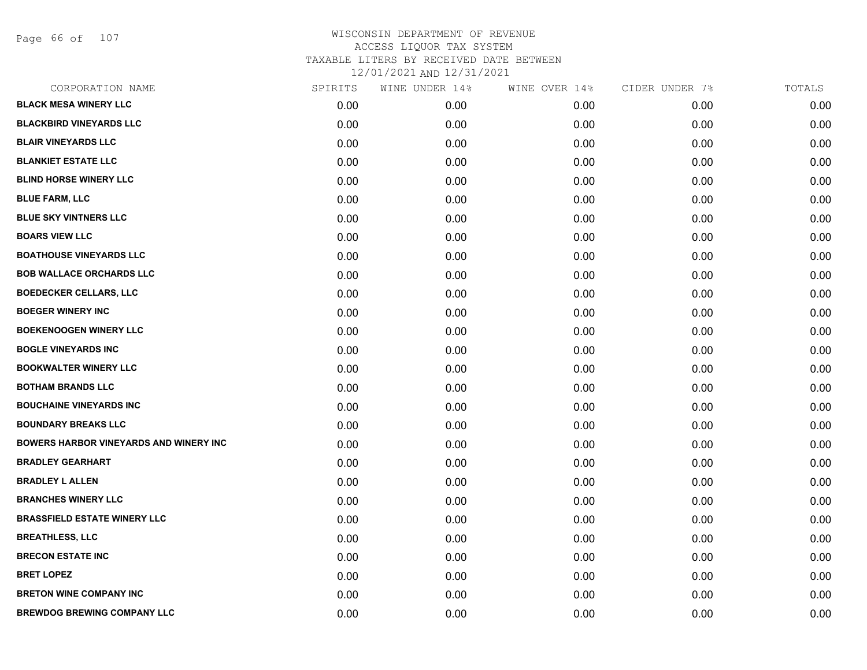Page 66 of 107

| CORPORATION NAME                              | SPIRITS | WINE UNDER 14% | WINE OVER 14% | CIDER UNDER 7% | TOTALS |
|-----------------------------------------------|---------|----------------|---------------|----------------|--------|
| <b>BLACK MESA WINERY LLC</b>                  | 0.00    | 0.00           | 0.00          | 0.00           | 0.00   |
| <b>BLACKBIRD VINEYARDS LLC</b>                | 0.00    | 0.00           | 0.00          | 0.00           | 0.00   |
| <b>BLAIR VINEYARDS LLC</b>                    | 0.00    | 0.00           | 0.00          | 0.00           | 0.00   |
| <b>BLANKIET ESTATE LLC</b>                    | 0.00    | 0.00           | 0.00          | 0.00           | 0.00   |
| <b>BLIND HORSE WINERY LLC</b>                 | 0.00    | 0.00           | 0.00          | 0.00           | 0.00   |
| <b>BLUE FARM, LLC</b>                         | 0.00    | 0.00           | 0.00          | 0.00           | 0.00   |
| <b>BLUE SKY VINTNERS LLC</b>                  | 0.00    | 0.00           | 0.00          | 0.00           | 0.00   |
| <b>BOARS VIEW LLC</b>                         | 0.00    | 0.00           | 0.00          | 0.00           | 0.00   |
| <b>BOATHOUSE VINEYARDS LLC</b>                | 0.00    | 0.00           | 0.00          | 0.00           | 0.00   |
| <b>BOB WALLACE ORCHARDS LLC</b>               | 0.00    | 0.00           | 0.00          | 0.00           | 0.00   |
| <b>BOEDECKER CELLARS, LLC</b>                 | 0.00    | 0.00           | 0.00          | 0.00           | 0.00   |
| <b>BOEGER WINERY INC</b>                      | 0.00    | 0.00           | 0.00          | 0.00           | 0.00   |
| <b>BOEKENOOGEN WINERY LLC</b>                 | 0.00    | 0.00           | 0.00          | 0.00           | 0.00   |
| <b>BOGLE VINEYARDS INC</b>                    | 0.00    | 0.00           | 0.00          | 0.00           | 0.00   |
| <b>BOOKWALTER WINERY LLC</b>                  | 0.00    | 0.00           | 0.00          | 0.00           | 0.00   |
| <b>BOTHAM BRANDS LLC</b>                      | 0.00    | 0.00           | 0.00          | 0.00           | 0.00   |
| <b>BOUCHAINE VINEYARDS INC</b>                | 0.00    | 0.00           | 0.00          | 0.00           | 0.00   |
| <b>BOUNDARY BREAKS LLC</b>                    | 0.00    | 0.00           | 0.00          | 0.00           | 0.00   |
| <b>BOWERS HARBOR VINEYARDS AND WINERY INC</b> | 0.00    | 0.00           | 0.00          | 0.00           | 0.00   |
| <b>BRADLEY GEARHART</b>                       | 0.00    | 0.00           | 0.00          | 0.00           | 0.00   |
| <b>BRADLEY L ALLEN</b>                        | 0.00    | 0.00           | 0.00          | 0.00           | 0.00   |
| <b>BRANCHES WINERY LLC</b>                    | 0.00    | 0.00           | 0.00          | 0.00           | 0.00   |
| <b>BRASSFIELD ESTATE WINERY LLC</b>           | 0.00    | 0.00           | 0.00          | 0.00           | 0.00   |
| <b>BREATHLESS, LLC</b>                        | 0.00    | 0.00           | 0.00          | 0.00           | 0.00   |
| <b>BRECON ESTATE INC</b>                      | 0.00    | 0.00           | 0.00          | 0.00           | 0.00   |
| <b>BRET LOPEZ</b>                             | 0.00    | 0.00           | 0.00          | 0.00           | 0.00   |
| <b>BRETON WINE COMPANY INC</b>                | 0.00    | 0.00           | 0.00          | 0.00           | 0.00   |
| <b>BREWDOG BREWING COMPANY LLC</b>            | 0.00    | 0.00           | 0.00          | 0.00           | 0.00   |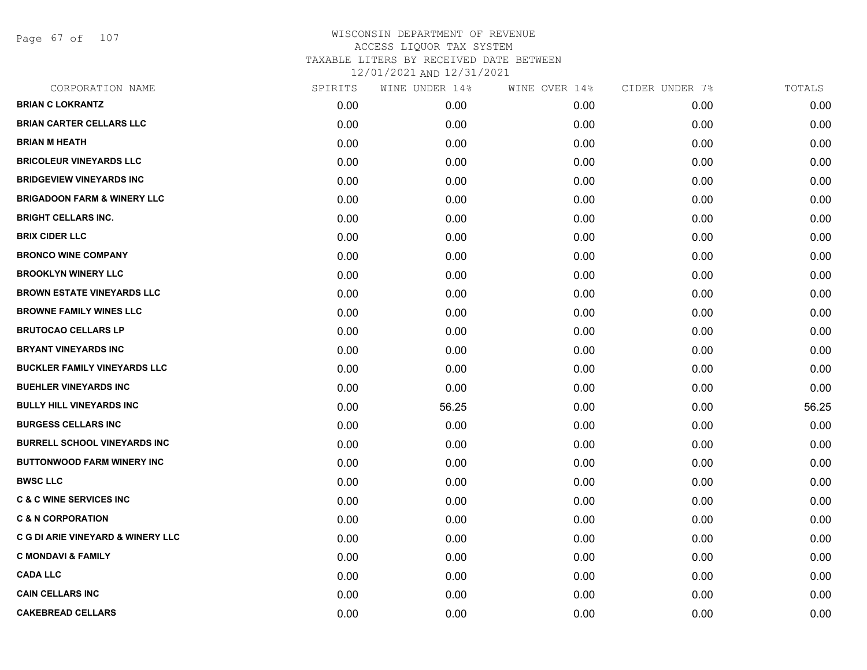Page 67 of 107

| CORPORATION NAME                             | SPIRITS | WINE UNDER 14% | WINE OVER 14% | CIDER UNDER 7% | TOTALS |
|----------------------------------------------|---------|----------------|---------------|----------------|--------|
| <b>BRIAN C LOKRANTZ</b>                      | 0.00    | 0.00           | 0.00          | 0.00           | 0.00   |
| <b>BRIAN CARTER CELLARS LLC</b>              | 0.00    | 0.00           | 0.00          | 0.00           | 0.00   |
| <b>BRIAN M HEATH</b>                         | 0.00    | 0.00           | 0.00          | 0.00           | 0.00   |
| <b>BRICOLEUR VINEYARDS LLC</b>               | 0.00    | 0.00           | 0.00          | 0.00           | 0.00   |
| <b>BRIDGEVIEW VINEYARDS INC</b>              | 0.00    | 0.00           | 0.00          | 0.00           | 0.00   |
| <b>BRIGADOON FARM &amp; WINERY LLC</b>       | 0.00    | 0.00           | 0.00          | 0.00           | 0.00   |
| <b>BRIGHT CELLARS INC.</b>                   | 0.00    | 0.00           | 0.00          | 0.00           | 0.00   |
| <b>BRIX CIDER LLC</b>                        | 0.00    | 0.00           | 0.00          | 0.00           | 0.00   |
| <b>BRONCO WINE COMPANY</b>                   | 0.00    | 0.00           | 0.00          | 0.00           | 0.00   |
| <b>BROOKLYN WINERY LLC</b>                   | 0.00    | 0.00           | 0.00          | 0.00           | 0.00   |
| <b>BROWN ESTATE VINEYARDS LLC</b>            | 0.00    | 0.00           | 0.00          | 0.00           | 0.00   |
| <b>BROWNE FAMILY WINES LLC</b>               | 0.00    | 0.00           | 0.00          | 0.00           | 0.00   |
| <b>BRUTOCAO CELLARS LP</b>                   | 0.00    | 0.00           | 0.00          | 0.00           | 0.00   |
| <b>BRYANT VINEYARDS INC</b>                  | 0.00    | 0.00           | 0.00          | 0.00           | 0.00   |
| <b>BUCKLER FAMILY VINEYARDS LLC</b>          | 0.00    | 0.00           | 0.00          | 0.00           | 0.00   |
| <b>BUEHLER VINEYARDS INC</b>                 | 0.00    | 0.00           | 0.00          | 0.00           | 0.00   |
| <b>BULLY HILL VINEYARDS INC</b>              | 0.00    | 56.25          | 0.00          | 0.00           | 56.25  |
| <b>BURGESS CELLARS INC</b>                   | 0.00    | 0.00           | 0.00          | 0.00           | 0.00   |
| <b>BURRELL SCHOOL VINEYARDS INC</b>          | 0.00    | 0.00           | 0.00          | 0.00           | 0.00   |
| <b>BUTTONWOOD FARM WINERY INC</b>            | 0.00    | 0.00           | 0.00          | 0.00           | 0.00   |
| <b>BWSC LLC</b>                              | 0.00    | 0.00           | 0.00          | 0.00           | 0.00   |
| <b>C &amp; C WINE SERVICES INC</b>           | 0.00    | 0.00           | 0.00          | 0.00           | 0.00   |
| <b>C &amp; N CORPORATION</b>                 | 0.00    | 0.00           | 0.00          | 0.00           | 0.00   |
| <b>C G DI ARIE VINEYARD &amp; WINERY LLC</b> | 0.00    | 0.00           | 0.00          | 0.00           | 0.00   |
| <b>C MONDAVI &amp; FAMILY</b>                | 0.00    | 0.00           | 0.00          | 0.00           | 0.00   |
| <b>CADA LLC</b>                              | 0.00    | 0.00           | 0.00          | 0.00           | 0.00   |
| <b>CAIN CELLARS INC</b>                      | 0.00    | 0.00           | 0.00          | 0.00           | 0.00   |
| <b>CAKEBREAD CELLARS</b>                     | 0.00    | 0.00           | 0.00          | 0.00           | 0.00   |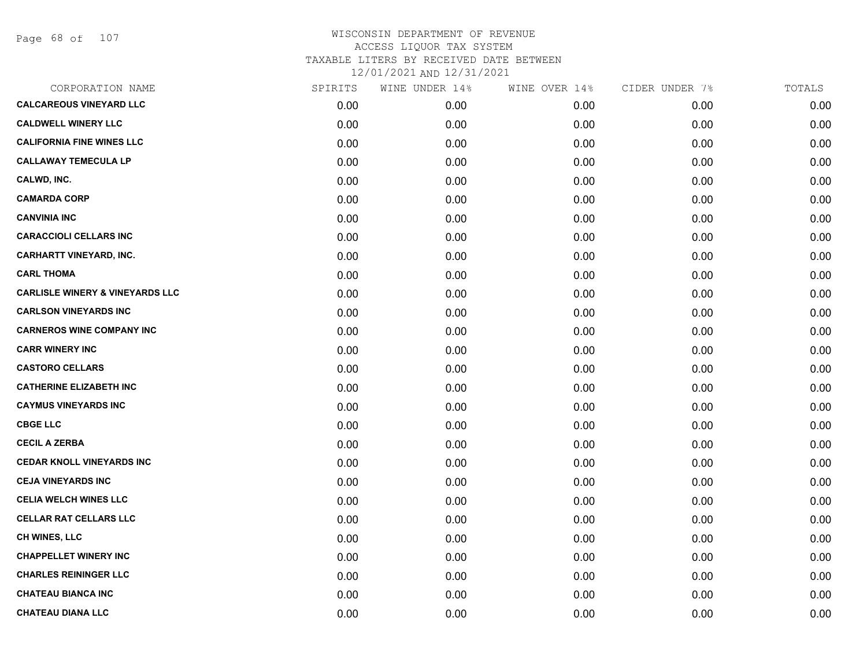Page 68 of 107

| CORPORATION NAME                           | SPIRITS | WINE UNDER 14% | WINE OVER 14% | CIDER UNDER 7% | TOTALS |
|--------------------------------------------|---------|----------------|---------------|----------------|--------|
| <b>CALCAREOUS VINEYARD LLC</b>             | 0.00    | 0.00           | 0.00          | 0.00           | 0.00   |
| <b>CALDWELL WINERY LLC</b>                 | 0.00    | 0.00           | 0.00          | 0.00           | 0.00   |
| <b>CALIFORNIA FINE WINES LLC</b>           | 0.00    | 0.00           | 0.00          | 0.00           | 0.00   |
| <b>CALLAWAY TEMECULA LP</b>                | 0.00    | 0.00           | 0.00          | 0.00           | 0.00   |
| CALWD, INC.                                | 0.00    | 0.00           | 0.00          | 0.00           | 0.00   |
| <b>CAMARDA CORP</b>                        | 0.00    | 0.00           | 0.00          | 0.00           | 0.00   |
| <b>CANVINIA INC</b>                        | 0.00    | 0.00           | 0.00          | 0.00           | 0.00   |
| <b>CARACCIOLI CELLARS INC</b>              | 0.00    | 0.00           | 0.00          | 0.00           | 0.00   |
| <b>CARHARTT VINEYARD, INC.</b>             | 0.00    | 0.00           | 0.00          | 0.00           | 0.00   |
| <b>CARL THOMA</b>                          | 0.00    | 0.00           | 0.00          | 0.00           | 0.00   |
| <b>CARLISLE WINERY &amp; VINEYARDS LLC</b> | 0.00    | 0.00           | 0.00          | 0.00           | 0.00   |
| <b>CARLSON VINEYARDS INC</b>               | 0.00    | 0.00           | 0.00          | 0.00           | 0.00   |
| <b>CARNEROS WINE COMPANY INC</b>           | 0.00    | 0.00           | 0.00          | 0.00           | 0.00   |
| <b>CARR WINERY INC</b>                     | 0.00    | 0.00           | 0.00          | 0.00           | 0.00   |
| <b>CASTORO CELLARS</b>                     | 0.00    | 0.00           | 0.00          | 0.00           | 0.00   |
| <b>CATHERINE ELIZABETH INC</b>             | 0.00    | 0.00           | 0.00          | 0.00           | 0.00   |
| <b>CAYMUS VINEYARDS INC</b>                | 0.00    | 0.00           | 0.00          | 0.00           | 0.00   |
| <b>CBGE LLC</b>                            | 0.00    | 0.00           | 0.00          | 0.00           | 0.00   |
| <b>CECIL A ZERBA</b>                       | 0.00    | 0.00           | 0.00          | 0.00           | 0.00   |
| <b>CEDAR KNOLL VINEYARDS INC</b>           | 0.00    | 0.00           | 0.00          | 0.00           | 0.00   |
| <b>CEJA VINEYARDS INC</b>                  | 0.00    | 0.00           | 0.00          | 0.00           | 0.00   |
| <b>CELIA WELCH WINES LLC</b>               | 0.00    | 0.00           | 0.00          | 0.00           | 0.00   |
| <b>CELLAR RAT CELLARS LLC</b>              | 0.00    | 0.00           | 0.00          | 0.00           | 0.00   |
| <b>CH WINES, LLC</b>                       | 0.00    | 0.00           | 0.00          | 0.00           | 0.00   |
| <b>CHAPPELLET WINERY INC</b>               | 0.00    | 0.00           | 0.00          | 0.00           | 0.00   |
| <b>CHARLES REININGER LLC</b>               | 0.00    | 0.00           | 0.00          | 0.00           | 0.00   |
| <b>CHATEAU BIANCA INC</b>                  | 0.00    | 0.00           | 0.00          | 0.00           | 0.00   |
| <b>CHATEAU DIANA LLC</b>                   | 0.00    | 0.00           | 0.00          | 0.00           | 0.00   |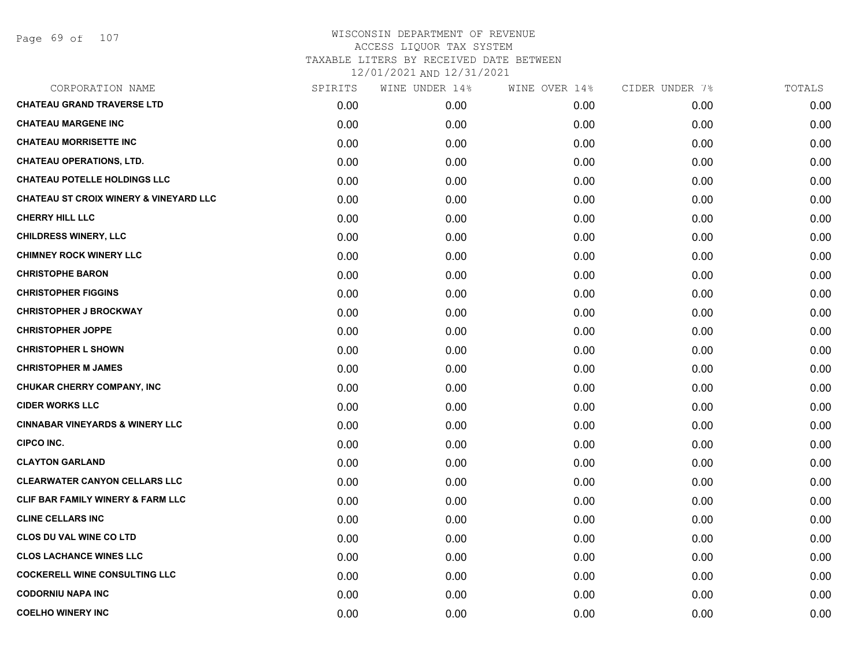| <b>CHATEAU GRAND TRAVERSE LTD</b><br>0.00<br>0.00<br>0.00<br>0.00<br><b>CHATEAU MARGENE INC</b><br>0.00<br>0.00<br>0.00<br>0.00<br><b>CHATEAU MORRISETTE INC</b><br>0.00<br>0.00<br>0.00<br>0.00<br><b>CHATEAU OPERATIONS, LTD.</b><br>0.00<br>0.00<br>0.00<br>0.00<br><b>CHATEAU POTELLE HOLDINGS LLC</b><br>0.00<br>0.00<br>0.00<br>0.00<br><b>CHATEAU ST CROIX WINERY &amp; VINEYARD LLC</b><br>0.00<br>0.00<br>0.00<br>0.00<br><b>CHERRY HILL LLC</b><br>0.00<br>0.00<br>0.00<br>0.00<br><b>CHILDRESS WINERY, LLC</b><br>0.00<br>0.00<br>0.00<br>0.00<br><b>CHIMNEY ROCK WINERY LLC</b><br>0.00<br>0.00<br>0.00<br>0.00<br><b>CHRISTOPHE BARON</b><br>0.00<br>0.00<br>0.00<br>0.00<br><b>CHRISTOPHER FIGGINS</b><br>0.00<br>0.00<br>0.00<br>0.00<br><b>CHRISTOPHER J BROCKWAY</b><br>0.00<br>0.00<br>0.00<br>0.00<br><b>CHRISTOPHER JOPPE</b><br>0.00<br>0.00<br>0.00<br>0.00<br><b>CHRISTOPHER L SHOWN</b><br>0.00<br>0.00<br>0.00<br>0.00<br><b>CHRISTOPHER M JAMES</b><br>0.00<br>0.00<br>0.00<br>0.00<br>CHUKAR CHERRY COMPANY, INC<br>0.00<br>0.00<br>0.00<br>0.00<br><b>CIDER WORKS LLC</b><br>0.00<br>0.00<br>0.00<br>0.00<br><b>CINNABAR VINEYARDS &amp; WINERY LLC</b><br>0.00<br>0.00<br>0.00<br>0.00<br><b>CIPCO INC.</b><br>0.00<br>0.00<br>0.00<br>0.00<br><b>CLAYTON GARLAND</b><br>0.00<br>0.00<br>0.00<br>0.00<br><b>CLEARWATER CANYON CELLARS LLC</b><br>0.00<br>0.00<br>0.00<br>0.00<br>CLIF BAR FAMILY WINERY & FARM LLC<br>0.00<br>0.00<br>0.00<br>0.00<br><b>CLINE CELLARS INC</b><br>0.00<br>0.00<br>0.00<br>0.00<br><b>CLOS DU VAL WINE CO LTD</b><br>0.00<br>0.00<br>0.00<br>0.00<br><b>CLOS LACHANCE WINES LLC</b><br>0.00<br>0.00<br>0.00<br>0.00<br><b>COCKERELL WINE CONSULTING LLC</b><br>0.00<br>0.00<br>0.00<br>0.00<br><b>CODORNIU NAPA INC</b><br>0.00<br>0.00<br>0.00<br>0.00<br><b>COELHO WINERY INC</b><br>0.00<br>0.00<br>0.00<br>0.00 | CORPORATION NAME | SPIRITS | WINE UNDER 14% | WINE OVER 14% | CIDER UNDER 7% | TOTALS |
|---------------------------------------------------------------------------------------------------------------------------------------------------------------------------------------------------------------------------------------------------------------------------------------------------------------------------------------------------------------------------------------------------------------------------------------------------------------------------------------------------------------------------------------------------------------------------------------------------------------------------------------------------------------------------------------------------------------------------------------------------------------------------------------------------------------------------------------------------------------------------------------------------------------------------------------------------------------------------------------------------------------------------------------------------------------------------------------------------------------------------------------------------------------------------------------------------------------------------------------------------------------------------------------------------------------------------------------------------------------------------------------------------------------------------------------------------------------------------------------------------------------------------------------------------------------------------------------------------------------------------------------------------------------------------------------------------------------------------------------------------------------------------------------------------------------------------------------------------------------------------------|------------------|---------|----------------|---------------|----------------|--------|
|                                                                                                                                                                                                                                                                                                                                                                                                                                                                                                                                                                                                                                                                                                                                                                                                                                                                                                                                                                                                                                                                                                                                                                                                                                                                                                                                                                                                                                                                                                                                                                                                                                                                                                                                                                                                                                                                                 |                  |         |                |               |                | 0.00   |
|                                                                                                                                                                                                                                                                                                                                                                                                                                                                                                                                                                                                                                                                                                                                                                                                                                                                                                                                                                                                                                                                                                                                                                                                                                                                                                                                                                                                                                                                                                                                                                                                                                                                                                                                                                                                                                                                                 |                  |         |                |               |                | 0.00   |
|                                                                                                                                                                                                                                                                                                                                                                                                                                                                                                                                                                                                                                                                                                                                                                                                                                                                                                                                                                                                                                                                                                                                                                                                                                                                                                                                                                                                                                                                                                                                                                                                                                                                                                                                                                                                                                                                                 |                  |         |                |               |                | 0.00   |
|                                                                                                                                                                                                                                                                                                                                                                                                                                                                                                                                                                                                                                                                                                                                                                                                                                                                                                                                                                                                                                                                                                                                                                                                                                                                                                                                                                                                                                                                                                                                                                                                                                                                                                                                                                                                                                                                                 |                  |         |                |               |                | 0.00   |
|                                                                                                                                                                                                                                                                                                                                                                                                                                                                                                                                                                                                                                                                                                                                                                                                                                                                                                                                                                                                                                                                                                                                                                                                                                                                                                                                                                                                                                                                                                                                                                                                                                                                                                                                                                                                                                                                                 |                  |         |                |               |                | 0.00   |
|                                                                                                                                                                                                                                                                                                                                                                                                                                                                                                                                                                                                                                                                                                                                                                                                                                                                                                                                                                                                                                                                                                                                                                                                                                                                                                                                                                                                                                                                                                                                                                                                                                                                                                                                                                                                                                                                                 |                  |         |                |               |                | 0.00   |
|                                                                                                                                                                                                                                                                                                                                                                                                                                                                                                                                                                                                                                                                                                                                                                                                                                                                                                                                                                                                                                                                                                                                                                                                                                                                                                                                                                                                                                                                                                                                                                                                                                                                                                                                                                                                                                                                                 |                  |         |                |               |                | 0.00   |
|                                                                                                                                                                                                                                                                                                                                                                                                                                                                                                                                                                                                                                                                                                                                                                                                                                                                                                                                                                                                                                                                                                                                                                                                                                                                                                                                                                                                                                                                                                                                                                                                                                                                                                                                                                                                                                                                                 |                  |         |                |               |                | 0.00   |
|                                                                                                                                                                                                                                                                                                                                                                                                                                                                                                                                                                                                                                                                                                                                                                                                                                                                                                                                                                                                                                                                                                                                                                                                                                                                                                                                                                                                                                                                                                                                                                                                                                                                                                                                                                                                                                                                                 |                  |         |                |               |                | 0.00   |
|                                                                                                                                                                                                                                                                                                                                                                                                                                                                                                                                                                                                                                                                                                                                                                                                                                                                                                                                                                                                                                                                                                                                                                                                                                                                                                                                                                                                                                                                                                                                                                                                                                                                                                                                                                                                                                                                                 |                  |         |                |               |                | 0.00   |
|                                                                                                                                                                                                                                                                                                                                                                                                                                                                                                                                                                                                                                                                                                                                                                                                                                                                                                                                                                                                                                                                                                                                                                                                                                                                                                                                                                                                                                                                                                                                                                                                                                                                                                                                                                                                                                                                                 |                  |         |                |               |                | 0.00   |
|                                                                                                                                                                                                                                                                                                                                                                                                                                                                                                                                                                                                                                                                                                                                                                                                                                                                                                                                                                                                                                                                                                                                                                                                                                                                                                                                                                                                                                                                                                                                                                                                                                                                                                                                                                                                                                                                                 |                  |         |                |               |                | 0.00   |
|                                                                                                                                                                                                                                                                                                                                                                                                                                                                                                                                                                                                                                                                                                                                                                                                                                                                                                                                                                                                                                                                                                                                                                                                                                                                                                                                                                                                                                                                                                                                                                                                                                                                                                                                                                                                                                                                                 |                  |         |                |               |                | 0.00   |
|                                                                                                                                                                                                                                                                                                                                                                                                                                                                                                                                                                                                                                                                                                                                                                                                                                                                                                                                                                                                                                                                                                                                                                                                                                                                                                                                                                                                                                                                                                                                                                                                                                                                                                                                                                                                                                                                                 |                  |         |                |               |                | 0.00   |
|                                                                                                                                                                                                                                                                                                                                                                                                                                                                                                                                                                                                                                                                                                                                                                                                                                                                                                                                                                                                                                                                                                                                                                                                                                                                                                                                                                                                                                                                                                                                                                                                                                                                                                                                                                                                                                                                                 |                  |         |                |               |                | 0.00   |
|                                                                                                                                                                                                                                                                                                                                                                                                                                                                                                                                                                                                                                                                                                                                                                                                                                                                                                                                                                                                                                                                                                                                                                                                                                                                                                                                                                                                                                                                                                                                                                                                                                                                                                                                                                                                                                                                                 |                  |         |                |               |                | 0.00   |
|                                                                                                                                                                                                                                                                                                                                                                                                                                                                                                                                                                                                                                                                                                                                                                                                                                                                                                                                                                                                                                                                                                                                                                                                                                                                                                                                                                                                                                                                                                                                                                                                                                                                                                                                                                                                                                                                                 |                  |         |                |               |                | 0.00   |
|                                                                                                                                                                                                                                                                                                                                                                                                                                                                                                                                                                                                                                                                                                                                                                                                                                                                                                                                                                                                                                                                                                                                                                                                                                                                                                                                                                                                                                                                                                                                                                                                                                                                                                                                                                                                                                                                                 |                  |         |                |               |                | 0.00   |
|                                                                                                                                                                                                                                                                                                                                                                                                                                                                                                                                                                                                                                                                                                                                                                                                                                                                                                                                                                                                                                                                                                                                                                                                                                                                                                                                                                                                                                                                                                                                                                                                                                                                                                                                                                                                                                                                                 |                  |         |                |               |                | 0.00   |
|                                                                                                                                                                                                                                                                                                                                                                                                                                                                                                                                                                                                                                                                                                                                                                                                                                                                                                                                                                                                                                                                                                                                                                                                                                                                                                                                                                                                                                                                                                                                                                                                                                                                                                                                                                                                                                                                                 |                  |         |                |               |                | 0.00   |
|                                                                                                                                                                                                                                                                                                                                                                                                                                                                                                                                                                                                                                                                                                                                                                                                                                                                                                                                                                                                                                                                                                                                                                                                                                                                                                                                                                                                                                                                                                                                                                                                                                                                                                                                                                                                                                                                                 |                  |         |                |               |                | 0.00   |
|                                                                                                                                                                                                                                                                                                                                                                                                                                                                                                                                                                                                                                                                                                                                                                                                                                                                                                                                                                                                                                                                                                                                                                                                                                                                                                                                                                                                                                                                                                                                                                                                                                                                                                                                                                                                                                                                                 |                  |         |                |               |                | 0.00   |
|                                                                                                                                                                                                                                                                                                                                                                                                                                                                                                                                                                                                                                                                                                                                                                                                                                                                                                                                                                                                                                                                                                                                                                                                                                                                                                                                                                                                                                                                                                                                                                                                                                                                                                                                                                                                                                                                                 |                  |         |                |               |                | 0.00   |
|                                                                                                                                                                                                                                                                                                                                                                                                                                                                                                                                                                                                                                                                                                                                                                                                                                                                                                                                                                                                                                                                                                                                                                                                                                                                                                                                                                                                                                                                                                                                                                                                                                                                                                                                                                                                                                                                                 |                  |         |                |               |                | 0.00   |
|                                                                                                                                                                                                                                                                                                                                                                                                                                                                                                                                                                                                                                                                                                                                                                                                                                                                                                                                                                                                                                                                                                                                                                                                                                                                                                                                                                                                                                                                                                                                                                                                                                                                                                                                                                                                                                                                                 |                  |         |                |               |                | 0.00   |
|                                                                                                                                                                                                                                                                                                                                                                                                                                                                                                                                                                                                                                                                                                                                                                                                                                                                                                                                                                                                                                                                                                                                                                                                                                                                                                                                                                                                                                                                                                                                                                                                                                                                                                                                                                                                                                                                                 |                  |         |                |               |                | 0.00   |
|                                                                                                                                                                                                                                                                                                                                                                                                                                                                                                                                                                                                                                                                                                                                                                                                                                                                                                                                                                                                                                                                                                                                                                                                                                                                                                                                                                                                                                                                                                                                                                                                                                                                                                                                                                                                                                                                                 |                  |         |                |               |                | 0.00   |
|                                                                                                                                                                                                                                                                                                                                                                                                                                                                                                                                                                                                                                                                                                                                                                                                                                                                                                                                                                                                                                                                                                                                                                                                                                                                                                                                                                                                                                                                                                                                                                                                                                                                                                                                                                                                                                                                                 |                  |         |                |               |                | 0.00   |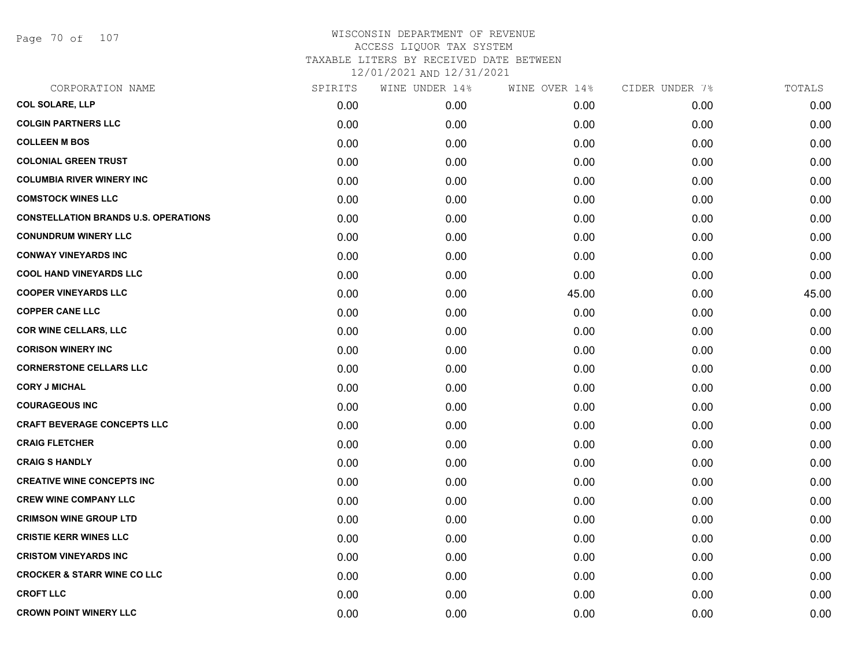Page 70 of 107

## WISCONSIN DEPARTMENT OF REVENUE ACCESS LIQUOR TAX SYSTEM TAXABLE LITERS BY RECEIVED DATE BETWEEN

| CORPORATION NAME                            | SPIRITS | WINE UNDER 14% | WINE OVER 14% | CIDER UNDER 7% | TOTALS |
|---------------------------------------------|---------|----------------|---------------|----------------|--------|
| <b>COL SOLARE, LLP</b>                      | 0.00    | 0.00           | 0.00          | 0.00           | 0.00   |
| <b>COLGIN PARTNERS LLC</b>                  | 0.00    | 0.00           | 0.00          | 0.00           | 0.00   |
| <b>COLLEEN M BOS</b>                        | 0.00    | 0.00           | 0.00          | 0.00           | 0.00   |
| <b>COLONIAL GREEN TRUST</b>                 | 0.00    | 0.00           | 0.00          | 0.00           | 0.00   |
| <b>COLUMBIA RIVER WINERY INC</b>            | 0.00    | 0.00           | 0.00          | 0.00           | 0.00   |
| <b>COMSTOCK WINES LLC</b>                   | 0.00    | 0.00           | 0.00          | 0.00           | 0.00   |
| <b>CONSTELLATION BRANDS U.S. OPERATIONS</b> | 0.00    | 0.00           | 0.00          | 0.00           | 0.00   |
| <b>CONUNDRUM WINERY LLC</b>                 | 0.00    | 0.00           | 0.00          | 0.00           | 0.00   |
| <b>CONWAY VINEYARDS INC</b>                 | 0.00    | 0.00           | 0.00          | 0.00           | 0.00   |
| <b>COOL HAND VINEYARDS LLC</b>              | 0.00    | 0.00           | 0.00          | 0.00           | 0.00   |
| <b>COOPER VINEYARDS LLC</b>                 | 0.00    | 0.00           | 45.00         | 0.00           | 45.00  |
| <b>COPPER CANE LLC</b>                      | 0.00    | 0.00           | 0.00          | 0.00           | 0.00   |
| <b>COR WINE CELLARS, LLC</b>                | 0.00    | 0.00           | 0.00          | 0.00           | 0.00   |
| <b>CORISON WINERY INC</b>                   | 0.00    | 0.00           | 0.00          | 0.00           | 0.00   |
| <b>CORNERSTONE CELLARS LLC</b>              | 0.00    | 0.00           | 0.00          | 0.00           | 0.00   |
| <b>CORY J MICHAL</b>                        | 0.00    | 0.00           | 0.00          | 0.00           | 0.00   |
| <b>COURAGEOUS INC</b>                       | 0.00    | 0.00           | 0.00          | 0.00           | 0.00   |
| <b>CRAFT BEVERAGE CONCEPTS LLC</b>          | 0.00    | 0.00           | 0.00          | 0.00           | 0.00   |
| <b>CRAIG FLETCHER</b>                       | 0.00    | 0.00           | 0.00          | 0.00           | 0.00   |
| <b>CRAIG S HANDLY</b>                       | 0.00    | 0.00           | 0.00          | 0.00           | 0.00   |
| <b>CREATIVE WINE CONCEPTS INC</b>           | 0.00    | 0.00           | 0.00          | 0.00           | 0.00   |
| <b>CREW WINE COMPANY LLC</b>                | 0.00    | 0.00           | 0.00          | 0.00           | 0.00   |
| <b>CRIMSON WINE GROUP LTD</b>               | 0.00    | 0.00           | 0.00          | 0.00           | 0.00   |
| <b>CRISTIE KERR WINES LLC</b>               | 0.00    | 0.00           | 0.00          | 0.00           | 0.00   |
| <b>CRISTOM VINEYARDS INC</b>                | 0.00    | 0.00           | 0.00          | 0.00           | 0.00   |
| <b>CROCKER &amp; STARR WINE CO LLC</b>      | 0.00    | 0.00           | 0.00          | 0.00           | 0.00   |
| <b>CROFT LLC</b>                            | 0.00    | 0.00           | 0.00          | 0.00           | 0.00   |
| <b>CROWN POINT WINERY LLC</b>               | 0.00    | 0.00           | 0.00          | 0.00           | 0.00   |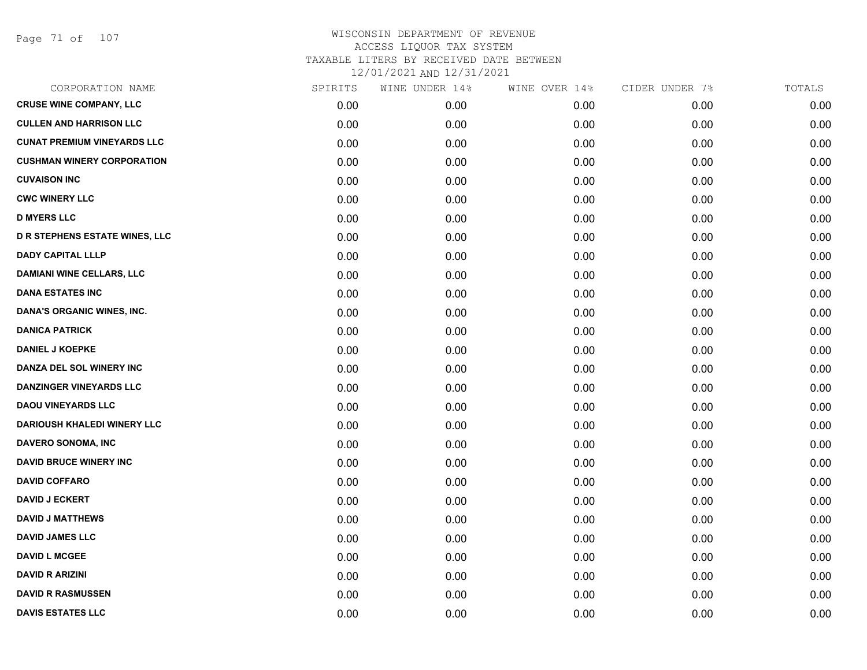Page 71 of 107

| CORPORATION NAME                   | SPIRITS | WINE UNDER 14% | WINE OVER 14% | CIDER UNDER 7% | TOTALS |
|------------------------------------|---------|----------------|---------------|----------------|--------|
| <b>CRUSE WINE COMPANY, LLC</b>     | 0.00    | 0.00           | 0.00          | 0.00           | 0.00   |
| <b>CULLEN AND HARRISON LLC</b>     | 0.00    | 0.00           | 0.00          | 0.00           | 0.00   |
| <b>CUNAT PREMIUM VINEYARDS LLC</b> | 0.00    | 0.00           | 0.00          | 0.00           | 0.00   |
| <b>CUSHMAN WINERY CORPORATION</b>  | 0.00    | 0.00           | 0.00          | 0.00           | 0.00   |
| <b>CUVAISON INC</b>                | 0.00    | 0.00           | 0.00          | 0.00           | 0.00   |
| <b>CWC WINERY LLC</b>              | 0.00    | 0.00           | 0.00          | 0.00           | 0.00   |
| <b>D MYERS LLC</b>                 | 0.00    | 0.00           | 0.00          | 0.00           | 0.00   |
| D R STEPHENS ESTATE WINES, LLC     | 0.00    | 0.00           | 0.00          | 0.00           | 0.00   |
| <b>DADY CAPITAL LLLP</b>           | 0.00    | 0.00           | 0.00          | 0.00           | 0.00   |
| <b>DAMIANI WINE CELLARS, LLC</b>   | 0.00    | 0.00           | 0.00          | 0.00           | 0.00   |
| <b>DANA ESTATES INC</b>            | 0.00    | 0.00           | 0.00          | 0.00           | 0.00   |
| DANA'S ORGANIC WINES, INC.         | 0.00    | 0.00           | 0.00          | 0.00           | 0.00   |
| <b>DANICA PATRICK</b>              | 0.00    | 0.00           | 0.00          | 0.00           | 0.00   |
| <b>DANIEL J KOEPKE</b>             | 0.00    | 0.00           | 0.00          | 0.00           | 0.00   |
| DANZA DEL SOL WINERY INC           | 0.00    | 0.00           | 0.00          | 0.00           | 0.00   |
| <b>DANZINGER VINEYARDS LLC</b>     | 0.00    | 0.00           | 0.00          | 0.00           | 0.00   |
| <b>DAOU VINEYARDS LLC</b>          | 0.00    | 0.00           | 0.00          | 0.00           | 0.00   |
| <b>DARIOUSH KHALEDI WINERY LLC</b> | 0.00    | 0.00           | 0.00          | 0.00           | 0.00   |
| DAVERO SONOMA, INC                 | 0.00    | 0.00           | 0.00          | 0.00           | 0.00   |
| <b>DAVID BRUCE WINERY INC</b>      | 0.00    | 0.00           | 0.00          | 0.00           | 0.00   |
| <b>DAVID COFFARO</b>               | 0.00    | 0.00           | 0.00          | 0.00           | 0.00   |
| <b>DAVID J ECKERT</b>              | 0.00    | 0.00           | 0.00          | 0.00           | 0.00   |
| <b>DAVID J MATTHEWS</b>            | 0.00    | 0.00           | 0.00          | 0.00           | 0.00   |
| <b>DAVID JAMES LLC</b>             | 0.00    | 0.00           | 0.00          | 0.00           | 0.00   |
| <b>DAVID L MCGEE</b>               | 0.00    | 0.00           | 0.00          | 0.00           | 0.00   |
| DAVID R ARIZINI                    | 0.00    | 0.00           | 0.00          | 0.00           | 0.00   |
| <b>DAVID R RASMUSSEN</b>           | 0.00    | 0.00           | 0.00          | 0.00           | 0.00   |
| <b>DAVIS ESTATES LLC</b>           | 0.00    | 0.00           | 0.00          | 0.00           | 0.00   |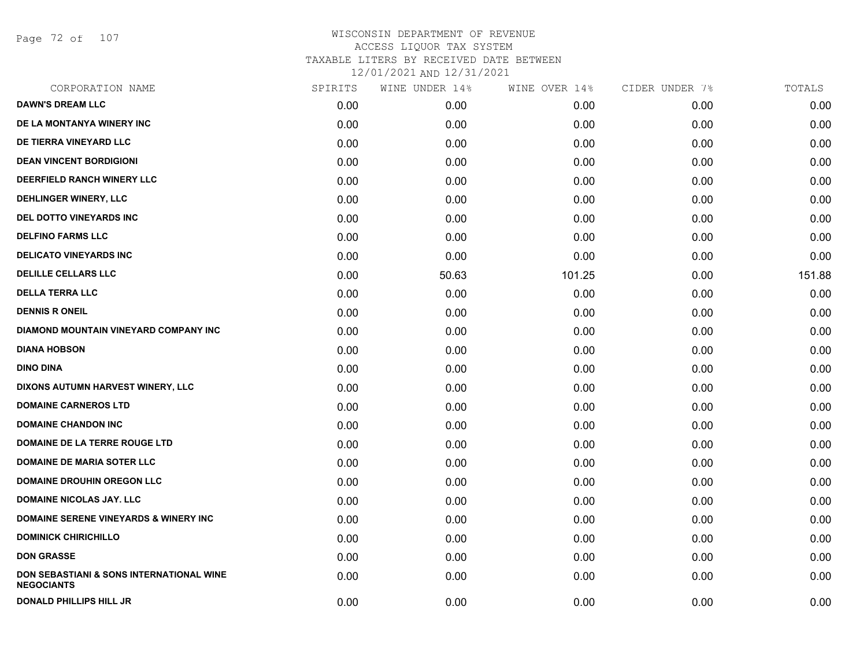Page 72 of 107

| CORPORATION NAME                                              | SPIRITS | WINE UNDER 14% | WINE OVER 14% | CIDER UNDER 7% | TOTALS |
|---------------------------------------------------------------|---------|----------------|---------------|----------------|--------|
| <b>DAWN'S DREAM LLC</b>                                       | 0.00    | 0.00           | 0.00          | 0.00           | 0.00   |
| DE LA MONTANYA WINERY INC                                     | 0.00    | 0.00           | 0.00          | 0.00           | 0.00   |
| DE TIERRA VINEYARD LLC                                        | 0.00    | 0.00           | 0.00          | 0.00           | 0.00   |
| <b>DEAN VINCENT BORDIGIONI</b>                                | 0.00    | 0.00           | 0.00          | 0.00           | 0.00   |
| DEERFIELD RANCH WINERY LLC                                    | 0.00    | 0.00           | 0.00          | 0.00           | 0.00   |
| DEHLINGER WINERY, LLC                                         | 0.00    | 0.00           | 0.00          | 0.00           | 0.00   |
| DEL DOTTO VINEYARDS INC                                       | 0.00    | 0.00           | 0.00          | 0.00           | 0.00   |
| <b>DELFINO FARMS LLC</b>                                      | 0.00    | 0.00           | 0.00          | 0.00           | 0.00   |
| <b>DELICATO VINEYARDS INC</b>                                 | 0.00    | 0.00           | 0.00          | 0.00           | 0.00   |
| <b>DELILLE CELLARS LLC</b>                                    | 0.00    | 50.63          | 101.25        | 0.00           | 151.88 |
| <b>DELLA TERRA LLC</b>                                        | 0.00    | 0.00           | 0.00          | 0.00           | 0.00   |
| <b>DENNIS R ONEIL</b>                                         | 0.00    | 0.00           | 0.00          | 0.00           | 0.00   |
| DIAMOND MOUNTAIN VINEYARD COMPANY INC                         | 0.00    | 0.00           | 0.00          | 0.00           | 0.00   |
| <b>DIANA HOBSON</b>                                           | 0.00    | 0.00           | 0.00          | 0.00           | 0.00   |
| <b>DINO DINA</b>                                              | 0.00    | 0.00           | 0.00          | 0.00           | 0.00   |
| DIXONS AUTUMN HARVEST WINERY, LLC                             | 0.00    | 0.00           | 0.00          | 0.00           | 0.00   |
| <b>DOMAINE CARNEROS LTD</b>                                   | 0.00    | 0.00           | 0.00          | 0.00           | 0.00   |
| <b>DOMAINE CHANDON INC</b>                                    | 0.00    | 0.00           | 0.00          | 0.00           | 0.00   |
| DOMAINE DE LA TERRE ROUGE LTD                                 | 0.00    | 0.00           | 0.00          | 0.00           | 0.00   |
| <b>DOMAINE DE MARIA SOTER LLC</b>                             | 0.00    | 0.00           | 0.00          | 0.00           | 0.00   |
| <b>DOMAINE DROUHIN OREGON LLC</b>                             | 0.00    | 0.00           | 0.00          | 0.00           | 0.00   |
| <b>DOMAINE NICOLAS JAY. LLC</b>                               | 0.00    | 0.00           | 0.00          | 0.00           | 0.00   |
| <b>DOMAINE SERENE VINEYARDS &amp; WINERY INC</b>              | 0.00    | 0.00           | 0.00          | 0.00           | 0.00   |
| <b>DOMINICK CHIRICHILLO</b>                                   | 0.00    | 0.00           | 0.00          | 0.00           | 0.00   |
| <b>DON GRASSE</b>                                             | 0.00    | 0.00           | 0.00          | 0.00           | 0.00   |
| DON SEBASTIANI & SONS INTERNATIONAL WINE<br><b>NEGOCIANTS</b> | 0.00    | 0.00           | 0.00          | 0.00           | 0.00   |
| <b>DONALD PHILLIPS HILL JR</b>                                | 0.00    | 0.00           | 0.00          | 0.00           | 0.00   |
|                                                               |         |                |               |                |        |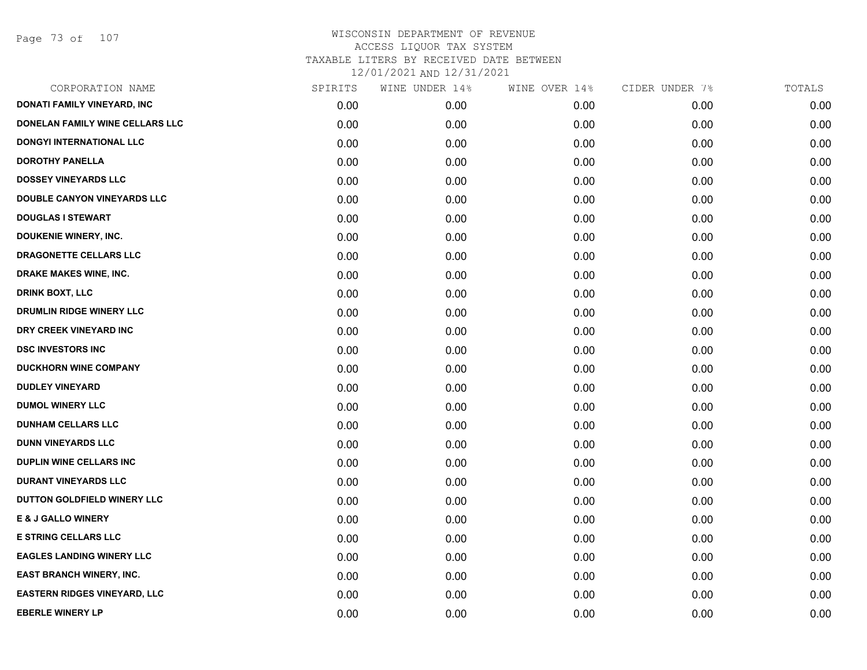Page 73 of 107

| CORPORATION NAME                    | SPIRITS | WINE UNDER 14% | WINE OVER 14% | CIDER UNDER 7% | TOTALS |
|-------------------------------------|---------|----------------|---------------|----------------|--------|
| <b>DONATI FAMILY VINEYARD, INC</b>  | 0.00    | 0.00           | 0.00          | 0.00           | 0.00   |
| DONELAN FAMILY WINE CELLARS LLC     | 0.00    | 0.00           | 0.00          | 0.00           | 0.00   |
| <b>DONGYI INTERNATIONAL LLC</b>     | 0.00    | 0.00           | 0.00          | 0.00           | 0.00   |
| <b>DOROTHY PANELLA</b>              | 0.00    | 0.00           | 0.00          | 0.00           | 0.00   |
| <b>DOSSEY VINEYARDS LLC</b>         | 0.00    | 0.00           | 0.00          | 0.00           | 0.00   |
| <b>DOUBLE CANYON VINEYARDS LLC</b>  | 0.00    | 0.00           | 0.00          | 0.00           | 0.00   |
| <b>DOUGLAS I STEWART</b>            | 0.00    | 0.00           | 0.00          | 0.00           | 0.00   |
| DOUKENIE WINERY, INC.               | 0.00    | 0.00           | 0.00          | 0.00           | 0.00   |
| DRAGONETTE CELLARS LLC              | 0.00    | 0.00           | 0.00          | 0.00           | 0.00   |
| DRAKE MAKES WINE, INC.              | 0.00    | 0.00           | 0.00          | 0.00           | 0.00   |
| <b>DRINK BOXT, LLC</b>              | 0.00    | 0.00           | 0.00          | 0.00           | 0.00   |
| DRUMLIN RIDGE WINERY LLC            | 0.00    | 0.00           | 0.00          | 0.00           | 0.00   |
| DRY CREEK VINEYARD INC              | 0.00    | 0.00           | 0.00          | 0.00           | 0.00   |
| <b>DSC INVESTORS INC</b>            | 0.00    | 0.00           | 0.00          | 0.00           | 0.00   |
| <b>DUCKHORN WINE COMPANY</b>        | 0.00    | 0.00           | 0.00          | 0.00           | 0.00   |
| <b>DUDLEY VINEYARD</b>              | 0.00    | 0.00           | 0.00          | 0.00           | 0.00   |
| <b>DUMOL WINERY LLC</b>             | 0.00    | 0.00           | 0.00          | 0.00           | 0.00   |
| <b>DUNHAM CELLARS LLC</b>           | 0.00    | 0.00           | 0.00          | 0.00           | 0.00   |
| <b>DUNN VINEYARDS LLC</b>           | 0.00    | 0.00           | 0.00          | 0.00           | 0.00   |
| <b>DUPLIN WINE CELLARS INC</b>      | 0.00    | 0.00           | 0.00          | 0.00           | 0.00   |
| <b>DURANT VINEYARDS LLC</b>         | 0.00    | 0.00           | 0.00          | 0.00           | 0.00   |
| DUTTON GOLDFIELD WINERY LLC         | 0.00    | 0.00           | 0.00          | 0.00           | 0.00   |
| <b>E &amp; J GALLO WINERY</b>       | 0.00    | 0.00           | 0.00          | 0.00           | 0.00   |
| <b>E STRING CELLARS LLC</b>         | 0.00    | 0.00           | 0.00          | 0.00           | 0.00   |
| <b>EAGLES LANDING WINERY LLC</b>    | 0.00    | 0.00           | 0.00          | 0.00           | 0.00   |
| EAST BRANCH WINERY, INC.            | 0.00    | 0.00           | 0.00          | 0.00           | 0.00   |
| <b>EASTERN RIDGES VINEYARD, LLC</b> | 0.00    | 0.00           | 0.00          | 0.00           | 0.00   |
| <b>EBERLE WINERY LP</b>             | 0.00    | 0.00           | 0.00          | 0.00           | 0.00   |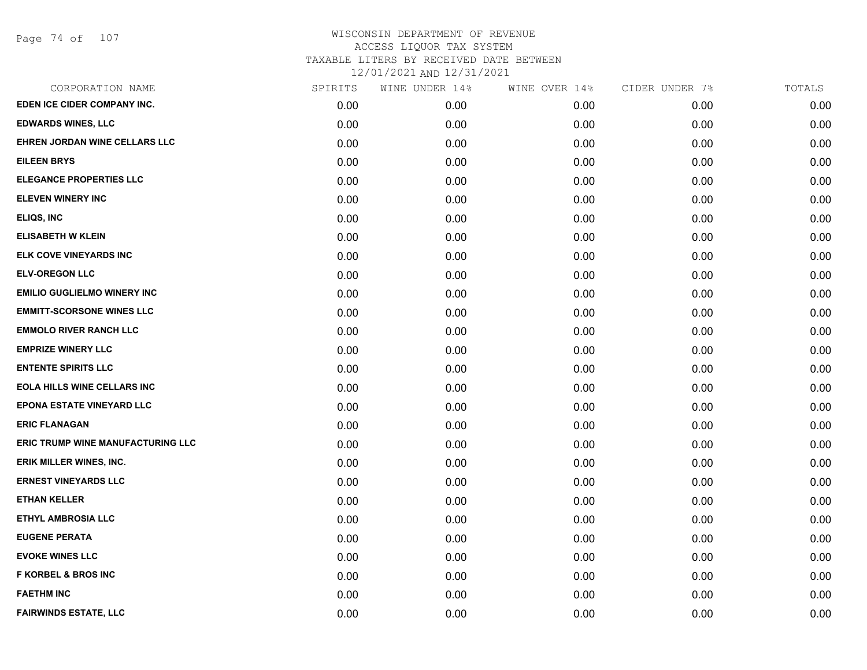| CORPORATION NAME                   | SPIRITS | WINE UNDER 14% | WINE OVER 14% | CIDER UNDER 7% | TOTALS |
|------------------------------------|---------|----------------|---------------|----------------|--------|
| EDEN ICE CIDER COMPANY INC.        | 0.00    | 0.00           | 0.00          | 0.00           | 0.00   |
| <b>EDWARDS WINES, LLC</b>          | 0.00    | 0.00           | 0.00          | 0.00           | 0.00   |
| EHREN JORDAN WINE CELLARS LLC      | 0.00    | 0.00           | 0.00          | 0.00           | 0.00   |
| <b>EILEEN BRYS</b>                 | 0.00    | 0.00           | 0.00          | 0.00           | 0.00   |
| <b>ELEGANCE PROPERTIES LLC</b>     | 0.00    | 0.00           | 0.00          | 0.00           | 0.00   |
| <b>ELEVEN WINERY INC</b>           | 0.00    | 0.00           | 0.00          | 0.00           | 0.00   |
| ELIQS, INC                         | 0.00    | 0.00           | 0.00          | 0.00           | 0.00   |
| <b>ELISABETH W KLEIN</b>           | 0.00    | 0.00           | 0.00          | 0.00           | 0.00   |
| ELK COVE VINEYARDS INC             | 0.00    | 0.00           | 0.00          | 0.00           | 0.00   |
| <b>ELV-OREGON LLC</b>              | 0.00    | 0.00           | 0.00          | 0.00           | 0.00   |
| <b>EMILIO GUGLIELMO WINERY INC</b> | 0.00    | 0.00           | 0.00          | 0.00           | 0.00   |
| <b>EMMITT-SCORSONE WINES LLC</b>   | 0.00    | 0.00           | 0.00          | 0.00           | 0.00   |
| <b>EMMOLO RIVER RANCH LLC</b>      | 0.00    | 0.00           | 0.00          | 0.00           | 0.00   |
| <b>EMPRIZE WINERY LLC</b>          | 0.00    | 0.00           | 0.00          | 0.00           | 0.00   |
| <b>ENTENTE SPIRITS LLC</b>         | 0.00    | 0.00           | 0.00          | 0.00           | 0.00   |
| <b>EOLA HILLS WINE CELLARS INC</b> | 0.00    | 0.00           | 0.00          | 0.00           | 0.00   |
| <b>EPONA ESTATE VINEYARD LLC</b>   | 0.00    | 0.00           | 0.00          | 0.00           | 0.00   |
| <b>ERIC FLANAGAN</b>               | 0.00    | 0.00           | 0.00          | 0.00           | 0.00   |
| ERIC TRUMP WINE MANUFACTURING LLC  | 0.00    | 0.00           | 0.00          | 0.00           | 0.00   |
| ERIK MILLER WINES, INC.            | 0.00    | 0.00           | 0.00          | 0.00           | 0.00   |
| <b>ERNEST VINEYARDS LLC</b>        | 0.00    | 0.00           | 0.00          | 0.00           | 0.00   |
| <b>ETHAN KELLER</b>                | 0.00    | 0.00           | 0.00          | 0.00           | 0.00   |
| <b>ETHYL AMBROSIA LLC</b>          | 0.00    | 0.00           | 0.00          | 0.00           | 0.00   |
| <b>EUGENE PERATA</b>               | 0.00    | 0.00           | 0.00          | 0.00           | 0.00   |
| <b>EVOKE WINES LLC</b>             | 0.00    | 0.00           | 0.00          | 0.00           | 0.00   |
| <b>F KORBEL &amp; BROS INC</b>     | 0.00    | 0.00           | 0.00          | 0.00           | 0.00   |
| <b>FAETHM INC</b>                  | 0.00    | 0.00           | 0.00          | 0.00           | 0.00   |
| <b>FAIRWINDS ESTATE, LLC</b>       | 0.00    | 0.00           | 0.00          | 0.00           | 0.00   |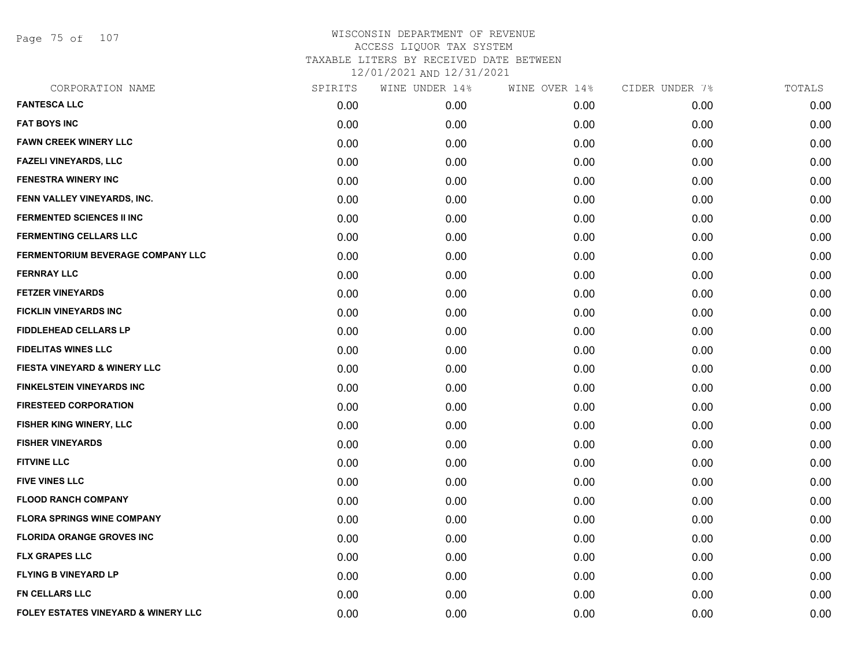Page 75 of 107

| CORPORATION NAME                        | SPIRITS | WINE UNDER 14% | WINE OVER 14% | CIDER UNDER 7% | TOTALS |
|-----------------------------------------|---------|----------------|---------------|----------------|--------|
| <b>FANTESCA LLC</b>                     | 0.00    | 0.00           | 0.00          | 0.00           | 0.00   |
| <b>FAT BOYS INC</b>                     | 0.00    | 0.00           | 0.00          | 0.00           | 0.00   |
| <b>FAWN CREEK WINERY LLC</b>            | 0.00    | 0.00           | 0.00          | 0.00           | 0.00   |
| <b>FAZELI VINEYARDS, LLC</b>            | 0.00    | 0.00           | 0.00          | 0.00           | 0.00   |
| <b>FENESTRA WINERY INC</b>              | 0.00    | 0.00           | 0.00          | 0.00           | 0.00   |
| FENN VALLEY VINEYARDS, INC.             | 0.00    | 0.00           | 0.00          | 0.00           | 0.00   |
| <b>FERMENTED SCIENCES II INC</b>        | 0.00    | 0.00           | 0.00          | 0.00           | 0.00   |
| <b>FERMENTING CELLARS LLC</b>           | 0.00    | 0.00           | 0.00          | 0.00           | 0.00   |
| FERMENTORIUM BEVERAGE COMPANY LLC       | 0.00    | 0.00           | 0.00          | 0.00           | 0.00   |
| <b>FERNRAY LLC</b>                      | 0.00    | 0.00           | 0.00          | 0.00           | 0.00   |
| <b>FETZER VINEYARDS</b>                 | 0.00    | 0.00           | 0.00          | 0.00           | 0.00   |
| <b>FICKLIN VINEYARDS INC</b>            | 0.00    | 0.00           | 0.00          | 0.00           | 0.00   |
| <b>FIDDLEHEAD CELLARS LP</b>            | 0.00    | 0.00           | 0.00          | 0.00           | 0.00   |
| <b>FIDELITAS WINES LLC</b>              | 0.00    | 0.00           | 0.00          | 0.00           | 0.00   |
| <b>FIESTA VINEYARD &amp; WINERY LLC</b> | 0.00    | 0.00           | 0.00          | 0.00           | 0.00   |
| <b>FINKELSTEIN VINEYARDS INC</b>        | 0.00    | 0.00           | 0.00          | 0.00           | 0.00   |
| <b>FIRESTEED CORPORATION</b>            | 0.00    | 0.00           | 0.00          | 0.00           | 0.00   |
| FISHER KING WINERY, LLC                 | 0.00    | 0.00           | 0.00          | 0.00           | 0.00   |
| <b>FISHER VINEYARDS</b>                 | 0.00    | 0.00           | 0.00          | 0.00           | 0.00   |
| <b>FITVINE LLC</b>                      | 0.00    | 0.00           | 0.00          | 0.00           | 0.00   |
| <b>FIVE VINES LLC</b>                   | 0.00    | 0.00           | 0.00          | 0.00           | 0.00   |
| <b>FLOOD RANCH COMPANY</b>              | 0.00    | 0.00           | 0.00          | 0.00           | 0.00   |
| <b>FLORA SPRINGS WINE COMPANY</b>       | 0.00    | 0.00           | 0.00          | 0.00           | 0.00   |
| <b>FLORIDA ORANGE GROVES INC</b>        | 0.00    | 0.00           | 0.00          | 0.00           | 0.00   |
| <b>FLX GRAPES LLC</b>                   | 0.00    | 0.00           | 0.00          | 0.00           | 0.00   |
| <b>FLYING B VINEYARD LP</b>             | 0.00    | 0.00           | 0.00          | 0.00           | 0.00   |
| <b>FN CELLARS LLC</b>                   | 0.00    | 0.00           | 0.00          | 0.00           | 0.00   |
| FOLEY ESTATES VINEYARD & WINERY LLC     | 0.00    | 0.00           | 0.00          | 0.00           | 0.00   |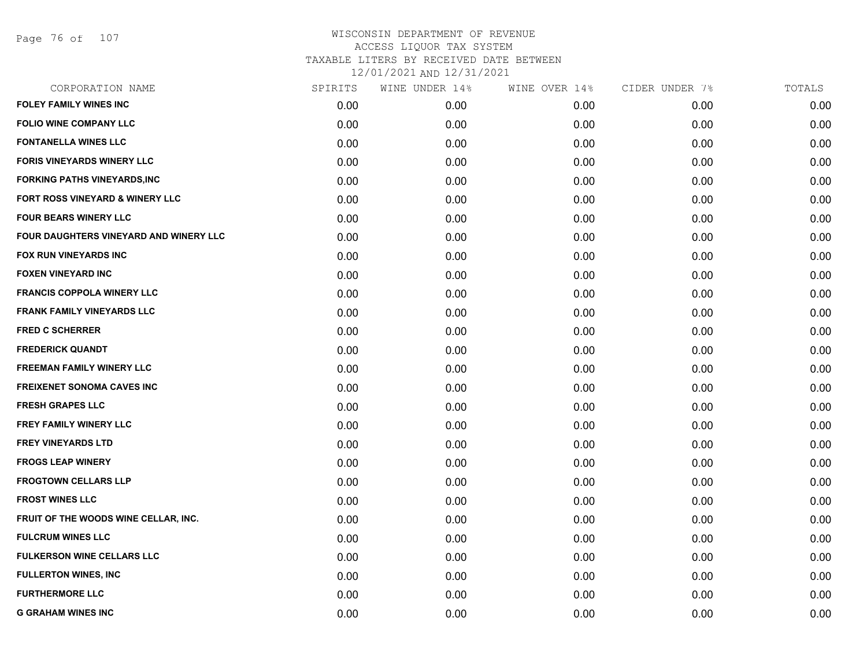Page 76 of 107

| CORPORATION NAME                       | SPIRITS | WINE UNDER 14% | WINE OVER 14% | CIDER UNDER 7% | TOTALS |
|----------------------------------------|---------|----------------|---------------|----------------|--------|
| <b>FOLEY FAMILY WINES INC</b>          | 0.00    | 0.00           | 0.00          | 0.00           | 0.00   |
| <b>FOLIO WINE COMPANY LLC</b>          | 0.00    | 0.00           | 0.00          | 0.00           | 0.00   |
| <b>FONTANELLA WINES LLC</b>            | 0.00    | 0.00           | 0.00          | 0.00           | 0.00   |
| <b>FORIS VINEYARDS WINERY LLC</b>      | 0.00    | 0.00           | 0.00          | 0.00           | 0.00   |
| <b>FORKING PATHS VINEYARDS, INC</b>    | 0.00    | 0.00           | 0.00          | 0.00           | 0.00   |
| FORT ROSS VINEYARD & WINERY LLC        | 0.00    | 0.00           | 0.00          | 0.00           | 0.00   |
| <b>FOUR BEARS WINERY LLC</b>           | 0.00    | 0.00           | 0.00          | 0.00           | 0.00   |
| FOUR DAUGHTERS VINEYARD AND WINERY LLC | 0.00    | 0.00           | 0.00          | 0.00           | 0.00   |
| FOX RUN VINEYARDS INC                  | 0.00    | 0.00           | 0.00          | 0.00           | 0.00   |
| <b>FOXEN VINEYARD INC</b>              | 0.00    | 0.00           | 0.00          | 0.00           | 0.00   |
| <b>FRANCIS COPPOLA WINERY LLC</b>      | 0.00    | 0.00           | 0.00          | 0.00           | 0.00   |
| <b>FRANK FAMILY VINEYARDS LLC</b>      | 0.00    | 0.00           | 0.00          | 0.00           | 0.00   |
| <b>FRED C SCHERRER</b>                 | 0.00    | 0.00           | 0.00          | 0.00           | 0.00   |
| <b>FREDERICK QUANDT</b>                | 0.00    | 0.00           | 0.00          | 0.00           | 0.00   |
| <b>FREEMAN FAMILY WINERY LLC</b>       | 0.00    | 0.00           | 0.00          | 0.00           | 0.00   |
| <b>FREIXENET SONOMA CAVES INC</b>      | 0.00    | 0.00           | 0.00          | 0.00           | 0.00   |
| <b>FRESH GRAPES LLC</b>                | 0.00    | 0.00           | 0.00          | 0.00           | 0.00   |
| FREY FAMILY WINERY LLC                 | 0.00    | 0.00           | 0.00          | 0.00           | 0.00   |
| <b>FREY VINEYARDS LTD</b>              | 0.00    | 0.00           | 0.00          | 0.00           | 0.00   |
| <b>FROGS LEAP WINERY</b>               | 0.00    | 0.00           | 0.00          | 0.00           | 0.00   |
| <b>FROGTOWN CELLARS LLP</b>            | 0.00    | 0.00           | 0.00          | 0.00           | 0.00   |
| <b>FROST WINES LLC</b>                 | 0.00    | 0.00           | 0.00          | 0.00           | 0.00   |
| FRUIT OF THE WOODS WINE CELLAR, INC.   | 0.00    | 0.00           | 0.00          | 0.00           | 0.00   |
| <b>FULCRUM WINES LLC</b>               | 0.00    | 0.00           | 0.00          | 0.00           | 0.00   |
| <b>FULKERSON WINE CELLARS LLC</b>      | 0.00    | 0.00           | 0.00          | 0.00           | 0.00   |
| <b>FULLERTON WINES, INC</b>            | 0.00    | 0.00           | 0.00          | 0.00           | 0.00   |
| <b>FURTHERMORE LLC</b>                 | 0.00    | 0.00           | 0.00          | 0.00           | 0.00   |
| <b>G GRAHAM WINES INC</b>              | 0.00    | 0.00           | 0.00          | 0.00           | 0.00   |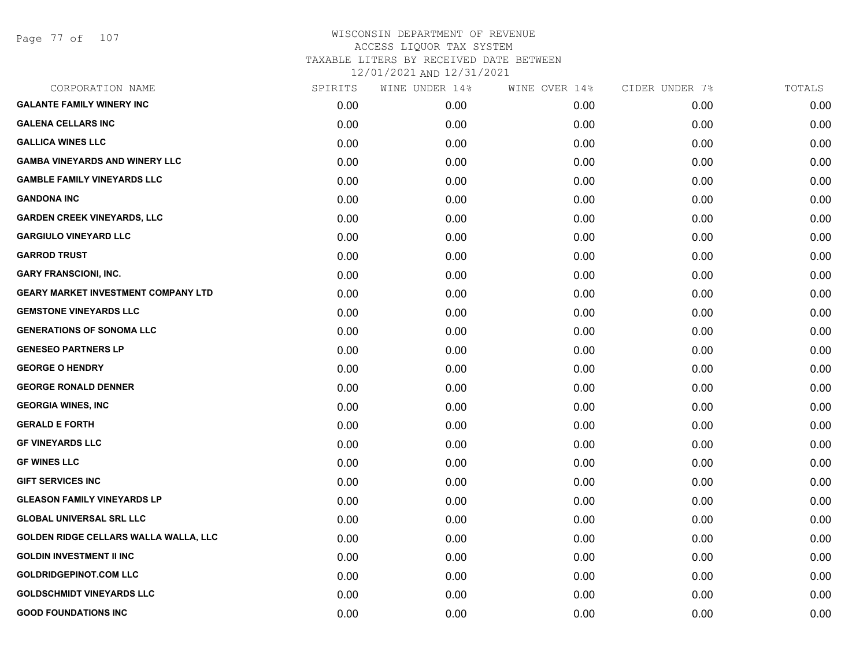| CORPORATION NAME                           | SPIRITS | WINE UNDER 14% | WINE OVER 14% | CIDER UNDER 7% | TOTALS |
|--------------------------------------------|---------|----------------|---------------|----------------|--------|
| <b>GALANTE FAMILY WINERY INC</b>           | 0.00    | 0.00           | 0.00          | 0.00           | 0.00   |
| <b>GALENA CELLARS INC</b>                  | 0.00    | 0.00           | 0.00          | 0.00           | 0.00   |
| <b>GALLICA WINES LLC</b>                   | 0.00    | 0.00           | 0.00          | 0.00           | 0.00   |
| <b>GAMBA VINEYARDS AND WINERY LLC</b>      | 0.00    | 0.00           | 0.00          | 0.00           | 0.00   |
| <b>GAMBLE FAMILY VINEYARDS LLC</b>         | 0.00    | 0.00           | 0.00          | 0.00           | 0.00   |
| <b>GANDONA INC</b>                         | 0.00    | 0.00           | 0.00          | 0.00           | 0.00   |
| <b>GARDEN CREEK VINEYARDS, LLC</b>         | 0.00    | 0.00           | 0.00          | 0.00           | 0.00   |
| <b>GARGIULO VINEYARD LLC</b>               | 0.00    | 0.00           | 0.00          | 0.00           | 0.00   |
| <b>GARROD TRUST</b>                        | 0.00    | 0.00           | 0.00          | 0.00           | 0.00   |
| <b>GARY FRANSCIONI, INC.</b>               | 0.00    | 0.00           | 0.00          | 0.00           | 0.00   |
| <b>GEARY MARKET INVESTMENT COMPANY LTD</b> | 0.00    | 0.00           | 0.00          | 0.00           | 0.00   |
| <b>GEMSTONE VINEYARDS LLC</b>              | 0.00    | 0.00           | 0.00          | 0.00           | 0.00   |
| <b>GENERATIONS OF SONOMA LLC</b>           | 0.00    | 0.00           | 0.00          | 0.00           | 0.00   |
| <b>GENESEO PARTNERS LP</b>                 | 0.00    | 0.00           | 0.00          | 0.00           | 0.00   |
| <b>GEORGE O HENDRY</b>                     | 0.00    | 0.00           | 0.00          | 0.00           | 0.00   |
| <b>GEORGE RONALD DENNER</b>                | 0.00    | 0.00           | 0.00          | 0.00           | 0.00   |
| <b>GEORGIA WINES, INC</b>                  | 0.00    | 0.00           | 0.00          | 0.00           | 0.00   |
| <b>GERALD E FORTH</b>                      | 0.00    | 0.00           | 0.00          | 0.00           | 0.00   |
| <b>GF VINEYARDS LLC</b>                    | 0.00    | 0.00           | 0.00          | 0.00           | 0.00   |
| <b>GF WINES LLC</b>                        | 0.00    | 0.00           | 0.00          | 0.00           | 0.00   |
| <b>GIFT SERVICES INC</b>                   | 0.00    | 0.00           | 0.00          | 0.00           | 0.00   |
| <b>GLEASON FAMILY VINEYARDS LP</b>         | 0.00    | 0.00           | 0.00          | 0.00           | 0.00   |
| <b>GLOBAL UNIVERSAL SRL LLC</b>            | 0.00    | 0.00           | 0.00          | 0.00           | 0.00   |
| GOLDEN RIDGE CELLARS WALLA WALLA, LLC      | 0.00    | 0.00           | 0.00          | 0.00           | 0.00   |
| <b>GOLDIN INVESTMENT II INC</b>            | 0.00    | 0.00           | 0.00          | 0.00           | 0.00   |
| <b>GOLDRIDGEPINOT.COM LLC</b>              | 0.00    | 0.00           | 0.00          | 0.00           | 0.00   |
| <b>GOLDSCHMIDT VINEYARDS LLC</b>           | 0.00    | 0.00           | 0.00          | 0.00           | 0.00   |
| <b>GOOD FOUNDATIONS INC</b>                | 0.00    | 0.00           | 0.00          | 0.00           | 0.00   |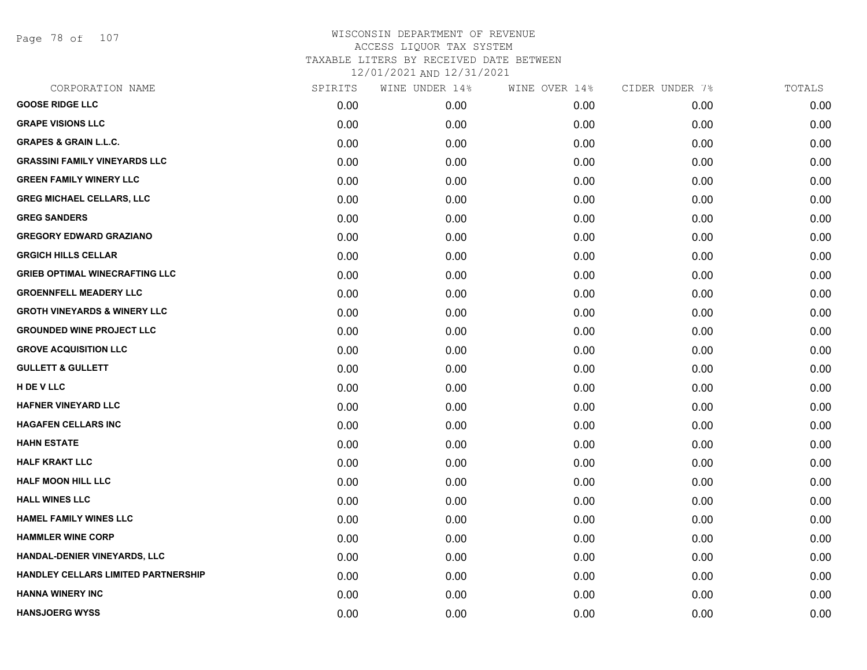Page 78 of 107

| CORPORATION NAME                        | SPIRITS | WINE UNDER 14% | WINE OVER 14% | CIDER UNDER 7% | TOTALS |
|-----------------------------------------|---------|----------------|---------------|----------------|--------|
| <b>GOOSE RIDGE LLC</b>                  | 0.00    | 0.00           | 0.00          | 0.00           | 0.00   |
| <b>GRAPE VISIONS LLC</b>                | 0.00    | 0.00           | 0.00          | 0.00           | 0.00   |
| <b>GRAPES &amp; GRAIN L.L.C.</b>        | 0.00    | 0.00           | 0.00          | 0.00           | 0.00   |
| <b>GRASSINI FAMILY VINEYARDS LLC</b>    | 0.00    | 0.00           | 0.00          | 0.00           | 0.00   |
| <b>GREEN FAMILY WINERY LLC</b>          | 0.00    | 0.00           | 0.00          | 0.00           | 0.00   |
| <b>GREG MICHAEL CELLARS, LLC</b>        | 0.00    | 0.00           | 0.00          | 0.00           | 0.00   |
| <b>GREG SANDERS</b>                     | 0.00    | 0.00           | 0.00          | 0.00           | 0.00   |
| <b>GREGORY EDWARD GRAZIANO</b>          | 0.00    | 0.00           | 0.00          | 0.00           | 0.00   |
| <b>GRGICH HILLS CELLAR</b>              | 0.00    | 0.00           | 0.00          | 0.00           | 0.00   |
| <b>GRIEB OPTIMAL WINECRAFTING LLC</b>   | 0.00    | 0.00           | 0.00          | 0.00           | 0.00   |
| <b>GROENNFELL MEADERY LLC</b>           | 0.00    | 0.00           | 0.00          | 0.00           | 0.00   |
| <b>GROTH VINEYARDS &amp; WINERY LLC</b> | 0.00    | 0.00           | 0.00          | 0.00           | 0.00   |
| <b>GROUNDED WINE PROJECT LLC</b>        | 0.00    | 0.00           | 0.00          | 0.00           | 0.00   |
| <b>GROVE ACQUISITION LLC</b>            | 0.00    | 0.00           | 0.00          | 0.00           | 0.00   |
| <b>GULLETT &amp; GULLETT</b>            | 0.00    | 0.00           | 0.00          | 0.00           | 0.00   |
| H DE V LLC                              | 0.00    | 0.00           | 0.00          | 0.00           | 0.00   |
| <b>HAFNER VINEYARD LLC</b>              | 0.00    | 0.00           | 0.00          | 0.00           | 0.00   |
| <b>HAGAFEN CELLARS INC</b>              | 0.00    | 0.00           | 0.00          | 0.00           | 0.00   |
| <b>HAHN ESTATE</b>                      | 0.00    | 0.00           | 0.00          | 0.00           | 0.00   |
| <b>HALF KRAKT LLC</b>                   | 0.00    | 0.00           | 0.00          | 0.00           | 0.00   |
| <b>HALF MOON HILL LLC</b>               | 0.00    | 0.00           | 0.00          | 0.00           | 0.00   |
| <b>HALL WINES LLC</b>                   | 0.00    | 0.00           | 0.00          | 0.00           | 0.00   |
| <b>HAMEL FAMILY WINES LLC</b>           | 0.00    | 0.00           | 0.00          | 0.00           | 0.00   |
| <b>HAMMLER WINE CORP</b>                | 0.00    | 0.00           | 0.00          | 0.00           | 0.00   |
| HANDAL-DENIER VINEYARDS, LLC            | 0.00    | 0.00           | 0.00          | 0.00           | 0.00   |
| HANDLEY CELLARS LIMITED PARTNERSHIP     | 0.00    | 0.00           | 0.00          | 0.00           | 0.00   |
| <b>HANNA WINERY INC</b>                 | 0.00    | 0.00           | 0.00          | 0.00           | 0.00   |
| <b>HANSJOERG WYSS</b>                   | 0.00    | 0.00           | 0.00          | 0.00           | 0.00   |
|                                         |         |                |               |                |        |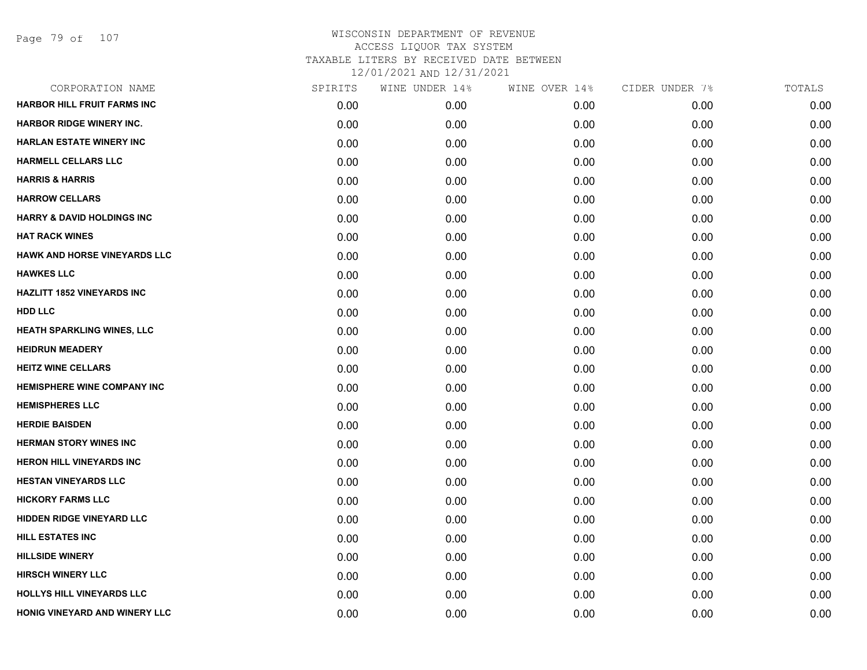Page 79 of 107

| CORPORATION NAME                      | SPIRITS | WINE UNDER 14% | WINE OVER 14% | CIDER UNDER 7% | TOTALS |
|---------------------------------------|---------|----------------|---------------|----------------|--------|
| <b>HARBOR HILL FRUIT FARMS INC</b>    | 0.00    | 0.00           | 0.00          | 0.00           | 0.00   |
| <b>HARBOR RIDGE WINERY INC.</b>       | 0.00    | 0.00           | 0.00          | 0.00           | 0.00   |
| <b>HARLAN ESTATE WINERY INC</b>       | 0.00    | 0.00           | 0.00          | 0.00           | 0.00   |
| <b>HARMELL CELLARS LLC</b>            | 0.00    | 0.00           | 0.00          | 0.00           | 0.00   |
| <b>HARRIS &amp; HARRIS</b>            | 0.00    | 0.00           | 0.00          | 0.00           | 0.00   |
| <b>HARROW CELLARS</b>                 | 0.00    | 0.00           | 0.00          | 0.00           | 0.00   |
| <b>HARRY &amp; DAVID HOLDINGS INC</b> | 0.00    | 0.00           | 0.00          | 0.00           | 0.00   |
| <b>HAT RACK WINES</b>                 | 0.00    | 0.00           | 0.00          | 0.00           | 0.00   |
| <b>HAWK AND HORSE VINEYARDS LLC</b>   | 0.00    | 0.00           | 0.00          | 0.00           | 0.00   |
| <b>HAWKES LLC</b>                     | 0.00    | 0.00           | 0.00          | 0.00           | 0.00   |
| <b>HAZLITT 1852 VINEYARDS INC</b>     | 0.00    | 0.00           | 0.00          | 0.00           | 0.00   |
| <b>HDD LLC</b>                        | 0.00    | 0.00           | 0.00          | 0.00           | 0.00   |
| HEATH SPARKLING WINES, LLC            | 0.00    | 0.00           | 0.00          | 0.00           | 0.00   |
| <b>HEIDRUN MEADERY</b>                | 0.00    | 0.00           | 0.00          | 0.00           | 0.00   |
| <b>HEITZ WINE CELLARS</b>             | 0.00    | 0.00           | 0.00          | 0.00           | 0.00   |
| <b>HEMISPHERE WINE COMPANY INC</b>    | 0.00    | 0.00           | 0.00          | 0.00           | 0.00   |
| <b>HEMISPHERES LLC</b>                | 0.00    | 0.00           | 0.00          | 0.00           | 0.00   |
| <b>HERDIE BAISDEN</b>                 | 0.00    | 0.00           | 0.00          | 0.00           | 0.00   |
| <b>HERMAN STORY WINES INC</b>         | 0.00    | 0.00           | 0.00          | 0.00           | 0.00   |
| HERON HILL VINEYARDS INC              | 0.00    | 0.00           | 0.00          | 0.00           | 0.00   |
| <b>HESTAN VINEYARDS LLC</b>           | 0.00    | 0.00           | 0.00          | 0.00           | 0.00   |
| <b>HICKORY FARMS LLC</b>              | 0.00    | 0.00           | 0.00          | 0.00           | 0.00   |
| HIDDEN RIDGE VINEYARD LLC             | 0.00    | 0.00           | 0.00          | 0.00           | 0.00   |
| <b>HILL ESTATES INC</b>               | 0.00    | 0.00           | 0.00          | 0.00           | 0.00   |
| <b>HILLSIDE WINERY</b>                | 0.00    | 0.00           | 0.00          | 0.00           | 0.00   |
| <b>HIRSCH WINERY LLC</b>              | 0.00    | 0.00           | 0.00          | 0.00           | 0.00   |
| <b>HOLLYS HILL VINEYARDS LLC</b>      | 0.00    | 0.00           | 0.00          | 0.00           | 0.00   |
| <b>HONIG VINEYARD AND WINERY LLC</b>  | 0.00    | 0.00           | 0.00          | 0.00           | 0.00   |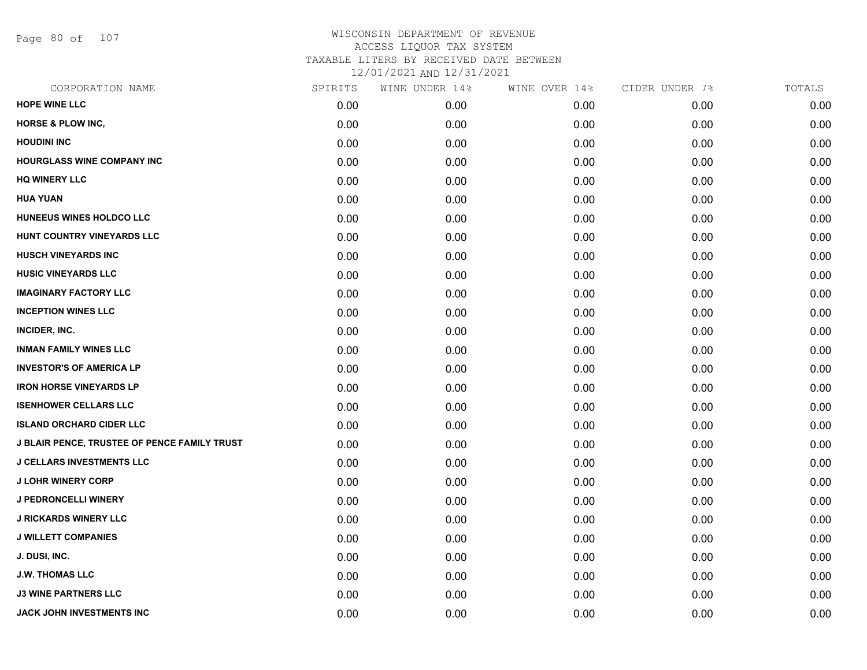Page 80 of 107

| CORPORATION NAME                             | SPIRITS | WINE UNDER 14% | WINE OVER 14% | CIDER UNDER 7% | TOTALS |
|----------------------------------------------|---------|----------------|---------------|----------------|--------|
| <b>HOPE WINE LLC</b>                         | 0.00    | 0.00           | 0.00          | 0.00           | 0.00   |
| <b>HORSE &amp; PLOW INC,</b>                 | 0.00    | 0.00           | 0.00          | 0.00           | 0.00   |
| <b>HOUDINI INC</b>                           | 0.00    | 0.00           | 0.00          | 0.00           | 0.00   |
| HOURGLASS WINE COMPANY INC                   | 0.00    | 0.00           | 0.00          | 0.00           | 0.00   |
| <b>HQ WINERY LLC</b>                         | 0.00    | 0.00           | 0.00          | 0.00           | 0.00   |
| <b>HUA YUAN</b>                              | 0.00    | 0.00           | 0.00          | 0.00           | 0.00   |
| HUNEEUS WINES HOLDCO LLC                     | 0.00    | 0.00           | 0.00          | 0.00           | 0.00   |
| HUNT COUNTRY VINEYARDS LLC                   | 0.00    | 0.00           | 0.00          | 0.00           | 0.00   |
| <b>HUSCH VINEYARDS INC</b>                   | 0.00    | 0.00           | 0.00          | 0.00           | 0.00   |
| <b>HUSIC VINEYARDS LLC</b>                   | 0.00    | 0.00           | 0.00          | 0.00           | 0.00   |
| <b>IMAGINARY FACTORY LLC</b>                 | 0.00    | 0.00           | 0.00          | 0.00           | 0.00   |
| <b>INCEPTION WINES LLC</b>                   | 0.00    | 0.00           | 0.00          | 0.00           | 0.00   |
| INCIDER, INC.                                | 0.00    | 0.00           | 0.00          | 0.00           | 0.00   |
| <b>INMAN FAMILY WINES LLC</b>                | 0.00    | 0.00           | 0.00          | 0.00           | 0.00   |
| <b>INVESTOR'S OF AMERICA LP</b>              | 0.00    | 0.00           | 0.00          | 0.00           | 0.00   |
| <b>IRON HORSE VINEYARDS LP</b>               | 0.00    | 0.00           | 0.00          | 0.00           | 0.00   |
| <b>ISENHOWER CELLARS LLC</b>                 | 0.00    | 0.00           | 0.00          | 0.00           | 0.00   |
| <b>ISLAND ORCHARD CIDER LLC</b>              | 0.00    | 0.00           | 0.00          | 0.00           | 0.00   |
| J BLAIR PENCE, TRUSTEE OF PENCE FAMILY TRUST | 0.00    | 0.00           | 0.00          | 0.00           | 0.00   |
| <b>J CELLARS INVESTMENTS LLC</b>             | 0.00    | 0.00           | 0.00          | 0.00           | 0.00   |
| <b>J LOHR WINERY CORP</b>                    | 0.00    | 0.00           | 0.00          | 0.00           | 0.00   |
| <b>J PEDRONCELLI WINERY</b>                  | 0.00    | 0.00           | 0.00          | 0.00           | 0.00   |
| <b>J RICKARDS WINERY LLC</b>                 | 0.00    | 0.00           | 0.00          | 0.00           | 0.00   |
| <b>J WILLETT COMPANIES</b>                   | 0.00    | 0.00           | 0.00          | 0.00           | 0.00   |
| J. DUSI, INC.                                | 0.00    | 0.00           | 0.00          | 0.00           | 0.00   |
| <b>J.W. THOMAS LLC</b>                       | 0.00    | 0.00           | 0.00          | 0.00           | 0.00   |
| <b>J3 WINE PARTNERS LLC</b>                  | 0.00    | 0.00           | 0.00          | 0.00           | 0.00   |
| <b>JACK JOHN INVESTMENTS INC</b>             | 0.00    | 0.00           | 0.00          | 0.00           | 0.00   |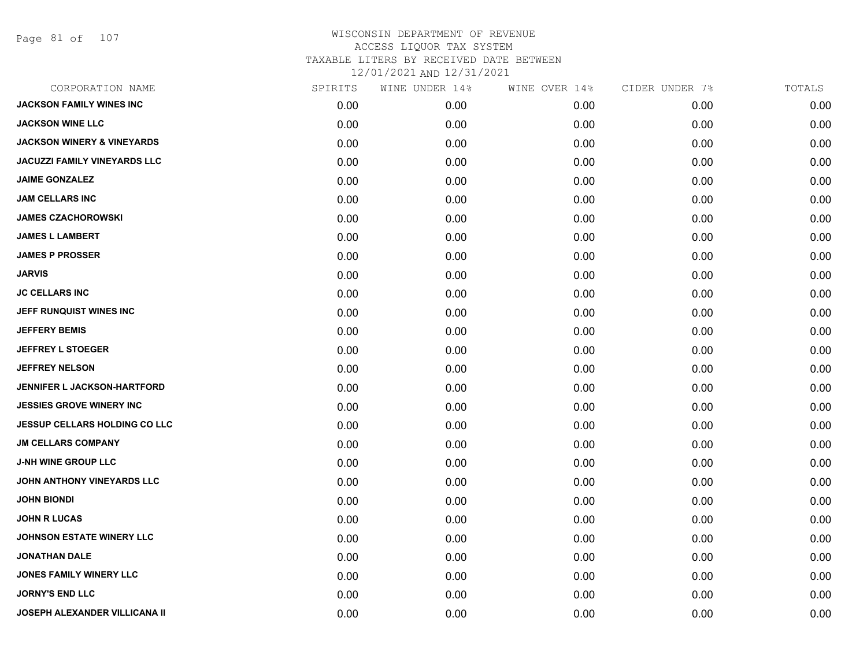Page 81 of 107

| CORPORATION NAME                      | SPIRITS | WINE UNDER 14% | WINE OVER 14% | CIDER UNDER 7% | TOTALS |
|---------------------------------------|---------|----------------|---------------|----------------|--------|
| <b>JACKSON FAMILY WINES INC</b>       | 0.00    | 0.00           | 0.00          | 0.00           | 0.00   |
| <b>JACKSON WINE LLC</b>               | 0.00    | 0.00           | 0.00          | 0.00           | 0.00   |
| <b>JACKSON WINERY &amp; VINEYARDS</b> | 0.00    | 0.00           | 0.00          | 0.00           | 0.00   |
| <b>JACUZZI FAMILY VINEYARDS LLC</b>   | 0.00    | 0.00           | 0.00          | 0.00           | 0.00   |
| <b>JAIME GONZALEZ</b>                 | 0.00    | 0.00           | 0.00          | 0.00           | 0.00   |
| <b>JAM CELLARS INC</b>                | 0.00    | 0.00           | 0.00          | 0.00           | 0.00   |
| <b>JAMES CZACHOROWSKI</b>             | 0.00    | 0.00           | 0.00          | 0.00           | 0.00   |
| <b>JAMES L LAMBERT</b>                | 0.00    | 0.00           | 0.00          | 0.00           | 0.00   |
| <b>JAMES P PROSSER</b>                | 0.00    | 0.00           | 0.00          | 0.00           | 0.00   |
| <b>JARVIS</b>                         | 0.00    | 0.00           | 0.00          | 0.00           | 0.00   |
| <b>JC CELLARS INC</b>                 | 0.00    | 0.00           | 0.00          | 0.00           | 0.00   |
| JEFF RUNQUIST WINES INC               | 0.00    | 0.00           | 0.00          | 0.00           | 0.00   |
| <b>JEFFERY BEMIS</b>                  | 0.00    | 0.00           | 0.00          | 0.00           | 0.00   |
| <b>JEFFREY L STOEGER</b>              | 0.00    | 0.00           | 0.00          | 0.00           | 0.00   |
| <b>JEFFREY NELSON</b>                 | 0.00    | 0.00           | 0.00          | 0.00           | 0.00   |
| <b>JENNIFER L JACKSON-HARTFORD</b>    | 0.00    | 0.00           | 0.00          | 0.00           | 0.00   |
| <b>JESSIES GROVE WINERY INC</b>       | 0.00    | 0.00           | 0.00          | 0.00           | 0.00   |
| JESSUP CELLARS HOLDING CO LLC         | 0.00    | 0.00           | 0.00          | 0.00           | 0.00   |
| <b>JM CELLARS COMPANY</b>             | 0.00    | 0.00           | 0.00          | 0.00           | 0.00   |
| <b>J-NH WINE GROUP LLC</b>            | 0.00    | 0.00           | 0.00          | 0.00           | 0.00   |
| JOHN ANTHONY VINEYARDS LLC            | 0.00    | 0.00           | 0.00          | 0.00           | 0.00   |
| <b>JOHN BIONDI</b>                    | 0.00    | 0.00           | 0.00          | 0.00           | 0.00   |
| <b>JOHN R LUCAS</b>                   | 0.00    | 0.00           | 0.00          | 0.00           | 0.00   |
| <b>JOHNSON ESTATE WINERY LLC</b>      | 0.00    | 0.00           | 0.00          | 0.00           | 0.00   |
| <b>JONATHAN DALE</b>                  | 0.00    | 0.00           | 0.00          | 0.00           | 0.00   |
| <b>JONES FAMILY WINERY LLC</b>        | 0.00    | 0.00           | 0.00          | 0.00           | 0.00   |
| <b>JORNY'S END LLC</b>                | 0.00    | 0.00           | 0.00          | 0.00           | 0.00   |
| <b>JOSEPH ALEXANDER VILLICANA II</b>  | 0.00    | 0.00           | 0.00          | 0.00           | 0.00   |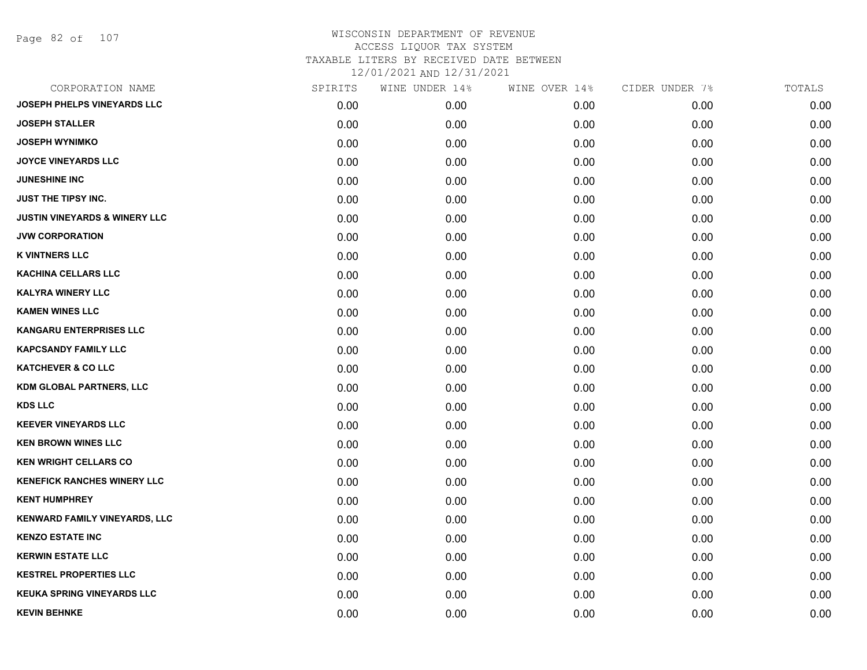Page 82 of 107

| CORPORATION NAME                         | SPIRITS | WINE UNDER 14% | WINE OVER 14% | CIDER UNDER 7% | TOTALS |
|------------------------------------------|---------|----------------|---------------|----------------|--------|
| <b>JOSEPH PHELPS VINEYARDS LLC</b>       | 0.00    | 0.00           | 0.00          | 0.00           | 0.00   |
| <b>JOSEPH STALLER</b>                    | 0.00    | 0.00           | 0.00          | 0.00           | 0.00   |
| <b>JOSEPH WYNIMKO</b>                    | 0.00    | 0.00           | 0.00          | 0.00           | 0.00   |
| <b>JOYCE VINEYARDS LLC</b>               | 0.00    | 0.00           | 0.00          | 0.00           | 0.00   |
| <b>JUNESHINE INC</b>                     | 0.00    | 0.00           | 0.00          | 0.00           | 0.00   |
| <b>JUST THE TIPSY INC.</b>               | 0.00    | 0.00           | 0.00          | 0.00           | 0.00   |
| <b>JUSTIN VINEYARDS &amp; WINERY LLC</b> | 0.00    | 0.00           | 0.00          | 0.00           | 0.00   |
| <b>JVW CORPORATION</b>                   | 0.00    | 0.00           | 0.00          | 0.00           | 0.00   |
| <b>K VINTNERS LLC</b>                    | 0.00    | 0.00           | 0.00          | 0.00           | 0.00   |
| <b>KACHINA CELLARS LLC</b>               | 0.00    | 0.00           | 0.00          | 0.00           | 0.00   |
| <b>KALYRA WINERY LLC</b>                 | 0.00    | 0.00           | 0.00          | 0.00           | 0.00   |
| <b>KAMEN WINES LLC</b>                   | 0.00    | 0.00           | 0.00          | 0.00           | 0.00   |
| <b>KANGARU ENTERPRISES LLC</b>           | 0.00    | 0.00           | 0.00          | 0.00           | 0.00   |
| <b>KAPCSANDY FAMILY LLC</b>              | 0.00    | 0.00           | 0.00          | 0.00           | 0.00   |
| <b>KATCHEVER &amp; CO LLC</b>            | 0.00    | 0.00           | 0.00          | 0.00           | 0.00   |
| KDM GLOBAL PARTNERS, LLC                 | 0.00    | 0.00           | 0.00          | 0.00           | 0.00   |
| <b>KDS LLC</b>                           | 0.00    | 0.00           | 0.00          | 0.00           | 0.00   |
| <b>KEEVER VINEYARDS LLC</b>              | 0.00    | 0.00           | 0.00          | 0.00           | 0.00   |
| <b>KEN BROWN WINES LLC</b>               | 0.00    | 0.00           | 0.00          | 0.00           | 0.00   |
| <b>KEN WRIGHT CELLARS CO</b>             | 0.00    | 0.00           | 0.00          | 0.00           | 0.00   |
| <b>KENEFICK RANCHES WINERY LLC</b>       | 0.00    | 0.00           | 0.00          | 0.00           | 0.00   |
| <b>KENT HUMPHREY</b>                     | 0.00    | 0.00           | 0.00          | 0.00           | 0.00   |
| <b>KENWARD FAMILY VINEYARDS, LLC</b>     | 0.00    | 0.00           | 0.00          | 0.00           | 0.00   |
| <b>KENZO ESTATE INC</b>                  | 0.00    | 0.00           | 0.00          | 0.00           | 0.00   |
| <b>KERWIN ESTATE LLC</b>                 | 0.00    | 0.00           | 0.00          | 0.00           | 0.00   |
| <b>KESTREL PROPERTIES LLC</b>            | 0.00    | 0.00           | 0.00          | 0.00           | 0.00   |
| <b>KEUKA SPRING VINEYARDS LLC</b>        | 0.00    | 0.00           | 0.00          | 0.00           | 0.00   |
| <b>KEVIN BEHNKE</b>                      | 0.00    | 0.00           | 0.00          | 0.00           | 0.00   |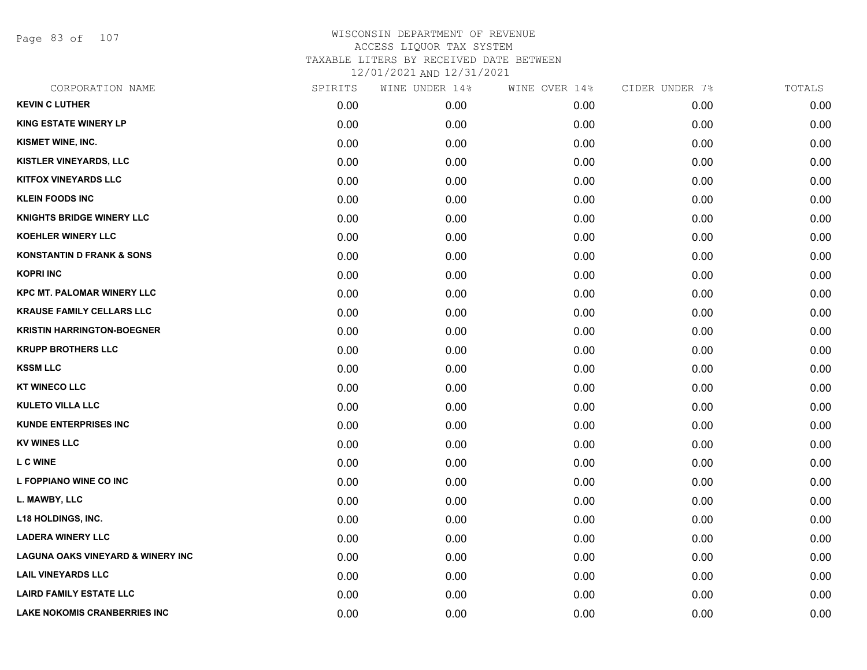Page 83 of 107

| CORPORATION NAME                             | SPIRITS | WINE UNDER 14% | WINE OVER 14% | CIDER UNDER 7% | TOTALS |
|----------------------------------------------|---------|----------------|---------------|----------------|--------|
| <b>KEVIN C LUTHER</b>                        | 0.00    | 0.00           | 0.00          | 0.00           | 0.00   |
| <b>KING ESTATE WINERY LP</b>                 | 0.00    | 0.00           | 0.00          | 0.00           | 0.00   |
| KISMET WINE, INC.                            | 0.00    | 0.00           | 0.00          | 0.00           | 0.00   |
| KISTLER VINEYARDS, LLC                       | 0.00    | 0.00           | 0.00          | 0.00           | 0.00   |
| <b>KITFOX VINEYARDS LLC</b>                  | 0.00    | 0.00           | 0.00          | 0.00           | 0.00   |
| <b>KLEIN FOODS INC</b>                       | 0.00    | 0.00           | 0.00          | 0.00           | 0.00   |
| <b>KNIGHTS BRIDGE WINERY LLC</b>             | 0.00    | 0.00           | 0.00          | 0.00           | 0.00   |
| <b>KOEHLER WINERY LLC</b>                    | 0.00    | 0.00           | 0.00          | 0.00           | 0.00   |
| <b>KONSTANTIN D FRANK &amp; SONS</b>         | 0.00    | 0.00           | 0.00          | 0.00           | 0.00   |
| <b>KOPRI INC</b>                             | 0.00    | 0.00           | 0.00          | 0.00           | 0.00   |
| <b>KPC MT. PALOMAR WINERY LLC</b>            | 0.00    | 0.00           | 0.00          | 0.00           | 0.00   |
| <b>KRAUSE FAMILY CELLARS LLC</b>             | 0.00    | 0.00           | 0.00          | 0.00           | 0.00   |
| <b>KRISTIN HARRINGTON-BOEGNER</b>            | 0.00    | 0.00           | 0.00          | 0.00           | 0.00   |
| <b>KRUPP BROTHERS LLC</b>                    | 0.00    | 0.00           | 0.00          | 0.00           | 0.00   |
| <b>KSSM LLC</b>                              | 0.00    | 0.00           | 0.00          | 0.00           | 0.00   |
| <b>KT WINECO LLC</b>                         | 0.00    | 0.00           | 0.00          | 0.00           | 0.00   |
| <b>KULETO VILLA LLC</b>                      | 0.00    | 0.00           | 0.00          | 0.00           | 0.00   |
| <b>KUNDE ENTERPRISES INC</b>                 | 0.00    | 0.00           | 0.00          | 0.00           | 0.00   |
| <b>KV WINES LLC</b>                          | 0.00    | 0.00           | 0.00          | 0.00           | 0.00   |
| <b>LCWINE</b>                                | 0.00    | 0.00           | 0.00          | 0.00           | 0.00   |
| L FOPPIANO WINE CO INC                       | 0.00    | 0.00           | 0.00          | 0.00           | 0.00   |
| L. MAWBY, LLC                                | 0.00    | 0.00           | 0.00          | 0.00           | 0.00   |
| L18 HOLDINGS, INC.                           | 0.00    | 0.00           | 0.00          | 0.00           | 0.00   |
| <b>LADERA WINERY LLC</b>                     | 0.00    | 0.00           | 0.00          | 0.00           | 0.00   |
| <b>LAGUNA OAKS VINEYARD &amp; WINERY INC</b> | 0.00    | 0.00           | 0.00          | 0.00           | 0.00   |
| <b>LAIL VINEYARDS LLC</b>                    | 0.00    | 0.00           | 0.00          | 0.00           | 0.00   |
| <b>LAIRD FAMILY ESTATE LLC</b>               | 0.00    | 0.00           | 0.00          | 0.00           | 0.00   |
| <b>LAKE NOKOMIS CRANBERRIES INC</b>          | 0.00    | 0.00           | 0.00          | 0.00           | 0.00   |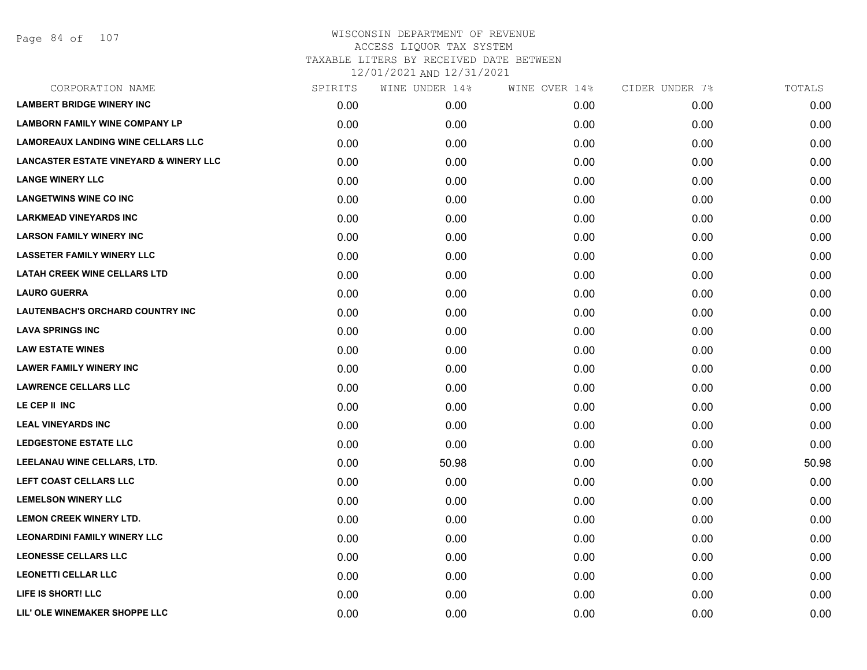| CORPORATION NAME                                  | SPIRITS | WINE UNDER 14% | WINE OVER 14% | CIDER UNDER 7% | TOTALS |
|---------------------------------------------------|---------|----------------|---------------|----------------|--------|
| <b>LAMBERT BRIDGE WINERY INC</b>                  | 0.00    | 0.00           | 0.00          | 0.00           | 0.00   |
| <b>LAMBORN FAMILY WINE COMPANY LP</b>             | 0.00    | 0.00           | 0.00          | 0.00           | 0.00   |
| <b>LAMOREAUX LANDING WINE CELLARS LLC</b>         | 0.00    | 0.00           | 0.00          | 0.00           | 0.00   |
| <b>LANCASTER ESTATE VINEYARD &amp; WINERY LLC</b> | 0.00    | 0.00           | 0.00          | 0.00           | 0.00   |
| <b>LANGE WINERY LLC</b>                           | 0.00    | 0.00           | 0.00          | 0.00           | 0.00   |
| <b>LANGETWINS WINE CO INC</b>                     | 0.00    | 0.00           | 0.00          | 0.00           | 0.00   |
| <b>LARKMEAD VINEYARDS INC</b>                     | 0.00    | 0.00           | 0.00          | 0.00           | 0.00   |
| <b>LARSON FAMILY WINERY INC</b>                   | 0.00    | 0.00           | 0.00          | 0.00           | 0.00   |
| <b>LASSETER FAMILY WINERY LLC</b>                 | 0.00    | 0.00           | 0.00          | 0.00           | 0.00   |
| <b>LATAH CREEK WINE CELLARS LTD</b>               | 0.00    | 0.00           | 0.00          | 0.00           | 0.00   |
| <b>LAURO GUERRA</b>                               | 0.00    | 0.00           | 0.00          | 0.00           | 0.00   |
| LAUTENBACH'S ORCHARD COUNTRY INC                  | 0.00    | 0.00           | 0.00          | 0.00           | 0.00   |
| <b>LAVA SPRINGS INC</b>                           | 0.00    | 0.00           | 0.00          | 0.00           | 0.00   |
| <b>LAW ESTATE WINES</b>                           | 0.00    | 0.00           | 0.00          | 0.00           | 0.00   |
| <b>LAWER FAMILY WINERY INC</b>                    | 0.00    | 0.00           | 0.00          | 0.00           | 0.00   |
| <b>LAWRENCE CELLARS LLC</b>                       | 0.00    | 0.00           | 0.00          | 0.00           | 0.00   |
| LE CEP II INC                                     | 0.00    | 0.00           | 0.00          | 0.00           | 0.00   |
| <b>LEAL VINEYARDS INC</b>                         | 0.00    | 0.00           | 0.00          | 0.00           | 0.00   |
| <b>LEDGESTONE ESTATE LLC</b>                      | 0.00    | 0.00           | 0.00          | 0.00           | 0.00   |
| LEELANAU WINE CELLARS, LTD.                       | 0.00    | 50.98          | 0.00          | 0.00           | 50.98  |
| LEFT COAST CELLARS LLC                            | 0.00    | 0.00           | 0.00          | 0.00           | 0.00   |
| <b>LEMELSON WINERY LLC</b>                        | 0.00    | 0.00           | 0.00          | 0.00           | 0.00   |
| <b>LEMON CREEK WINERY LTD.</b>                    | 0.00    | 0.00           | 0.00          | 0.00           | 0.00   |
| <b>LEONARDINI FAMILY WINERY LLC</b>               | 0.00    | 0.00           | 0.00          | 0.00           | 0.00   |
| <b>LEONESSE CELLARS LLC</b>                       | 0.00    | 0.00           | 0.00          | 0.00           | 0.00   |
| <b>LEONETTI CELLAR LLC</b>                        | 0.00    | 0.00           | 0.00          | 0.00           | 0.00   |
| LIFE IS SHORT! LLC                                | 0.00    | 0.00           | 0.00          | 0.00           | 0.00   |
| LIL' OLE WINEMAKER SHOPPE LLC                     | 0.00    | 0.00           | 0.00          | 0.00           | 0.00   |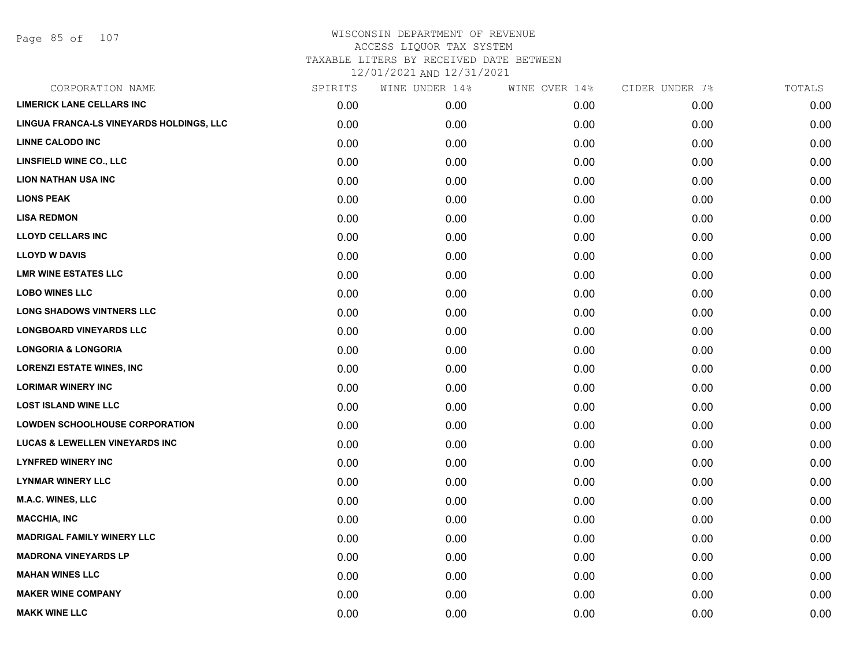| CORPORATION NAME                         | SPIRITS | WINE UNDER 14% | WINE OVER 14% | CIDER UNDER 7% | TOTALS |
|------------------------------------------|---------|----------------|---------------|----------------|--------|
| <b>LIMERICK LANE CELLARS INC</b>         | 0.00    | 0.00           | 0.00          | 0.00           | 0.00   |
| LINGUA FRANCA-LS VINEYARDS HOLDINGS, LLC | 0.00    | 0.00           | 0.00          | 0.00           | 0.00   |
| <b>LINNE CALODO INC</b>                  | 0.00    | 0.00           | 0.00          | 0.00           | 0.00   |
| LINSFIELD WINE CO., LLC                  | 0.00    | 0.00           | 0.00          | 0.00           | 0.00   |
| <b>LION NATHAN USA INC</b>               | 0.00    | 0.00           | 0.00          | 0.00           | 0.00   |
| <b>LIONS PEAK</b>                        | 0.00    | 0.00           | 0.00          | 0.00           | 0.00   |
| <b>LISA REDMON</b>                       | 0.00    | 0.00           | 0.00          | 0.00           | 0.00   |
| <b>LLOYD CELLARS INC</b>                 | 0.00    | 0.00           | 0.00          | 0.00           | 0.00   |
| <b>LLOYD W DAVIS</b>                     | 0.00    | 0.00           | 0.00          | 0.00           | 0.00   |
| <b>LMR WINE ESTATES LLC</b>              | 0.00    | 0.00           | 0.00          | 0.00           | 0.00   |
| <b>LOBO WINES LLC</b>                    | 0.00    | 0.00           | 0.00          | 0.00           | 0.00   |
| <b>LONG SHADOWS VINTNERS LLC</b>         | 0.00    | 0.00           | 0.00          | 0.00           | 0.00   |
| <b>LONGBOARD VINEYARDS LLC</b>           | 0.00    | 0.00           | 0.00          | 0.00           | 0.00   |
| <b>LONGORIA &amp; LONGORIA</b>           | 0.00    | 0.00           | 0.00          | 0.00           | 0.00   |
| <b>LORENZI ESTATE WINES, INC</b>         | 0.00    | 0.00           | 0.00          | 0.00           | 0.00   |
| <b>LORIMAR WINERY INC</b>                | 0.00    | 0.00           | 0.00          | 0.00           | 0.00   |
| <b>LOST ISLAND WINE LLC</b>              | 0.00    | 0.00           | 0.00          | 0.00           | 0.00   |
| <b>LOWDEN SCHOOLHOUSE CORPORATION</b>    | 0.00    | 0.00           | 0.00          | 0.00           | 0.00   |
| LUCAS & LEWELLEN VINEYARDS INC           | 0.00    | 0.00           | 0.00          | 0.00           | 0.00   |
| <b>LYNFRED WINERY INC</b>                | 0.00    | 0.00           | 0.00          | 0.00           | 0.00   |
| <b>LYNMAR WINERY LLC</b>                 | 0.00    | 0.00           | 0.00          | 0.00           | 0.00   |
| M.A.C. WINES, LLC                        | 0.00    | 0.00           | 0.00          | 0.00           | 0.00   |
| <b>MACCHIA, INC</b>                      | 0.00    | 0.00           | 0.00          | 0.00           | 0.00   |
| <b>MADRIGAL FAMILY WINERY LLC</b>        | 0.00    | 0.00           | 0.00          | 0.00           | 0.00   |
| <b>MADRONA VINEYARDS LP</b>              | 0.00    | 0.00           | 0.00          | 0.00           | 0.00   |
| <b>MAHAN WINES LLC</b>                   | 0.00    | 0.00           | 0.00          | 0.00           | 0.00   |
| <b>MAKER WINE COMPANY</b>                | 0.00    | 0.00           | 0.00          | 0.00           | 0.00   |
| <b>MAKK WINE LLC</b>                     | 0.00    | 0.00           | 0.00          | 0.00           | 0.00   |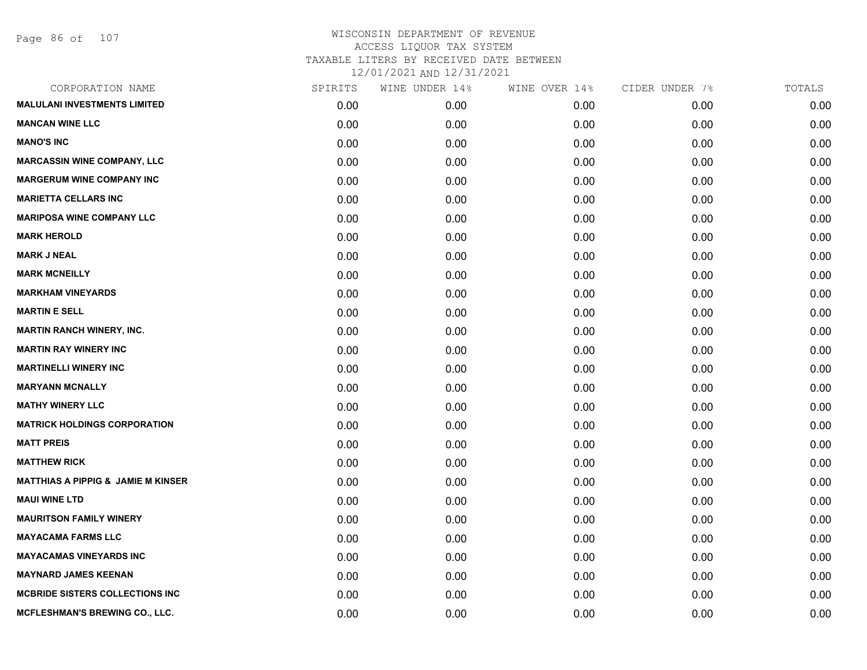| CORPORATION NAME                              | SPIRITS | WINE UNDER 14% | WINE OVER 14% | CIDER UNDER 7% | TOTALS |
|-----------------------------------------------|---------|----------------|---------------|----------------|--------|
| <b>MALULANI INVESTMENTS LIMITED</b>           | 0.00    | 0.00           | 0.00          | 0.00           | 0.00   |
| <b>MANCAN WINE LLC</b>                        | 0.00    | 0.00           | 0.00          | 0.00           | 0.00   |
| <b>MANO'S INC</b>                             | 0.00    | 0.00           | 0.00          | 0.00           | 0.00   |
| <b>MARCASSIN WINE COMPANY, LLC</b>            | 0.00    | 0.00           | 0.00          | 0.00           | 0.00   |
| <b>MARGERUM WINE COMPANY INC</b>              | 0.00    | 0.00           | 0.00          | 0.00           | 0.00   |
| <b>MARIETTA CELLARS INC</b>                   | 0.00    | 0.00           | 0.00          | 0.00           | 0.00   |
| <b>MARIPOSA WINE COMPANY LLC</b>              | 0.00    | 0.00           | 0.00          | 0.00           | 0.00   |
| <b>MARK HEROLD</b>                            | 0.00    | 0.00           | 0.00          | 0.00           | 0.00   |
| <b>MARK J NEAL</b>                            | 0.00    | 0.00           | 0.00          | 0.00           | 0.00   |
| <b>MARK MCNEILLY</b>                          | 0.00    | 0.00           | 0.00          | 0.00           | 0.00   |
| <b>MARKHAM VINEYARDS</b>                      | 0.00    | 0.00           | 0.00          | 0.00           | 0.00   |
| <b>MARTIN E SELL</b>                          | 0.00    | 0.00           | 0.00          | 0.00           | 0.00   |
| <b>MARTIN RANCH WINERY, INC.</b>              | 0.00    | 0.00           | 0.00          | 0.00           | 0.00   |
| <b>MARTIN RAY WINERY INC</b>                  | 0.00    | 0.00           | 0.00          | 0.00           | 0.00   |
| <b>MARTINELLI WINERY INC</b>                  | 0.00    | 0.00           | 0.00          | 0.00           | 0.00   |
| <b>MARYANN MCNALLY</b>                        | 0.00    | 0.00           | 0.00          | 0.00           | 0.00   |
| <b>MATHY WINERY LLC</b>                       | 0.00    | 0.00           | 0.00          | 0.00           | 0.00   |
| <b>MATRICK HOLDINGS CORPORATION</b>           | 0.00    | 0.00           | 0.00          | 0.00           | 0.00   |
| <b>MATT PREIS</b>                             | 0.00    | 0.00           | 0.00          | 0.00           | 0.00   |
| <b>MATTHEW RICK</b>                           | 0.00    | 0.00           | 0.00          | 0.00           | 0.00   |
| <b>MATTHIAS A PIPPIG &amp; JAMIE M KINSER</b> | 0.00    | 0.00           | 0.00          | 0.00           | 0.00   |
| <b>MAUI WINE LTD</b>                          | 0.00    | 0.00           | 0.00          | 0.00           | 0.00   |
| <b>MAURITSON FAMILY WINERY</b>                | 0.00    | 0.00           | 0.00          | 0.00           | 0.00   |
| <b>MAYACAMA FARMS LLC</b>                     | 0.00    | 0.00           | 0.00          | 0.00           | 0.00   |
| <b>MAYACAMAS VINEYARDS INC</b>                | 0.00    | 0.00           | 0.00          | 0.00           | 0.00   |
| <b>MAYNARD JAMES KEENAN</b>                   | 0.00    | 0.00           | 0.00          | 0.00           | 0.00   |
| <b>MCBRIDE SISTERS COLLECTIONS INC</b>        | 0.00    | 0.00           | 0.00          | 0.00           | 0.00   |
| MCFLESHMAN'S BREWING CO., LLC.                | 0.00    | 0.00           | 0.00          | 0.00           | 0.00   |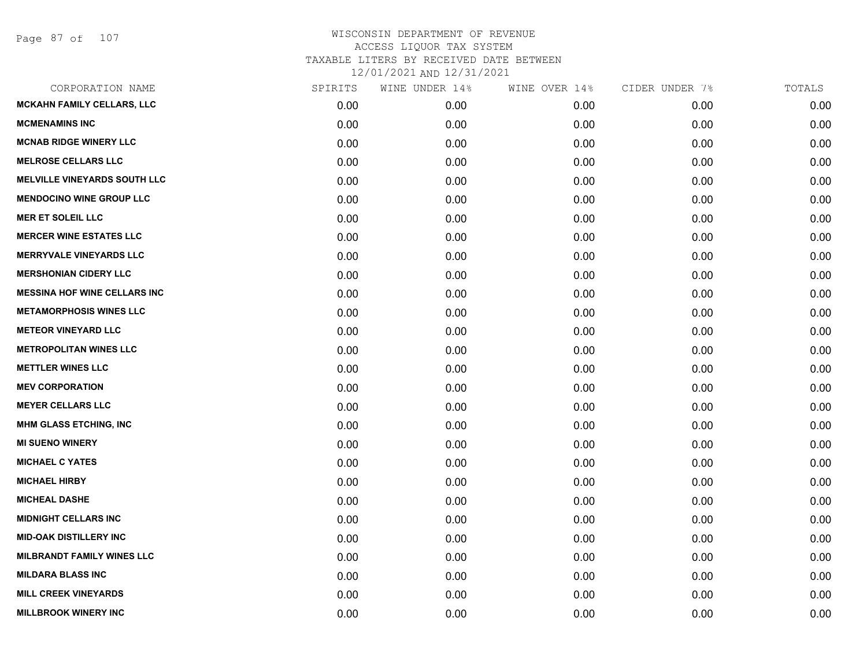| SPIRITS | WINE UNDER 14% | WINE OVER 14% | CIDER UNDER 7% | TOTALS |
|---------|----------------|---------------|----------------|--------|
| 0.00    | 0.00           | 0.00          | 0.00           | 0.00   |
| 0.00    | 0.00           | 0.00          | 0.00           | 0.00   |
| 0.00    | 0.00           | 0.00          | 0.00           | 0.00   |
| 0.00    | 0.00           | 0.00          | 0.00           | 0.00   |
| 0.00    | 0.00           | 0.00          | 0.00           | 0.00   |
| 0.00    | 0.00           | 0.00          | 0.00           | 0.00   |
| 0.00    | 0.00           | 0.00          | 0.00           | 0.00   |
| 0.00    | 0.00           | 0.00          | 0.00           | 0.00   |
| 0.00    | 0.00           | 0.00          | 0.00           | 0.00   |
| 0.00    | 0.00           | 0.00          | 0.00           | 0.00   |
| 0.00    | 0.00           | 0.00          | 0.00           | 0.00   |
| 0.00    | 0.00           | 0.00          | 0.00           | 0.00   |
| 0.00    | 0.00           | 0.00          | 0.00           | 0.00   |
| 0.00    | 0.00           | 0.00          | 0.00           | 0.00   |
| 0.00    | 0.00           | 0.00          | 0.00           | 0.00   |
| 0.00    | 0.00           | 0.00          | 0.00           | 0.00   |
| 0.00    | 0.00           | 0.00          | 0.00           | 0.00   |
| 0.00    | 0.00           | 0.00          | 0.00           | 0.00   |
| 0.00    | 0.00           | 0.00          | 0.00           | 0.00   |
| 0.00    | 0.00           | 0.00          | 0.00           | 0.00   |
| 0.00    | 0.00           | 0.00          | 0.00           | 0.00   |
| 0.00    | 0.00           | 0.00          | 0.00           | 0.00   |
| 0.00    | 0.00           | 0.00          | 0.00           | 0.00   |
| 0.00    | 0.00           | 0.00          | 0.00           | 0.00   |
| 0.00    | 0.00           | 0.00          | 0.00           | 0.00   |
| 0.00    | 0.00           | 0.00          | 0.00           | 0.00   |
| 0.00    | 0.00           | 0.00          | 0.00           | 0.00   |
| 0.00    | 0.00           | 0.00          | 0.00           | 0.00   |
|         |                |               |                |        |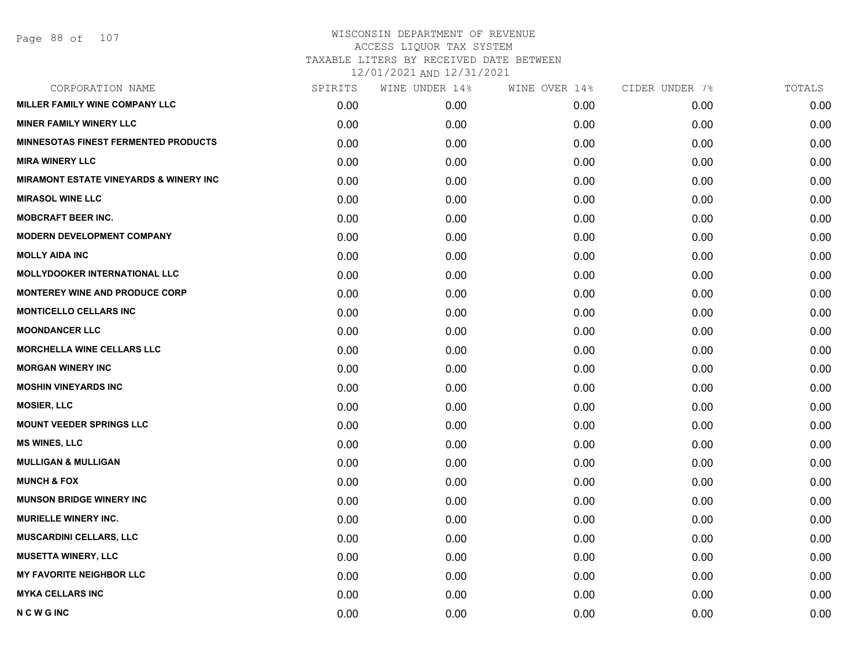| CORPORATION NAME                                  | SPIRITS | WINE UNDER 14% | WINE OVER 14% | CIDER UNDER 7% | TOTALS |
|---------------------------------------------------|---------|----------------|---------------|----------------|--------|
| MILLER FAMILY WINE COMPANY LLC                    | 0.00    | 0.00           | 0.00          | 0.00           | 0.00   |
| <b>MINER FAMILY WINERY LLC</b>                    | 0.00    | 0.00           | 0.00          | 0.00           | 0.00   |
| <b>MINNESOTAS FINEST FERMENTED PRODUCTS</b>       | 0.00    | 0.00           | 0.00          | 0.00           | 0.00   |
| <b>MIRA WINERY LLC</b>                            | 0.00    | 0.00           | 0.00          | 0.00           | 0.00   |
| <b>MIRAMONT ESTATE VINEYARDS &amp; WINERY INC</b> | 0.00    | 0.00           | 0.00          | 0.00           | 0.00   |
| <b>MIRASOL WINE LLC</b>                           | 0.00    | 0.00           | 0.00          | 0.00           | 0.00   |
| <b>MOBCRAFT BEER INC.</b>                         | 0.00    | 0.00           | 0.00          | 0.00           | 0.00   |
| <b>MODERN DEVELOPMENT COMPANY</b>                 | 0.00    | 0.00           | 0.00          | 0.00           | 0.00   |
| <b>MOLLY AIDA INC</b>                             | 0.00    | 0.00           | 0.00          | 0.00           | 0.00   |
| <b>MOLLYDOOKER INTERNATIONAL LLC</b>              | 0.00    | 0.00           | 0.00          | 0.00           | 0.00   |
| <b>MONTEREY WINE AND PRODUCE CORP</b>             | 0.00    | 0.00           | 0.00          | 0.00           | 0.00   |
| <b>MONTICELLO CELLARS INC</b>                     | 0.00    | 0.00           | 0.00          | 0.00           | 0.00   |
| <b>MOONDANCER LLC</b>                             | 0.00    | 0.00           | 0.00          | 0.00           | 0.00   |
| <b>MORCHELLA WINE CELLARS LLC</b>                 | 0.00    | 0.00           | 0.00          | 0.00           | 0.00   |
| <b>MORGAN WINERY INC</b>                          | 0.00    | 0.00           | 0.00          | 0.00           | 0.00   |
| <b>MOSHIN VINEYARDS INC</b>                       | 0.00    | 0.00           | 0.00          | 0.00           | 0.00   |
| <b>MOSIER, LLC</b>                                | 0.00    | 0.00           | 0.00          | 0.00           | 0.00   |
| <b>MOUNT VEEDER SPRINGS LLC</b>                   | 0.00    | 0.00           | 0.00          | 0.00           | 0.00   |
| <b>MS WINES, LLC</b>                              | 0.00    | 0.00           | 0.00          | 0.00           | 0.00   |
| <b>MULLIGAN &amp; MULLIGAN</b>                    | 0.00    | 0.00           | 0.00          | 0.00           | 0.00   |
| <b>MUNCH &amp; FOX</b>                            | 0.00    | 0.00           | 0.00          | 0.00           | 0.00   |
| <b>MUNSON BRIDGE WINERY INC</b>                   | 0.00    | 0.00           | 0.00          | 0.00           | 0.00   |
| <b>MURIELLE WINERY INC.</b>                       | 0.00    | 0.00           | 0.00          | 0.00           | 0.00   |
| <b>MUSCARDINI CELLARS, LLC</b>                    | 0.00    | 0.00           | 0.00          | 0.00           | 0.00   |
| <b>MUSETTA WINERY, LLC</b>                        | 0.00    | 0.00           | 0.00          | 0.00           | 0.00   |
| <b>MY FAVORITE NEIGHBOR LLC</b>                   | 0.00    | 0.00           | 0.00          | 0.00           | 0.00   |
| <b>MYKA CELLARS INC</b>                           | 0.00    | 0.00           | 0.00          | 0.00           | 0.00   |
| <b>NCWGINC</b>                                    | 0.00    | 0.00           | 0.00          | 0.00           | 0.00   |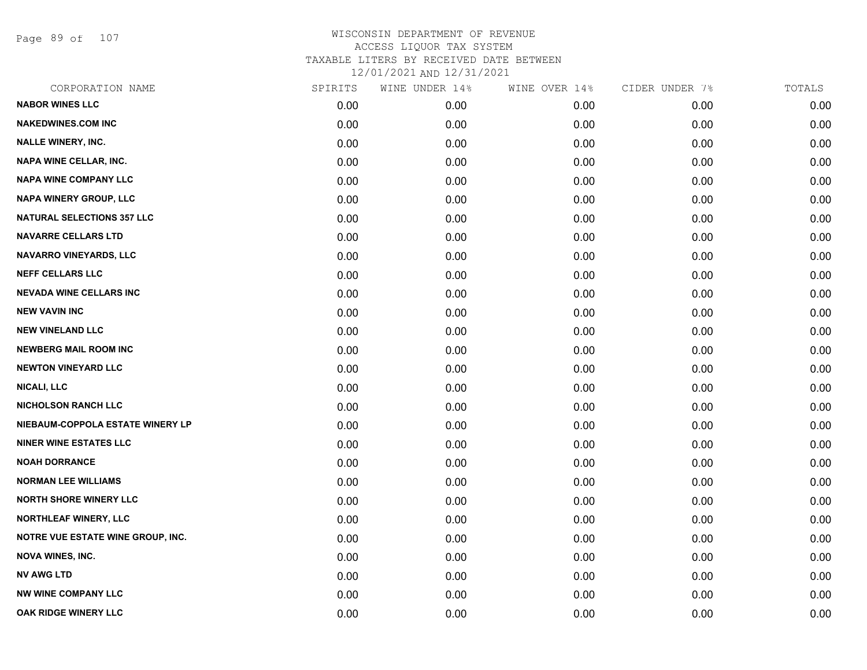Page 89 of 107

| CORPORATION NAME                  | SPIRITS | WINE UNDER 14% | WINE OVER 14% | CIDER UNDER 7% | TOTALS |
|-----------------------------------|---------|----------------|---------------|----------------|--------|
| <b>NABOR WINES LLC</b>            | 0.00    | 0.00           | 0.00          | 0.00           | 0.00   |
| <b>NAKEDWINES.COM INC</b>         | 0.00    | 0.00           | 0.00          | 0.00           | 0.00   |
| <b>NALLE WINERY, INC.</b>         | 0.00    | 0.00           | 0.00          | 0.00           | 0.00   |
| <b>NAPA WINE CELLAR, INC.</b>     | 0.00    | 0.00           | 0.00          | 0.00           | 0.00   |
| <b>NAPA WINE COMPANY LLC</b>      | 0.00    | 0.00           | 0.00          | 0.00           | 0.00   |
| NAPA WINERY GROUP, LLC            | 0.00    | 0.00           | 0.00          | 0.00           | 0.00   |
| <b>NATURAL SELECTIONS 357 LLC</b> | 0.00    | 0.00           | 0.00          | 0.00           | 0.00   |
| <b>NAVARRE CELLARS LTD</b>        | 0.00    | 0.00           | 0.00          | 0.00           | 0.00   |
| NAVARRO VINEYARDS, LLC            | 0.00    | 0.00           | 0.00          | 0.00           | 0.00   |
| <b>NEFF CELLARS LLC</b>           | 0.00    | 0.00           | 0.00          | 0.00           | 0.00   |
| <b>NEVADA WINE CELLARS INC</b>    | 0.00    | 0.00           | 0.00          | 0.00           | 0.00   |
| <b>NEW VAVIN INC</b>              | 0.00    | 0.00           | 0.00          | 0.00           | 0.00   |
| <b>NEW VINELAND LLC</b>           | 0.00    | 0.00           | 0.00          | 0.00           | 0.00   |
| <b>NEWBERG MAIL ROOM INC</b>      | 0.00    | 0.00           | 0.00          | 0.00           | 0.00   |
| <b>NEWTON VINEYARD LLC</b>        | 0.00    | 0.00           | 0.00          | 0.00           | 0.00   |
| <b>NICALI, LLC</b>                | 0.00    | 0.00           | 0.00          | 0.00           | 0.00   |
| <b>NICHOLSON RANCH LLC</b>        | 0.00    | 0.00           | 0.00          | 0.00           | 0.00   |
| NIEBAUM-COPPOLA ESTATE WINERY LP  | 0.00    | 0.00           | 0.00          | 0.00           | 0.00   |
| <b>NINER WINE ESTATES LLC</b>     | 0.00    | 0.00           | 0.00          | 0.00           | 0.00   |
| <b>NOAH DORRANCE</b>              | 0.00    | 0.00           | 0.00          | 0.00           | 0.00   |
| <b>NORMAN LEE WILLIAMS</b>        | 0.00    | 0.00           | 0.00          | 0.00           | 0.00   |
| <b>NORTH SHORE WINERY LLC</b>     | 0.00    | 0.00           | 0.00          | 0.00           | 0.00   |
| <b>NORTHLEAF WINERY, LLC</b>      | 0.00    | 0.00           | 0.00          | 0.00           | 0.00   |
| NOTRE VUE ESTATE WINE GROUP, INC. | 0.00    | 0.00           | 0.00          | 0.00           | 0.00   |
| <b>NOVA WINES, INC.</b>           | 0.00    | 0.00           | 0.00          | 0.00           | 0.00   |
| <b>NV AWG LTD</b>                 | 0.00    | 0.00           | 0.00          | 0.00           | 0.00   |
| <b>NW WINE COMPANY LLC</b>        | 0.00    | 0.00           | 0.00          | 0.00           | 0.00   |
| OAK RIDGE WINERY LLC              | 0.00    | 0.00           | 0.00          | 0.00           | 0.00   |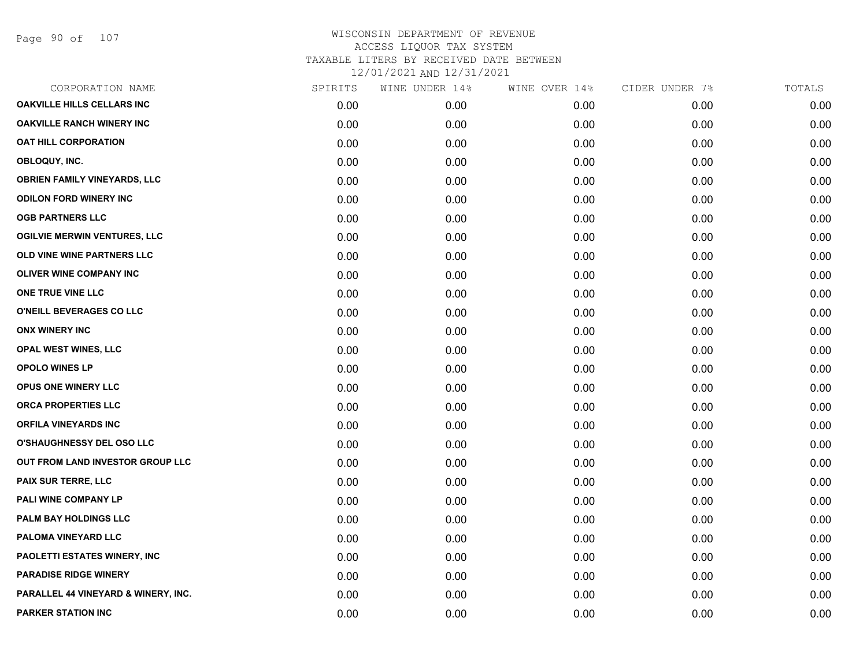| CORPORATION NAME                    | SPIRITS | WINE UNDER 14% | WINE OVER 14% | CIDER UNDER 7% | TOTALS |
|-------------------------------------|---------|----------------|---------------|----------------|--------|
| <b>OAKVILLE HILLS CELLARS INC</b>   | 0.00    | 0.00           | 0.00          | 0.00           | 0.00   |
| <b>OAKVILLE RANCH WINERY INC</b>    | 0.00    | 0.00           | 0.00          | 0.00           | 0.00   |
| OAT HILL CORPORATION                | 0.00    | 0.00           | 0.00          | 0.00           | 0.00   |
| OBLOQUY, INC.                       | 0.00    | 0.00           | 0.00          | 0.00           | 0.00   |
| <b>OBRIEN FAMILY VINEYARDS, LLC</b> | 0.00    | 0.00           | 0.00          | 0.00           | 0.00   |
| <b>ODILON FORD WINERY INC</b>       | 0.00    | 0.00           | 0.00          | 0.00           | 0.00   |
| <b>OGB PARTNERS LLC</b>             | 0.00    | 0.00           | 0.00          | 0.00           | 0.00   |
| <b>OGILVIE MERWIN VENTURES, LLC</b> | 0.00    | 0.00           | 0.00          | 0.00           | 0.00   |
| OLD VINE WINE PARTNERS LLC          | 0.00    | 0.00           | 0.00          | 0.00           | 0.00   |
| OLIVER WINE COMPANY INC             | 0.00    | 0.00           | 0.00          | 0.00           | 0.00   |
| ONE TRUE VINE LLC                   | 0.00    | 0.00           | 0.00          | 0.00           | 0.00   |
| O'NEILL BEVERAGES CO LLC            | 0.00    | 0.00           | 0.00          | 0.00           | 0.00   |
| <b>ONX WINERY INC</b>               | 0.00    | 0.00           | 0.00          | 0.00           | 0.00   |
| <b>OPAL WEST WINES, LLC</b>         | 0.00    | 0.00           | 0.00          | 0.00           | 0.00   |
| <b>OPOLO WINES LP</b>               | 0.00    | 0.00           | 0.00          | 0.00           | 0.00   |
| <b>OPUS ONE WINERY LLC</b>          | 0.00    | 0.00           | 0.00          | 0.00           | 0.00   |
| <b>ORCA PROPERTIES LLC</b>          | 0.00    | 0.00           | 0.00          | 0.00           | 0.00   |
| <b>ORFILA VINEYARDS INC</b>         | 0.00    | 0.00           | 0.00          | 0.00           | 0.00   |
| <b>O'SHAUGHNESSY DEL OSO LLC</b>    | 0.00    | 0.00           | 0.00          | 0.00           | 0.00   |
| OUT FROM LAND INVESTOR GROUP LLC    | 0.00    | 0.00           | 0.00          | 0.00           | 0.00   |
| <b>PAIX SUR TERRE, LLC</b>          | 0.00    | 0.00           | 0.00          | 0.00           | 0.00   |
| PALI WINE COMPANY LP                | 0.00    | 0.00           | 0.00          | 0.00           | 0.00   |
| PALM BAY HOLDINGS LLC               | 0.00    | 0.00           | 0.00          | 0.00           | 0.00   |
| PALOMA VINEYARD LLC                 | 0.00    | 0.00           | 0.00          | 0.00           | 0.00   |
| PAOLETTI ESTATES WINERY, INC        | 0.00    | 0.00           | 0.00          | 0.00           | 0.00   |
| <b>PARADISE RIDGE WINERY</b>        | 0.00    | 0.00           | 0.00          | 0.00           | 0.00   |
| PARALLEL 44 VINEYARD & WINERY, INC. | 0.00    | 0.00           | 0.00          | 0.00           | 0.00   |
| <b>PARKER STATION INC</b>           | 0.00    | 0.00           | 0.00          | 0.00           | 0.00   |
|                                     |         |                |               |                |        |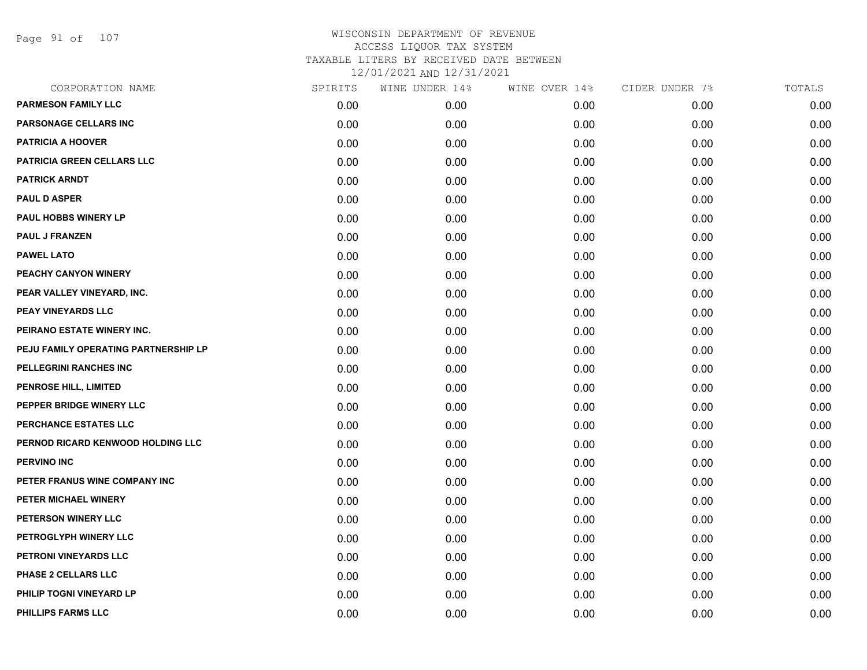Page 91 of 107

| CORPORATION NAME                     | SPIRITS | WINE UNDER 14% | WINE OVER 14% | CIDER UNDER 7% | TOTALS |
|--------------------------------------|---------|----------------|---------------|----------------|--------|
| <b>PARMESON FAMILY LLC</b>           | 0.00    | 0.00           | 0.00          | 0.00           | 0.00   |
| PARSONAGE CELLARS INC                | 0.00    | 0.00           | 0.00          | 0.00           | 0.00   |
| <b>PATRICIA A HOOVER</b>             | 0.00    | 0.00           | 0.00          | 0.00           | 0.00   |
| PATRICIA GREEN CELLARS LLC           | 0.00    | 0.00           | 0.00          | 0.00           | 0.00   |
| <b>PATRICK ARNDT</b>                 | 0.00    | 0.00           | 0.00          | 0.00           | 0.00   |
| <b>PAUL D ASPER</b>                  | 0.00    | 0.00           | 0.00          | 0.00           | 0.00   |
| <b>PAUL HOBBS WINERY LP</b>          | 0.00    | 0.00           | 0.00          | 0.00           | 0.00   |
| <b>PAUL J FRANZEN</b>                | 0.00    | 0.00           | 0.00          | 0.00           | 0.00   |
| <b>PAWEL LATO</b>                    | 0.00    | 0.00           | 0.00          | 0.00           | 0.00   |
| PEACHY CANYON WINERY                 | 0.00    | 0.00           | 0.00          | 0.00           | 0.00   |
| PEAR VALLEY VINEYARD, INC.           | 0.00    | 0.00           | 0.00          | 0.00           | 0.00   |
| PEAY VINEYARDS LLC                   | 0.00    | 0.00           | 0.00          | 0.00           | 0.00   |
| PEIRANO ESTATE WINERY INC.           | 0.00    | 0.00           | 0.00          | 0.00           | 0.00   |
| PEJU FAMILY OPERATING PARTNERSHIP LP | 0.00    | 0.00           | 0.00          | 0.00           | 0.00   |
| PELLEGRINI RANCHES INC               | 0.00    | 0.00           | 0.00          | 0.00           | 0.00   |
| PENROSE HILL, LIMITED                | 0.00    | 0.00           | 0.00          | 0.00           | 0.00   |
| PEPPER BRIDGE WINERY LLC             | 0.00    | 0.00           | 0.00          | 0.00           | 0.00   |
| PERCHANCE ESTATES LLC                | 0.00    | 0.00           | 0.00          | 0.00           | 0.00   |
| PERNOD RICARD KENWOOD HOLDING LLC    | 0.00    | 0.00           | 0.00          | 0.00           | 0.00   |
| <b>PERVINO INC</b>                   | 0.00    | 0.00           | 0.00          | 0.00           | 0.00   |
| PETER FRANUS WINE COMPANY INC        | 0.00    | 0.00           | 0.00          | 0.00           | 0.00   |
| PETER MICHAEL WINERY                 | 0.00    | 0.00           | 0.00          | 0.00           | 0.00   |
| PETERSON WINERY LLC                  | 0.00    | 0.00           | 0.00          | 0.00           | 0.00   |
| PETROGLYPH WINERY LLC                | 0.00    | 0.00           | 0.00          | 0.00           | 0.00   |
| PETRONI VINEYARDS LLC                | 0.00    | 0.00           | 0.00          | 0.00           | 0.00   |
| PHASE 2 CELLARS LLC                  | 0.00    | 0.00           | 0.00          | 0.00           | 0.00   |
| PHILIP TOGNI VINEYARD LP             | 0.00    | 0.00           | 0.00          | 0.00           | 0.00   |
| PHILLIPS FARMS LLC                   | 0.00    | 0.00           | 0.00          | 0.00           | 0.00   |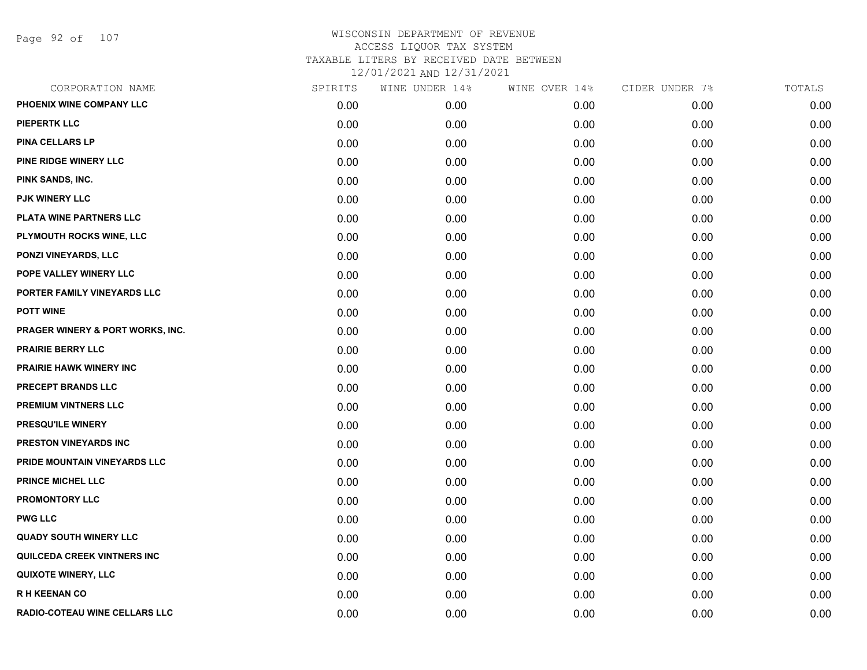Page 92 of 107

| CORPORATION NAME                     | SPIRITS | WINE UNDER 14% | WINE OVER 14% | CIDER UNDER 7% | TOTALS |
|--------------------------------------|---------|----------------|---------------|----------------|--------|
| PHOENIX WINE COMPANY LLC             | 0.00    | 0.00           | 0.00          | 0.00           | 0.00   |
| <b>PIEPERTK LLC</b>                  | 0.00    | 0.00           | 0.00          | 0.00           | 0.00   |
| PINA CELLARS LP                      | 0.00    | 0.00           | 0.00          | 0.00           | 0.00   |
| <b>PINE RIDGE WINERY LLC</b>         | 0.00    | 0.00           | 0.00          | 0.00           | 0.00   |
| PINK SANDS, INC.                     | 0.00    | 0.00           | 0.00          | 0.00           | 0.00   |
| PJK WINERY LLC                       | 0.00    | 0.00           | 0.00          | 0.00           | 0.00   |
| PLATA WINE PARTNERS LLC              | 0.00    | 0.00           | 0.00          | 0.00           | 0.00   |
| PLYMOUTH ROCKS WINE, LLC             | 0.00    | 0.00           | 0.00          | 0.00           | 0.00   |
| <b>PONZI VINEYARDS, LLC</b>          | 0.00    | 0.00           | 0.00          | 0.00           | 0.00   |
| POPE VALLEY WINERY LLC               | 0.00    | 0.00           | 0.00          | 0.00           | 0.00   |
| PORTER FAMILY VINEYARDS LLC          | 0.00    | 0.00           | 0.00          | 0.00           | 0.00   |
| <b>POTT WINE</b>                     | 0.00    | 0.00           | 0.00          | 0.00           | 0.00   |
| PRAGER WINERY & PORT WORKS, INC.     | 0.00    | 0.00           | 0.00          | 0.00           | 0.00   |
| <b>PRAIRIE BERRY LLC</b>             | 0.00    | 0.00           | 0.00          | 0.00           | 0.00   |
| <b>PRAIRIE HAWK WINERY INC</b>       | 0.00    | 0.00           | 0.00          | 0.00           | 0.00   |
| PRECEPT BRANDS LLC                   | 0.00    | 0.00           | 0.00          | 0.00           | 0.00   |
| <b>PREMIUM VINTNERS LLC</b>          | 0.00    | 0.00           | 0.00          | 0.00           | 0.00   |
| PRESQU'ILE WINERY                    | 0.00    | 0.00           | 0.00          | 0.00           | 0.00   |
| PRESTON VINEYARDS INC                | 0.00    | 0.00           | 0.00          | 0.00           | 0.00   |
| PRIDE MOUNTAIN VINEYARDS LLC         | 0.00    | 0.00           | 0.00          | 0.00           | 0.00   |
| PRINCE MICHEL LLC                    | 0.00    | 0.00           | 0.00          | 0.00           | 0.00   |
| <b>PROMONTORY LLC</b>                | 0.00    | 0.00           | 0.00          | 0.00           | 0.00   |
| <b>PWG LLC</b>                       | 0.00    | 0.00           | 0.00          | 0.00           | 0.00   |
| <b>QUADY SOUTH WINERY LLC</b>        | 0.00    | 0.00           | 0.00          | 0.00           | 0.00   |
| QUILCEDA CREEK VINTNERS INC          | 0.00    | 0.00           | 0.00          | 0.00           | 0.00   |
| <b>QUIXOTE WINERY, LLC</b>           | 0.00    | 0.00           | 0.00          | 0.00           | 0.00   |
| <b>RH KEENAN CO</b>                  | 0.00    | 0.00           | 0.00          | 0.00           | 0.00   |
| <b>RADIO-COTEAU WINE CELLARS LLC</b> | 0.00    | 0.00           | 0.00          | 0.00           | 0.00   |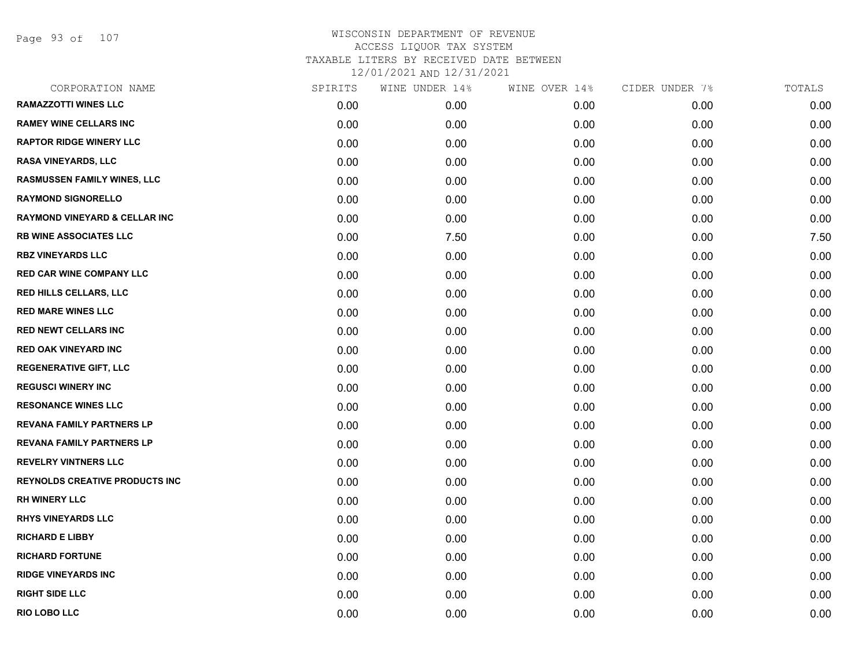Page 93 of 107

| CORPORATION NAME                         | SPIRITS | WINE UNDER 14% | WINE OVER 14% | CIDER UNDER 7% | TOTALS |
|------------------------------------------|---------|----------------|---------------|----------------|--------|
| <b>RAMAZZOTTI WINES LLC</b>              | 0.00    | 0.00           | 0.00          | 0.00           | 0.00   |
| <b>RAMEY WINE CELLARS INC</b>            | 0.00    | 0.00           | 0.00          | 0.00           | 0.00   |
| <b>RAPTOR RIDGE WINERY LLC</b>           | 0.00    | 0.00           | 0.00          | 0.00           | 0.00   |
| <b>RASA VINEYARDS, LLC</b>               | 0.00    | 0.00           | 0.00          | 0.00           | 0.00   |
| <b>RASMUSSEN FAMILY WINES, LLC</b>       | 0.00    | 0.00           | 0.00          | 0.00           | 0.00   |
| <b>RAYMOND SIGNORELLO</b>                | 0.00    | 0.00           | 0.00          | 0.00           | 0.00   |
| <b>RAYMOND VINEYARD &amp; CELLAR INC</b> | 0.00    | 0.00           | 0.00          | 0.00           | 0.00   |
| <b>RB WINE ASSOCIATES LLC</b>            | 0.00    | 7.50           | 0.00          | 0.00           | 7.50   |
| <b>RBZ VINEYARDS LLC</b>                 | 0.00    | 0.00           | 0.00          | 0.00           | 0.00   |
| <b>RED CAR WINE COMPANY LLC</b>          | 0.00    | 0.00           | 0.00          | 0.00           | 0.00   |
| <b>RED HILLS CELLARS, LLC</b>            | 0.00    | 0.00           | 0.00          | 0.00           | 0.00   |
| <b>RED MARE WINES LLC</b>                | 0.00    | 0.00           | 0.00          | 0.00           | 0.00   |
| <b>RED NEWT CELLARS INC</b>              | 0.00    | 0.00           | 0.00          | 0.00           | 0.00   |
| <b>RED OAK VINEYARD INC</b>              | 0.00    | 0.00           | 0.00          | 0.00           | 0.00   |
| <b>REGENERATIVE GIFT, LLC</b>            | 0.00    | 0.00           | 0.00          | 0.00           | 0.00   |
| <b>REGUSCI WINERY INC</b>                | 0.00    | 0.00           | 0.00          | 0.00           | 0.00   |
| <b>RESONANCE WINES LLC</b>               | 0.00    | 0.00           | 0.00          | 0.00           | 0.00   |
| <b>REVANA FAMILY PARTNERS LP</b>         | 0.00    | 0.00           | 0.00          | 0.00           | 0.00   |
| <b>REVANA FAMILY PARTNERS LP</b>         | 0.00    | 0.00           | 0.00          | 0.00           | 0.00   |
| <b>REVELRY VINTNERS LLC</b>              | 0.00    | 0.00           | 0.00          | 0.00           | 0.00   |
| <b>REYNOLDS CREATIVE PRODUCTS INC</b>    | 0.00    | 0.00           | 0.00          | 0.00           | 0.00   |
| <b>RH WINERY LLC</b>                     | 0.00    | 0.00           | 0.00          | 0.00           | 0.00   |
| <b>RHYS VINEYARDS LLC</b>                | 0.00    | 0.00           | 0.00          | 0.00           | 0.00   |
| <b>RICHARD E LIBBY</b>                   | 0.00    | 0.00           | 0.00          | 0.00           | 0.00   |
| <b>RICHARD FORTUNE</b>                   | 0.00    | 0.00           | 0.00          | 0.00           | 0.00   |
| <b>RIDGE VINEYARDS INC</b>               | 0.00    | 0.00           | 0.00          | 0.00           | 0.00   |
| <b>RIGHT SIDE LLC</b>                    | 0.00    | 0.00           | 0.00          | 0.00           | 0.00   |
| <b>RIO LOBO LLC</b>                      | 0.00    | 0.00           | 0.00          | 0.00           | 0.00   |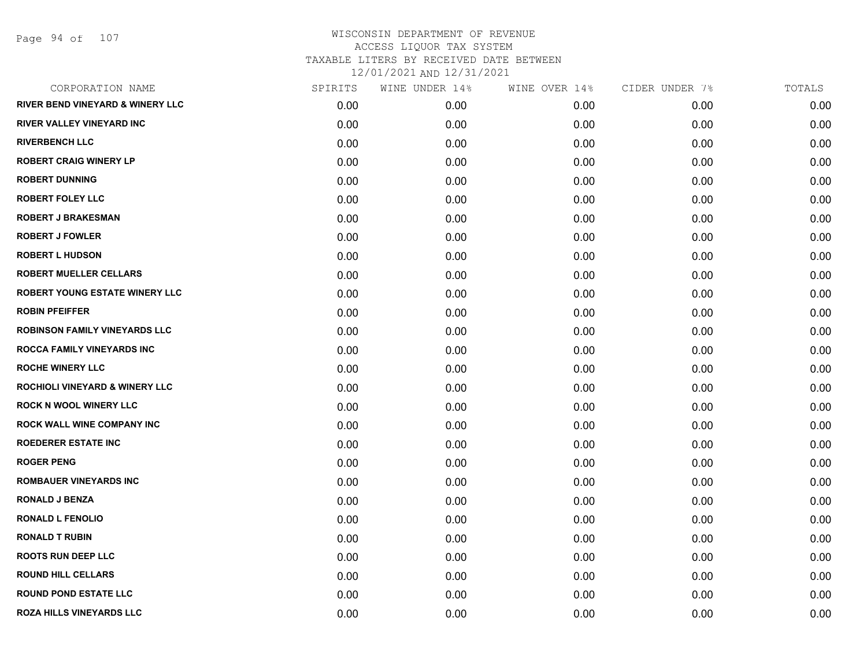Page 94 of 107

| CORPORATION NAME                            | SPIRITS | WINE UNDER 14% | WINE OVER 14% | CIDER UNDER 7% | TOTALS |
|---------------------------------------------|---------|----------------|---------------|----------------|--------|
| <b>RIVER BEND VINEYARD &amp; WINERY LLC</b> | 0.00    | 0.00           | 0.00          | 0.00           | 0.00   |
| <b>RIVER VALLEY VINEYARD INC</b>            | 0.00    | 0.00           | 0.00          | 0.00           | 0.00   |
| <b>RIVERBENCH LLC</b>                       | 0.00    | 0.00           | 0.00          | 0.00           | 0.00   |
| <b>ROBERT CRAIG WINERY LP</b>               | 0.00    | 0.00           | 0.00          | 0.00           | 0.00   |
| <b>ROBERT DUNNING</b>                       | 0.00    | 0.00           | 0.00          | 0.00           | 0.00   |
| <b>ROBERT FOLEY LLC</b>                     | 0.00    | 0.00           | 0.00          | 0.00           | 0.00   |
| <b>ROBERT J BRAKESMAN</b>                   | 0.00    | 0.00           | 0.00          | 0.00           | 0.00   |
| <b>ROBERT J FOWLER</b>                      | 0.00    | 0.00           | 0.00          | 0.00           | 0.00   |
| <b>ROBERT L HUDSON</b>                      | 0.00    | 0.00           | 0.00          | 0.00           | 0.00   |
| <b>ROBERT MUELLER CELLARS</b>               | 0.00    | 0.00           | 0.00          | 0.00           | 0.00   |
| <b>ROBERT YOUNG ESTATE WINERY LLC</b>       | 0.00    | 0.00           | 0.00          | 0.00           | 0.00   |
| <b>ROBIN PFEIFFER</b>                       | 0.00    | 0.00           | 0.00          | 0.00           | 0.00   |
| <b>ROBINSON FAMILY VINEYARDS LLC</b>        | 0.00    | 0.00           | 0.00          | 0.00           | 0.00   |
| ROCCA FAMILY VINEYARDS INC                  | 0.00    | 0.00           | 0.00          | 0.00           | 0.00   |
| <b>ROCHE WINERY LLC</b>                     | 0.00    | 0.00           | 0.00          | 0.00           | 0.00   |
| <b>ROCHIOLI VINEYARD &amp; WINERY LLC</b>   | 0.00    | 0.00           | 0.00          | 0.00           | 0.00   |
| <b>ROCK N WOOL WINERY LLC</b>               | 0.00    | 0.00           | 0.00          | 0.00           | 0.00   |
| ROCK WALL WINE COMPANY INC                  | 0.00    | 0.00           | 0.00          | 0.00           | 0.00   |
| <b>ROEDERER ESTATE INC</b>                  | 0.00    | 0.00           | 0.00          | 0.00           | 0.00   |
| <b>ROGER PENG</b>                           | 0.00    | 0.00           | 0.00          | 0.00           | 0.00   |
| <b>ROMBAUER VINEYARDS INC</b>               | 0.00    | 0.00           | 0.00          | 0.00           | 0.00   |
| <b>RONALD J BENZA</b>                       | 0.00    | 0.00           | 0.00          | 0.00           | 0.00   |
| <b>RONALD L FENOLIO</b>                     | 0.00    | 0.00           | 0.00          | 0.00           | 0.00   |
| <b>RONALD T RUBIN</b>                       | 0.00    | 0.00           | 0.00          | 0.00           | 0.00   |
| <b>ROOTS RUN DEEP LLC</b>                   | 0.00    | 0.00           | 0.00          | 0.00           | 0.00   |
| <b>ROUND HILL CELLARS</b>                   | 0.00    | 0.00           | 0.00          | 0.00           | 0.00   |
| <b>ROUND POND ESTATE LLC</b>                | 0.00    | 0.00           | 0.00          | 0.00           | 0.00   |
| <b>ROZA HILLS VINEYARDS LLC</b>             | 0.00    | 0.00           | 0.00          | 0.00           | 0.00   |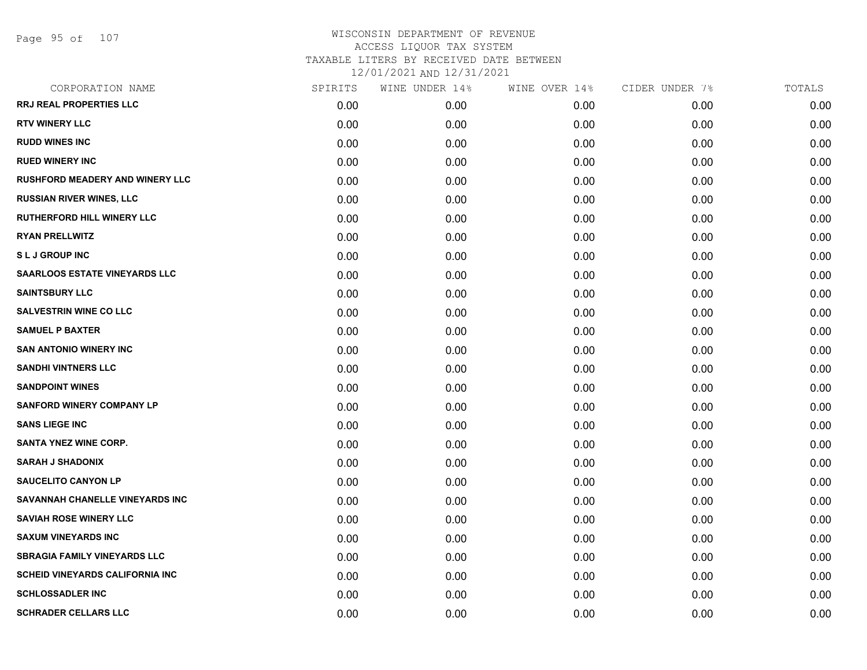| CORPORATION NAME                       | SPIRITS | WINE UNDER 14% | WINE OVER 14% | CIDER UNDER 7% | TOTALS |
|----------------------------------------|---------|----------------|---------------|----------------|--------|
| RRJ REAL PROPERTIES LLC                | 0.00    | 0.00           | 0.00          | 0.00           | 0.00   |
| <b>RTV WINERY LLC</b>                  | 0.00    | 0.00           | 0.00          | 0.00           | 0.00   |
| <b>RUDD WINES INC</b>                  | 0.00    | 0.00           | 0.00          | 0.00           | 0.00   |
| <b>RUED WINERY INC</b>                 | 0.00    | 0.00           | 0.00          | 0.00           | 0.00   |
| <b>RUSHFORD MEADERY AND WINERY LLC</b> | 0.00    | 0.00           | 0.00          | 0.00           | 0.00   |
| <b>RUSSIAN RIVER WINES, LLC</b>        | 0.00    | 0.00           | 0.00          | 0.00           | 0.00   |
| <b>RUTHERFORD HILL WINERY LLC</b>      | 0.00    | 0.00           | 0.00          | 0.00           | 0.00   |
| <b>RYAN PRELLWITZ</b>                  | 0.00    | 0.00           | 0.00          | 0.00           | 0.00   |
| <b>SLJ GROUP INC</b>                   | 0.00    | 0.00           | 0.00          | 0.00           | 0.00   |
| <b>SAARLOOS ESTATE VINEYARDS LLC</b>   | 0.00    | 0.00           | 0.00          | 0.00           | 0.00   |
| <b>SAINTSBURY LLC</b>                  | 0.00    | 0.00           | 0.00          | 0.00           | 0.00   |
| <b>SALVESTRIN WINE CO LLC</b>          | 0.00    | 0.00           | 0.00          | 0.00           | 0.00   |
| <b>SAMUEL P BAXTER</b>                 | 0.00    | 0.00           | 0.00          | 0.00           | 0.00   |
| <b>SAN ANTONIO WINERY INC</b>          | 0.00    | 0.00           | 0.00          | 0.00           | 0.00   |
| <b>SANDHI VINTNERS LLC</b>             | 0.00    | 0.00           | 0.00          | 0.00           | 0.00   |
| <b>SANDPOINT WINES</b>                 | 0.00    | 0.00           | 0.00          | 0.00           | 0.00   |
| <b>SANFORD WINERY COMPANY LP</b>       | 0.00    | 0.00           | 0.00          | 0.00           | 0.00   |
| <b>SANS LIEGE INC</b>                  | 0.00    | 0.00           | 0.00          | 0.00           | 0.00   |
| <b>SANTA YNEZ WINE CORP.</b>           | 0.00    | 0.00           | 0.00          | 0.00           | 0.00   |
| <b>SARAH J SHADONIX</b>                | 0.00    | 0.00           | 0.00          | 0.00           | 0.00   |
| <b>SAUCELITO CANYON LP</b>             | 0.00    | 0.00           | 0.00          | 0.00           | 0.00   |
| SAVANNAH CHANELLE VINEYARDS INC        | 0.00    | 0.00           | 0.00          | 0.00           | 0.00   |
| <b>SAVIAH ROSE WINERY LLC</b>          | 0.00    | 0.00           | 0.00          | 0.00           | 0.00   |
| <b>SAXUM VINEYARDS INC</b>             | 0.00    | 0.00           | 0.00          | 0.00           | 0.00   |
| <b>SBRAGIA FAMILY VINEYARDS LLC</b>    | 0.00    | 0.00           | 0.00          | 0.00           | 0.00   |
| <b>SCHEID VINEYARDS CALIFORNIA INC</b> | 0.00    | 0.00           | 0.00          | 0.00           | 0.00   |
| <b>SCHLOSSADLER INC</b>                | 0.00    | 0.00           | 0.00          | 0.00           | 0.00   |
| <b>SCHRADER CELLARS LLC</b>            | 0.00    | 0.00           | 0.00          | 0.00           | 0.00   |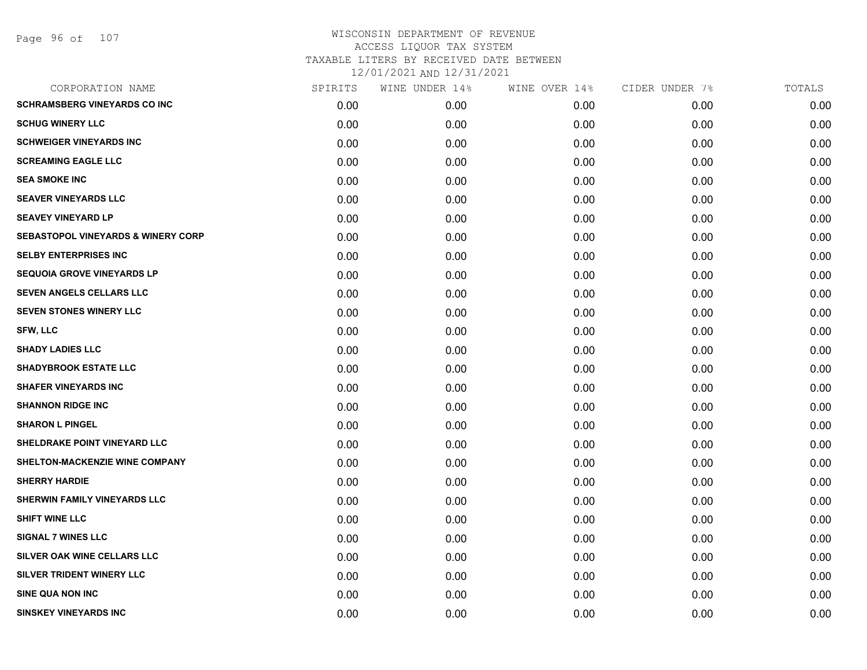| CORPORATION NAME                              | SPIRITS | WINE UNDER 14% | WINE OVER 14% | CIDER UNDER 7% | TOTALS |
|-----------------------------------------------|---------|----------------|---------------|----------------|--------|
| <b>SCHRAMSBERG VINEYARDS CO INC</b>           | 0.00    | 0.00           | 0.00          | 0.00           | 0.00   |
| <b>SCHUG WINERY LLC</b>                       | 0.00    | 0.00           | 0.00          | 0.00           | 0.00   |
| <b>SCHWEIGER VINEYARDS INC</b>                | 0.00    | 0.00           | 0.00          | 0.00           | 0.00   |
| <b>SCREAMING EAGLE LLC</b>                    | 0.00    | 0.00           | 0.00          | 0.00           | 0.00   |
| <b>SEA SMOKE INC</b>                          | 0.00    | 0.00           | 0.00          | 0.00           | 0.00   |
| <b>SEAVER VINEYARDS LLC</b>                   | 0.00    | 0.00           | 0.00          | 0.00           | 0.00   |
| <b>SEAVEY VINEYARD LP</b>                     | 0.00    | 0.00           | 0.00          | 0.00           | 0.00   |
| <b>SEBASTOPOL VINEYARDS &amp; WINERY CORP</b> | 0.00    | 0.00           | 0.00          | 0.00           | 0.00   |
| <b>SELBY ENTERPRISES INC</b>                  | 0.00    | 0.00           | 0.00          | 0.00           | 0.00   |
| <b>SEQUOIA GROVE VINEYARDS LP</b>             | 0.00    | 0.00           | 0.00          | 0.00           | 0.00   |
| SEVEN ANGELS CELLARS LLC                      | 0.00    | 0.00           | 0.00          | 0.00           | 0.00   |
| <b>SEVEN STONES WINERY LLC</b>                | 0.00    | 0.00           | 0.00          | 0.00           | 0.00   |
| SFW, LLC                                      | 0.00    | 0.00           | 0.00          | 0.00           | 0.00   |
| <b>SHADY LADIES LLC</b>                       | 0.00    | 0.00           | 0.00          | 0.00           | 0.00   |
| <b>SHADYBROOK ESTATE LLC</b>                  | 0.00    | 0.00           | 0.00          | 0.00           | 0.00   |
| <b>SHAFER VINEYARDS INC</b>                   | 0.00    | 0.00           | 0.00          | 0.00           | 0.00   |
| <b>SHANNON RIDGE INC</b>                      | 0.00    | 0.00           | 0.00          | 0.00           | 0.00   |
| <b>SHARON L PINGEL</b>                        | 0.00    | 0.00           | 0.00          | 0.00           | 0.00   |
| SHELDRAKE POINT VINEYARD LLC                  | 0.00    | 0.00           | 0.00          | 0.00           | 0.00   |
| SHELTON-MACKENZIE WINE COMPANY                | 0.00    | 0.00           | 0.00          | 0.00           | 0.00   |
| <b>SHERRY HARDIE</b>                          | 0.00    | 0.00           | 0.00          | 0.00           | 0.00   |
| SHERWIN FAMILY VINEYARDS LLC                  | 0.00    | 0.00           | 0.00          | 0.00           | 0.00   |
| <b>SHIFT WINE LLC</b>                         | 0.00    | 0.00           | 0.00          | 0.00           | 0.00   |
| <b>SIGNAL 7 WINES LLC</b>                     | 0.00    | 0.00           | 0.00          | 0.00           | 0.00   |
| SILVER OAK WINE CELLARS LLC                   | 0.00    | 0.00           | 0.00          | 0.00           | 0.00   |
| SILVER TRIDENT WINERY LLC                     | 0.00    | 0.00           | 0.00          | 0.00           | 0.00   |
| <b>SINE QUA NON INC</b>                       | 0.00    | 0.00           | 0.00          | 0.00           | 0.00   |
| <b>SINSKEY VINEYARDS INC</b>                  | 0.00    | 0.00           | 0.00          | 0.00           | 0.00   |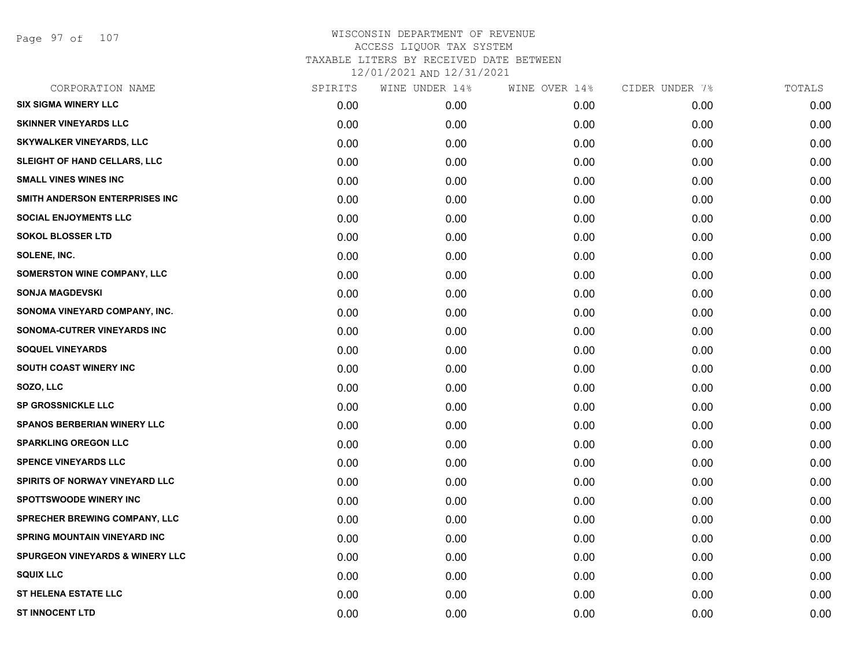Page 97 of 107

| CORPORATION NAME                           | SPIRITS | WINE UNDER 14% | WINE OVER 14% | CIDER UNDER 7% | TOTALS |
|--------------------------------------------|---------|----------------|---------------|----------------|--------|
| <b>SIX SIGMA WINERY LLC</b>                | 0.00    | 0.00           | 0.00          | 0.00           | 0.00   |
| <b>SKINNER VINEYARDS LLC</b>               | 0.00    | 0.00           | 0.00          | 0.00           | 0.00   |
| <b>SKYWALKER VINEYARDS, LLC</b>            | 0.00    | 0.00           | 0.00          | 0.00           | 0.00   |
| SLEIGHT OF HAND CELLARS, LLC               | 0.00    | 0.00           | 0.00          | 0.00           | 0.00   |
| <b>SMALL VINES WINES INC</b>               | 0.00    | 0.00           | 0.00          | 0.00           | 0.00   |
| SMITH ANDERSON ENTERPRISES INC             | 0.00    | 0.00           | 0.00          | 0.00           | 0.00   |
| <b>SOCIAL ENJOYMENTS LLC</b>               | 0.00    | 0.00           | 0.00          | 0.00           | 0.00   |
| <b>SOKOL BLOSSER LTD</b>                   | 0.00    | 0.00           | 0.00          | 0.00           | 0.00   |
| SOLENE, INC.                               | 0.00    | 0.00           | 0.00          | 0.00           | 0.00   |
| <b>SOMERSTON WINE COMPANY, LLC</b>         | 0.00    | 0.00           | 0.00          | 0.00           | 0.00   |
| <b>SONJA MAGDEVSKI</b>                     | 0.00    | 0.00           | 0.00          | 0.00           | 0.00   |
| SONOMA VINEYARD COMPANY, INC.              | 0.00    | 0.00           | 0.00          | 0.00           | 0.00   |
| SONOMA-CUTRER VINEYARDS INC                | 0.00    | 0.00           | 0.00          | 0.00           | 0.00   |
| <b>SOQUEL VINEYARDS</b>                    | 0.00    | 0.00           | 0.00          | 0.00           | 0.00   |
| SOUTH COAST WINERY INC                     | 0.00    | 0.00           | 0.00          | 0.00           | 0.00   |
| SOZO, LLC                                  | 0.00    | 0.00           | 0.00          | 0.00           | 0.00   |
| <b>SP GROSSNICKLE LLC</b>                  | 0.00    | 0.00           | 0.00          | 0.00           | 0.00   |
| <b>SPANOS BERBERIAN WINERY LLC</b>         | 0.00    | 0.00           | 0.00          | 0.00           | 0.00   |
| <b>SPARKLING OREGON LLC</b>                | 0.00    | 0.00           | 0.00          | 0.00           | 0.00   |
| <b>SPENCE VINEYARDS LLC</b>                | 0.00    | 0.00           | 0.00          | 0.00           | 0.00   |
| <b>SPIRITS OF NORWAY VINEYARD LLC</b>      | 0.00    | 0.00           | 0.00          | 0.00           | 0.00   |
| <b>SPOTTSWOODE WINERY INC</b>              | 0.00    | 0.00           | 0.00          | 0.00           | 0.00   |
| SPRECHER BREWING COMPANY, LLC              | 0.00    | 0.00           | 0.00          | 0.00           | 0.00   |
| <b>SPRING MOUNTAIN VINEYARD INC</b>        | 0.00    | 0.00           | 0.00          | 0.00           | 0.00   |
| <b>SPURGEON VINEYARDS &amp; WINERY LLC</b> | 0.00    | 0.00           | 0.00          | 0.00           | 0.00   |
| <b>SQUIX LLC</b>                           | 0.00    | 0.00           | 0.00          | 0.00           | 0.00   |
| <b>ST HELENA ESTATE LLC</b>                | 0.00    | 0.00           | 0.00          | 0.00           | 0.00   |
| <b>ST INNOCENT LTD</b>                     | 0.00    | 0.00           | 0.00          | 0.00           | 0.00   |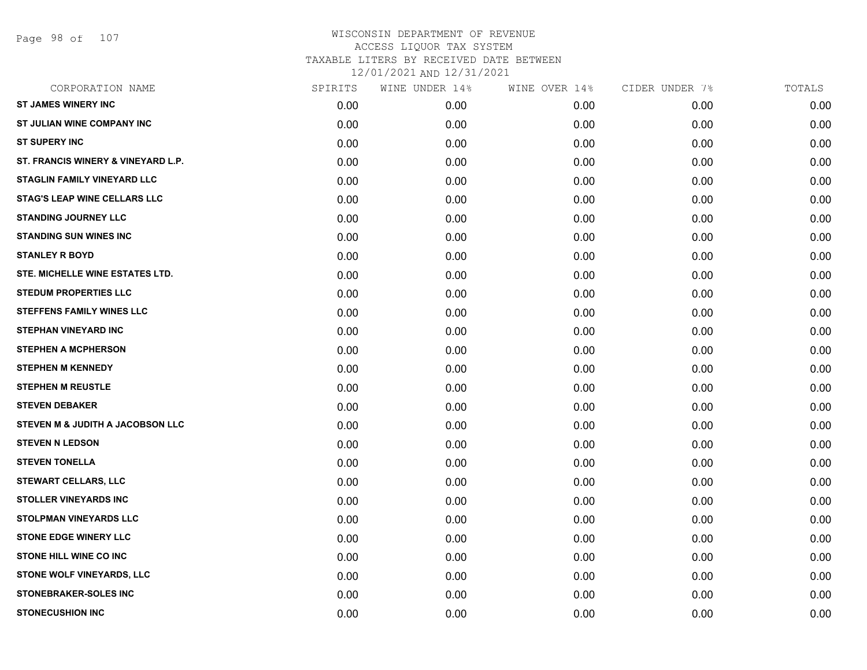Page 98 of 107

| CORPORATION NAME                    | SPIRITS | WINE UNDER 14% | WINE OVER 14% | CIDER UNDER 7% | TOTALS |
|-------------------------------------|---------|----------------|---------------|----------------|--------|
| <b>ST JAMES WINERY INC</b>          | 0.00    | 0.00           | 0.00          | 0.00           | 0.00   |
| ST JULIAN WINE COMPANY INC          | 0.00    | 0.00           | 0.00          | 0.00           | 0.00   |
| <b>ST SUPERY INC</b>                | 0.00    | 0.00           | 0.00          | 0.00           | 0.00   |
| ST. FRANCIS WINERY & VINEYARD L.P.  | 0.00    | 0.00           | 0.00          | 0.00           | 0.00   |
| STAGLIN FAMILY VINEYARD LLC         | 0.00    | 0.00           | 0.00          | 0.00           | 0.00   |
| <b>STAG'S LEAP WINE CELLARS LLC</b> | 0.00    | 0.00           | 0.00          | 0.00           | 0.00   |
| <b>STANDING JOURNEY LLC</b>         | 0.00    | 0.00           | 0.00          | 0.00           | 0.00   |
| <b>STANDING SUN WINES INC</b>       | 0.00    | 0.00           | 0.00          | 0.00           | 0.00   |
| <b>STANLEY R BOYD</b>               | 0.00    | 0.00           | 0.00          | 0.00           | 0.00   |
| STE. MICHELLE WINE ESTATES LTD.     | 0.00    | 0.00           | 0.00          | 0.00           | 0.00   |
| <b>STEDUM PROPERTIES LLC</b>        | 0.00    | 0.00           | 0.00          | 0.00           | 0.00   |
| <b>STEFFENS FAMILY WINES LLC</b>    | 0.00    | 0.00           | 0.00          | 0.00           | 0.00   |
| <b>STEPHAN VINEYARD INC</b>         | 0.00    | 0.00           | 0.00          | 0.00           | 0.00   |
| <b>STEPHEN A MCPHERSON</b>          | 0.00    | 0.00           | 0.00          | 0.00           | 0.00   |
| <b>STEPHEN M KENNEDY</b>            | 0.00    | 0.00           | 0.00          | 0.00           | 0.00   |
| <b>STEPHEN M REUSTLE</b>            | 0.00    | 0.00           | 0.00          | 0.00           | 0.00   |
| <b>STEVEN DEBAKER</b>               | 0.00    | 0.00           | 0.00          | 0.00           | 0.00   |
| STEVEN M & JUDITH A JACOBSON LLC    | 0.00    | 0.00           | 0.00          | 0.00           | 0.00   |
| <b>STEVEN N LEDSON</b>              | 0.00    | 0.00           | 0.00          | 0.00           | 0.00   |
| <b>STEVEN TONELLA</b>               | 0.00    | 0.00           | 0.00          | 0.00           | 0.00   |
| <b>STEWART CELLARS, LLC</b>         | 0.00    | 0.00           | 0.00          | 0.00           | 0.00   |
| <b>STOLLER VINEYARDS INC</b>        | 0.00    | 0.00           | 0.00          | 0.00           | 0.00   |
| <b>STOLPMAN VINEYARDS LLC</b>       | 0.00    | 0.00           | 0.00          | 0.00           | 0.00   |
| <b>STONE EDGE WINERY LLC</b>        | 0.00    | 0.00           | 0.00          | 0.00           | 0.00   |
| STONE HILL WINE CO INC              | 0.00    | 0.00           | 0.00          | 0.00           | 0.00   |
| <b>STONE WOLF VINEYARDS, LLC</b>    | 0.00    | 0.00           | 0.00          | 0.00           | 0.00   |
| <b>STONEBRAKER-SOLES INC</b>        | 0.00    | 0.00           | 0.00          | 0.00           | 0.00   |
| <b>STONECUSHION INC</b>             | 0.00    | 0.00           | 0.00          | 0.00           | 0.00   |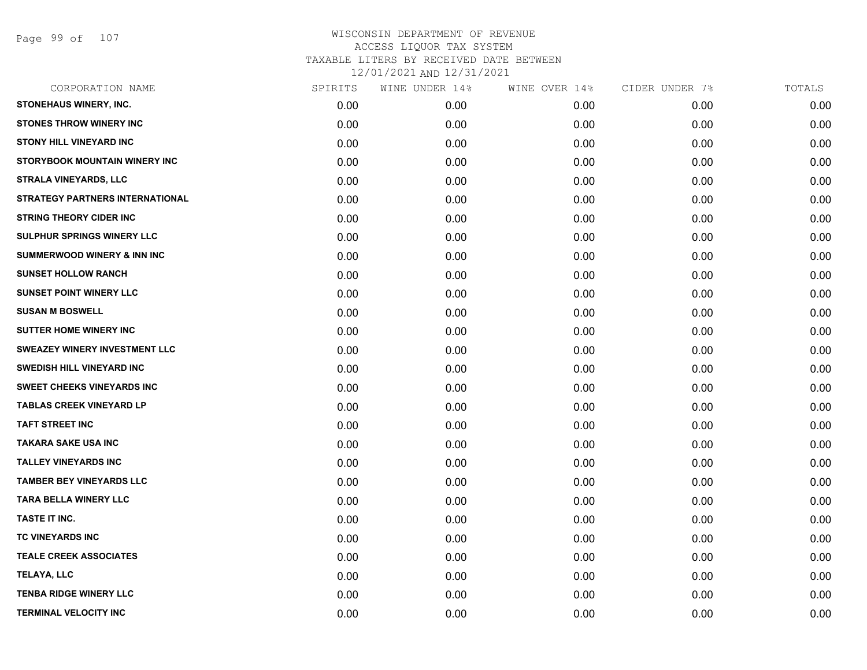Page 99 of 107

| CORPORATION NAME                       | SPIRITS | WINE UNDER 14% | WINE OVER 14% | CIDER UNDER 7% | TOTALS |
|----------------------------------------|---------|----------------|---------------|----------------|--------|
| <b>STONEHAUS WINERY, INC.</b>          | 0.00    | 0.00           | 0.00          | 0.00           | 0.00   |
| <b>STONES THROW WINERY INC</b>         | 0.00    | 0.00           | 0.00          | 0.00           | 0.00   |
| <b>STONY HILL VINEYARD INC</b>         | 0.00    | 0.00           | 0.00          | 0.00           | 0.00   |
| <b>STORYBOOK MOUNTAIN WINERY INC</b>   | 0.00    | 0.00           | 0.00          | 0.00           | 0.00   |
| <b>STRALA VINEYARDS, LLC</b>           | 0.00    | 0.00           | 0.00          | 0.00           | 0.00   |
| <b>STRATEGY PARTNERS INTERNATIONAL</b> | 0.00    | 0.00           | 0.00          | 0.00           | 0.00   |
| <b>STRING THEORY CIDER INC</b>         | 0.00    | 0.00           | 0.00          | 0.00           | 0.00   |
| <b>SULPHUR SPRINGS WINERY LLC</b>      | 0.00    | 0.00           | 0.00          | 0.00           | 0.00   |
| <b>SUMMERWOOD WINERY &amp; INN INC</b> | 0.00    | 0.00           | 0.00          | 0.00           | 0.00   |
| <b>SUNSET HOLLOW RANCH</b>             | 0.00    | 0.00           | 0.00          | 0.00           | 0.00   |
| <b>SUNSET POINT WINERY LLC</b>         | 0.00    | 0.00           | 0.00          | 0.00           | 0.00   |
| <b>SUSAN M BOSWELL</b>                 | 0.00    | 0.00           | 0.00          | 0.00           | 0.00   |
| <b>SUTTER HOME WINERY INC</b>          | 0.00    | 0.00           | 0.00          | 0.00           | 0.00   |
| <b>SWEAZEY WINERY INVESTMENT LLC</b>   | 0.00    | 0.00           | 0.00          | 0.00           | 0.00   |
| <b>SWEDISH HILL VINEYARD INC</b>       | 0.00    | 0.00           | 0.00          | 0.00           | 0.00   |
| <b>SWEET CHEEKS VINEYARDS INC</b>      | 0.00    | 0.00           | 0.00          | 0.00           | 0.00   |
| <b>TABLAS CREEK VINEYARD LP</b>        | 0.00    | 0.00           | 0.00          | 0.00           | 0.00   |
| <b>TAFT STREET INC</b>                 | 0.00    | 0.00           | 0.00          | 0.00           | 0.00   |
| <b>TAKARA SAKE USA INC</b>             | 0.00    | 0.00           | 0.00          | 0.00           | 0.00   |
| <b>TALLEY VINEYARDS INC</b>            | 0.00    | 0.00           | 0.00          | 0.00           | 0.00   |
| <b>TAMBER BEY VINEYARDS LLC</b>        | 0.00    | 0.00           | 0.00          | 0.00           | 0.00   |
| <b>TARA BELLA WINERY LLC</b>           | 0.00    | 0.00           | 0.00          | 0.00           | 0.00   |
| TASTE IT INC.                          | 0.00    | 0.00           | 0.00          | 0.00           | 0.00   |
| <b>TC VINEYARDS INC</b>                | 0.00    | 0.00           | 0.00          | 0.00           | 0.00   |
| <b>TEALE CREEK ASSOCIATES</b>          | 0.00    | 0.00           | 0.00          | 0.00           | 0.00   |
| <b>TELAYA, LLC</b>                     | 0.00    | 0.00           | 0.00          | 0.00           | 0.00   |
| <b>TENBA RIDGE WINERY LLC</b>          | 0.00    | 0.00           | 0.00          | 0.00           | 0.00   |
| <b>TERMINAL VELOCITY INC</b>           | 0.00    | 0.00           | 0.00          | 0.00           | 0.00   |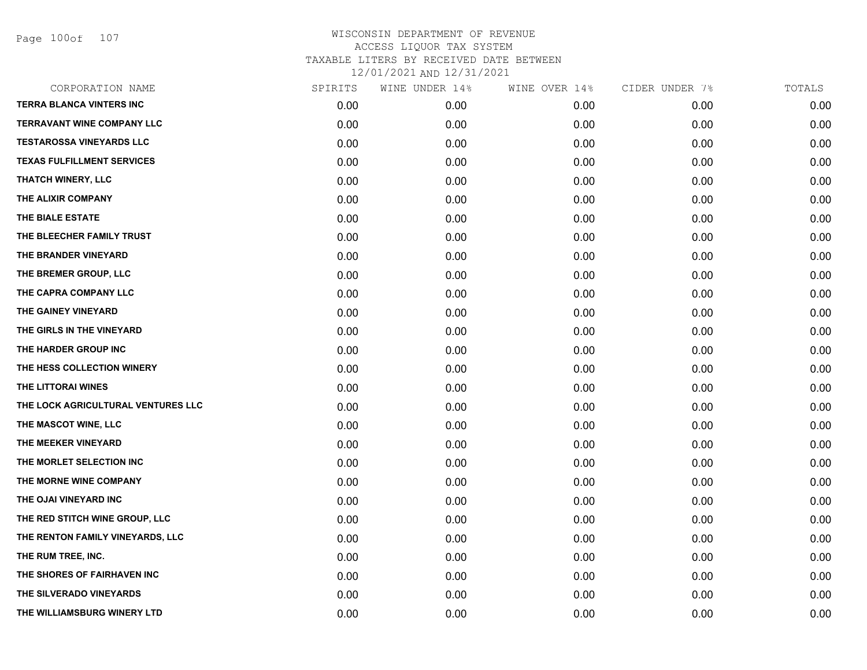Page 100of 107

| CORPORATION NAME                   | SPIRITS | WINE UNDER 14% | WINE OVER 14% | CIDER UNDER 7% | TOTALS |
|------------------------------------|---------|----------------|---------------|----------------|--------|
| <b>TERRA BLANCA VINTERS INC</b>    | 0.00    | 0.00           | 0.00          | 0.00           | 0.00   |
| <b>TERRAVANT WINE COMPANY LLC</b>  | 0.00    | 0.00           | 0.00          | 0.00           | 0.00   |
| <b>TESTAROSSA VINEYARDS LLC</b>    | 0.00    | 0.00           | 0.00          | 0.00           | 0.00   |
| <b>TEXAS FULFILLMENT SERVICES</b>  | 0.00    | 0.00           | 0.00          | 0.00           | 0.00   |
| <b>THATCH WINERY, LLC</b>          | 0.00    | 0.00           | 0.00          | 0.00           | 0.00   |
| THE ALIXIR COMPANY                 | 0.00    | 0.00           | 0.00          | 0.00           | 0.00   |
| THE BIALE ESTATE                   | 0.00    | 0.00           | 0.00          | 0.00           | 0.00   |
| THE BLEECHER FAMILY TRUST          | 0.00    | 0.00           | 0.00          | 0.00           | 0.00   |
| THE BRANDER VINEYARD               | 0.00    | 0.00           | 0.00          | 0.00           | 0.00   |
| THE BREMER GROUP, LLC              | 0.00    | 0.00           | 0.00          | 0.00           | 0.00   |
| THE CAPRA COMPANY LLC              | 0.00    | 0.00           | 0.00          | 0.00           | 0.00   |
| THE GAINEY VINEYARD                | 0.00    | 0.00           | 0.00          | 0.00           | 0.00   |
| THE GIRLS IN THE VINEYARD          | 0.00    | 0.00           | 0.00          | 0.00           | 0.00   |
| THE HARDER GROUP INC               | 0.00    | 0.00           | 0.00          | 0.00           | 0.00   |
| THE HESS COLLECTION WINERY         | 0.00    | 0.00           | 0.00          | 0.00           | 0.00   |
| THE LITTORAI WINES                 | 0.00    | 0.00           | 0.00          | 0.00           | 0.00   |
| THE LOCK AGRICULTURAL VENTURES LLC | 0.00    | 0.00           | 0.00          | 0.00           | 0.00   |
| THE MASCOT WINE, LLC               | 0.00    | 0.00           | 0.00          | 0.00           | 0.00   |
| THE MEEKER VINEYARD                | 0.00    | 0.00           | 0.00          | 0.00           | 0.00   |
| THE MORLET SELECTION INC           | 0.00    | 0.00           | 0.00          | 0.00           | 0.00   |
| THE MORNE WINE COMPANY             | 0.00    | 0.00           | 0.00          | 0.00           | 0.00   |
| THE OJAI VINEYARD INC              | 0.00    | 0.00           | 0.00          | 0.00           | 0.00   |
| THE RED STITCH WINE GROUP, LLC     | 0.00    | 0.00           | 0.00          | 0.00           | 0.00   |
| THE RENTON FAMILY VINEYARDS, LLC   | 0.00    | 0.00           | 0.00          | 0.00           | 0.00   |
| THE RUM TREE, INC.                 | 0.00    | 0.00           | 0.00          | 0.00           | 0.00   |
| THE SHORES OF FAIRHAVEN INC        | 0.00    | 0.00           | 0.00          | 0.00           | 0.00   |
| THE SILVERADO VINEYARDS            | 0.00    | 0.00           | 0.00          | 0.00           | 0.00   |
| THE WILLIAMSBURG WINERY LTD        | 0.00    | 0.00           | 0.00          | 0.00           | 0.00   |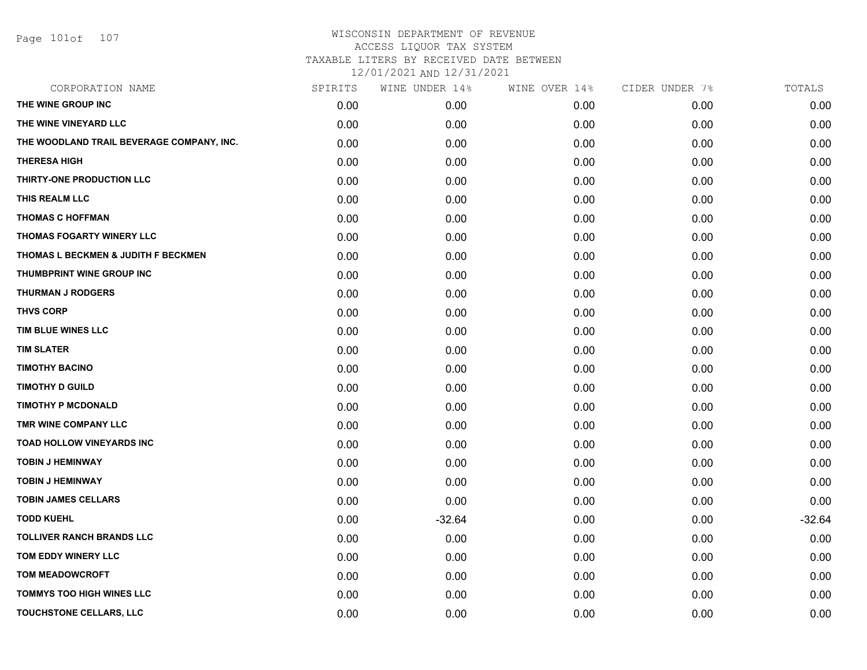Page 101of 107

## WISCONSIN DEPARTMENT OF REVENUE ACCESS LIQUOR TAX SYSTEM TAXABLE LITERS BY RECEIVED DATE BETWEEN

12/01/2021 AND 12/31/2021

| CORPORATION NAME                          | SPIRITS | WINE UNDER 14% | WINE OVER 14% | CIDER UNDER 7% | TOTALS   |
|-------------------------------------------|---------|----------------|---------------|----------------|----------|
| THE WINE GROUP INC                        | 0.00    | 0.00           | 0.00          | 0.00           | 0.00     |
| THE WINE VINEYARD LLC                     | 0.00    | 0.00           | 0.00          | 0.00           | 0.00     |
| THE WOODLAND TRAIL BEVERAGE COMPANY, INC. | 0.00    | 0.00           | 0.00          | 0.00           | 0.00     |
| <b>THERESA HIGH</b>                       | 0.00    | 0.00           | 0.00          | 0.00           | 0.00     |
| THIRTY-ONE PRODUCTION LLC                 | 0.00    | 0.00           | 0.00          | 0.00           | 0.00     |
| THIS REALM LLC                            | 0.00    | 0.00           | 0.00          | 0.00           | 0.00     |
| <b>THOMAS C HOFFMAN</b>                   | 0.00    | 0.00           | 0.00          | 0.00           | 0.00     |
| <b>THOMAS FOGARTY WINERY LLC</b>          | 0.00    | 0.00           | 0.00          | 0.00           | 0.00     |
| THOMAS L BECKMEN & JUDITH F BECKMEN       | 0.00    | 0.00           | 0.00          | 0.00           | 0.00     |
| THUMBPRINT WINE GROUP INC                 | 0.00    | 0.00           | 0.00          | 0.00           | 0.00     |
| <b>THURMAN J RODGERS</b>                  | 0.00    | 0.00           | 0.00          | 0.00           | 0.00     |
| <b>THVS CORP</b>                          | 0.00    | 0.00           | 0.00          | 0.00           | 0.00     |
| TIM BLUE WINES LLC                        | 0.00    | 0.00           | 0.00          | 0.00           | 0.00     |
| <b>TIM SLATER</b>                         | 0.00    | 0.00           | 0.00          | 0.00           | 0.00     |
| <b>TIMOTHY BACINO</b>                     | 0.00    | 0.00           | 0.00          | 0.00           | 0.00     |
| <b>TIMOTHY D GUILD</b>                    | 0.00    | 0.00           | 0.00          | 0.00           | 0.00     |
| <b>TIMOTHY P MCDONALD</b>                 | 0.00    | 0.00           | 0.00          | 0.00           | 0.00     |
| TMR WINE COMPANY LLC                      | 0.00    | 0.00           | 0.00          | 0.00           | 0.00     |
| <b>TOAD HOLLOW VINEYARDS INC</b>          | 0.00    | 0.00           | 0.00          | 0.00           | 0.00     |
| <b>TOBIN J HEMINWAY</b>                   | 0.00    | 0.00           | 0.00          | 0.00           | 0.00     |
| <b>TOBIN J HEMINWAY</b>                   | 0.00    | 0.00           | 0.00          | 0.00           | 0.00     |
| <b>TOBIN JAMES CELLARS</b>                | 0.00    | 0.00           | 0.00          | 0.00           | 0.00     |
| <b>TODD KUEHL</b>                         | 0.00    | $-32.64$       | 0.00          | 0.00           | $-32.64$ |
| <b>TOLLIVER RANCH BRANDS LLC</b>          | 0.00    | 0.00           | 0.00          | 0.00           | 0.00     |
| TOM EDDY WINERY LLC                       | 0.00    | 0.00           | 0.00          | 0.00           | 0.00     |
| <b>TOM MEADOWCROFT</b>                    | 0.00    | 0.00           | 0.00          | 0.00           | 0.00     |
| TOMMYS TOO HIGH WINES LLC                 | 0.00    | 0.00           | 0.00          | 0.00           | 0.00     |
| TOUCHSTONE CELLARS, LLC                   | 0.00    | 0.00           | 0.00          | 0.00           | 0.00     |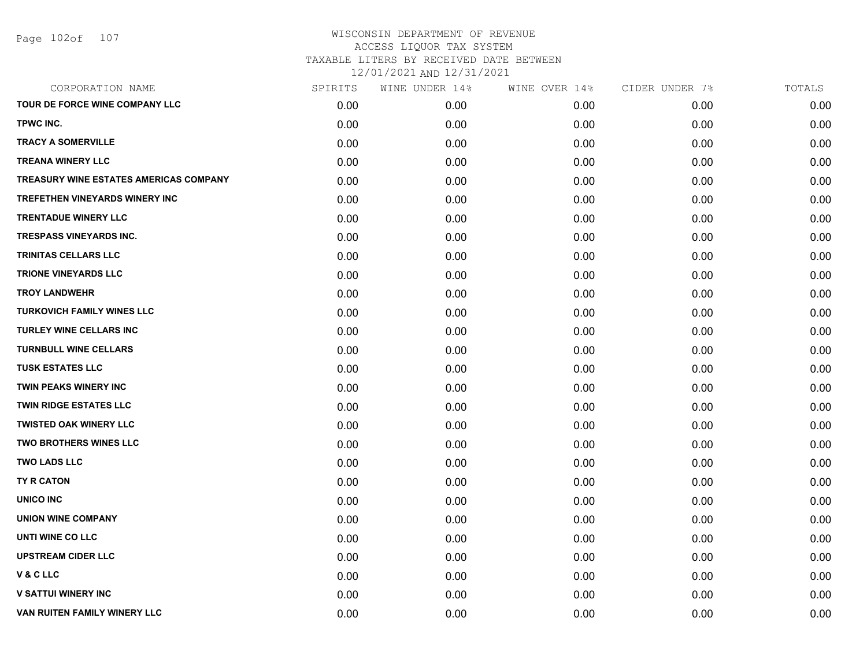| CORPORATION NAME                              | SPIRITS | WINE UNDER 14% | WINE OVER 14% | CIDER UNDER 7% | TOTALS |
|-----------------------------------------------|---------|----------------|---------------|----------------|--------|
| TOUR DE FORCE WINE COMPANY LLC                | 0.00    | 0.00           | 0.00          | 0.00           | 0.00   |
| TPWC INC.                                     | 0.00    | 0.00           | 0.00          | 0.00           | 0.00   |
| <b>TRACY A SOMERVILLE</b>                     | 0.00    | 0.00           | 0.00          | 0.00           | 0.00   |
| <b>TREANA WINERY LLC</b>                      | 0.00    | 0.00           | 0.00          | 0.00           | 0.00   |
| <b>TREASURY WINE ESTATES AMERICAS COMPANY</b> | 0.00    | 0.00           | 0.00          | 0.00           | 0.00   |
| <b>TREFETHEN VINEYARDS WINERY INC</b>         | 0.00    | 0.00           | 0.00          | 0.00           | 0.00   |
| <b>TRENTADUE WINERY LLC</b>                   | 0.00    | 0.00           | 0.00          | 0.00           | 0.00   |
| <b>TRESPASS VINEYARDS INC.</b>                | 0.00    | 0.00           | 0.00          | 0.00           | 0.00   |
| <b>TRINITAS CELLARS LLC</b>                   | 0.00    | 0.00           | 0.00          | 0.00           | 0.00   |
| <b>TRIONE VINEYARDS LLC</b>                   | 0.00    | 0.00           | 0.00          | 0.00           | 0.00   |
| <b>TROY LANDWEHR</b>                          | 0.00    | 0.00           | 0.00          | 0.00           | 0.00   |
| <b>TURKOVICH FAMILY WINES LLC</b>             | 0.00    | 0.00           | 0.00          | 0.00           | 0.00   |
| TURLEY WINE CELLARS INC                       | 0.00    | 0.00           | 0.00          | 0.00           | 0.00   |
| <b>TURNBULL WINE CELLARS</b>                  | 0.00    | 0.00           | 0.00          | 0.00           | 0.00   |
| <b>TUSK ESTATES LLC</b>                       | 0.00    | 0.00           | 0.00          | 0.00           | 0.00   |
| TWIN PEAKS WINERY INC                         | 0.00    | 0.00           | 0.00          | 0.00           | 0.00   |
| <b>TWIN RIDGE ESTATES LLC</b>                 | 0.00    | 0.00           | 0.00          | 0.00           | 0.00   |
| <b>TWISTED OAK WINERY LLC</b>                 | 0.00    | 0.00           | 0.00          | 0.00           | 0.00   |
| TWO BROTHERS WINES LLC                        | 0.00    | 0.00           | 0.00          | 0.00           | 0.00   |
| <b>TWO LADS LLC</b>                           | 0.00    | 0.00           | 0.00          | 0.00           | 0.00   |
| TY R CATON                                    | 0.00    | 0.00           | 0.00          | 0.00           | 0.00   |
| UNICO INC                                     | 0.00    | 0.00           | 0.00          | 0.00           | 0.00   |
| <b>UNION WINE COMPANY</b>                     | 0.00    | 0.00           | 0.00          | 0.00           | 0.00   |
| <b>UNTI WINE CO LLC</b>                       | 0.00    | 0.00           | 0.00          | 0.00           | 0.00   |
| <b>UPSTREAM CIDER LLC</b>                     | 0.00    | 0.00           | 0.00          | 0.00           | 0.00   |
| V&CLLC                                        | 0.00    | 0.00           | 0.00          | 0.00           | 0.00   |
| <b>V SATTUI WINERY INC</b>                    | 0.00    | 0.00           | 0.00          | 0.00           | 0.00   |
| VAN RUITEN FAMILY WINERY LLC                  | 0.00    | 0.00           | 0.00          | 0.00           | 0.00   |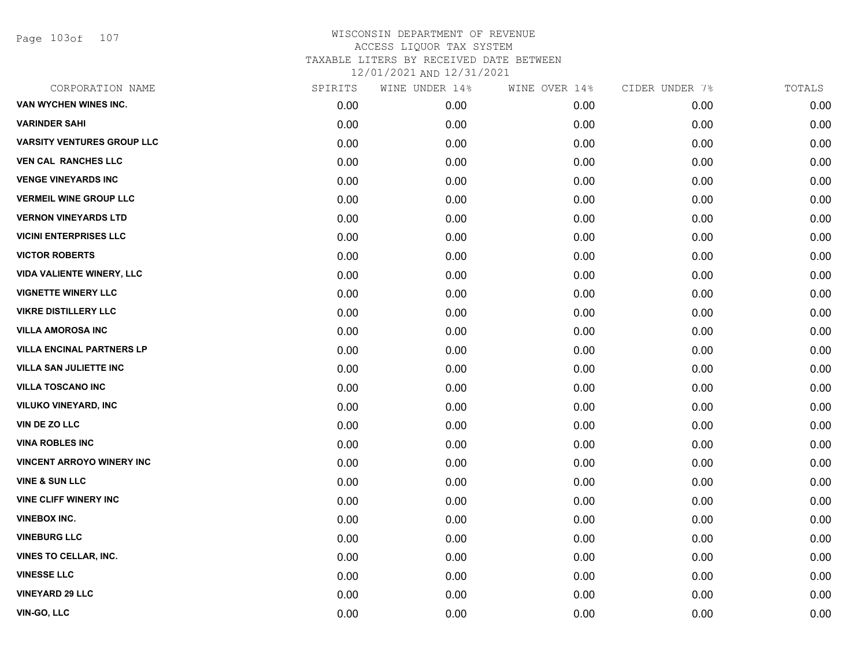Page 103of 107

| CORPORATION NAME                  | SPIRITS | WINE UNDER 14% | WINE OVER 14% | CIDER UNDER 7% | TOTALS |
|-----------------------------------|---------|----------------|---------------|----------------|--------|
| VAN WYCHEN WINES INC.             | 0.00    | 0.00           | 0.00          | 0.00           | 0.00   |
| <b>VARINDER SAHI</b>              | 0.00    | 0.00           | 0.00          | 0.00           | 0.00   |
| <b>VARSITY VENTURES GROUP LLC</b> | 0.00    | 0.00           | 0.00          | 0.00           | 0.00   |
| <b>VEN CAL RANCHES LLC</b>        | 0.00    | 0.00           | 0.00          | 0.00           | 0.00   |
| <b>VENGE VINEYARDS INC</b>        | 0.00    | 0.00           | 0.00          | 0.00           | 0.00   |
| <b>VERMEIL WINE GROUP LLC</b>     | 0.00    | 0.00           | 0.00          | 0.00           | 0.00   |
| <b>VERNON VINEYARDS LTD</b>       | 0.00    | 0.00           | 0.00          | 0.00           | 0.00   |
| <b>VICINI ENTERPRISES LLC</b>     | 0.00    | 0.00           | 0.00          | 0.00           | 0.00   |
| <b>VICTOR ROBERTS</b>             | 0.00    | 0.00           | 0.00          | 0.00           | 0.00   |
| <b>VIDA VALIENTE WINERY, LLC</b>  | 0.00    | 0.00           | 0.00          | 0.00           | 0.00   |
| <b>VIGNETTE WINERY LLC</b>        | 0.00    | 0.00           | 0.00          | 0.00           | 0.00   |
| <b>VIKRE DISTILLERY LLC</b>       | 0.00    | 0.00           | 0.00          | 0.00           | 0.00   |
| <b>VILLA AMOROSA INC</b>          | 0.00    | 0.00           | 0.00          | 0.00           | 0.00   |
| <b>VILLA ENCINAL PARTNERS LP</b>  | 0.00    | 0.00           | 0.00          | 0.00           | 0.00   |
| <b>VILLA SAN JULIETTE INC</b>     | 0.00    | 0.00           | 0.00          | 0.00           | 0.00   |
| <b>VILLA TOSCANO INC</b>          | 0.00    | 0.00           | 0.00          | 0.00           | 0.00   |
| <b>VILUKO VINEYARD, INC</b>       | 0.00    | 0.00           | 0.00          | 0.00           | 0.00   |
| <b>VIN DE ZO LLC</b>              | 0.00    | 0.00           | 0.00          | 0.00           | 0.00   |
| <b>VINA ROBLES INC</b>            | 0.00    | 0.00           | 0.00          | 0.00           | 0.00   |
| <b>VINCENT ARROYO WINERY INC</b>  | 0.00    | 0.00           | 0.00          | 0.00           | 0.00   |
| <b>VINE &amp; SUN LLC</b>         | 0.00    | 0.00           | 0.00          | 0.00           | 0.00   |
| <b>VINE CLIFF WINERY INC</b>      | 0.00    | 0.00           | 0.00          | 0.00           | 0.00   |
| <b>VINEBOX INC.</b>               | 0.00    | 0.00           | 0.00          | 0.00           | 0.00   |
| <b>VINEBURG LLC</b>               | 0.00    | 0.00           | 0.00          | 0.00           | 0.00   |
| <b>VINES TO CELLAR, INC.</b>      | 0.00    | 0.00           | 0.00          | 0.00           | 0.00   |
| <b>VINESSE LLC</b>                | 0.00    | 0.00           | 0.00          | 0.00           | 0.00   |
| <b>VINEYARD 29 LLC</b>            | 0.00    | 0.00           | 0.00          | 0.00           | 0.00   |
| VIN-GO, LLC                       | 0.00    | 0.00           | 0.00          | 0.00           | 0.00   |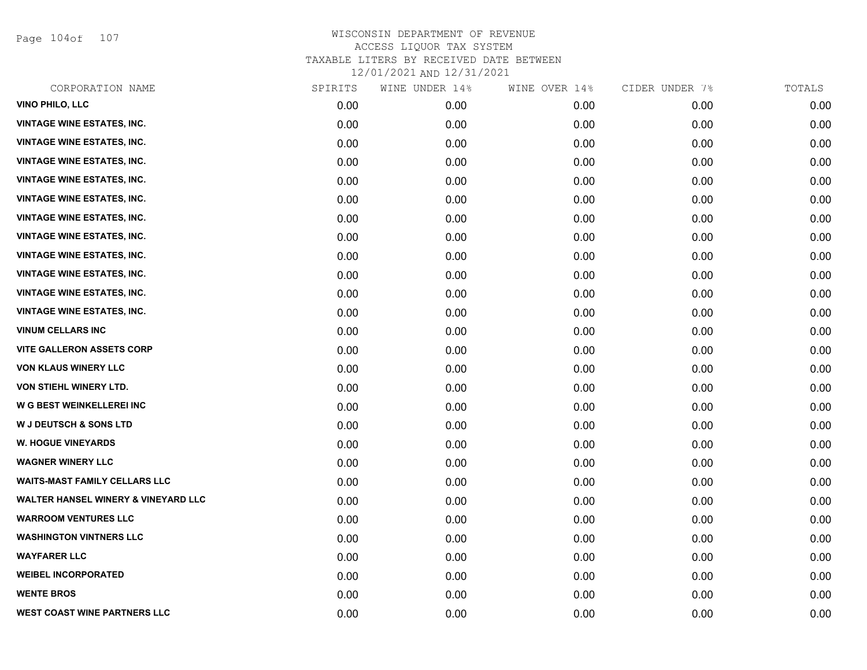Page 104of 107

| CORPORATION NAME                               | SPIRITS | WINE UNDER 14% | WINE OVER 14% | CIDER UNDER 7% | TOTALS |
|------------------------------------------------|---------|----------------|---------------|----------------|--------|
| <b>VINO PHILO, LLC</b>                         | 0.00    | 0.00           | 0.00          | 0.00           | 0.00   |
| <b>VINTAGE WINE ESTATES, INC.</b>              | 0.00    | 0.00           | 0.00          | 0.00           | 0.00   |
| <b>VINTAGE WINE ESTATES, INC.</b>              | 0.00    | 0.00           | 0.00          | 0.00           | 0.00   |
| <b>VINTAGE WINE ESTATES, INC.</b>              | 0.00    | 0.00           | 0.00          | 0.00           | 0.00   |
| <b>VINTAGE WINE ESTATES, INC.</b>              | 0.00    | 0.00           | 0.00          | 0.00           | 0.00   |
| <b>VINTAGE WINE ESTATES, INC.</b>              | 0.00    | 0.00           | 0.00          | 0.00           | 0.00   |
| <b>VINTAGE WINE ESTATES, INC.</b>              | 0.00    | 0.00           | 0.00          | 0.00           | 0.00   |
| <b>VINTAGE WINE ESTATES, INC.</b>              | 0.00    | 0.00           | 0.00          | 0.00           | 0.00   |
| <b>VINTAGE WINE ESTATES, INC.</b>              | 0.00    | 0.00           | 0.00          | 0.00           | 0.00   |
| <b>VINTAGE WINE ESTATES, INC.</b>              | 0.00    | 0.00           | 0.00          | 0.00           | 0.00   |
| <b>VINTAGE WINE ESTATES, INC.</b>              | 0.00    | 0.00           | 0.00          | 0.00           | 0.00   |
| <b>VINTAGE WINE ESTATES, INC.</b>              | 0.00    | 0.00           | 0.00          | 0.00           | 0.00   |
| <b>VINUM CELLARS INC</b>                       | 0.00    | 0.00           | 0.00          | 0.00           | 0.00   |
| <b>VITE GALLERON ASSETS CORP</b>               | 0.00    | 0.00           | 0.00          | 0.00           | 0.00   |
| <b>VON KLAUS WINERY LLC</b>                    | 0.00    | 0.00           | 0.00          | 0.00           | 0.00   |
| VON STIEHL WINERY LTD.                         | 0.00    | 0.00           | 0.00          | 0.00           | 0.00   |
| <b>W G BEST WEINKELLEREI INC</b>               | 0.00    | 0.00           | 0.00          | 0.00           | 0.00   |
| <b>W J DEUTSCH &amp; SONS LTD</b>              | 0.00    | 0.00           | 0.00          | 0.00           | 0.00   |
| <b>W. HOGUE VINEYARDS</b>                      | 0.00    | 0.00           | 0.00          | 0.00           | 0.00   |
| <b>WAGNER WINERY LLC</b>                       | 0.00    | 0.00           | 0.00          | 0.00           | 0.00   |
| <b>WAITS-MAST FAMILY CELLARS LLC</b>           | 0.00    | 0.00           | 0.00          | 0.00           | 0.00   |
| <b>WALTER HANSEL WINERY &amp; VINEYARD LLC</b> | 0.00    | 0.00           | 0.00          | 0.00           | 0.00   |
| <b>WARROOM VENTURES LLC</b>                    | 0.00    | 0.00           | 0.00          | 0.00           | 0.00   |
| <b>WASHINGTON VINTNERS LLC</b>                 | 0.00    | 0.00           | 0.00          | 0.00           | 0.00   |
| <b>WAYFARER LLC</b>                            | 0.00    | 0.00           | 0.00          | 0.00           | 0.00   |
| <b>WEIBEL INCORPORATED</b>                     | 0.00    | 0.00           | 0.00          | 0.00           | 0.00   |
| <b>WENTE BROS</b>                              | 0.00    | 0.00           | 0.00          | 0.00           | 0.00   |
| <b>WEST COAST WINE PARTNERS LLC</b>            | 0.00    | 0.00           | 0.00          | 0.00           | 0.00   |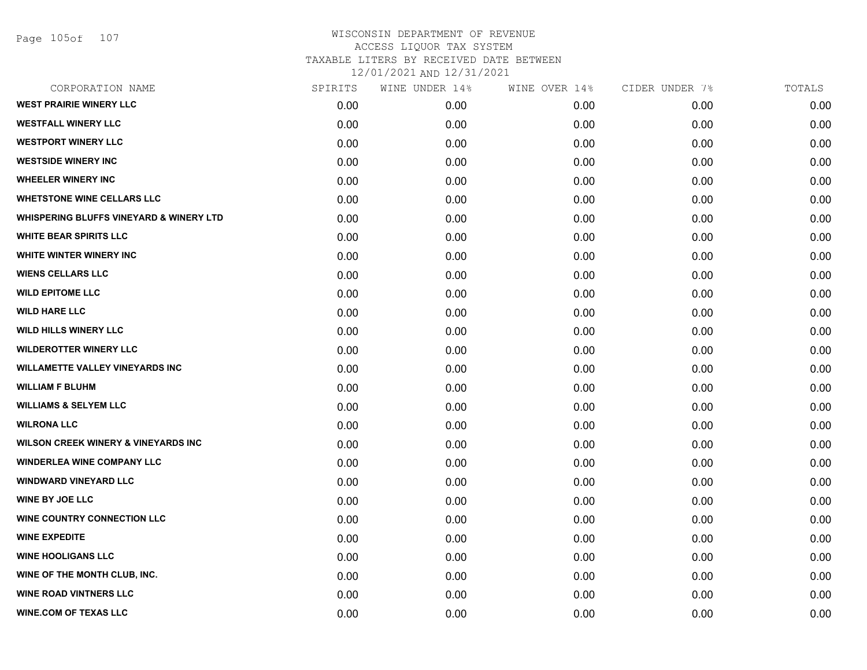Page 105of 107

| CORPORATION NAME                                   | SPIRITS | WINE UNDER 14% | WINE OVER 14% | CIDER UNDER 7% | TOTALS |
|----------------------------------------------------|---------|----------------|---------------|----------------|--------|
| <b>WEST PRAIRIE WINERY LLC</b>                     | 0.00    | 0.00           | 0.00          | 0.00           | 0.00   |
| <b>WESTFALL WINERY LLC</b>                         | 0.00    | 0.00           | 0.00          | 0.00           | 0.00   |
| <b>WESTPORT WINERY LLC</b>                         | 0.00    | 0.00           | 0.00          | 0.00           | 0.00   |
| <b>WESTSIDE WINERY INC</b>                         | 0.00    | 0.00           | 0.00          | 0.00           | 0.00   |
| <b>WHEELER WINERY INC</b>                          | 0.00    | 0.00           | 0.00          | 0.00           | 0.00   |
| <b>WHETSTONE WINE CELLARS LLC</b>                  | 0.00    | 0.00           | 0.00          | 0.00           | 0.00   |
| <b>WHISPERING BLUFFS VINEYARD &amp; WINERY LTD</b> | 0.00    | 0.00           | 0.00          | 0.00           | 0.00   |
| <b>WHITE BEAR SPIRITS LLC</b>                      | 0.00    | 0.00           | 0.00          | 0.00           | 0.00   |
| WHITE WINTER WINERY INC                            | 0.00    | 0.00           | 0.00          | 0.00           | 0.00   |
| <b>WIENS CELLARS LLC</b>                           | 0.00    | 0.00           | 0.00          | 0.00           | 0.00   |
| <b>WILD EPITOME LLC</b>                            | 0.00    | 0.00           | 0.00          | 0.00           | 0.00   |
| <b>WILD HARE LLC</b>                               | 0.00    | 0.00           | 0.00          | 0.00           | 0.00   |
| <b>WILD HILLS WINERY LLC</b>                       | 0.00    | 0.00           | 0.00          | 0.00           | 0.00   |
| <b>WILDEROTTER WINERY LLC</b>                      | 0.00    | 0.00           | 0.00          | 0.00           | 0.00   |
| <b>WILLAMETTE VALLEY VINEYARDS INC</b>             | 0.00    | 0.00           | 0.00          | 0.00           | 0.00   |
| <b>WILLIAM F BLUHM</b>                             | 0.00    | 0.00           | 0.00          | 0.00           | 0.00   |
| <b>WILLIAMS &amp; SELYEM LLC</b>                   | 0.00    | 0.00           | 0.00          | 0.00           | 0.00   |
| <b>WILRONA LLC</b>                                 | 0.00    | 0.00           | 0.00          | 0.00           | 0.00   |
| <b>WILSON CREEK WINERY &amp; VINEYARDS INC</b>     | 0.00    | 0.00           | 0.00          | 0.00           | 0.00   |
| <b>WINDERLEA WINE COMPANY LLC</b>                  | 0.00    | 0.00           | 0.00          | 0.00           | 0.00   |
| <b>WINDWARD VINEYARD LLC</b>                       | 0.00    | 0.00           | 0.00          | 0.00           | 0.00   |
| <b>WINE BY JOE LLC</b>                             | 0.00    | 0.00           | 0.00          | 0.00           | 0.00   |
| <b>WINE COUNTRY CONNECTION LLC</b>                 | 0.00    | 0.00           | 0.00          | 0.00           | 0.00   |
| <b>WINE EXPEDITE</b>                               | 0.00    | 0.00           | 0.00          | 0.00           | 0.00   |
| <b>WINE HOOLIGANS LLC</b>                          | 0.00    | 0.00           | 0.00          | 0.00           | 0.00   |
| WINE OF THE MONTH CLUB, INC.                       | 0.00    | 0.00           | 0.00          | 0.00           | 0.00   |
| <b>WINE ROAD VINTNERS LLC</b>                      | 0.00    | 0.00           | 0.00          | 0.00           | 0.00   |
| <b>WINE.COM OF TEXAS LLC</b>                       | 0.00    | 0.00           | 0.00          | 0.00           | 0.00   |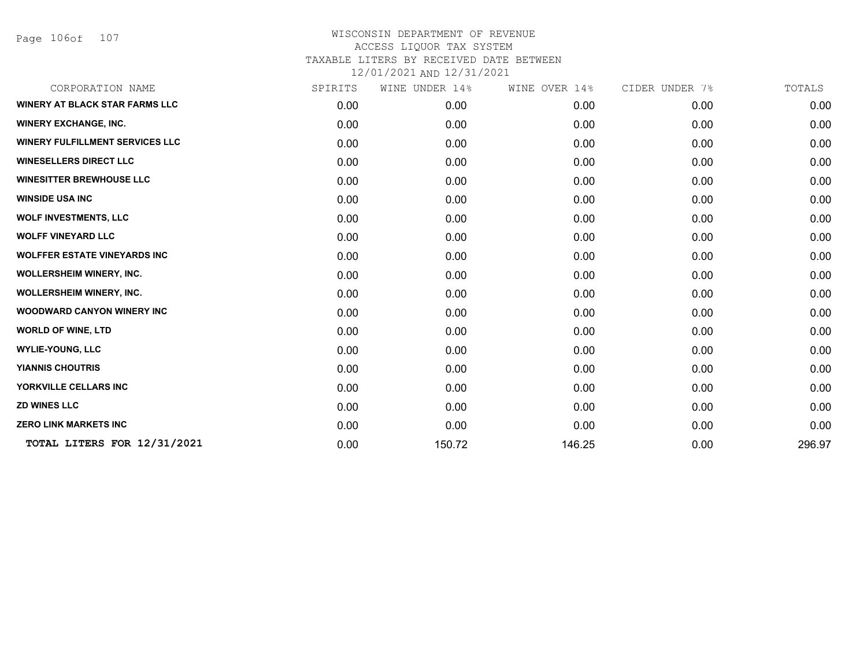Page 106of 107

| CORPORATION NAME                       | SPIRITS | WINE UNDER 14% | WINE OVER 14% | CIDER UNDER 7% | TOTALS |
|----------------------------------------|---------|----------------|---------------|----------------|--------|
| <b>WINERY AT BLACK STAR FARMS LLC</b>  | 0.00    | 0.00           | 0.00          | 0.00           | 0.00   |
| <b>WINERY EXCHANGE, INC.</b>           | 0.00    | 0.00           | 0.00          | 0.00           | 0.00   |
| <b>WINERY FULFILLMENT SERVICES LLC</b> | 0.00    | 0.00           | 0.00          | 0.00           | 0.00   |
| <b>WINESELLERS DIRECT LLC</b>          | 0.00    | 0.00           | 0.00          | 0.00           | 0.00   |
| <b>WINESITTER BREWHOUSE LLC</b>        | 0.00    | 0.00           | 0.00          | 0.00           | 0.00   |
| <b>WINSIDE USA INC</b>                 | 0.00    | 0.00           | 0.00          | 0.00           | 0.00   |
| <b>WOLF INVESTMENTS, LLC</b>           | 0.00    | 0.00           | 0.00          | 0.00           | 0.00   |
| <b>WOLFF VINEYARD LLC</b>              | 0.00    | 0.00           | 0.00          | 0.00           | 0.00   |
| <b>WOLFFER ESTATE VINEYARDS INC</b>    | 0.00    | 0.00           | 0.00          | 0.00           | 0.00   |
| <b>WOLLERSHEIM WINERY, INC.</b>        | 0.00    | 0.00           | 0.00          | 0.00           | 0.00   |
| <b>WOLLERSHEIM WINERY, INC.</b>        | 0.00    | 0.00           | 0.00          | 0.00           | 0.00   |
| <b>WOODWARD CANYON WINERY INC</b>      | 0.00    | 0.00           | 0.00          | 0.00           | 0.00   |
| <b>WORLD OF WINE, LTD</b>              | 0.00    | 0.00           | 0.00          | 0.00           | 0.00   |
| <b>WYLIE-YOUNG, LLC</b>                | 0.00    | 0.00           | 0.00          | 0.00           | 0.00   |
| <b>YIANNIS CHOUTRIS</b>                | 0.00    | 0.00           | 0.00          | 0.00           | 0.00   |
| YORKVILLE CELLARS INC                  | 0.00    | 0.00           | 0.00          | 0.00           | 0.00   |
| <b>ZD WINES LLC</b>                    | 0.00    | 0.00           | 0.00          | 0.00           | 0.00   |
| <b>ZERO LINK MARKETS INC</b>           | 0.00    | 0.00           | 0.00          | 0.00           | 0.00   |
| TOTAL LITERS FOR 12/31/2021            | 0.00    | 150.72         | 146.25        | 0.00           | 296.97 |